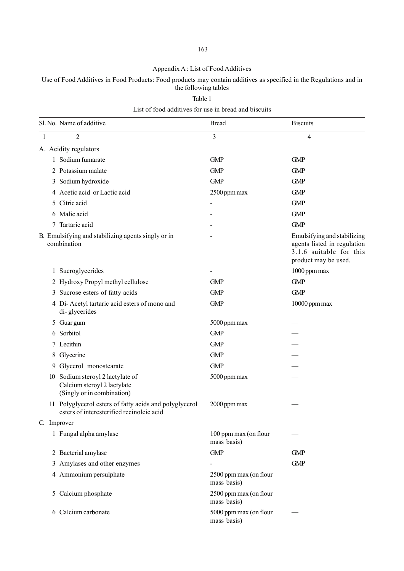#### Appendix A : List of Food Additives

### Use of Food Additives in Food Products: Food products may contain additives as specified in the Regulations and in the following tables

Table 1

#### List of food additives for use in bread and biscuits

|          | Sl. No. Name of additive                                                                            | <b>Bread</b>                          | <b>Biscuits</b>                                                                                               |
|----------|-----------------------------------------------------------------------------------------------------|---------------------------------------|---------------------------------------------------------------------------------------------------------------|
| 1        | 2                                                                                                   | 3                                     | $\overline{4}$                                                                                                |
|          | A. Acidity regulators                                                                               |                                       |                                                                                                               |
|          | 1 Sodium fumarate                                                                                   | <b>GMP</b>                            | <b>GMP</b>                                                                                                    |
|          | 2 Potassium malate                                                                                  | <b>GMP</b>                            | <b>GMP</b>                                                                                                    |
|          | 3 Sodium hydroxide                                                                                  | <b>GMP</b>                            | <b>GMP</b>                                                                                                    |
|          | 4 Acetic acid or Lactic acid                                                                        | 2500 ppm max                          | <b>GMP</b>                                                                                                    |
| 5        | Citric acid                                                                                         |                                       | <b>GMP</b>                                                                                                    |
| 6        | Malic acid                                                                                          |                                       | <b>GMP</b>                                                                                                    |
| 7        | Tartaric acid                                                                                       |                                       | <b>GMP</b>                                                                                                    |
|          | B. Emulsifying and stabilizing agents singly or in<br>combination                                   |                                       | Emulsifying and stabilizing<br>agents listed in regulation<br>3.1.6 suitable for this<br>product may be used. |
| $\bf{l}$ | Sucroglycerides                                                                                     |                                       | 1000 ppm max                                                                                                  |
|          | 2 Hydroxy Propyl methyl cellulose                                                                   | <b>GMP</b>                            | <b>GMP</b>                                                                                                    |
| 3        | Sucrose esters of fatty acids                                                                       | <b>GMP</b>                            | <b>GMP</b>                                                                                                    |
|          | 4 Di-Acetyl tartaric acid esters of mono and<br>di-glycerides                                       | <b>GMP</b>                            | 10000 ppm max                                                                                                 |
|          | 5 Guar gum                                                                                          | 5000 ppm max                          |                                                                                                               |
| 6        | Sorbitol                                                                                            | <b>GMP</b>                            |                                                                                                               |
|          | 7 Lecithin                                                                                          | <b>GMP</b>                            |                                                                                                               |
| 8        | Glycerine                                                                                           | <b>GMP</b>                            |                                                                                                               |
| 9        | Glycerol monostearate                                                                               | <b>GMP</b>                            |                                                                                                               |
|          | 10 Sodium steroyl 2 lactylate of<br>Calcium steroyl 2 lactylate<br>(Singly or in combination)       | 5000 ppm max                          |                                                                                                               |
|          | 11 Polyglycerol esters of fatty acids and polyglycerol<br>esters of interesterified recinoleic acid | 2000 ppm max                          |                                                                                                               |
|          | C. Improver                                                                                         |                                       |                                                                                                               |
|          | 1 Fungal alpha amylase                                                                              | 100 ppm max (on flour<br>mass basis)  |                                                                                                               |
|          | 2 Bacterial amylase                                                                                 | <b>GMP</b>                            | <b>GMP</b>                                                                                                    |
| 3        | Amylases and other enzymes                                                                          |                                       | <b>GMP</b>                                                                                                    |
|          | 4 Ammonium persulphate                                                                              | 2500 ppm max (on flour<br>mass basis) |                                                                                                               |
|          | 5 Calcium phosphate                                                                                 | 2500 ppm max (on flour<br>mass basis) |                                                                                                               |
| 6        | Calcium carbonate                                                                                   | 5000 ppm max (on flour<br>mass basis) |                                                                                                               |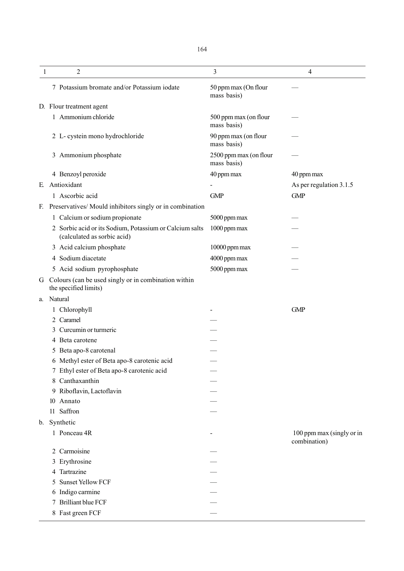| 1  |    | 2                                                                                      | 3                                     | 4                                         |
|----|----|----------------------------------------------------------------------------------------|---------------------------------------|-------------------------------------------|
|    |    | 7 Potassium bromate and/or Potassium iodate                                            | 50 ppm max (On flour<br>mass basis)   |                                           |
|    |    | D. Flour treatment agent                                                               |                                       |                                           |
|    |    | 1 Ammonium chloride                                                                    | 500 ppm max (on flour<br>mass basis)  |                                           |
|    |    | 2 L-cystein mono hydrochloride                                                         | 90 ppm max (on flour<br>mass basis)   |                                           |
|    | 3  | Ammonium phosphate                                                                     | 2500 ppm max (on flour<br>mass basis) |                                           |
|    |    | 4 Benzoyl peroxide                                                                     | 40 ppm max                            | 40 ppm max                                |
| E. |    | Antioxidant                                                                            |                                       | As per regulation 3.1.5                   |
|    |    | 1 Ascorbic acid                                                                        | <b>GMP</b>                            | <b>GMP</b>                                |
| F. |    | Preservatives/ Mould inhibitors singly or in combination                               |                                       |                                           |
|    |    | 1 Calcium or sodium propionate                                                         | 5000 ppm max                          |                                           |
|    |    | 2 Sorbic acid or its Sodium, Potassium or Calcium salts<br>(calculated as sorbic acid) | 1000 ppm max                          |                                           |
|    |    | 3 Acid calcium phosphate                                                               | 10000 ppm max                         |                                           |
|    | 4  | Sodium diacetate                                                                       | 4000 ppm max                          |                                           |
|    |    | 5 Acid sodium pyrophosphate                                                            | 5000 ppm max                          |                                           |
| G  |    | Colours (can be used singly or in combination within<br>the specified limits)          |                                       |                                           |
| a. |    | Natural                                                                                |                                       |                                           |
|    |    | Chlorophyll                                                                            |                                       | <b>GMP</b>                                |
|    | 2  | Caramel                                                                                |                                       |                                           |
|    | 3  | Curcumin or turmeric                                                                   |                                       |                                           |
|    | 4  | Beta carotene                                                                          |                                       |                                           |
|    | 5  | Beta apo-8 carotenal                                                                   |                                       |                                           |
|    |    | 6 Methyl ester of Beta apo-8 carotenic acid                                            |                                       |                                           |
|    |    | 7 Ethyl ester of Beta apo-8 carotenic acid                                             |                                       |                                           |
|    | 8  | Canthaxanthin                                                                          |                                       |                                           |
|    | 9  | Riboflavin, Lactoflavin                                                                |                                       |                                           |
|    | 10 | Annato                                                                                 |                                       |                                           |
|    | 11 | Saffron                                                                                |                                       |                                           |
| b. |    | Synthetic                                                                              |                                       |                                           |
|    |    | 1 Ponceau 4R                                                                           |                                       | 100 ppm max (singly or in<br>combination) |
|    | 2  | Carmoisine                                                                             |                                       |                                           |
|    | 3  | Erythrosine                                                                            |                                       |                                           |
|    | 4  | Tartrazine                                                                             |                                       |                                           |
|    | 5  | <b>Sunset Yellow FCF</b>                                                               |                                       |                                           |
|    | 6  | Indigo carmine                                                                         |                                       |                                           |
|    | 7  | <b>Brilliant blue FCF</b>                                                              |                                       |                                           |
|    |    | 8 Fast green FCF                                                                       |                                       |                                           |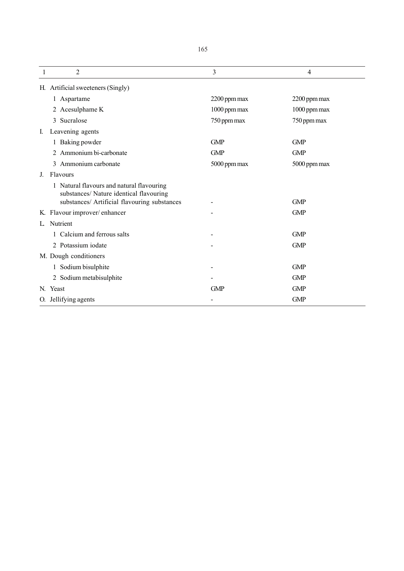|    | 2                                                                                    | 3            | 4            |
|----|--------------------------------------------------------------------------------------|--------------|--------------|
|    | H. Artificial sweeteners (Singly)                                                    |              |              |
|    | 1 Aspartame                                                                          | 2200 ppm max | 2200 ppm max |
|    | 2 Acesulphame K                                                                      | 1000 ppm max | 1000 ppm max |
|    | Sucralose<br>3                                                                       | 750 ppm max  | 750 ppm max  |
| I. | Leavening agents                                                                     |              |              |
|    | 1 Baking powder                                                                      | <b>GMP</b>   | <b>GMP</b>   |
|    | Ammonium bi-carbonate<br>2                                                           | <b>GMP</b>   | <b>GMP</b>   |
|    | Ammonium carbonate<br>3                                                              | 5000 ppm max | 5000 ppm max |
| J. | Flavours                                                                             |              |              |
|    | 1 Natural flavours and natural flavouring<br>substances/ Nature identical flavouring |              |              |
|    | substances/ Artificial flavouring substances                                         |              | <b>GMP</b>   |
|    | K. Flavour improver/enhancer                                                         |              | <b>GMP</b>   |
| L  | Nutrient                                                                             |              |              |
|    | 1 Calcium and ferrous salts                                                          |              | <b>GMP</b>   |
|    | 2 Potassium iodate                                                                   |              | <b>GMP</b>   |
|    | M. Dough conditioners                                                                |              |              |
|    | 1 Sodium bisulphite                                                                  |              | <b>GMP</b>   |
|    | 2 Sodium metabisulphite                                                              |              | <b>GMP</b>   |
|    | N. Yeast                                                                             | <b>GMP</b>   | <b>GMP</b>   |
|    | O. Jellifying agents                                                                 |              | <b>GMP</b>   |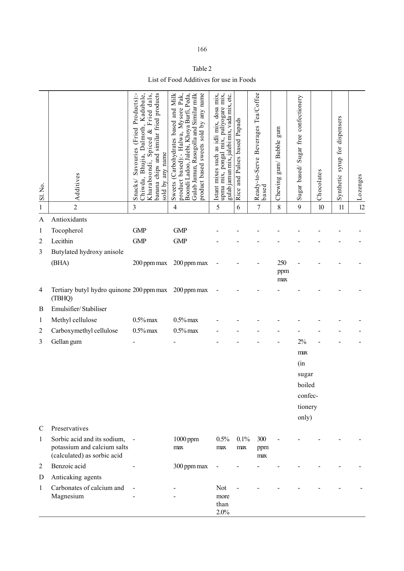| 166 |
|-----|
|-----|

| Table 2                                 |  |
|-----------------------------------------|--|
| List of Food Additives for use in Foods |  |

| [Sl. No.     | Additives                                                                                 | Fried dals,<br>banana chips and similar fried products<br>Kadubale,<br>(Fried Products)<br>Dalmoth,<br>s<br>S<br>Spiced<br>Savouries<br>sold by any name<br>Bhujia,<br>Kharaboondi,<br>Chiwda,<br>Snacks/ | product based):- Halwa, Mysore Pak,<br>Boondi Ladoo, Jalebi, Khoya Burfi, Peda,<br>Milk<br>product based sweets sold by any name<br>Gulab Jamun, Rasogolla and Similar milk<br>Sweets (Carbohydrates based and | Istant mixes such as idli mix, dosa mix,<br>upma mix, pongal mix, puliyogare mix,<br>gulab jamun mix, jalebi mix, vadā mix, etc. | and Pulses based Papads<br>Rice | Beverages Tea/Coffee<br>Ready-to-Serve<br>based | gum<br>gum/Bubble<br>Chewing | Sugar free confectionery<br>Sugar based/ | Chocolates | syrup for dispensers<br>Synthetic | Lozenges |
|--------------|-------------------------------------------------------------------------------------------|-----------------------------------------------------------------------------------------------------------------------------------------------------------------------------------------------------------|----------------------------------------------------------------------------------------------------------------------------------------------------------------------------------------------------------------|----------------------------------------------------------------------------------------------------------------------------------|---------------------------------|-------------------------------------------------|------------------------------|------------------------------------------|------------|-----------------------------------|----------|
| $\,1$        | $\overline{2}$                                                                            | 3                                                                                                                                                                                                         | $\overline{\mathbf{4}}$                                                                                                                                                                                        | 5                                                                                                                                | 6                               | $\boldsymbol{7}$                                | 8                            | 9                                        | $10\,$     | 11                                | 12       |
| A            | Antioxidants                                                                              |                                                                                                                                                                                                           |                                                                                                                                                                                                                |                                                                                                                                  |                                 |                                                 |                              |                                          |            |                                   |          |
| $\mathbf{1}$ | Tocopherol                                                                                | <b>GMP</b>                                                                                                                                                                                                | <b>GMP</b>                                                                                                                                                                                                     |                                                                                                                                  |                                 |                                                 |                              |                                          |            |                                   |          |
| 2            | Lecithin                                                                                  | <b>GMP</b>                                                                                                                                                                                                | <b>GMP</b>                                                                                                                                                                                                     |                                                                                                                                  |                                 |                                                 |                              |                                          |            |                                   |          |
| 3            | Butylated hydroxy anisole                                                                 |                                                                                                                                                                                                           |                                                                                                                                                                                                                |                                                                                                                                  |                                 |                                                 |                              |                                          |            |                                   |          |
|              | (BHA)                                                                                     | 200 ppm max                                                                                                                                                                                               | 200 ppm max                                                                                                                                                                                                    |                                                                                                                                  |                                 |                                                 | 250<br>ppm<br>max            |                                          |            |                                   |          |
| 4            | Tertiary butyl hydro quinone 200 ppm max 200 ppm max<br>(TBHQ)                            |                                                                                                                                                                                                           |                                                                                                                                                                                                                |                                                                                                                                  |                                 |                                                 |                              |                                          |            |                                   |          |
| B            | Emulsifier/Stabiliser                                                                     |                                                                                                                                                                                                           |                                                                                                                                                                                                                |                                                                                                                                  |                                 |                                                 |                              |                                          |            |                                   |          |
| $\mathbf{1}$ | Methyl cellulose                                                                          | $0.5\%$ max                                                                                                                                                                                               | $0.5\%$ max                                                                                                                                                                                                    |                                                                                                                                  |                                 |                                                 |                              |                                          |            |                                   |          |
| 2            | Carboxymethyl cellulose                                                                   | $0.5\%$ max                                                                                                                                                                                               | $0.5\%$ max                                                                                                                                                                                                    |                                                                                                                                  |                                 |                                                 |                              |                                          |            |                                   |          |
| 3            | Gellan gum                                                                                |                                                                                                                                                                                                           |                                                                                                                                                                                                                |                                                                                                                                  |                                 |                                                 |                              | 2%                                       |            |                                   |          |
|              |                                                                                           |                                                                                                                                                                                                           |                                                                                                                                                                                                                |                                                                                                                                  |                                 |                                                 |                              | max                                      |            |                                   |          |
|              |                                                                                           |                                                                                                                                                                                                           |                                                                                                                                                                                                                |                                                                                                                                  |                                 |                                                 |                              | (in                                      |            |                                   |          |
|              |                                                                                           |                                                                                                                                                                                                           |                                                                                                                                                                                                                |                                                                                                                                  |                                 |                                                 |                              | sugar                                    |            |                                   |          |
|              |                                                                                           |                                                                                                                                                                                                           |                                                                                                                                                                                                                |                                                                                                                                  |                                 |                                                 |                              | boiled                                   |            |                                   |          |
|              |                                                                                           |                                                                                                                                                                                                           |                                                                                                                                                                                                                |                                                                                                                                  |                                 |                                                 |                              | confec-                                  |            |                                   |          |
|              |                                                                                           |                                                                                                                                                                                                           |                                                                                                                                                                                                                |                                                                                                                                  |                                 |                                                 |                              | tionery                                  |            |                                   |          |
| C            | Preservatives                                                                             |                                                                                                                                                                                                           |                                                                                                                                                                                                                |                                                                                                                                  |                                 |                                                 |                              | only)                                    |            |                                   |          |
| $\mathbf{1}$ | Sorbic acid and its sodium,<br>potassium and calcium salts<br>(calculated) as sorbic acid |                                                                                                                                                                                                           | $1000$ ppm<br>max                                                                                                                                                                                              | 0.5%<br>max                                                                                                                      | 0.1%<br>max                     | 300<br>ppm<br>max                               |                              |                                          |            |                                   |          |
| 2            | Benzoic acid                                                                              |                                                                                                                                                                                                           | 300 ppm max                                                                                                                                                                                                    |                                                                                                                                  |                                 |                                                 |                              |                                          |            |                                   |          |
| D            | Anticaking agents                                                                         |                                                                                                                                                                                                           |                                                                                                                                                                                                                |                                                                                                                                  |                                 |                                                 |                              |                                          |            |                                   |          |
| $\mathbf{1}$ | Carbonates of calcium and<br>Magnesium                                                    |                                                                                                                                                                                                           |                                                                                                                                                                                                                | Not<br>more<br>than<br>2.0%                                                                                                      |                                 |                                                 |                              |                                          |            |                                   |          |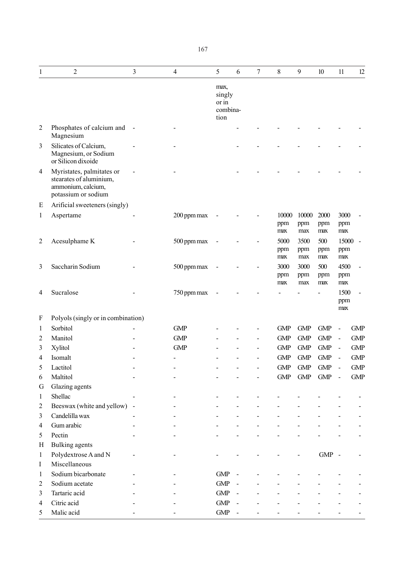| 1              | $\overline{2}$                                                                                    | 3 | $\overline{4}$ | 5                                           | 6              | $\boldsymbol{7}$ | 8                   | 9                   | 10                 | 11                  | 12             |
|----------------|---------------------------------------------------------------------------------------------------|---|----------------|---------------------------------------------|----------------|------------------|---------------------|---------------------|--------------------|---------------------|----------------|
|                |                                                                                                   |   |                | max,<br>singly<br>or in<br>combina-<br>tion |                |                  |                     |                     |                    |                     |                |
| $\overline{2}$ | Phosphates of calcium and<br>Magnesium                                                            |   |                |                                             |                |                  |                     |                     |                    |                     |                |
| 3              | Silicates of Calcium,<br>Magnesium, or Sodium<br>or Silicon dixoide                               |   |                |                                             |                |                  |                     |                     |                    |                     |                |
| 4              | Myristates, palmitates or<br>stearates of aluminium,<br>ammonium, calcium,<br>potassium or sodium |   |                |                                             |                |                  |                     |                     |                    |                     |                |
| E              | Arificial sweeteners (singly)                                                                     |   |                |                                             |                |                  |                     |                     |                    |                     |                |
| $\mathbf{1}$   | Aspertame                                                                                         |   | 200 ppm max    |                                             |                |                  | 10000<br>ppm<br>max | 10000<br>ppm<br>max | 2000<br>ppm<br>max | 3000<br>ppm<br>max  |                |
| $\overline{2}$ | Acesulphame K                                                                                     |   | 500 ppm max    |                                             |                |                  | 5000<br>ppm<br>max  | 3500<br>ppm<br>max  | 500<br>ppm<br>max  | 15000<br>ppm<br>max | $\overline{a}$ |
| 3              | Saccharin Sodium                                                                                  |   | 500 ppm max    |                                             |                |                  | 3000<br>ppm<br>max  | 3000<br>ppm<br>max  | 500<br>ppm<br>max  | 4500<br>ppm<br>max  |                |
| $\overline{4}$ | Sucralose                                                                                         |   | 750 ppm max    |                                             |                |                  |                     |                     |                    | 1500<br>ppm<br>max  |                |
| $\mathbf F$    | Polyols (singly or in combination)                                                                |   |                |                                             |                |                  |                     |                     |                    |                     |                |
| $\mathbf{1}$   | Sorbitol                                                                                          |   | <b>GMP</b>     |                                             |                |                  | <b>GMP</b>          | <b>GMP</b>          | <b>GMP</b>         |                     | <b>GMP</b>     |
| $\overline{2}$ | Manitol                                                                                           |   | <b>GMP</b>     |                                             |                |                  | <b>GMP</b>          | <b>GMP</b>          | <b>GMP</b>         | $\overline{a}$      | <b>GMP</b>     |
| 3              | Xylitol                                                                                           |   | <b>GMP</b>     |                                             |                |                  | <b>GMP</b>          | <b>GMP</b>          | <b>GMP</b>         | $\sim$              | <b>GMP</b>     |
| 4              | Isomalt                                                                                           |   |                |                                             |                |                  | <b>GMP</b>          | <b>GMP</b>          | <b>GMP</b>         |                     | <b>GMP</b>     |
| 5              | Lactitol                                                                                          |   |                |                                             |                |                  | ${\rm GMP}$         | <b>GMP</b>          | <b>GMP</b>         |                     | <b>GMP</b>     |
| 6              | Maltitol                                                                                          |   |                |                                             |                |                  | <b>GMP</b>          | GMP                 | <b>GMP</b>         | $\overline{a}$      | <b>GMP</b>     |
| G              | Glazing agents                                                                                    |   |                |                                             |                |                  |                     |                     |                    |                     |                |
| $\mathbf{1}$   | Shellac                                                                                           |   |                |                                             |                |                  |                     |                     |                    |                     |                |
| $\overline{c}$ | Beeswax (white and yellow) -                                                                      |   |                |                                             |                |                  |                     |                     |                    |                     |                |
| 3              | Candelilla wax                                                                                    |   |                |                                             |                |                  |                     |                     |                    |                     |                |
| $\overline{4}$ | Gum arabic                                                                                        |   |                |                                             |                |                  |                     |                     |                    |                     |                |
| 5              | Pectin                                                                                            |   |                |                                             |                |                  |                     |                     |                    |                     |                |
| H              | Bulking agents                                                                                    |   |                |                                             |                |                  |                     |                     |                    |                     |                |
| $\mathbf{1}$   | Polydextrose A and N                                                                              |   |                |                                             |                |                  |                     |                     | $GMP -$            |                     |                |
| I              | Miscellaneous                                                                                     |   |                |                                             |                |                  |                     |                     |                    |                     |                |
| $\mathbf{1}$   | Sodium bicarbonate                                                                                |   |                | GMP                                         |                |                  |                     |                     |                    |                     |                |
| $\sqrt{2}$     | Sodium acetate                                                                                    |   |                | GMP                                         |                |                  |                     |                     |                    |                     |                |
| 3              | Tartaric acid                                                                                     |   |                | <b>GMP</b>                                  | $\blacksquare$ |                  |                     |                     |                    |                     |                |
| 4              | Citric acid                                                                                       |   |                | <b>GMP</b>                                  |                |                  |                     |                     |                    |                     |                |
| 5              | Malic acid                                                                                        |   |                | ${\rm GMP}$                                 | $\blacksquare$ |                  |                     |                     |                    |                     |                |
|                |                                                                                                   |   |                |                                             |                |                  |                     |                     |                    |                     |                |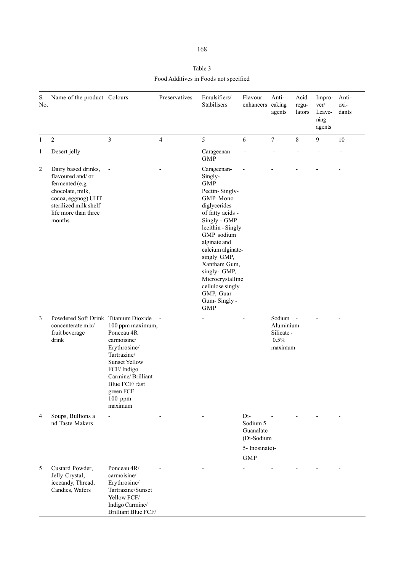# Table 3 Food Additives in Foods not specified

| S.<br>No.      | Name of the product Colours                                                                                                                                    |                                                                                                                                                                                             | Preservatives  | Emulsifiers/<br>Stabilisers                                                                                                                                                                                                                                                                                                     | Flavour<br>enhancers caking                                                | Anti-<br>agents                                     | Acid<br>regu-<br>lators | Impro-<br>ver/<br>Leave-<br>ning<br>agents | Anti-<br>oxi-<br>dants   |
|----------------|----------------------------------------------------------------------------------------------------------------------------------------------------------------|---------------------------------------------------------------------------------------------------------------------------------------------------------------------------------------------|----------------|---------------------------------------------------------------------------------------------------------------------------------------------------------------------------------------------------------------------------------------------------------------------------------------------------------------------------------|----------------------------------------------------------------------------|-----------------------------------------------------|-------------------------|--------------------------------------------|--------------------------|
| $\mathbf{1}$   | $\overline{2}$                                                                                                                                                 | $\mathfrak{Z}$                                                                                                                                                                              | $\overline{4}$ | 5                                                                                                                                                                                                                                                                                                                               | 6                                                                          | 7                                                   | $8\,$                   | 9                                          | 10                       |
| 1              | Desert jelly                                                                                                                                                   |                                                                                                                                                                                             |                | Carageenan<br><b>GMP</b>                                                                                                                                                                                                                                                                                                        | $\overline{a}$                                                             | $\overline{\phantom{0}}$                            | $\overline{a}$          |                                            | $\overline{\phantom{a}}$ |
| $\overline{c}$ | Dairy based drinks,<br>flavoured and/or<br>fermented (e.g<br>chocolate, milk,<br>cocoa, eggnog) UHT<br>sterilized milk shelf<br>life more than three<br>months |                                                                                                                                                                                             |                | Carageenan-<br>Singly-<br><b>GMP</b><br>Pectin-Singly-<br>GMP Mono<br>diglycerides<br>of fatty acids -<br>Singly - GMP<br>lecithin - Singly<br>GMP sodium<br>alginate and<br>calcium alginate-<br>singly GMP,<br>Xantham Gum,<br>singly- GMP,<br>Microcrystalline<br>cellulose singly<br>GMP, Guar<br>Gum-Singly-<br><b>GMP</b> |                                                                            |                                                     |                         |                                            |                          |
| 3              | Powdered Soft Drink Titanium Dioxide<br>concenterate mix/<br>fruit beverage<br>drink                                                                           | 100 ppm maximum,<br>Ponceau 4R<br>carmoisine/<br>Erythrosine/<br>Tartrazine/<br><b>Sunset Yellow</b><br>FCF/Indigo<br>Carmine/Brilliant<br>Blue FCF/fast<br>green FCF<br>100 ppm<br>maximum |                |                                                                                                                                                                                                                                                                                                                                 |                                                                            | Sodium<br>Aluminium<br>Silicate-<br>0.5%<br>maximum |                         |                                            |                          |
| 4              | Soups, Bullions a<br>nd Taste Makers                                                                                                                           |                                                                                                                                                                                             |                |                                                                                                                                                                                                                                                                                                                                 | Di-<br>Sodium 5<br>Guanalate<br>(Di-Sodium<br>5- Inosinate)-<br><b>GMP</b> |                                                     |                         |                                            |                          |
| 5              | Custard Powder,<br>Jelly Crystal,<br>icecandy, Thread,<br>Candies, Wafers                                                                                      | Ponceau 4R/<br>carmoisine/<br>Erythrosine/<br>Tartrazine/Sunset<br>Yellow FCF/<br>Indigo Carmine/<br>Brilliant Blue FCF/                                                                    |                |                                                                                                                                                                                                                                                                                                                                 |                                                                            |                                                     |                         |                                            |                          |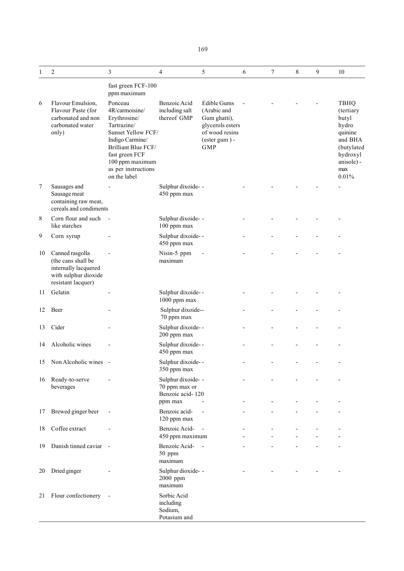| 1  | 2                                                                                                           | 3                                                                                                                                                                                                    | $\overline{4}$                                                     | 5                                                                                                                     | 6 | 7 | 8 | 9 | 10                                                                                                                |
|----|-------------------------------------------------------------------------------------------------------------|------------------------------------------------------------------------------------------------------------------------------------------------------------------------------------------------------|--------------------------------------------------------------------|-----------------------------------------------------------------------------------------------------------------------|---|---|---|---|-------------------------------------------------------------------------------------------------------------------|
|    |                                                                                                             | fast green FCF-100<br>ppm maximum                                                                                                                                                                    |                                                                    |                                                                                                                       |   |   |   |   |                                                                                                                   |
| 6  | Flavour Emulsion,<br>Flavour Paste (for<br>carbonated and non<br>carbonated water<br>only)                  | Ponceau<br>4R/carmoisine/<br>Erythrosine/<br>Tartrazine/<br>Sunset Yellow FCF/<br>Indigo Carmine/<br>Brilliant Blue FCF/<br>fast green FCF<br>100 ppm maximum<br>as per instructions<br>on the label | Benzoic Acid<br>including salt<br>thereof GMP                      | Edible Gums<br>(Arabic and<br>Gum ghatti),<br>glycerols esters<br>of wood resins<br>$($ ester gum $)$ -<br><b>GMP</b> |   |   |   |   | TBHQ<br>(tertiary<br>butyl<br>hydro<br>quinine<br>and BHA<br>(butylated<br>hydroxyl<br>anisole) -<br>max<br>0.01% |
| 7  | Sausages and<br>Sausage meat<br>containing raw meat,<br>cereals and condiments                              |                                                                                                                                                                                                      | Sulphur dixoide- -<br>450 ppm max                                  |                                                                                                                       |   |   |   |   |                                                                                                                   |
| 8  | Corn flour and such<br>like starches                                                                        | $\overline{\phantom{a}}$                                                                                                                                                                             | Sulphur dixoide- -<br>100 ppm max                                  |                                                                                                                       |   |   |   |   |                                                                                                                   |
| 9  | Corn syrup                                                                                                  |                                                                                                                                                                                                      | Sulphur dixoide--<br>450 ppm max                                   |                                                                                                                       |   |   |   |   |                                                                                                                   |
| 10 | Canned rasgolla<br>(the cans shall be<br>internally lacquered<br>with sulphur dioxide<br>resistant lacquer) |                                                                                                                                                                                                      | Nisin-5 ppm<br>maximum                                             |                                                                                                                       |   |   |   |   |                                                                                                                   |
| 11 | Gelatin                                                                                                     |                                                                                                                                                                                                      | Sulphur dixoide--<br>1000 ppm max                                  |                                                                                                                       |   |   |   |   |                                                                                                                   |
| 12 | Beer                                                                                                        |                                                                                                                                                                                                      | Sulphur dixoide--<br>70 ppm max                                    |                                                                                                                       |   |   |   |   |                                                                                                                   |
| 13 | Cider                                                                                                       |                                                                                                                                                                                                      | Sulphur dixoide--<br>200 ppm max                                   |                                                                                                                       |   |   |   |   |                                                                                                                   |
| 14 | Alcoholic wines                                                                                             |                                                                                                                                                                                                      | Sulphur dixoide--<br>450 ppm max                                   |                                                                                                                       |   |   |   |   |                                                                                                                   |
| 15 | Non Alcoholic wines -                                                                                       |                                                                                                                                                                                                      | Sulphur dixoide--<br>350 ppm max                                   |                                                                                                                       |   |   |   |   |                                                                                                                   |
| 16 | Ready-to-serve<br>beverages                                                                                 |                                                                                                                                                                                                      | Sulphur dixoide- -<br>70 ppm max or<br>Benzoic acid-120<br>ppm max |                                                                                                                       |   |   |   |   |                                                                                                                   |
| 17 | Brewed ginger beer                                                                                          |                                                                                                                                                                                                      | Benzoic acid-<br>120 ppm max                                       |                                                                                                                       |   |   |   |   |                                                                                                                   |
| 18 | Coffee extract                                                                                              |                                                                                                                                                                                                      | Benzoic Acid-<br>450 ppm maximum                                   | $\overline{\phantom{a}}$                                                                                              |   |   |   |   |                                                                                                                   |
| 19 | Danish tinned caviar -                                                                                      |                                                                                                                                                                                                      | Benzoic Acid-<br>50 ppm<br>maximum                                 | $\overline{\phantom{a}}$                                                                                              |   |   |   |   |                                                                                                                   |
| 20 | Dried ginger                                                                                                |                                                                                                                                                                                                      | Sulphur dioxide- -<br>2000 ppm<br>maximum                          |                                                                                                                       |   |   |   |   |                                                                                                                   |
| 21 | Flour confectionery                                                                                         |                                                                                                                                                                                                      | Sorbic Acid<br>including<br>Sodium,                                |                                                                                                                       |   |   |   |   |                                                                                                                   |

Potasium and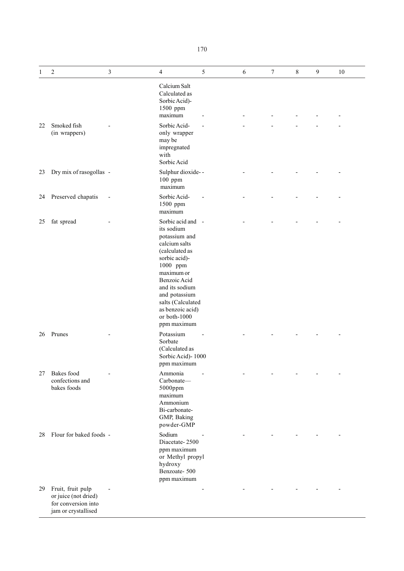| ۰.<br>× |
|---------|
|---------|

| 1  | $\mathbf{2}$                                                                            | 3 | $\overline{4}$                                                                                                                                                                                                                                            | 5 | 6 | $\boldsymbol{7}$ | $\,8\,$ | 9 | 10 |
|----|-----------------------------------------------------------------------------------------|---|-----------------------------------------------------------------------------------------------------------------------------------------------------------------------------------------------------------------------------------------------------------|---|---|------------------|---------|---|----|
|    |                                                                                         |   | Calcium Salt<br>Calculated as<br>Sorbic Acid)-<br>1500 ppm<br>maximum                                                                                                                                                                                     |   |   |                  |         |   |    |
| 22 | Smoked fish<br>(in wrappers)                                                            |   | Sorbic Acid-<br>only wrapper<br>may be<br>impregnated<br>with<br>Sorbic Acid                                                                                                                                                                              |   |   |                  |         |   |    |
| 23 | Dry mix of rasogollas -                                                                 |   | Sulphur dioxide--<br>100 ppm<br>maximum                                                                                                                                                                                                                   |   |   |                  |         |   |    |
| 24 | Preserved chapatis                                                                      |   | Sorbic Acid-<br>1500 ppm<br>maximum                                                                                                                                                                                                                       |   |   |                  |         |   |    |
| 25 | fat spread                                                                              |   | Sorbic acid and -<br>its sodium<br>potassium and<br>calcium salts<br>(calculated as<br>sorbic acid)-<br>1000 ppm<br>maximum or<br>Benzoic Acid<br>and its sodium<br>and potassium<br>salts (Calculated<br>as benzoic acid)<br>or both-1000<br>ppm maximum |   |   |                  |         |   |    |
| 26 | Prunes                                                                                  |   | Potassium<br>Sorbate<br>(Calculated as<br>Sorbic Acid) - 1000<br>ppm maximum                                                                                                                                                                              |   |   |                  |         |   |    |
| 27 | Bakes food<br>confections and<br>bakes foods                                            |   | Ammonia<br>Carbonate-<br>5000ppm<br>maximum<br>Ammonium<br>Bi-carbonate-<br>GMP, Baking<br>powder-GMP                                                                                                                                                     |   |   |                  |         |   |    |
| 28 | Flour for baked foods -                                                                 |   | Sodium<br>Diacetate-2500<br>ppm maximum<br>or Methyl propyl<br>hydroxy<br>Benzoate-500<br>ppm maximum                                                                                                                                                     |   |   |                  |         |   |    |
| 29 | Fruit, fruit pulp<br>or juice (not dried)<br>for conversion into<br>jam or crystallised |   |                                                                                                                                                                                                                                                           |   |   |                  |         |   |    |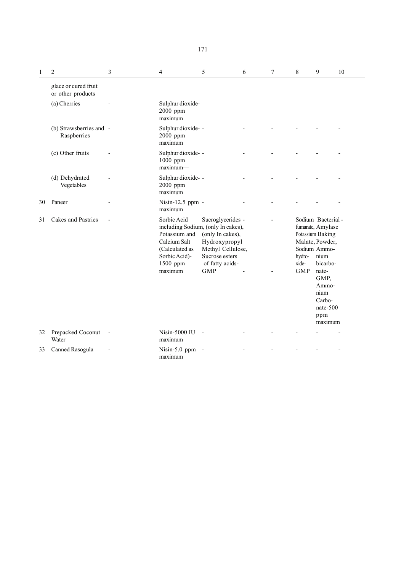| 1  | $\overline{c}$                            | 3 | $\overline{4}$                                                                                                                               | 5                                                                                                                              | 6 | $\overline{7}$ | 8                             | 9                                                                                                                                                                                              | 10 |
|----|-------------------------------------------|---|----------------------------------------------------------------------------------------------------------------------------------------------|--------------------------------------------------------------------------------------------------------------------------------|---|----------------|-------------------------------|------------------------------------------------------------------------------------------------------------------------------------------------------------------------------------------------|----|
|    | glace or cured fruit<br>or other products |   |                                                                                                                                              |                                                                                                                                |   |                |                               |                                                                                                                                                                                                |    |
|    | (a) Cherries                              |   | Sulphur dioxide-<br>2000 ppm<br>maximum                                                                                                      |                                                                                                                                |   |                |                               |                                                                                                                                                                                                |    |
|    | (b) Strawsberries and -<br>Raspberries    |   | Sulphur dioxide- -<br>2000 ppm<br>maximum                                                                                                    |                                                                                                                                |   |                |                               |                                                                                                                                                                                                |    |
|    | (c) Other fruits                          |   | Sulphur dioxide- -<br>1000 ppm<br>$maximum-$                                                                                                 |                                                                                                                                |   |                |                               |                                                                                                                                                                                                |    |
|    | (d) Dehydrated<br>Vegetables              |   | Sulphur dioxide- -<br>2000 ppm<br>maximum                                                                                                    |                                                                                                                                |   |                |                               |                                                                                                                                                                                                |    |
| 30 | Paneer                                    |   | Nisin-12.5 ppm -<br>maximum                                                                                                                  |                                                                                                                                |   |                |                               |                                                                                                                                                                                                |    |
| 31 | Cakes and Pastries                        |   | Sorbic Acid<br>including Sodium, (only In cakes),<br>Potassium and<br>Calcium Salt<br>(Calculated as<br>Sorbic Acid)-<br>1500 ppm<br>maximum | Sucroglycerides -<br>(only In cakes),<br>Hydroxypropyl<br>Methyl Cellulose,<br>Sucrose esters<br>of fatty acids-<br><b>GMP</b> |   |                | hydro-<br>xide-<br><b>GMP</b> | Sodium Bacterial-<br>fumarate, Amylase<br>Potassium Baking<br>Malate, Powder,<br>Sodium Ammo-<br>nium<br>bicarbo-<br>nate-<br>GMP,<br>Ammo-<br>nium<br>Carbo-<br>nate- $500$<br>ppm<br>maximum |    |
| 32 | Prepacked Coconut<br>Water                |   | Nisin-5000 IU<br>maximum                                                                                                                     |                                                                                                                                |   |                |                               |                                                                                                                                                                                                |    |
| 33 | Canned Rasogula                           |   | Nisin- $5.0$ ppm<br>maximum                                                                                                                  | $\overline{\phantom{a}}$                                                                                                       |   |                |                               |                                                                                                                                                                                                |    |

171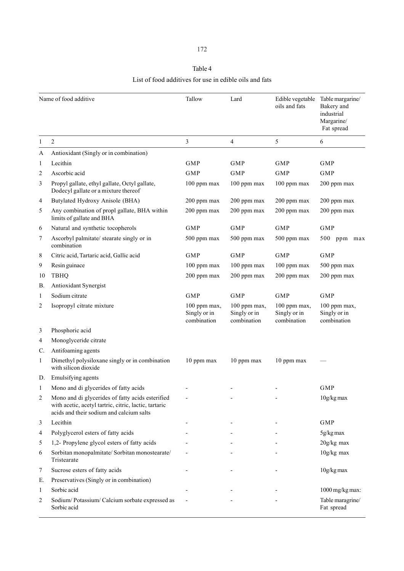# Table 4 List of food additives for use in edible oils and fats

|              | Name of food additive                                                                                                                                 | Tallow                                      | Lard                                        | Edible vegetable<br>oils and fats           | Table margarine/<br>Bakery and<br>industrial<br>Margarine/<br>Fat spread |
|--------------|-------------------------------------------------------------------------------------------------------------------------------------------------------|---------------------------------------------|---------------------------------------------|---------------------------------------------|--------------------------------------------------------------------------|
| $\mathbf{1}$ | $\overline{c}$                                                                                                                                        | 3                                           | 4                                           | 5                                           | 6                                                                        |
| A            | Antioxidant (Singly or in combination)                                                                                                                |                                             |                                             |                                             |                                                                          |
| 1            | Lecithin                                                                                                                                              | GMP                                         | <b>GMP</b>                                  | <b>GMP</b>                                  | <b>GMP</b>                                                               |
| 2            | Ascorbic acid                                                                                                                                         | <b>GMP</b>                                  | <b>GMP</b>                                  | <b>GMP</b>                                  | <b>GMP</b>                                                               |
| 3            | Propyl gallate, ethyl gallate, Octyl gallate,<br>Dodecyl gallate or a mixture thereof                                                                 | 100 ppm max                                 | 100 ppm max                                 | 100 ppm max                                 | 200 ppm max                                                              |
| 4            | Butylated Hydroxy Anisole (BHA)                                                                                                                       | 200 ppm max                                 | 200 ppm max                                 | 200 ppm max                                 | 200 ppm max                                                              |
| 5            | Any combination of propl gallate, BHA within<br>limits of gallate and BHA                                                                             | 200 ppm max                                 | 200 ppm max                                 | 200 ppm max                                 | 200 ppm max                                                              |
| 6            | Natural and synthetic tocopherols                                                                                                                     | GMP                                         | <b>GMP</b>                                  | <b>GMP</b>                                  | <b>GMP</b>                                                               |
| 7            | Ascorbyl palmitate/ stearate singly or in<br>combination                                                                                              | 500 ppm max                                 | 500 ppm max                                 | 500 ppm max                                 | 500 ppm max                                                              |
| 8            | Citric acid, Tartaric acid, Gallic acid                                                                                                               | <b>GMP</b>                                  | <b>GMP</b>                                  | <b>GMP</b>                                  | <b>GMP</b>                                                               |
| 9            | Resin guinace                                                                                                                                         | 100 ppm max                                 | 100 ppm max                                 | 100 ppm max                                 | 500 ppm max                                                              |
| 10           | <b>TBHQ</b>                                                                                                                                           | 200 ppm max                                 | 200 ppm max                                 | 200 ppm max                                 | 200 ppm max                                                              |
| В.           | Antioxidant Synergist                                                                                                                                 |                                             |                                             |                                             |                                                                          |
| 1            | Sodium citrate                                                                                                                                        | <b>GMP</b>                                  | <b>GMP</b>                                  | <b>GMP</b>                                  | <b>GMP</b>                                                               |
| 2            | Isopropyl citrate mixture                                                                                                                             | 100 ppm max,<br>Singly or in<br>combination | 100 ppm max,<br>Singly or in<br>combination | 100 ppm max,<br>Singly or in<br>combination | 100 ppm max,<br>Singly or in<br>combination                              |
| 3            | Phosphoric acid                                                                                                                                       |                                             |                                             |                                             |                                                                          |
| 4            | Monoglyceride citrate                                                                                                                                 |                                             |                                             |                                             |                                                                          |
| C.           | Antifoaming agents                                                                                                                                    |                                             |                                             |                                             |                                                                          |
| $\mathbf{1}$ | Dimethyl polysiloxane singly or in combination<br>with silicon dioxide                                                                                | 10 ppm max                                  | 10 ppm max                                  | 10 ppm max                                  |                                                                          |
| D.           | Emulsifying agents                                                                                                                                    |                                             |                                             |                                             |                                                                          |
| $\mathbf{1}$ | Mono and di glycerides of fatty acids                                                                                                                 |                                             |                                             |                                             | <b>GMP</b>                                                               |
| 2            | Mono and di glycerides of fatty acids esterified<br>with acetic, acetyl tartric, citric, lactic, tartaric<br>acids and their sodium and calcium salts |                                             |                                             |                                             | 10g/kg max                                                               |
| 3            | Lecithin                                                                                                                                              |                                             |                                             |                                             | <b>GMP</b>                                                               |
| 4            | Polyglycerol esters of fatty acids                                                                                                                    |                                             |                                             |                                             | 5g/kg max                                                                |
| 5            | 1,2- Propylene glycol esters of fatty acids                                                                                                           |                                             |                                             |                                             | 20g/kg max                                                               |
| 6            | Sorbitan monopalmitate/ Sorbitan monostearate/<br>Tristearate                                                                                         |                                             |                                             |                                             | $10g/kg$ max                                                             |
| 7            | Sucrose esters of fatty acids                                                                                                                         |                                             |                                             |                                             | 10g/kg max                                                               |
| Е.           | Preservatives (Singly or in combination)                                                                                                              |                                             |                                             |                                             |                                                                          |
| $\mathbf{1}$ | Sorbic acid                                                                                                                                           |                                             |                                             |                                             | 1000 mg/kg max:                                                          |
| 2            | Sodium/Potassium/Calcium sorbate expressed as<br>Sorbic acid                                                                                          |                                             |                                             |                                             | Table maragrine/<br>Fat spread                                           |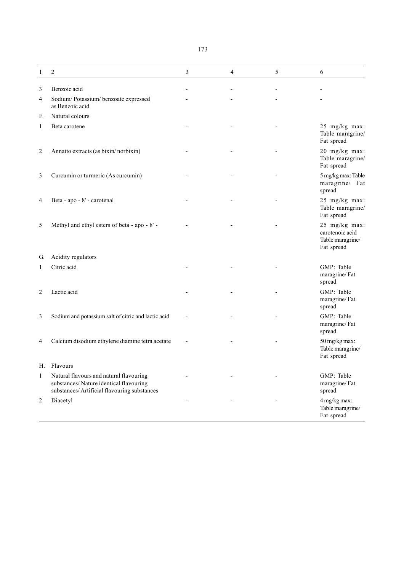| Ξ | I | I<br>×<br>۰. |
|---|---|--------------|
|   |   |              |

| 1              | 2                                                                                                                                 | 3 | $\overline{4}$ | 5 | 6                                                                  |
|----------------|-----------------------------------------------------------------------------------------------------------------------------------|---|----------------|---|--------------------------------------------------------------------|
| 3              | Benzoic acid                                                                                                                      |   |                |   |                                                                    |
| 4              | Sodium/Potassium/benzoate expressed<br>as Benzoic acid                                                                            |   |                |   |                                                                    |
| F.             | Natural colours                                                                                                                   |   |                |   |                                                                    |
| $\mathbf{1}$   | Beta carotene                                                                                                                     |   |                |   | 25 mg/kg max:<br>Table maragrine/<br>Fat spread                    |
| $\overline{2}$ | Annatto extracts (as bixin/norbixin)                                                                                              |   |                |   | 20 mg/kg max:<br>Table maragrine/<br>Fat spread                    |
| 3              | Curcumin or turmeric (As curcumin)                                                                                                |   |                |   | 5 mg/kg max: Table<br>maragrine/ Fat<br>spread                     |
| 4              | Beta - apo - 8' - carotenal                                                                                                       |   |                |   | 25 mg/kg max:<br>Table maragrine/<br>Fat spread                    |
| 5              | Methyl and ethyl esters of beta - apo - 8' -                                                                                      |   |                |   | 25 mg/kg max:<br>carotenoic acid<br>Table maragrine/<br>Fat spread |
| G.             | Acidity regulators                                                                                                                |   |                |   |                                                                    |
| 1              | Citric acid                                                                                                                       |   |                |   | GMP: Table<br>maragrine/Fat<br>spread                              |
| $\overline{c}$ | Lactic acid                                                                                                                       |   |                |   | GMP: Table<br>maragrine/Fat<br>spread                              |
| 3              | Sodium and potassium salt of citric and lactic acid                                                                               |   |                |   | GMP: Table<br>maragrine/Fat<br>spread                              |
| $\overline{4}$ | Calcium disodium ethylene diamine tetra acetate                                                                                   |   |                |   | 50 mg/kg max:<br>Table maragrine/<br>Fat spread                    |
| Н.             | Flavours                                                                                                                          |   |                |   |                                                                    |
| $\mathbf{1}$   | Natural flavours and natural flavouring<br>substances/Nature identical flavouring<br>substances/ Artificial flavouring substances |   |                |   | GMP: Table<br>maragrine/Fat<br>spread                              |
| $\overline{c}$ | Diacetyl                                                                                                                          |   |                |   | 4 mg/kg max:<br>Table maragrine/<br>Fat spread                     |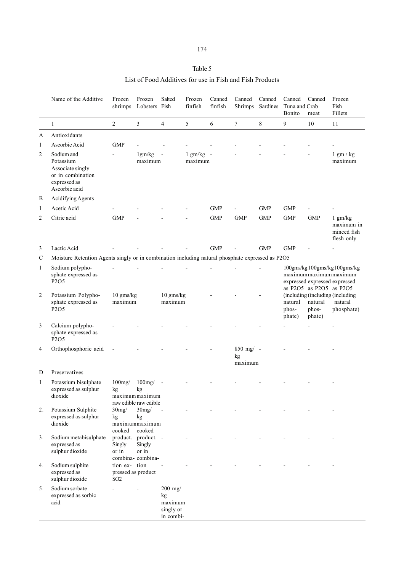| I | ٦ |
|---|---|
|---|---|

# Table 5

List of Food Additives for use in Fish and Fish Products

|                | Name of the Additive<br>Frozen<br>shrimps<br>$\overline{2}$<br>3<br>1                             |                                                        | Frozen<br>Lobsters Fish                                         | Salted                                               | Frozen<br>finfish      | Canned<br>finfish | Canned<br>Canned<br>Sardines<br>Shrimps |            | Canned<br>Tuna and Crab<br>Bonito                                                                                | Canned<br>meat             | Frozen<br>Fish<br>Fillets                                 |
|----------------|---------------------------------------------------------------------------------------------------|--------------------------------------------------------|-----------------------------------------------------------------|------------------------------------------------------|------------------------|-------------------|-----------------------------------------|------------|------------------------------------------------------------------------------------------------------------------|----------------------------|-----------------------------------------------------------|
|                |                                                                                                   |                                                        |                                                                 | $\overline{4}$                                       | 5                      | 6                 | $\overline{7}$                          | 8          | 9                                                                                                                | 10                         | 11                                                        |
| A              | Antioxidants                                                                                      |                                                        |                                                                 |                                                      |                        |                   |                                         |            |                                                                                                                  |                            |                                                           |
| $\mathbf{1}$   | Ascorbic Acid                                                                                     | GMP                                                    |                                                                 |                                                      |                        |                   |                                         |            |                                                                                                                  |                            |                                                           |
| 2              | Sodium and<br>Potassium<br>Associate singly<br>or in combination<br>expressed as<br>Ascorbic acid |                                                        | 1gm/kg<br>maximum                                               | $\blacksquare$                                       | $1$ gm/kg -<br>maximum |                   |                                         |            |                                                                                                                  |                            | $1$ gm $/$ kg<br>maximum                                  |
| B              | Acidifying Agents                                                                                 |                                                        |                                                                 |                                                      |                        |                   |                                         |            |                                                                                                                  |                            |                                                           |
| $\mathbf{1}$   | Acetic Acid                                                                                       |                                                        |                                                                 |                                                      |                        | <b>GMP</b>        |                                         | <b>GMP</b> | <b>GMP</b>                                                                                                       |                            |                                                           |
| 2              | Citric acid                                                                                       | <b>GMP</b>                                             |                                                                 |                                                      |                        | <b>GMP</b>        | <b>GMP</b>                              | <b>GMP</b> | <b>GMP</b>                                                                                                       | <b>GMP</b>                 | $1$ gm/kg<br>maximum in<br>minced fish<br>flesh only      |
| 3              | Lactic Acid                                                                                       |                                                        |                                                                 |                                                      |                        | <b>GMP</b>        |                                         | <b>GMP</b> | <b>GMP</b>                                                                                                       |                            |                                                           |
| $\mathbf C$    | Moisture Retention Agents singly or in combination including natural phosphate expressed as P2O5  |                                                        |                                                                 |                                                      |                        |                   |                                         |            |                                                                                                                  |                            |                                                           |
| $\mathbf{1}$   | Sodium polypho-<br>sphate expressed as<br>P2O5                                                    |                                                        |                                                                 |                                                      |                        |                   |                                         |            | 100gms/kg100gms/kg100gms/kg<br>maximummaximummaximum<br>expressed expressed expressed<br>as P2O5 as P2O5 as P2O5 |                            |                                                           |
| $\overline{2}$ | Potassium Polypho-<br>sphate expressed as<br>P <sub>2</sub> O <sub>5</sub>                        | 10 gms/kg<br>maximum                                   |                                                                 | 10 gms/kg<br>maximum                                 |                        |                   |                                         |            | natural<br>phos-<br>phate)                                                                                       | natural<br>phos-<br>phate) | (including (including (including<br>natural<br>phosphate) |
| 3              | Calcium polypho-<br>sphate expressed as<br>P2O5                                                   |                                                        |                                                                 |                                                      |                        |                   |                                         |            |                                                                                                                  |                            |                                                           |
| 4              | Orthophosphoric acid                                                                              |                                                        |                                                                 |                                                      |                        |                   | $850$ mg/ -<br>kg<br>maximum            |            |                                                                                                                  |                            |                                                           |
| D              | Preservatives                                                                                     |                                                        |                                                                 |                                                      |                        |                   |                                         |            |                                                                                                                  |                            |                                                           |
| 1              | Potassium bisulphate<br>expressed as sulphur<br>dioxide                                           | $100$ mg/<br>kg                                        | $100$ mg/ $-$<br>kg<br>maximum maximum<br>raw edible raw edible |                                                      |                        |                   |                                         |            |                                                                                                                  |                            |                                                           |
| 2.             | Potassium Sulphite<br>expressed as sulphur<br>dioxide                                             | 30mg/<br>kg<br>cooked                                  | 30mg/<br>kg<br>maximummaximum<br>cooked                         | $\sim$                                               |                        |                   |                                         |            |                                                                                                                  |                            |                                                           |
| 3.             | Sodium metabisulphate<br>expressed as<br>sulphur dioxide                                          | Singly<br>or in                                        | product. product. -<br>Singly<br>or in<br>combina-combina-      |                                                      |                        |                   |                                         |            |                                                                                                                  |                            |                                                           |
| 4.             | Sodium sulphite<br>expressed as<br>sulphur dioxide                                                | tion ex- tion<br>pressed as product<br>SO <sub>2</sub> |                                                                 | $\blacksquare$                                       |                        |                   |                                         |            |                                                                                                                  |                            |                                                           |
| 5.             | Sodium sorbate<br>expressed as sorbic<br>acid                                                     |                                                        |                                                                 | $200$ mg/<br>kg<br>maximum<br>singly or<br>in combi- |                        |                   |                                         |            |                                                                                                                  |                            |                                                           |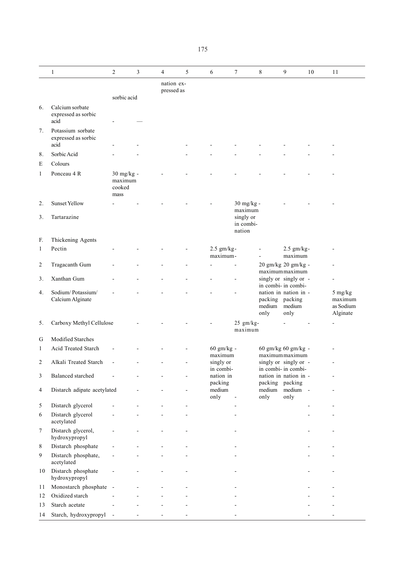|                | $\mathbf{1}$                                     | $\overline{c}$                          | 3              | $\overline{4}$           | 5 | 6                      | $\overline{7}$                     | $\,8\,$                           | 9                                            | 10 | 11                                          |
|----------------|--------------------------------------------------|-----------------------------------------|----------------|--------------------------|---|------------------------|------------------------------------|-----------------------------------|----------------------------------------------|----|---------------------------------------------|
|                |                                                  |                                         |                | nation ex-<br>pressed as |   |                        |                                    |                                   |                                              |    |                                             |
|                |                                                  | sorbic acid                             |                |                          |   |                        |                                    |                                   |                                              |    |                                             |
| 6.             | Calcium sorbate<br>expressed as sorbic<br>acid   |                                         |                |                          |   |                        |                                    |                                   |                                              |    |                                             |
| 7.             | Potassium sorbate<br>expressed as sorbic<br>acid |                                         |                |                          |   |                        |                                    |                                   |                                              |    |                                             |
| 8.             | Sorbic Acid                                      |                                         |                |                          |   |                        |                                    |                                   |                                              |    |                                             |
| E              | Colours                                          |                                         |                |                          |   |                        |                                    |                                   |                                              |    |                                             |
| $\mathbf{1}$   | Ponceau 4 R                                      | 30 mg/kg -<br>maximum<br>cooked<br>mass |                |                          |   |                        |                                    |                                   |                                              |    |                                             |
| 2.<br>3.       | <b>Sunset Yellow</b><br>Tartarazine              |                                         |                |                          |   |                        | 30 mg/kg -<br>maximum<br>singly or |                                   |                                              |    |                                             |
|                |                                                  |                                         |                |                          |   |                        | in combi-<br>nation                |                                   |                                              |    |                                             |
| F.             | Thickening Agents                                |                                         |                |                          |   |                        |                                    |                                   |                                              |    |                                             |
| $\mathbf{1}$   | Pectin                                           |                                         |                |                          |   | 2.5 gm/kg-<br>maximum- |                                    |                                   | $2.5$ gm/kg-<br>maximum                      |    |                                             |
| $\overline{c}$ | Tragacanth Gum                                   |                                         |                |                          |   |                        |                                    |                                   | 20 gm/kg 20 gm/kg -<br>maximummaximum        |    |                                             |
| 3.             | Xanthan Gum                                      |                                         |                |                          |   |                        | ÷,                                 |                                   | singly or singly or -<br>in combi- in combi- |    |                                             |
| 4.             | Sodium/Potassium/<br>Calcium Alginate            |                                         |                |                          |   |                        |                                    | packing packing<br>medium<br>only | nation in nation in -<br>medium<br>only      |    | 5 mg/kg<br>maximum<br>as Sodium<br>Alginate |
| 5.             | Carboxy Methyl Cellulose                         |                                         |                |                          |   |                        | $25$ gm/kg-<br>maximum             |                                   |                                              |    |                                             |
| G              | Modified Starches                                |                                         |                |                          |   |                        |                                    |                                   |                                              |    |                                             |
| $\mathbf{1}$   | Acid Treated Starch                              | $\overline{\phantom{a}}$                |                |                          |   | 60 gm/kg -<br>maximum  |                                    |                                   | 60 gm/kg 60 gm/kg -<br>maximummaximum        |    |                                             |
| 2              | Alkali Treated Starch                            | $\overline{a}$                          |                |                          |   | singly or              |                                    |                                   | singly or singly or -                        |    | ٠                                           |
| $\mathfrak{Z}$ | Balanced starched                                |                                         |                |                          |   | in combi-<br>nation in |                                    |                                   | in combi- in combi-<br>nation in nation in - |    |                                             |
| 4              | Distarch adipate acetylated                      |                                         |                |                          |   | packing<br>medium      |                                    | packing packing<br>medium         | medium -                                     |    |                                             |
|                |                                                  |                                         |                |                          |   | only                   | $\overline{a}$                     | only                              | only                                         |    |                                             |
| 5              | Distarch glycerol                                |                                         |                |                          |   |                        | ÷,                                 |                                   |                                              |    |                                             |
| 6              | Distarch glycerol<br>acetylated                  |                                         |                |                          |   |                        |                                    |                                   |                                              |    |                                             |
| $\tau$         | Distarch glycerol,<br>hydroxypropyl              |                                         |                |                          |   |                        |                                    |                                   |                                              |    |                                             |
| 8              | Distarch phosphate                               |                                         |                |                          |   |                        |                                    |                                   |                                              |    |                                             |
| 9              | Distarch phosphate,<br>acetylated                |                                         |                |                          |   |                        |                                    |                                   |                                              |    |                                             |
| 10             | Distarch phosphate<br>hydroxypropyl              |                                         |                |                          |   |                        |                                    |                                   |                                              |    |                                             |
| 11             | Monostarch phosphate                             | $\sim$                                  |                |                          |   |                        |                                    |                                   |                                              |    |                                             |
| 12             | Oxidized starch                                  |                                         |                |                          |   |                        |                                    |                                   |                                              |    |                                             |
| 13             | Starch acetate                                   |                                         |                |                          |   |                        |                                    |                                   |                                              |    |                                             |
| 14             | Starch, hydroxypropyl                            | $\blacksquare$                          | $\blacksquare$ |                          |   |                        |                                    |                                   |                                              |    |                                             |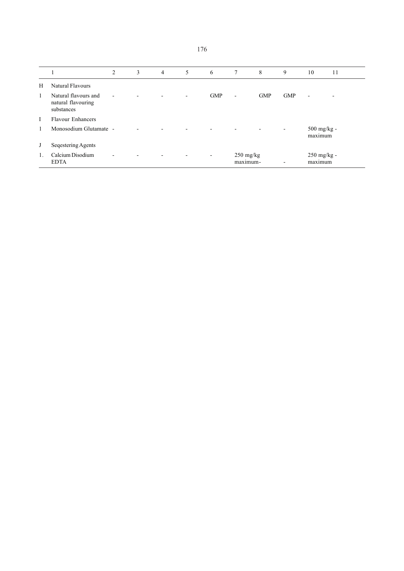|              |                                                          | 2              | 3 | $\overline{4}$           | 5 | 6<br>$7\phantom{.0}$     |                                      | 8<br>9     |            | 10                       | 11 |
|--------------|----------------------------------------------------------|----------------|---|--------------------------|---|--------------------------|--------------------------------------|------------|------------|--------------------------|----|
| Н            | Natural Flavours                                         |                |   |                          |   |                          |                                      |            |            |                          |    |
| $\mathbf{1}$ | Natural flavours and<br>natural flavouring<br>substances | $\blacksquare$ |   |                          |   | <b>GMP</b>               | $\overline{\phantom{a}}$             | <b>GMP</b> | <b>GMP</b> | $\overline{\phantom{a}}$ |    |
| Ι            | <b>Flavour Enhancers</b>                                 |                |   |                          |   |                          |                                      |            |            |                          |    |
|              | Monosodium Glutamate -                                   |                |   |                          |   |                          |                                      |            |            | $500$ mg/kg -<br>maximum |    |
| J            | Seqestering Agents                                       |                |   |                          |   |                          |                                      |            |            |                          |    |
| 1.           | Calcium Disodium<br><b>EDTA</b>                          |                |   | $\overline{\phantom{a}}$ |   | $\overline{\phantom{a}}$ | $250 \text{ mg/kg}$<br>maximum-<br>- |            |            | 250 mg/kg -<br>maximum   |    |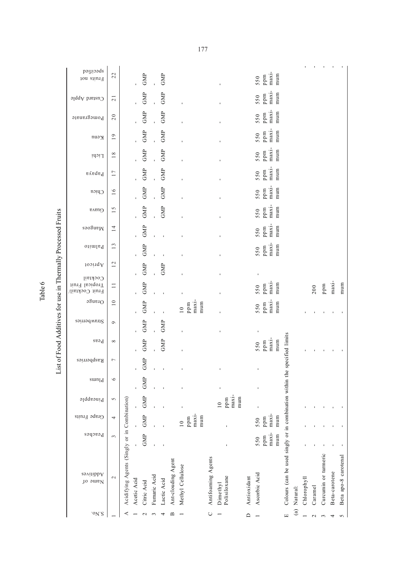| $°N$ 'S                                       |                 |                                                             |             |              |             | $\mathbf{\Omega}$  |                                        | $\cup$             |                                    | $\Box$      |                                     | Е                                                        |              |             | $\mathbf{\sim}$ | 3                    |
|-----------------------------------------------|-----------------|-------------------------------------------------------------|-------------|--------------|-------------|--------------------|----------------------------------------|--------------------|------------------------------------|-------------|-------------------------------------|----------------------------------------------------------|--------------|-------------|-----------------|----------------------|
| Additives<br>Jo <mark>ome</mark> N            | $\sim$          | Acidifying Agents (Singly or in Combination)<br>Acetic Acid | Citric Acid | Fumaric Acid | Lactic Acid | Ant-clouding Agent | Methyl Cellulose                       | Antifoaming Agents | Polisiloxane<br>Dimethyl           | Antioxidant | Ascorbic Acid                       | Colours (can be used singly or in combination within the | (a) Natural: | Chlorophyll | Caramel         | Curcumin or turmeric |
| Peaches                                       | 3               |                                                             | GMP         |              |             |                    |                                        |                    |                                    |             | maxi-<br>mum<br>ppm<br>550          |                                                          |              |             |                 |                      |
| Grape Fruits                                  | 4               | ï                                                           | GMP         |              |             |                    | maxi-<br>mum<br>ppm<br>$\overline{10}$ |                    |                                    |             | $maxi$ -<br>mum<br>ppm<br>550       |                                                          |              |             |                 |                      |
| Pineapple                                     | 5               |                                                             | GMP         |              |             |                    |                                        |                    | maxi-<br>mum<br>ppm<br>$\subseteq$ |             | ı                                   |                                                          |              |             |                 |                      |
| $sum_{d}$                                     | $\circ$         |                                                             | GMP         |              |             |                    |                                        |                    |                                    |             | ı                                   |                                                          |              |             |                 |                      |
| Raspberries                                   | $\overline{ }$  |                                                             | GMP         | ı            |             |                    |                                        |                    |                                    |             | ı                                   |                                                          |              |             |                 |                      |
| $_{\rm p}$ esa                                | $\infty$        |                                                             | GMP         |              | GMP         |                    |                                        |                    |                                    |             | maxi-<br>mum<br>ppm<br>550          | specified limits                                         |              |             |                 |                      |
| Strawberries                                  | $\circ$         |                                                             | GMP         |              | GMP         |                    |                                        |                    |                                    |             | $\mathbf{I}$                        |                                                          |              |             |                 |                      |
| $O$ range                                     | $\overline{10}$ |                                                             | GMP         |              |             |                    | maxi-<br>mum<br>ppm<br>$\frac{1}{10}$  |                    |                                    |             | maxi-<br>ppm<br>mum<br>550          |                                                          |              |             |                 |                      |
| Cocktail<br>Tropical Fruit<br>Fruit Cocktail/ | $\Box$          |                                                             | GMP         |              |             |                    |                                        |                    |                                    |             | maxi-<br>mum<br>$_{\rm ppm}$<br>550 |                                                          |              |             | 200             | ppm                  |
| Apricot                                       | 12              |                                                             | GMP         |              | GMP         |                    |                                        |                    | $\mathbf{I}$                       |             | $\mathbf{I}$                        |                                                          |              |             |                 |                      |
| <sup>o</sup> iimia <sup>q</sup>               | 13              |                                                             | GMP         |              |             |                    |                                        |                    |                                    |             | maxi-<br>mum<br>ppm<br>550          |                                                          |              |             |                 |                      |
| Mangoes                                       | $\overline{14}$ |                                                             | GMP         |              |             |                    |                                        |                    |                                    |             | maxi-<br>ppm<br>mum<br>550          |                                                          |              |             |                 |                      |
| Guava                                         | $\frac{5}{1}$   |                                                             | GMP         |              | GMP         |                    |                                        |                    |                                    |             | $maxi-$<br>$550$<br>ppm<br>mum      |                                                          |              |             |                 |                      |
| Chicu                                         | $\overline{16}$ |                                                             | GMP         |              | GMP         |                    |                                        |                    |                                    |             | $maxi$ -<br>mum<br>ppm<br>550       |                                                          |              |             |                 |                      |
| $\mathfrak{pA}$                               | 17              |                                                             | GMP         |              | GMP         |                    |                                        |                    |                                    |             | maxi-<br>ppm<br>mum<br>550          |                                                          |              |             |                 |                      |
| Lichi                                         | $18\,$          |                                                             | GMP         |              | GMP         |                    | $\mathbf{I}$                           |                    |                                    |             | $maxi$ -<br>mum<br>550<br>ppm       |                                                          |              |             |                 |                      |
| Renn                                          | $\overline{19}$ |                                                             | GMP         |              | GMP         |                    |                                        |                    |                                    |             | maxi-<br>mum<br>ppm<br>550          |                                                          |              |             |                 |                      |
| Pomegranate                                   | 20              |                                                             | GMP         | Î.           | GMP         |                    |                                        |                    |                                    |             | maxi-<br>mum<br>ppm<br>550          |                                                          |              |             |                 |                      |
| Custard Apple                                 | $\overline{21}$ |                                                             | GMP         |              | GMP         |                    | $\mathbf{I}$                           |                    |                                    |             | $maxi$ -<br>mum<br>550<br>ppm       |                                                          |              |             |                 |                      |
| poutied<br>Fruits not                         | 22              |                                                             | GMP         |              | GMP         |                    |                                        |                    |                                    |             | maxi-<br>mum<br>ppm<br>550          |                                                          |              |             |                 |                      |

2 Caramel - - - - - 200 -  $3.5$  Curcumin or turneric -  $3.5$  Curcumin or turneric -  $\sim$  -  $3.5$  Curcumin or turneric  $\sim$   $\sim$  $+$   $\frac{1}{2}$   $\frac{1}{2}$   $\frac{1}{2}$   $\frac{1}{2}$   $\frac{1}{2}$   $\frac{1}{2}$   $\frac{1}{2}$   $\frac{1}{2}$   $\frac{1}{2}$   $\frac{1}{2}$   $\frac{1}{2}$   $\frac{1}{2}$   $\frac{1}{2}$   $\frac{1}{2}$   $\frac{1}{2}$   $\frac{1}{2}$   $\frac{1}{2}$   $\frac{1}{2}$   $\frac{1}{2}$   $\frac{1}{2}$   $\frac{1}{2}$   $\frac{1}{2$ 5 Beta apo-8 carotenal - - - - - mum -

 $\bar{1}$  $\hat{\mathbf{r}}$  $\mathbf{r}$ 

 $\overline{a}$  $\sim$ 

 $\bar{1}$  $\bar{\mathbf{r}}$  $\mathbf{r}$ 

 $\begin{array}{c} \text{ppm} \\ \text{maxi} \end{array}$  $mum$ 

 $\alpha$  ,  $\alpha$  ,  $\alpha$ 

 $\mathcal{A}^{\mathcal{A}}$  $\bar{1}$ 

 $\mathbf{r}$ 

 $\overline{\phantom{a}}$  $\bar{1}$ 

Beta apo-8 carotenal Beta-carotene

 $\mathbf{r}=(\mathbf{r}_1,\ldots,\mathbf{r}_N)$  ,  $\mathbf{r}_1,\ldots,\mathbf{r}_N$ 

List of Food Additives for use in Thermally Processed Fruits List of Food Additives for use in Thermally Processed Fruits

Table 6

177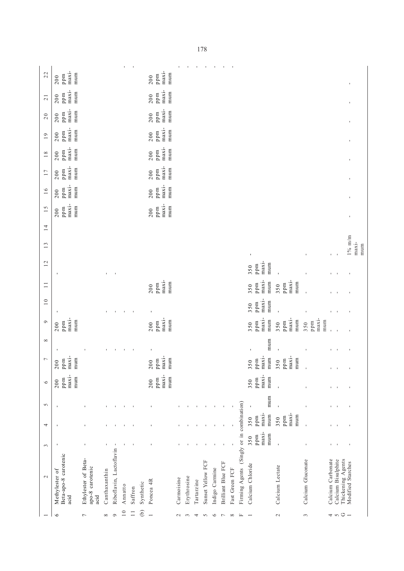|                 |                                                 |                     |               |                         | $\mathbf{I}$   | $\blacksquare$ |               |                          |                       |               | $\mathbf I$ | $\mathbf I$ | $\blacksquare$    | $\mathbf I$    | $\mathbf{I}$              |                |                                           |                                                          |                                         |                               |                          |                         |                                        |                 |
|-----------------|-------------------------------------------------|---------------------|---------------|-------------------------|----------------|----------------|---------------|--------------------------|-----------------------|---------------|-------------|-------------|-------------------|----------------|---------------------------|----------------|-------------------------------------------|----------------------------------------------------------|-----------------------------------------|-------------------------------|--------------------------|-------------------------|----------------------------------------|-----------------|
| 22              | $maxi-$<br>mum<br>ppm<br>200                    |                     |               |                         |                |                |               | 200                      | maxi-<br>mum<br>ppm   |               |             |             |                   |                |                           |                |                                           |                                                          |                                         |                               |                          |                         | $\mathbf{I}$                           |                 |
| $\overline{21}$ | maxi-<br>mum<br>ppm<br>200                      |                     |               |                         |                |                |               | 200                      | maxi-<br>mum<br>ppm   |               |             |             |                   |                |                           |                |                                           |                                                          |                                         |                               |                          |                         | $\blacksquare$                         |                 |
| 20              | $maxi-$<br>mum<br>ppm<br>200                    |                     |               |                         |                |                |               | 200                      | $maxi-$<br>mum<br>ppm |               |             |             |                   |                |                           |                |                                           |                                                          |                                         |                               |                          |                         | $\mathbf{I}$                           |                 |
| 19              | $maxi$ -<br>mum<br>ppm<br>200                   |                     |               |                         |                |                |               | 200                      | maxi-<br>mum<br>ppm   |               |             |             |                   |                |                           |                |                                           |                                                          |                                         |                               |                          |                         | $\mathbf{I}$                           |                 |
| $18\,$          | $maxi$ -<br>mum<br>ppm<br>200                   |                     |               |                         |                |                |               | 200                      | $maxi-$<br>mum<br>ppm |               |             |             |                   |                |                           |                |                                           |                                                          |                                         |                               |                          |                         | ı                                      |                 |
| 17              | $maxi-$<br>mum<br>ppm<br>200                    |                     |               |                         |                |                |               | 200                      | $maxi-$<br>mum<br>ppm |               |             |             |                   |                |                           |                |                                           |                                                          |                                         |                               |                          |                         | ı                                      |                 |
| 16              | $maxi$ -<br>mum<br>ppm<br>200                   |                     |               |                         |                |                |               | 200                      | maxi-<br>mum<br>ppm   |               |             |             |                   |                |                           |                |                                           |                                                          |                                         |                               |                          |                         | ı                                      |                 |
| 15              | maxi-<br>mum<br>ppm<br>200                      |                     |               |                         |                |                |               | 200                      | maxi-<br>mum<br>ppm   |               |             |             |                   |                |                           |                |                                           |                                                          |                                         |                               |                          |                         | ı                                      |                 |
| 14              |                                                 |                     |               |                         |                |                |               |                          |                       |               |             |             |                   |                |                           |                |                                           |                                                          |                                         |                               |                          |                         |                                        |                 |
| 13              |                                                 |                     |               |                         |                |                |               |                          |                       |               |             |             |                   |                |                           |                |                                           |                                                          |                                         |                               |                          |                         | $1\%$ m/m                              | $maxi$ -<br>mum |
| 12              |                                                 |                     |               |                         |                |                |               |                          |                       |               |             |             |                   |                |                           |                |                                           | $\mathbf{I}$<br>$maxi$ -<br>mum<br>ppm<br>350            |                                         |                               | r.                       |                         |                                        |                 |
| $\Box$          |                                                 |                     |               |                         |                |                |               | 200                      | $maxi-$<br>mum<br>ppm |               |             |             |                   |                |                           |                |                                           | $maxi$ -<br>mum<br>ppm<br>350                            | $maxi$ -<br>mum<br>ppm<br>350           |                               | n.                       |                         | ı                                      |                 |
| $\overline{10}$ |                                                 |                     |               |                         |                |                |               |                          |                       |               |             |             |                   |                |                           |                |                                           | maxi-<br>mum<br>ppm<br>350                               |                                         | ı                             | I.                       |                         | $\blacksquare$                         |                 |
|                 |                                                 |                     |               | ٠                       | $\blacksquare$ | $\blacksquare$ |               | $\blacksquare$           |                       |               |             |             |                   |                |                           |                |                                           |                                                          |                                         |                               | I.                       |                         | J,                                     |                 |
| $\circ$         | $maxi$ -<br>mum<br>ppm<br>200                   |                     |               |                         |                |                |               | 200                      | maxi-<br>mum<br>ppm   |               |             |             |                   |                |                           |                |                                           | maxi-<br>mum<br>ppm<br>350                               | maxi-<br>mum<br>ppm<br>350              | $maxi$ -<br>mum<br>ppm<br>350 | $\overline{\phantom{a}}$ |                         |                                        |                 |
| $\infty$        | $\blacksquare$                                  |                     |               | $\blacksquare$          | $\blacksquare$ | $\blacksquare$ |               | $\blacksquare$           |                       |               |             |             |                   |                |                           |                |                                           | mum<br>ı                                                 | $\mathbf{I}$                            | ı                             |                          | $\Gamma = -1$           | $\mathbf I$                            |                 |
| $\overline{ }$  | maxi-<br>mum<br>ppm<br>$\overline{0}$<br>$\sim$ |                     |               |                         |                |                |               | $\overline{0}$<br>$\sim$ | $maxi-$<br>mum<br>ppm |               |             |             |                   |                |                           |                |                                           | maxi-<br>mum<br>pm<br>50<br>3<br>$\overline{\mathbf{p}}$ | maxi-<br>mum<br>ppm<br>50<br>$\epsilon$ | $\mathbf{I}$                  |                          | $\mathbf{r}=\mathbf{r}$ | $\mathbf{I}$                           |                 |
| $\circ$         | maxi-<br>mum<br>ppm<br>200                      |                     |               |                         |                |                |               | 200                      | maxi-<br>mum<br>ppm   |               |             |             |                   |                |                           |                |                                           | maxi-<br>mum<br>ppm<br>350                               | $\mathbf{I}$                            | ı                             |                          | $\Gamma = -1$           | J,                                     |                 |
| $\sim$          | $\blacksquare$                                  | ı                   |               |                         | $\mathbf I$    |                |               |                          |                       |               |             |             |                   |                |                           |                |                                           | mum<br>$\blacksquare$                                    | f,                                      | ı                             | f,                       |                         | ı                                      |                 |
| 4               | $\blacksquare$                                  | $\blacksquare$      |               | J.                      | $\blacksquare$ | $\blacksquare$ |               |                          |                       |               |             |             |                   |                |                           | $\mathbf I$    |                                           | $maxi-$<br>mum<br>ppm<br>350                             | maxi-<br>mum<br>ppm<br>350              | f,                            | $\mathbf{L}$             | - 1                     | $\mathbf I$                            |                 |
| $\tilde{3}$     | $\blacksquare$                                  | $\mathbf{I}$        |               | $\blacksquare$          | $\mathbf{I}$   | $\overline{1}$ |               |                          |                       |               |             |             |                   |                |                           |                | Firming Agents (Singly or in combination) | maxi-<br>mum<br>ppm<br>350                               | $\mathbf{I}$                            | f,                            |                          | $1 - 1$                 | $\blacksquare$                         |                 |
|                 |                                                 |                     |               |                         |                |                |               |                          |                       |               |             |             |                   |                |                           |                |                                           |                                                          |                                         |                               |                          |                         |                                        |                 |
| $\sim$          | Beta-apo-8 carotenic                            | Ethylester of Beta- |               | Riboflavin, Lactoflavin |                |                |               |                          |                       |               |             |             | Sunset Yellow FCF |                | <b>Brilliant Blue FCF</b> |                |                                           | Calcium Chloride                                         | Calcium Lectate                         | Calcium Gluconate             | Calcium Carbonate        | Calcium Bisulphite      | Thickening Agents<br>Modified Starches |                 |
|                 | Methylester of                                  | apo-8 carotenic     | Canthaxanthin |                         |                |                |               | Poncea 4R                |                       | Carmoisine    | Erythrosine | Tartarzine  |                   | Indigo Carmine |                           | Fast Green FCF |                                           |                                                          |                                         |                               |                          |                         |                                        |                 |
|                 | acid                                            | acid                |               |                         | Annatto        | Saffron        | Synthetic     |                          |                       |               |             |             |                   |                |                           |                |                                           |                                                          |                                         |                               |                          |                         |                                        |                 |
|                 | $\circ$                                         | $\overline{ }$      | ${}^{\infty}$ | $\circ$                 | 10             | $\Box$         | $\widehat{e}$ | $\rightarrow$            |                       | $\mathcal{L}$ | 3           | 4           | $\sim$            | $\circ$        | $\overline{\phantom{0}}$  | $\infty$       | $\mathbb{L}$                              |                                                          | $\mathcal{L}$                           | 3                             |                          |                         | $\rightarrow$ 50 $-$                   |                 |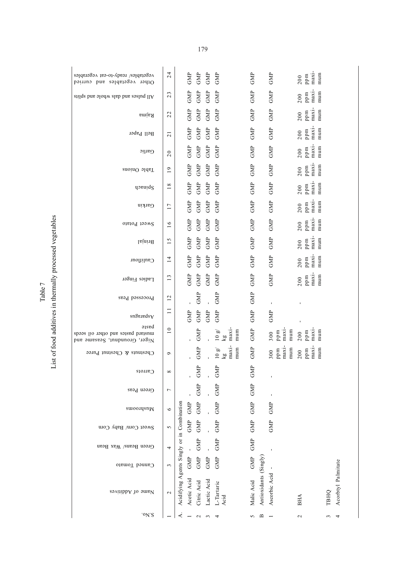| printing the flammally in management in a factor of a                                                                    |  |
|--------------------------------------------------------------------------------------------------------------------------|--|
|                                                                                                                          |  |
| $\overline{1}$                                                                                                           |  |
| $\ddot{\phantom{a}}$<br>i<br>てってん キャ<br>֧֦֧֧֧֧֧֧֪֪֧֛֪֪֛֪֧֚֚֚֚֚֚֚֚֚֚֚֚֚֚֚֚֟֟֓֝֓֕֓֟֓֟֓֟֓֟֓֟֓֟֓֟֓֝֟֓֝֟֓֝֟֓֝֟֓֝֬֟֟֝֬֟֝֟֝֬֜֝֟ |  |
| ֚֚֬                                                                                                                      |  |

Table 7

| vegetables/ ready-to-eat vegerables<br>Other vegetables and curried                    | 24                           | GMP                                                       | GMP                         | GMP                         | GMP                                            | GMP            |                       | GMP                        | mum<br>maxi-<br>ppm<br>200            |        |                    |
|----------------------------------------------------------------------------------------|------------------------------|-----------------------------------------------------------|-----------------------------|-----------------------------|------------------------------------------------|----------------|-----------------------|----------------------------|---------------------------------------|--------|--------------------|
| stilqs bns əlodw alab bns əsluq ll ${\rm A}$                                           | 23                           | GMP                                                       | $\ensuremath{\mathsf{GMP}}$ | ${\rm GMP}$                 | GMP                                            | GMP            |                       | GMP                        | maxi-<br>mum<br>ppm<br>200            |        |                    |
| Rajma                                                                                  | 22                           | GMP                                                       | $\rm GMP$                   | ${\rm GMP}$                 | GMP                                            | GMP            |                       | GMP                        | maxi-<br>mum<br>ppm<br>200            |        |                    |
| Bell Paper                                                                             | $\overline{c}$               | GMP                                                       | GMP                         | ${\rm GMP}$                 | GMP                                            | <b>GMP</b>     |                       | GMP                        | $maxi-$<br>mum<br>ppm<br>200          |        |                    |
| Garlic                                                                                 | $\overline{0}$               | GMP                                                       | $\rm GMP$                   | $\mathbb{G}\mathrm{MP}$     | GMP                                            | GMP            |                       | GMP                        | $maxi$ -<br>mum<br>ppm<br>200         |        |                    |
| Table Onions                                                                           | $\overline{19}$              | GMP                                                       | $\ensuremath{\mathsf{GMP}}$ | ${\rm GMP}$                 | GMP                                            | GMP            |                       | GMP                        | maxi-<br>mum<br>ppm<br>200            |        |                    |
| dosniq2                                                                                | 18                           | GMP                                                       | $\rm GMP$                   | $\ensuremath{\mathsf{GMP}}$ | GMP                                            | GMP            |                       | GMP                        | $maxi$ -<br>mum<br>ppm<br>200         |        |                    |
| Garkin                                                                                 | 17                           | GMP                                                       | GMP                         | GMP                         | GMP                                            | <b>GMP</b>     |                       | GMP                        | $maxi-$<br>mum<br>ppm<br>200          |        |                    |
| Sweet Potato                                                                           | 16                           | GMP                                                       | $\rm GMP$                   | $\mathbb{G}\mathrm{MP}$     | GMP                                            | GMP            |                       | <b>GMP</b>                 | maxi-<br>mum<br>$200$<br>ppm          |        |                    |
| Isining                                                                                | 15                           | GMP                                                       | $\ensuremath{\mathsf{GMP}}$ | ${\rm GMP}$                 | GMP                                            | GMP            |                       | GMP                        | maxi-<br>mum<br>ppm<br>200            |        |                    |
| Cauliflour                                                                             | $\overline{1}$               | GMP                                                       | $\rm GMP$                   | $\rm{GMP}$                  | GMP                                            | GMP            |                       | GMP                        | maxi-<br>mum<br>ppm<br>200            |        |                    |
| Ladies Finger                                                                          | $\epsilon$<br>$\overline{ }$ | GMP                                                       | GMP                         | GMP                         | GMP                                            | <b>GMP</b>     |                       | GMP                        | $maxi$ -<br>mum<br>ppm<br>200         |        |                    |
| Processed Peas                                                                         | 12                           |                                                           | GMP                         |                             | GMP                                            | GMP            |                       |                            | $\blacksquare$                        |        |                    |
| $sn\$ and $v$                                                                          | $\Box$                       | GMP                                                       | ${\rm GMP}$                 | GMP                         | GMP                                            | GMP            |                       | GMP                        |                                       |        |                    |
| əısed<br>mustard pastes and other oil seeds<br>$_{\rm N1}$ ger, Groundnut, Seasame and | 10                           |                                                           | GMP                         |                             | maxi-<br>mum<br>10g<br>$\overline{\mathbf{g}}$ | GMP            |                       | maxi-<br>mum<br>ppm<br>300 | maxi-<br>mum<br>ppm<br>200            |        |                    |
| $_{\rm{equ}}$ and $_{\rm{g}}$ $_{\rm{equ}}$ and $_{\rm{p}}$                            | $\mathsf{D}$                 |                                                           | GMP                         |                             | mum<br>10g<br>maxi<br>kg                       | GMP            |                       | maxi-<br>mum<br>ppm<br>300 | mum<br>max <sub>i</sub><br>ppm<br>200 |        |                    |
| Carrots                                                                                | ${}^{\circ}$                 |                                                           | ŠΣ                          |                             | ۵<br><b>NO</b>                                 | $\mathbb{R}^D$ |                       |                            |                                       |        |                    |
| Green Peas                                                                             | $\overline{ }$               |                                                           | GMP                         |                             | GMP                                            | GMP            |                       | ı                          |                                       |        |                    |
| swoo.usnM                                                                              | $\circ$                      | GMP                                                       | GMP                         |                             | GMP                                            | GMP            |                       | GMP                        |                                       |        |                    |
| Sweet Corn/ Baby Corn                                                                  | 5                            | GMP                                                       | GMP                         |                             | GMP                                            | GMP            |                       | GMP                        |                                       |        |                    |
| Green Beans/ Wax Bean                                                                  | 4                            |                                                           | GMP                         |                             | GMP                                            | GMP            |                       |                            |                                       |        |                    |
| Canned Tomato                                                                          | 3                            | GMP                                                       | GMP                         | $\ensuremath{\mathsf{GMP}}$ | GMP                                            | GMP            |                       |                            |                                       |        |                    |
| Name of Additives                                                                      | $\mathbf 2$                  | Acidifying Agents Singly or in Combination<br>Acetic Acid | Citric Acid                 | Lactic Acid                 | L-Tartaric<br>Acid                             | Malic Acid     | Antioxidants (Singly) | Ascorbic Acid              | BHA                                   | гвно   | Acorbtyl Palmitate |
| .0V.S                                                                                  |                              | ⋖                                                         | $\mathbf{\sim}$             | $\epsilon$                  | 4                                              | 5              | $\mathbf{\Omega}$     |                            | $\mathbf{c}$                          | $\sim$ | ᡪ                  |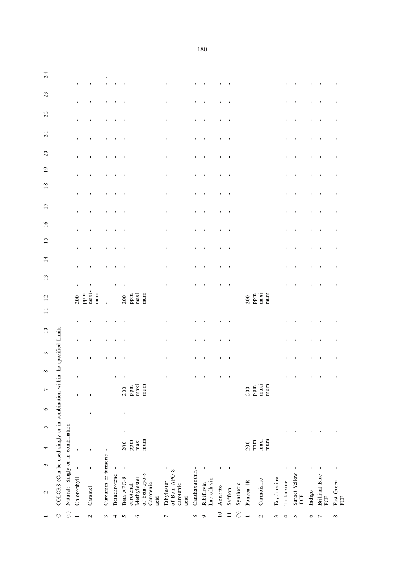|                          | $\sim$                                                  | 3              | 4            | $\sigma$ | $\circ$ | $\overline{ }$  | $\infty$       | $\circ$          | $\overline{10}$ | $\Box$         | 12                  | 13             | $\overline{1}$ | $\sigma$<br>$\overline{\phantom{0}}$ | 16             | 17             | $18\,$ | $\overline{19}$ | 20             | $\overline{21}$ | 22                               | 23             | 24 |
|--------------------------|---------------------------------------------------------|----------------|--------------|----------|---------|-----------------|----------------|------------------|-----------------|----------------|---------------------|----------------|----------------|--------------------------------------|----------------|----------------|--------|-----------------|----------------|-----------------|----------------------------------|----------------|----|
| $\cup$                   | COLORS (Can be used singly or in combination within the |                |              |          |         |                 |                | specified Limits |                 |                |                     |                |                |                                      |                |                |        |                 |                |                 |                                  |                |    |
| $\binom{a}{b}$           | Natural: Singly or in combination                       |                |              |          |         |                 |                |                  |                 |                |                     |                |                |                                      |                |                |        |                 |                |                 |                                  |                |    |
| $\overline{a}$           | Chlorophyll                                             | $\blacksquare$ | $\mathbf{I}$ |          |         | $\blacksquare$  | $\blacksquare$ | $\blacksquare$   | $\blacksquare$  | $\blacksquare$ | 200                 | $\blacksquare$ | $\blacksquare$ | $\blacksquare$                       | $\mathbf{I}$   | $\blacksquare$ |        | $\blacksquare$  | $\mathbf{I}$   | $\blacksquare$  | $\blacksquare$<br>$\blacksquare$ | $\blacksquare$ |    |
| $\overline{\mathcal{L}}$ | Caramel                                                 | $\blacksquare$ |              |          |         | J.              |                |                  |                 |                | maxi-<br>mum<br>ppm | p              |                |                                      |                |                |        |                 |                |                 |                                  |                |    |
| $\sim$                   | Curcumin or turmeric -                                  |                |              |          |         |                 |                |                  |                 |                | $\mathbf{r}$        |                |                |                                      | $\blacksquare$ |                |        |                 |                |                 |                                  | $\mathbf{r}$   |    |
| 4                        | Betacarotene                                            | $\mathbf{I}$   |              |          |         |                 |                |                  |                 |                |                     |                |                | $\blacksquare$                       | $\blacksquare$ |                |        | $\blacksquare$  | ٠              |                 | J.                               | $\mathbf{I}$   |    |
| $\sim$                   | Beta APO-8                                              |                | 200          |          | J.      | 200             |                |                  |                 |                | 200                 |                |                | t                                    | J,             |                |        | t               | $\blacksquare$ |                 |                                  |                |    |
|                          | carotenal                                               |                | ppm          |          |         | ppm             |                |                  |                 |                | ppm                 |                |                |                                      |                |                |        |                 |                |                 |                                  |                |    |
| $\circ$                  | of beta-apo-8<br>Methylester<br>Carotenic<br>acid       |                | maxi-<br>mum |          |         | maxi-<br>mum    |                |                  |                 |                | $maxi$ -<br>mum     | ı              |                | ı                                    |                | ı              |        | ı               |                | ı               | ı                                |                |    |
| ↽                        | of Beta-APO-8<br>Ethylester<br>carotenic<br>acid        | $\mathbf{I}$   |              |          |         |                 |                | ,                | ı               | I.             |                     | $\blacksquare$ | ı              | ı                                    | ı              | ı              | ï      | ı               | ı              | ı               | ı<br>I.                          | $\blacksquare$ |    |
| ${}^{\infty}$            | Canthaxanthin-                                          |                |              |          |         |                 |                |                  |                 |                |                     |                |                |                                      | f,             |                |        |                 |                |                 |                                  |                |    |
| $\circ$                  | Lactoflavin<br>Ribiflavin                               |                |              |          |         |                 |                |                  |                 |                |                     |                |                |                                      |                |                |        |                 |                |                 |                                  |                |    |
| $\overline{10}$          | Annatto                                                 |                |              |          |         |                 |                |                  |                 |                |                     |                |                |                                      |                |                |        |                 |                |                 |                                  |                |    |
| $\Box$                   | Saffron                                                 |                |              |          |         |                 |                |                  |                 |                |                     | f,             |                | ı                                    | ı              |                |        | ٠               | ı              |                 | ı                                |                |    |
| $\Theta$                 | Synthetic                                               |                |              |          |         |                 |                |                  |                 |                |                     |                |                |                                      |                |                |        |                 |                |                 |                                  |                |    |
|                          | Poncea 4R                                               |                | ppm<br>200   |          |         | ppm<br>200      |                |                  |                 |                | ppm<br>200          |                |                |                                      | ı              |                |        | ı               |                |                 | ı                                |                |    |
| $\sim$                   | Carmoisine                                              |                | maxi-<br>mum |          |         | $maxi$ -<br>mum |                |                  |                 |                | maxi-<br>mum        |                |                |                                      |                |                |        |                 |                |                 |                                  |                |    |
| 3                        | Erythrosine                                             |                |              |          |         |                 |                |                  |                 |                |                     |                |                | ı                                    | ٠              |                |        | ٠               | ٠              |                 | ٠                                |                |    |
| 4                        | Tartarzine                                              |                |              |          |         |                 |                |                  |                 |                |                     |                |                |                                      |                |                |        |                 |                |                 |                                  |                |    |
| $\sim$                   | Sunset Yellow<br>FCF                                    |                |              |          |         |                 |                |                  |                 |                |                     |                |                |                                      |                |                |        |                 |                |                 |                                  |                |    |
| $\circ$                  | Indigo                                                  |                |              |          |         |                 |                | ٠                |                 |                |                     |                |                | $\blacksquare$                       | $\blacksquare$ |                |        | $\blacksquare$  | $\blacksquare$ |                 | 1                                |                |    |
| $\overline{ }$           | Brilliant Blue<br>FCF                                   |                |              |          |         |                 |                | J.               |                 |                |                     | J.             |                | J.                                   | J.             | J.             |        | J.              | J.             | ٠               | J.                               |                |    |
| ${}^{\circ}$             | Fast Green<br>FCF                                       |                |              |          |         |                 |                | ٠                | ı               | J,             |                     | f,             | ı              | J,                                   | ı              | J,             | ı      | J,              | ı              | J,              | J,<br>J.                         |                |    |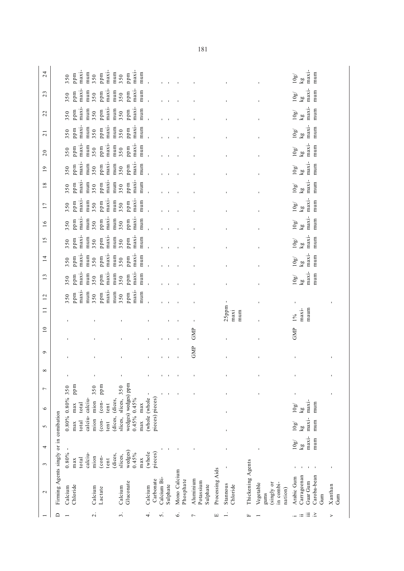|                 | ≏                                                             | $\overline{\mathcal{L}}$                       | $\dot{\mathcal{E}}$                                     | 4                                | 5                       | $\bullet$                 | $\overline{ }$                     | щ               |                      | щ                 |                                                         | $\ddot{=}$<br>$\ddot{=}$<br>$:=$                            | >              |
|-----------------|---------------------------------------------------------------|------------------------------------------------|---------------------------------------------------------|----------------------------------|-------------------------|---------------------------|------------------------------------|-----------------|----------------------|-------------------|---------------------------------------------------------|-------------------------------------------------------------|----------------|
| $\mathbf{\sim}$ | Firming Agents singly or in comibation<br>Chloride<br>Calcium | Calcium<br>Lactate                             | Gluconate<br>Calcium                                    | Carbonate<br>Calcium             | Calcium Bi-<br>Sulphate | Mono Calcium<br>Phosphate | Aluminium<br>Potassium<br>Sulphate | Processing Aids | Stannous<br>Chloride | Thickening Agents | (singly or<br>in combi-<br>Vegetable<br>nation)<br>gums | Carrageenan<br>Caroba-bean<br>Arabic Gum<br>Guar Gum<br>Gum | Xanthan<br>Gum |
| 3               | $0.80\%$<br>calciu-<br>total<br>max                           | (dices,<br>$\frac{1}{\cosh 2}$<br>mion<br>tent | wedges)<br>$0.45\%$<br>slices,<br>max                   | pieces)<br>(whole                |                         |                           |                                    |                 | ı                    |                   |                                                         |                                                             |                |
| 4               |                                                               |                                                |                                                         |                                  |                         |                           |                                    |                 |                      |                   |                                                         | $max_{i}$<br>mum<br>10g/<br>kg                              |                |
| $\sigma$        | total<br>max                                                  | mion<br>$_{\rm con}$<br>tent                   | slices,<br>max                                          |                                  |                         |                           |                                    |                 | ı                    |                   |                                                         | maxi-<br>mum<br>10g/<br>$\overline{\mathbf{g}}$             |                |
| $\circ$         | $0.80\%$ 0.80%<br>calciu-calciu-<br>total<br>max              | (dices, (dices,<br>mion<br>(con-<br>tent       | wedges) wedges) ppm<br>slices,<br>$0.45\%$ 0.45%<br>max | pieces) pieces)<br>(whole (whole |                         |                           |                                    |                 | ı                    |                   |                                                         | $maxi-$<br>mum<br>10g/<br>kg                                |                |
| $\overline{ }$  | ppm<br>350                                                    | ppm<br>350                                     | 350                                                     |                                  |                         |                           |                                    |                 |                      |                   |                                                         | $\mathbf{I}$                                                |                |
| ${}^{\circ}$    | ı                                                             |                                                |                                                         |                                  |                         |                           |                                    |                 |                      |                   |                                                         | ı                                                           |                |
| $\sigma$        |                                                               |                                                |                                                         |                                  |                         |                           | GMP                                |                 |                      |                   |                                                         |                                                             |                |
| $\overline{10}$ |                                                               |                                                |                                                         |                                  |                         |                           | GMP                                |                 |                      |                   |                                                         | GMP                                                         |                |
| $\Box$          |                                                               |                                                |                                                         |                                  |                         |                           |                                    |                 | 25ppm<br>mum<br>maxi |                   |                                                         | maum<br>maxi-<br>$1\%$                                      |                |
| 12              | maxi-<br>mum<br>ppm<br>350                                    | maxi-<br>mum<br>ppm<br>350                     | maxi-<br>mum<br>ppm<br>350                              |                                  |                         |                           |                                    |                 | $\blacksquare$       |                   |                                                         |                                                             |                |
| 13              | maxi-<br>mum<br>ppm<br>350                                    | maxi-<br>mum<br>ppm<br>350                     | $maxi$ -<br>mum<br>ppm<br>350                           |                                  |                         |                           |                                    |                 |                      |                   |                                                         | $maxi$ -<br>mum<br>10g/<br>$\overline{\mathbf{g}}$          |                |
| 14              | maxi-<br>mum<br>ppm<br>350                                    | maxi-<br>mum<br>ppm<br>350                     | maxi-<br>mum<br>ppm<br>350                              |                                  |                         |                           |                                    |                 |                      |                   |                                                         | $\frac{kg}{maxi}$<br>mum<br>10g/                            |                |
| 15              | $max_i$<br>mum<br>ppm<br>350                                  | $maxi$ -<br>mum<br>ppm<br>350                  | $maxi$ -<br>mum<br>ppm<br>350                           |                                  |                         |                           |                                    |                 |                      |                   |                                                         | $maxi-$<br>mum<br>10g/<br>$\overline{\mathbf{k}}\mathbf{g}$ |                |
| 16              | maxi-<br>ppm<br>mum<br>350                                    | maxi-<br>mum<br>ppm<br>350                     | $maxi$ -<br>mum<br>ppm<br>350                           |                                  |                         |                           |                                    |                 |                      |                   |                                                         | maxi-<br>mum<br>10g/<br>$\frac{1}{2}$                       |                |
| 17              | $maxi$ -<br>ppm<br>mum<br>350                                 | $maxi$ -<br>mum<br>ppm<br>350                  | $maxi$ -<br>ppm<br>mum<br>350                           |                                  |                         |                           |                                    |                 |                      |                   |                                                         | $maxi$ -<br>mum<br>10g/<br>kg                               |                |
| 18              | maxi-<br>mum<br>ppm<br>350                                    | maxi-<br>mum<br>ppm<br>350                     | maxi-<br>mum<br>ppm<br>350                              |                                  |                         |                           |                                    |                 |                      |                   |                                                         | maxi-<br>mum<br>10g/<br>$\overline{\text{kg}}$              |                |
| $\overline{19}$ | maxi-<br>mum<br>ppm<br>350                                    | maxi-<br>mum<br>ppm<br>350                     | maxi-<br>ppm<br>mum<br>350                              |                                  |                         |                           |                                    |                 |                      |                   |                                                         | $maxi$ -<br>mum<br>10g/<br>$\overline{\text{kg}}$           |                |
| 20              | maxi-<br>mum<br>ppm<br>350                                    | maxi-<br>mum<br>ppm<br>350                     | maxi-<br>mum<br>ppm<br>350                              |                                  |                         |                           |                                    |                 |                      |                   |                                                         | maxi-<br>mum<br>10g/<br>kg                                  |                |
| $\overline{21}$ | maxi-<br>mum<br>ppm<br>350                                    | $maxi$ -<br>mum<br>ppm<br>350                  | maxi-<br>mum<br>ppm<br>350                              |                                  |                         |                           |                                    |                 |                      |                   |                                                         | $maxi$ -<br>mum<br>10g/<br>kg                               |                |
| 22              | maxi-<br>mum<br>ppm<br>350                                    | maxi-<br>mum<br>ppm<br>350                     | maxi-<br>mum<br>ppm<br>350                              |                                  |                         |                           |                                    |                 |                      |                   |                                                         | $maxi-$<br>mum<br>10g/<br>$\overline{\mathbf{k}}\mathbf{g}$ |                |
| 23              | maxi-<br>mum<br>ppm<br>350                                    | maxi-<br>mum<br>ppm<br>350                     | maxi-<br>mum<br>ppm<br>350                              |                                  |                         |                           |                                    |                 |                      |                   |                                                         | $maxi$ -<br>mum<br>10g<br>kg                                |                |
| 24              | maxi-<br>mum<br>ppm<br>350                                    | maxi-<br>mum<br>ppm<br>350                     | maxi-<br>mum<br>ppm<br>350                              |                                  |                         |                           |                                    |                 |                      |                   |                                                         | maxi-<br>mum<br>10g<br>kg                                   |                |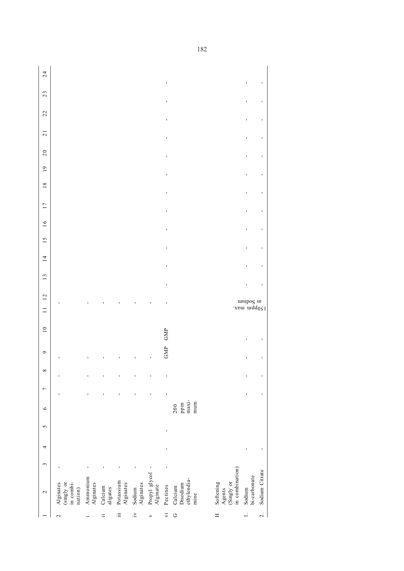$24$ 1 2 3 4 5 6 7 8 9 14 13 14 15 16 16 17 18 18 19 21 21 22 J, l, vi Pectines - - - - - GMP GMP - - - - - - - - - - - - - 2. Sodium Citrate - - - - - - - - - - - - - - - - - 150ppm max. 1. Sodium - - - - - - - - - - - - - - - - - 23  $\ddot{\phantom{0}}$ 22 l,  $\overline{21}$  $\overline{\phantom{a}}$  $20$ ï  $19$ J,  $18$ J  $17$ j  $16$  $\overline{1}$  $15$ ï  $\overline{14}$ J  $13$ ï  $12$ as Sodium<br>angles s<br>and match 2 Alginates - - - - i Ammonium - - - - ii Calcium - - - - iii Potassium - - - - ives a solution of the solution of the solution of the solution of the solution of the solution of the solution of  $\sim$ v Propylling glycol  $\frac{1}{2}$  and  $\frac{1}{2}$  and  $\frac{1}{2}$  and  $\frac{1}{2}$  and  $\frac{1}{2}$  and  $\frac{1}{2}$  and  $\frac{1}{2}$  and  $\frac{1}{2}$  and  $\frac{1}{2}$  and  $\frac{1}{2}$  and  $\frac{1}{2}$  and  $\frac{1}{2}$  and  $\frac{1}{2}$  and  $\frac{1}{2}$  and  $\frac{1$  $\overline{a}$  $\overline{10}$ GMP GMP l,  $\circ$ l,  $\infty$ ï  $\overline{a}$  $\begin{array}{c} 200 \\ \text{ppm} \\ \text{maxi} \\ \text{num} \end{array}$ ethylendia- maximine mum Disodium ppm G Calcium 200  $\circ$  $\mathbf{v}$ l,  $\overline{4}$ ï  $\tilde{c}$ in combination) Propyl glycol -<br>Alginate Sodium Citrate Sodium<br>bi-carbonate Ammonium<br>Alginates Calcium<br>Disodium<br>ethylendia-<br>mine bi-carbonate Potassium<br>Alginates Sodium<br>Alginates Calcium<br>aligates Pectines Agents (Singly or (singly or nation) in combi-H Softening  $\sim$  $\mathbb{H}$  $\mathbf{\dot{z}}$  $\bar{z}$  o  $\equiv$  $\Box$  $\overline{\alpha}$  $\sim$  $\equiv$  $\rightarrow$  $\overline{\phantom{a}}$  $\ddot{a}$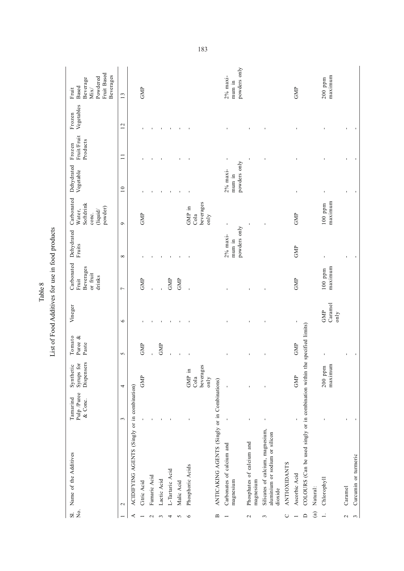| Χo.<br>$\Xi$    | Name of the Additives                                                         | Pulp /Puree<br>Tamarind<br>& Conc. | Dispensers<br>Syrups for<br>Synthetic | Tomato<br>Puree &<br>Paste | Vineger                | Carbonated<br>Beverages<br>or fruit<br>drinks<br>Fruit | Dehydrated<br>Fruits               | Carbonated<br>Softdrink<br>powder)<br>Water,<br>(liquid/<br>conc. | Dehydrated<br>Vegetable            | Fruit/Fruit<br>Products<br>Frozen | Vegetables<br>Frozen | Fruit Based<br>Beverages<br>Powdered<br>Beverage<br>Based<br>Mix/<br>Fruit |
|-----------------|-------------------------------------------------------------------------------|------------------------------------|---------------------------------------|----------------------------|------------------------|--------------------------------------------------------|------------------------------------|-------------------------------------------------------------------|------------------------------------|-----------------------------------|----------------------|----------------------------------------------------------------------------|
|                 | $\mathbf{\sim}$                                                               | $\tilde{\phantom{0}}$              | 4                                     | $\sim$                     | $\circ$                | $\overline{ }$                                         | $\infty$                           | $\circ$                                                           | $\overline{10}$                    | $\Box$                            | 12                   | 13                                                                         |
| ⋖               | ACIDIFYING AGENTS (Singly or in combination)                                  |                                    |                                       |                            |                        |                                                        |                                    |                                                                   |                                    |                                   |                      |                                                                            |
|                 | Citric Acid                                                                   |                                    | GMP                                   | GMP                        |                        | GMP                                                    |                                    | GMP                                                               |                                    | f,                                |                      | GMP                                                                        |
| $\mathbf{c}$    | Fumaric Acid                                                                  |                                    |                                       |                            |                        |                                                        |                                    |                                                                   |                                    | $\blacksquare$                    |                      |                                                                            |
| 3               | Lactic Acid                                                                   |                                    |                                       | GMP                        |                        |                                                        |                                    |                                                                   |                                    |                                   |                      |                                                                            |
| 4               | L-Tartaric Acid                                                               |                                    |                                       |                            |                        | GMP                                                    |                                    |                                                                   |                                    |                                   |                      |                                                                            |
| S               | Malic Acid                                                                    |                                    |                                       |                            |                        | GMP                                                    | $\blacksquare$                     |                                                                   |                                    |                                   |                      |                                                                            |
| $\circ$         | Phosphoric Acids                                                              |                                    | GMP in<br>Cola                        |                            |                        |                                                        |                                    | GMP in<br>Cola                                                    | J.                                 |                                   |                      |                                                                            |
|                 |                                                                               |                                    | ě<br>beverage:<br>only                |                            |                        |                                                        |                                    | beverages<br>only                                                 |                                    |                                   |                      |                                                                            |
| ≃               | ANTICAKING AGENTS (Singly or in Combinations)                                 |                                    |                                       |                            |                        |                                                        |                                    |                                                                   |                                    |                                   |                      |                                                                            |
|                 | Carbonates of calcium and<br>magnesium                                        |                                    |                                       |                            |                        |                                                        | powders only<br>2% maxi-<br>mum in | $\blacksquare$                                                    | powders only<br>2% maxi-<br>mum in | $\blacksquare$                    |                      | powders only<br>2% maxi-<br>mum in                                         |
| $\mathbf 2$     | Phosphates of calcium and<br>magnesium                                        | J.                                 |                                       |                            |                        |                                                        |                                    |                                                                   |                                    | ı                                 |                      |                                                                            |
| 3               | Silicates of calcium, magnesium,<br>aluminium or sodium or silicon<br>dioxide | f,                                 |                                       | ı                          |                        |                                                        |                                    | ı                                                                 |                                    | ı                                 | f,                   |                                                                            |
| O               | <b>ANTIOXIDANTS</b>                                                           |                                    |                                       |                            |                        |                                                        |                                    |                                                                   |                                    |                                   |                      |                                                                            |
|                 | Ascorbic Acid                                                                 | ı                                  | GMP                                   | GMP                        | $\mathbf{I}$           | GMP                                                    | GMP                                | GMP                                                               | ı                                  |                                   |                      | GMP                                                                        |
| $\Box$          | COLOURS (Can be used singly or in combination within                          |                                    |                                       | the specified limits)      |                        |                                                        |                                    |                                                                   |                                    |                                   |                      |                                                                            |
| $\binom{a}{b}$  | Natural:                                                                      |                                    |                                       |                            |                        |                                                        |                                    |                                                                   |                                    |                                   |                      |                                                                            |
|                 | Chlorophyll                                                                   |                                    | maximum<br>$200$ ppm                  |                            | Caramel<br>GMP<br>only | maximum<br>$100$ ppm                                   |                                    | maximum<br>$100$ ppm                                              | ı                                  |                                   |                      | maximum<br>$200$ ppm                                                       |
| $\mathbf{\sim}$ | Caramel                                                                       |                                    |                                       |                            |                        |                                                        |                                    |                                                                   |                                    |                                   |                      |                                                                            |
| 3               | Curcunin or turmeric                                                          |                                    |                                       |                            |                        |                                                        |                                    |                                                                   |                                    |                                   |                      |                                                                            |

List of Food Additives for use in food products List of Food Additives for use in food products

Table 8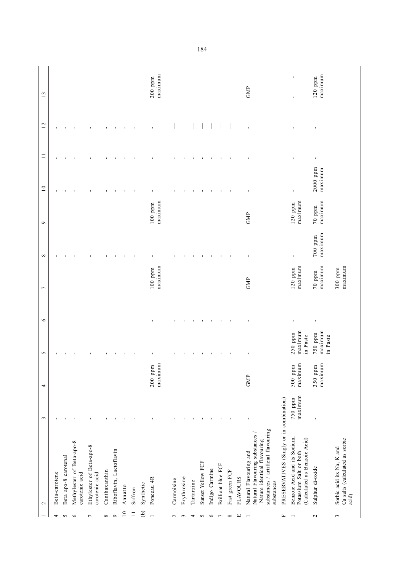|                 | $\sim$                                                                                                                                       | 3                  | 4                        | 5                              | $\circ$        | $\overline{ }$             | $\infty$             | $\circ$              | 10                    | $\Box$         | 12             | 13                   |
|-----------------|----------------------------------------------------------------------------------------------------------------------------------------------|--------------------|--------------------------|--------------------------------|----------------|----------------------------|----------------------|----------------------|-----------------------|----------------|----------------|----------------------|
| 4               | Beta-carotene                                                                                                                                | $\blacksquare$     |                          | $\blacksquare$                 |                |                            | $\blacksquare$       |                      | $\blacksquare$        | $\blacksquare$ | $\blacksquare$ |                      |
| $\sim$          | Beta apo-8 carotenal                                                                                                                         |                    |                          |                                |                |                            |                      |                      |                       | $\mathbf{I}$   |                |                      |
| $\circ$         | Methylester of Beta-apo-8<br>carotenic acid                                                                                                  |                    |                          |                                |                |                            |                      |                      |                       |                | $\mathbf{I}$   |                      |
| $\overline{ }$  | Ethylester of Beta-apo-8<br>carotenic acid                                                                                                   |                    |                          |                                |                |                            |                      |                      |                       |                |                |                      |
| ${}^{\infty}$   | Canthaxanthin                                                                                                                                |                    |                          |                                |                |                            |                      |                      |                       |                | ı              |                      |
| $\circ$         | Riboflavin, Lactoflavin                                                                                                                      |                    |                          |                                |                |                            |                      |                      |                       |                |                |                      |
| 10              | Annatto                                                                                                                                      |                    |                          |                                |                |                            |                      |                      |                       |                |                |                      |
| $\Box$          | Saffron                                                                                                                                      |                    |                          |                                |                |                            |                      |                      | $\blacksquare$        | $\blacksquare$ | $\blacksquare$ |                      |
| $\Theta$        | Synthetic                                                                                                                                    |                    |                          |                                |                |                            |                      |                      |                       |                |                |                      |
|                 | Ponceau 4R                                                                                                                                   |                    | Ξ<br>$200$ ppm<br>maximu |                                |                | maximum<br>$100~{\rm ppm}$ |                      | maximum<br>$100$ ppm |                       |                |                | maximum<br>$200$ ppm |
| $\mathbf{\sim}$ | Carmoisine                                                                                                                                   |                    |                          | I.                             | ı              |                            |                      |                      | ı                     | ı              |                |                      |
| $\mathfrak{c}$  | Erythrosine                                                                                                                                  |                    |                          |                                | $\blacksquare$ |                            |                      |                      | $\blacksquare$        | $\blacksquare$ |                |                      |
| 4               | Tartarzine                                                                                                                                   |                    |                          |                                | $\blacksquare$ |                            |                      |                      | $\blacksquare$        |                |                |                      |
| $\sim$          | Sunset Yellow FCF                                                                                                                            |                    |                          |                                | $\blacksquare$ |                            |                      |                      | ٠                     |                |                |                      |
| $\circ$         | Indigo Carmine                                                                                                                               |                    |                          | $\blacksquare$                 | 1              |                            | $\blacksquare$       |                      | 1                     | $\blacksquare$ |                |                      |
| $\overline{ }$  | Brilliant blue FCF                                                                                                                           |                    |                          | $\blacksquare$                 | $\blacksquare$ |                            | $\blacksquare$       |                      | $\blacksquare$        | $\blacksquare$ |                |                      |
| ${}^{\infty}$   | Fast green FCF                                                                                                                               |                    |                          | $\blacksquare$                 | $\blacksquare$ |                            | $\blacksquare$       |                      | $\blacksquare$        | $\blacksquare$ |                |                      |
| $\Xi$           | <b>FLAVOURS</b>                                                                                                                              |                    |                          |                                |                |                            |                      |                      |                       |                |                |                      |
|                 | substances / artificial flavouring<br>Natural Flavouring substances /<br>Nature identical flavouring<br>Natural Flavouring and<br>substances |                    | GMP                      |                                |                | GMP                        |                      | GMP                  | $\mathbf{I}$          |                |                | <b>GMP</b>           |
| 匞               | PRESERVATIVES (Singly or in combination)                                                                                                     |                    |                          |                                |                |                            |                      |                      |                       |                |                |                      |
|                 | Benzoic Acid and its Sodium,<br>(Calculated as Benzoic Acid)<br>Potassium Salt or both                                                       | maximum<br>750 ppm | maximum<br>$500$ ppm     | maximum<br>250 ppm<br>in Paste | $\blacksquare$ | maximum<br>$120$ ppm       | $\mathbf{I}$         | maximum<br>$120$ ppm | $\blacksquare$        | $\blacksquare$ | $\blacksquare$ | $\blacksquare$<br>ı  |
| $\mathbf{\sim}$ | Sulphur di-oxide                                                                                                                             |                    | maximum<br>350 ppm       | maximum<br>750 ppm<br>in Paste | $\blacksquare$ | maximum<br>$70$ ppm        | maximum<br>$700$ ppm | maximum<br>$70$ ppm  | $2000$ ppm<br>maximum | $\mathbf I$    | $\blacksquare$ | maximum<br>$120$ ppm |
| $\sim$          | Ca salts (calculated as sorbic<br>Sorbic acid its Na, K and<br>acid)                                                                         |                    |                          |                                |                | maximum<br>$300$ ppm       |                      |                      |                       |                |                |                      |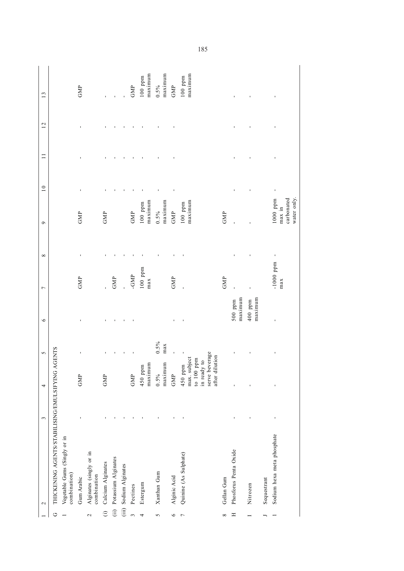| maximum<br>maximum<br>maximum<br>$100$ ppm<br>$100$ ppm<br>$0.5\%$<br>GMP<br>GMP<br>GMP<br>ı<br>ı<br>$\mathbf{I}$<br>ı<br>J.<br>carbonated<br>$1000$ ppm<br>water only.<br>maximum<br>maximum<br>maximum<br>$100$ ppm<br>$100$ ppm<br>max in<br>$0.5\%$<br>GMP<br>GMP<br>GMP<br>GMP<br>GMP<br>$\mathbf{I}$<br>ı<br>$-1000$ ppm<br>$100$ ppm<br>-GMP<br>GMP<br>GMP<br>GMP<br>GMP<br>max<br>max<br>maximum<br>maximum<br>$400~{\rm ppm}$<br>500 ppm | THICKENING AGENTS/STABILISING/EMULSIFYING<br>$\mathbf{\sim}$                                                              | $\sim$ | 4 | <b>AGENTS</b><br>5 | $\circ$ | $\overline{ }$ | ${}^{\circ}$ | $\sigma$ | 10 | $\Box$ | 12 | 13 |
|---------------------------------------------------------------------------------------------------------------------------------------------------------------------------------------------------------------------------------------------------------------------------------------------------------------------------------------------------------------------------------------------------------------------------------------------------|---------------------------------------------------------------------------------------------------------------------------|--------|---|--------------------|---------|----------------|--------------|----------|----|--------|----|----|
|                                                                                                                                                                                                                                                                                                                                                                                                                                                   | <b>GMP</b><br>Vegetable Gums (Singly or in<br>combination)<br>Gum Arabic                                                  |        |   |                    |         |                |              |          |    |        |    |    |
|                                                                                                                                                                                                                                                                                                                                                                                                                                                   | Alginates (singly or in<br>combination                                                                                    |        |   |                    |         |                |              |          |    |        |    |    |
|                                                                                                                                                                                                                                                                                                                                                                                                                                                   | GMP<br>Calcium Alginates                                                                                                  |        |   |                    |         |                |              |          |    |        |    |    |
|                                                                                                                                                                                                                                                                                                                                                                                                                                                   | Potassium Alginates<br>$\hat{c}$                                                                                          |        |   |                    |         |                |              |          |    |        |    |    |
|                                                                                                                                                                                                                                                                                                                                                                                                                                                   | Sodium Alginates<br>(iii)                                                                                                 |        |   |                    |         |                |              |          |    |        |    |    |
|                                                                                                                                                                                                                                                                                                                                                                                                                                                   | GMP<br>Pectines                                                                                                           |        |   |                    |         |                |              |          |    |        |    |    |
|                                                                                                                                                                                                                                                                                                                                                                                                                                                   | maximum<br>450 ppm<br>Estergum                                                                                            |        |   |                    |         |                |              |          |    |        |    |    |
|                                                                                                                                                                                                                                                                                                                                                                                                                                                   | maximum<br>0.5%<br>Xanthan Gum                                                                                            |        |   | 0.5%<br>max        |         |                |              |          |    |        |    |    |
|                                                                                                                                                                                                                                                                                                                                                                                                                                                   | GMP<br>Alginic Acid                                                                                                       |        |   |                    |         |                |              |          |    |        |    |    |
|                                                                                                                                                                                                                                                                                                                                                                                                                                                   | serve beverage<br>after dilution<br>$450$ ppm $\,$ - $\,$ max. subject to 100 ppm<br>in ready to<br>Quinine (As Sulphate) |        |   |                    |         |                |              |          |    |        |    |    |
|                                                                                                                                                                                                                                                                                                                                                                                                                                                   | Gellan Gum                                                                                                                |        |   |                    |         |                |              |          |    |        |    |    |
|                                                                                                                                                                                                                                                                                                                                                                                                                                                   | Phosforus Penta Oxide                                                                                                     |        |   |                    |         |                |              |          |    |        |    |    |
|                                                                                                                                                                                                                                                                                                                                                                                                                                                   | Nitrozen                                                                                                                  |        |   |                    |         |                |              |          |    |        |    |    |
|                                                                                                                                                                                                                                                                                                                                                                                                                                                   | Sequestrant                                                                                                               |        |   |                    |         |                |              |          |    |        |    |    |
|                                                                                                                                                                                                                                                                                                                                                                                                                                                   | ı<br>ı<br>Sodium hexa meta phosphate                                                                                      |        |   |                    |         |                |              |          |    |        |    |    |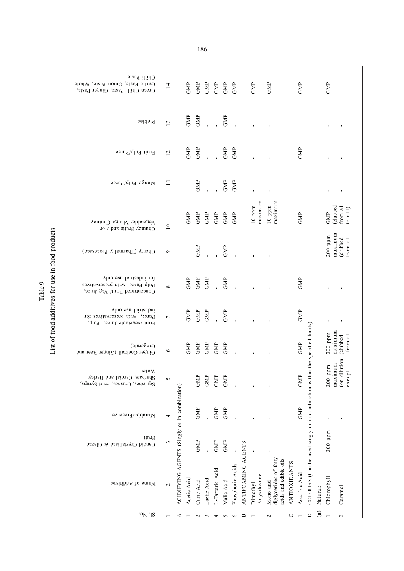| Chilli Paste                                                                               |                 |                                              |             |                             |                             |                             |                                                                        |                  |                    |                          |                                                            |                     |               |                                                      |              |                        |                        |
|--------------------------------------------------------------------------------------------|-----------------|----------------------------------------------|-------------|-----------------------------|-----------------------------|-----------------------------|------------------------------------------------------------------------|------------------|--------------------|--------------------------|------------------------------------------------------------|---------------------|---------------|------------------------------------------------------|--------------|------------------------|------------------------|
| Garlic Paste, Onion Paste, Whole<br>Green Chilli Paste, Ginger Paste,                      | $\overline{14}$ |                                              | GMP         |                             |                             |                             | $\begin{array}{ll} \text{GMP} \\ \text{GMP} \\ \text{GMP} \end{array}$ | GMP              |                    | GMP                      | GMP                                                        |                     | GMP           |                                                      |              | GMP                    |                        |
| Pickles                                                                                    | 13              |                                              | GMP         | GMP                         |                             | $\mathbf{r}$                | GMP                                                                    |                  |                    |                          |                                                            |                     |               |                                                      |              |                        |                        |
| Fruit Pulp/Puree                                                                           | 12              |                                              | GMP         | GMP                         | l,                          | $\frac{1}{1}$               | GMP                                                                    | GMP              |                    |                          |                                                            |                     | GMP           |                                                      |              |                        |                        |
| Mango Pulp/Puree                                                                           | $\equiv$        |                                              |             | GMP                         |                             |                             | GMP                                                                    | GMP              |                    |                          |                                                            |                     |               |                                                      |              |                        |                        |
| $\Lambda$ egetable/ Mango Chutney<br>Chutney Fruits and / or                               | $\overline{10}$ |                                              | GMP         | $\ensuremath{\mathrm{GMP}}$ | GMP<br>GMP                  |                             | $\ensuremath{\mathsf{GMP}}$                                            | GMP              |                    | maximum<br>$10$ ppm      | maximum<br>$10$ ppm                                        |                     | GMP           |                                                      |              | (clubbed<br>GMP        | from al<br>to $a11$    |
| Cherry (Tharmally Processed)                                                               | $\mathfrak{G}$  |                                              |             | GMP                         |                             |                             | GMP                                                                    |                  |                    |                          |                                                            |                     |               |                                                      |              | maximum<br>$200$ ppm   | clubbed)<br>from al    |
| The industrial use only<br>Pulp Puree with preservatives<br>Concentrated Fruit/ Veg Juice, | $\infty$        |                                              | GMP         | GMP                         | GMP                         |                             | GMP                                                                    |                  |                    |                          |                                                            |                     | GMP           |                                                      |              |                        |                        |
| industrial use only<br>Puree, with preservatives for<br>Fruit /vegetable Juice, Pulp,      | $\overline{ }$  |                                              | GMP         | GMP                         | GMP                         |                             | GMP                                                                    |                  |                    |                          |                                                            |                     | GMP           |                                                      |              |                        |                        |
| Gingerale)<br>Ginger Cocktail (Ginger Beer and                                             | $\circ$         |                                              | GMP         | GMP                         | $\ensuremath{\mathrm{GMP}}$ | $\ensuremath{\mathrm{GMP}}$ | GMP                                                                    |                  |                    |                          |                                                            |                     | GMP           | the specified limits)                                |              | maximum<br>$200\,$ ppm | from $a1$<br>clubbed   |
| Water<br>Sharbats, Cardial and Barley<br>Squashes, Crushes, Fruit Syrups,                  | 5               |                                              |             | GMP                         | GMP                         | GMP                         | GMP                                                                    |                  |                    |                          |                                                            |                     | GMP           |                                                      |              | maximum<br>$200$ ppm   | (on dilution<br>except |
| Murabba/Preserve                                                                           | 4               |                                              |             | GMP                         |                             | GMP                         | GMP                                                                    |                  |                    |                          |                                                            |                     | GMP           |                                                      |              |                        |                        |
| Fruit<br>Candid Crystallised & Glazed                                                      | 3               |                                              |             | GMP                         |                             | GMP                         | GMP                                                                    |                  |                    | $\blacksquare$           |                                                            |                     |               |                                                      |              | $200$ ppm              |                        |
| Name of Additives                                                                          | $\mathbf{\sim}$ | ACIDIFYING AGENTS (Singly or in combination) | Acetic Acid | Citric Acid                 | Lactic Acid                 | L-Tartaric Acid             | Malic Acid                                                             | Phosphoric Acids | ANTIFOAMING AGENTS | Polysiloxane<br>Dimethyl | diglycerides of fatty<br>acids and edible oils<br>Mono and | <b>ANTIOXIDANTS</b> | Ascorbic Acid | COLOURS (Can be used singly or in combination within | Natural:     | Chlorophyll            | Caramel                |
| 'ON 'IS                                                                                    |                 | ⋖                                            |             | $\sim$                      | $\mathfrak{c}$              | 4                           | S                                                                      | $\circ$          | ≃                  |                          | $\mathbf 2$                                                | $\circ$             |               | $\Box$                                               | $\mathbf{G}$ |                        | $\mathbf{\sim}$        |

List of food additives for use in food products List of food additives for use in food products Table 9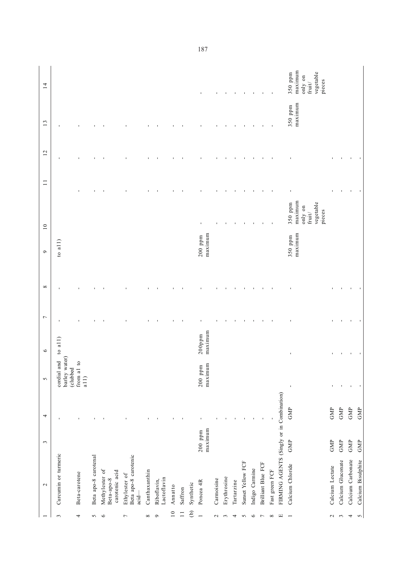|                 | $\sim$                                           | $\sim$               | 4              | $\sim$                                   | $\circ$              | $\overline{ }$ | $\infty$       | $\overline{10}$<br>$\circ$ |                                                                      | $\Box$         | 12             | 13                 | 14                                                                     |
|-----------------|--------------------------------------------------|----------------------|----------------|------------------------------------------|----------------------|----------------|----------------|----------------------------|----------------------------------------------------------------------|----------------|----------------|--------------------|------------------------------------------------------------------------|
| 3               | Curcumin or turmeric                             |                      | ı              | barley water)<br>cordial and<br>(clubbed | to $a(1)$            | 1              |                | to $a(1)$                  |                                                                      |                |                |                    |                                                                        |
| 4               | Beta-carotene                                    |                      | $\blacksquare$ | $\circ$<br>from al $\,$<br>a11           |                      |                |                |                            |                                                                      |                |                |                    |                                                                        |
| $\sim$          | Beta apo-8 carotenal                             |                      | $\blacksquare$ |                                          |                      |                |                |                            |                                                                      |                |                |                    |                                                                        |
| $\circ$         | Methylester of<br>carotenic acid<br>Beta-apo-8   |                      |                |                                          |                      |                |                |                            |                                                                      |                |                |                    |                                                                        |
| 7               | Beta apo-8 carotenic<br>Ethylester of<br>$acid-$ |                      |                |                                          |                      |                |                |                            |                                                                      |                |                |                    |                                                                        |
| $\infty$        | Canthaxanthin                                    |                      |                |                                          |                      |                |                |                            |                                                                      |                |                |                    |                                                                        |
| $\circ$         | Lactoflavin<br>Riboflavin,                       |                      |                |                                          |                      |                |                |                            |                                                                      |                |                |                    |                                                                        |
| $\overline{10}$ | Annatto                                          |                      |                |                                          |                      |                |                |                            |                                                                      |                |                |                    |                                                                        |
| $\overline{1}$  | Saffron                                          |                      |                |                                          |                      |                |                |                            |                                                                      |                |                |                    |                                                                        |
| $\widehat{e}$   | Synthetic                                        |                      |                |                                          |                      |                |                |                            |                                                                      |                |                |                    |                                                                        |
| $\overline{a}$  | Poncea 4R                                        | maximum<br>$200$ ppm |                | maximum<br>$200$ ppm                     | maximum<br>$200$ ppm |                |                | maximum<br>$200$ ppm       | ı                                                                    |                |                |                    | $\blacksquare$                                                         |
| $\mathbf{c}$    | Carmoisine                                       |                      |                |                                          |                      |                |                |                            |                                                                      |                |                |                    |                                                                        |
| 3               | Erythrosine                                      |                      |                |                                          |                      |                |                |                            |                                                                      |                |                |                    | 1                                                                      |
| 4               | Tartarzine                                       |                      |                |                                          |                      |                |                |                            |                                                                      |                |                |                    |                                                                        |
| $\sim$          | Sunset Yellow FCF                                |                      |                |                                          |                      |                |                |                            |                                                                      |                |                |                    |                                                                        |
| $\circ$         | Indigo Carmine                                   |                      |                |                                          |                      |                |                |                            |                                                                      |                |                |                    | п                                                                      |
| $\overline{r}$  | <b>Brilliant Blue FCF</b>                        |                      | $\blacksquare$ |                                          |                      |                |                |                            | $\blacksquare$                                                       |                |                |                    | $\mathbf{I}$                                                           |
| $\infty$        | Fast green FCF                                   |                      |                |                                          |                      |                |                |                            | f,                                                                   |                |                | J.                 | $\blacksquare$                                                         |
| $\Xi$           | FIRMING AGENTS (Singly or in Combination)        |                      |                |                                          |                      |                |                |                            |                                                                      |                |                |                    |                                                                        |
| $\overline{ }$  | Calcium Chloride                                 | GMP                  | GMP            | $\mathbf{I}$                             | ı                    |                |                | maximum<br>350 ppm         | maximum<br>vegetable<br>350 ppm<br>only on<br>pieces<br>fruit $\ell$ |                | I,             | maximum<br>350 ppm | maximum<br>vegetable<br>350 ppm<br>only on<br>pieces<br>$\text{fruit}$ |
| $\sim$          | Calcium Lectate                                  | GMP                  | GMP            | J,                                       | J,                   |                |                |                            |                                                                      | ı              |                |                    |                                                                        |
| $\omega$        | Calcium Gluconate                                | GMP                  | GMP            | $\mathbf{I}$                             | $\blacksquare$       |                |                |                            |                                                                      |                |                |                    |                                                                        |
| 4               | Calcium Carbonate                                | GMP                  | <b>GMP</b>     | $\blacksquare$                           | $\blacksquare$       | $\blacksquare$ | $\blacksquare$ |                            |                                                                      | $\blacksquare$ | $\blacksquare$ |                    |                                                                        |
| $\sim$          | Calcium Bisulphite                               | GMP                  | GMP            | $\blacksquare$                           | $\blacksquare$       | $\blacksquare$ | $\blacksquare$ |                            |                                                                      | $\blacksquare$ | $\blacksquare$ |                    |                                                                        |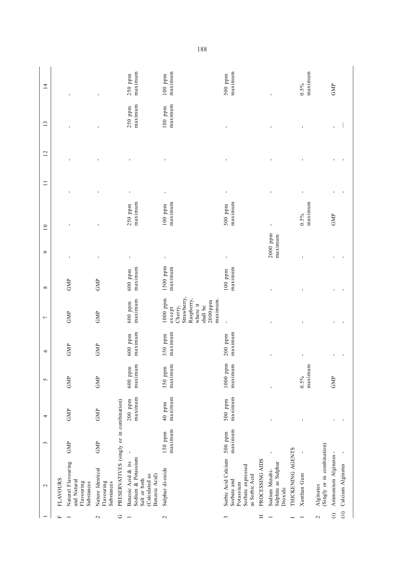| maximum<br>maximum<br>250 ppm<br>$100$ ppm<br>ı<br>ı<br>ı<br>ı<br>ı<br>J.<br>ı<br>$\blacksquare$<br>,<br>maximum<br>maximum<br>maximum<br>maximum<br>$250$ ppm<br>$100$ ppm<br>$500$ ppm<br>0.5%<br>GMP<br>$2000$ ppm<br>maximum<br>ı<br>ı<br>ı<br>$1500$ ppm<br>maximum<br>maximum<br>maximum<br>$600~{\rm ppm}$<br>$100$ ppm<br>GMP<br>GMP<br>Strawberry,<br>$1000$ ppm<br>Raspberry,<br>maximum.<br>maximum<br>$2000$ ppm<br>$600$ ppm<br>where it<br>shall be<br>Cherry,<br>$exc$ ept<br>GMP<br>GMP<br>ı<br>maximum<br>maximum<br>maximum<br>$600~{\rm ppm}$<br>350 ppm<br>$200$ ppm<br>GMP<br>GMP<br>$1000$ ppm<br>maximum<br>maximum<br>maximum<br>maximum<br>$600~{\rm ppm}$<br>350 ppm<br>0.5%<br>GMP<br>GMP<br>GMP<br>maximum<br>maximum<br>maximum<br>$200$ ppm<br>500 ppm<br>PRESERVATIVES (singly or in combination)<br>40 ppm<br>GMP<br>GMP<br>1<br>maximum<br>maximum<br>150 ppm<br>500 ppm<br>GMP<br>GMP<br>(Singly or in combination)<br>THICKENING AGENTS<br>ı |                                                                                            | $\sim$ | $\mathfrak{c}$ | 4 | 5 | $\circ$ | $\overline{ }$ | ${}^{\infty}$ | $\circ$ | $\overline{10}$ | $\Box$ | 12 | 13 | $\overline{1}$       |
|---------------------------------------------------------------------------------------------------------------------------------------------------------------------------------------------------------------------------------------------------------------------------------------------------------------------------------------------------------------------------------------------------------------------------------------------------------------------------------------------------------------------------------------------------------------------------------------------------------------------------------------------------------------------------------------------------------------------------------------------------------------------------------------------------------------------------------------------------------------------------------------------------------------------------------------------------------------------------------|--------------------------------------------------------------------------------------------|--------|----------------|---|---|---------|----------------|---------------|---------|-----------------|--------|----|----|----------------------|
|                                                                                                                                                                                                                                                                                                                                                                                                                                                                                                                                                                                                                                                                                                                                                                                                                                                                                                                                                                                 | <b>FLAVOURS</b>                                                                            |        |                |   |   |         |                |               |         |                 |        |    |    |                      |
|                                                                                                                                                                                                                                                                                                                                                                                                                                                                                                                                                                                                                                                                                                                                                                                                                                                                                                                                                                                 | Natural Flavouring<br>and Natural<br>Flavouring<br>Substances                              |        |                |   |   |         |                |               |         |                 |        |    |    |                      |
|                                                                                                                                                                                                                                                                                                                                                                                                                                                                                                                                                                                                                                                                                                                                                                                                                                                                                                                                                                                 | Nature Identical<br>Flavouring<br>Substances                                               |        |                |   |   |         |                |               |         |                 |        |    |    |                      |
|                                                                                                                                                                                                                                                                                                                                                                                                                                                                                                                                                                                                                                                                                                                                                                                                                                                                                                                                                                                 |                                                                                            |        |                |   |   |         |                |               |         |                 |        |    |    |                      |
|                                                                                                                                                                                                                                                                                                                                                                                                                                                                                                                                                                                                                                                                                                                                                                                                                                                                                                                                                                                 | Sodium & Potassium<br>Benzoic Acid & its<br>Calculated as<br>Benzoic Acid)<br>Salt or both |        |                |   |   |         |                |               |         |                 |        |    |    | maximum<br>250 ppm   |
|                                                                                                                                                                                                                                                                                                                                                                                                                                                                                                                                                                                                                                                                                                                                                                                                                                                                                                                                                                                 | Sulphur di-oxide                                                                           |        |                |   |   |         |                |               |         |                 |        |    |    | maximum<br>$100$ ppm |
|                                                                                                                                                                                                                                                                                                                                                                                                                                                                                                                                                                                                                                                                                                                                                                                                                                                                                                                                                                                 | Sorbic Acid Calcium<br>Sorbate expressed<br>as Sorbic Acid<br>Sorbate and<br>Potassium     |        |                |   |   |         |                |               |         |                 |        |    |    | maximum<br>500 ppm   |
|                                                                                                                                                                                                                                                                                                                                                                                                                                                                                                                                                                                                                                                                                                                                                                                                                                                                                                                                                                                 | PROCESSING AIDS                                                                            |        |                |   |   |         |                |               |         |                 |        |    |    |                      |
|                                                                                                                                                                                                                                                                                                                                                                                                                                                                                                                                                                                                                                                                                                                                                                                                                                                                                                                                                                                 | Sulphite as Sulphur<br>Sodium Metabi-<br>Dioxide                                           |        |                |   |   |         |                |               |         |                 |        |    |    |                      |
|                                                                                                                                                                                                                                                                                                                                                                                                                                                                                                                                                                                                                                                                                                                                                                                                                                                                                                                                                                                 |                                                                                            |        |                |   |   |         |                |               |         |                 |        |    |    |                      |
|                                                                                                                                                                                                                                                                                                                                                                                                                                                                                                                                                                                                                                                                                                                                                                                                                                                                                                                                                                                 | Xanthan Gum                                                                                |        |                |   |   |         |                |               |         |                 |        |    |    | maximum<br>0.5%      |
|                                                                                                                                                                                                                                                                                                                                                                                                                                                                                                                                                                                                                                                                                                                                                                                                                                                                                                                                                                                 | Alginates                                                                                  |        |                |   |   |         |                |               |         |                 |        |    |    |                      |
|                                                                                                                                                                                                                                                                                                                                                                                                                                                                                                                                                                                                                                                                                                                                                                                                                                                                                                                                                                                 | Ammonium Alginates-                                                                        |        |                |   |   |         |                |               |         |                 |        |    |    | GMP                  |
|                                                                                                                                                                                                                                                                                                                                                                                                                                                                                                                                                                                                                                                                                                                                                                                                                                                                                                                                                                                 | Calcium Alginates                                                                          |        |                |   |   |         |                |               |         |                 |        |    |    |                      |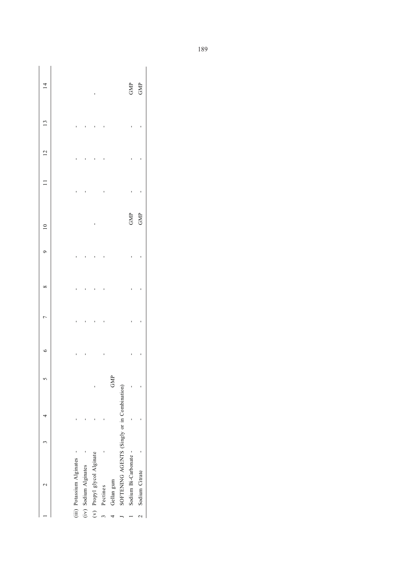|  |                           |                       |                            |          |            |                                             | GMP                   | GMP              |
|--|---------------------------|-----------------------|----------------------------|----------|------------|---------------------------------------------|-----------------------|------------------|
|  |                           |                       |                            |          |            |                                             |                       |                  |
|  |                           |                       |                            |          |            |                                             |                       |                  |
|  |                           |                       |                            |          |            |                                             |                       |                  |
|  |                           |                       |                            |          |            |                                             | GMP                   | GMP              |
|  |                           |                       |                            |          |            |                                             |                       |                  |
|  |                           |                       |                            |          |            |                                             |                       |                  |
|  |                           |                       |                            |          |            |                                             |                       |                  |
|  |                           |                       |                            |          |            |                                             |                       |                  |
|  |                           |                       |                            |          | GMP        |                                             |                       |                  |
|  |                           |                       |                            |          |            |                                             |                       |                  |
|  |                           |                       |                            |          |            |                                             |                       |                  |
|  | (iii) Potassium Alginates | (iv) Sodium Alginates | (v) Propyl glycol Alginate | Pectines | Gellan gum | SOFTENING AGENTS (Singly or in Combination) | Sodium Bi-Carbonate - | 2 Sodium Citrate |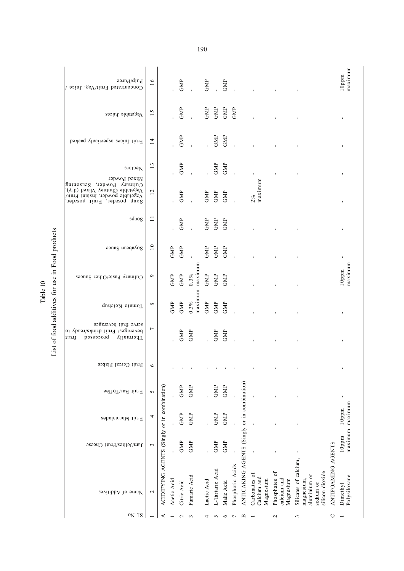| $_{\text{p}}$ nj $_{\text{h}}$ ntee<br>Concentrated Fruit/Veg. Juice /                                                         | 16                |                                              |             | GMP         |                |         | GMP         | $\bar{1}$       | GMP        |                  |                                              |                                           |                                           |                                                                                     |                    | maximum<br>$10$ ppm         |
|--------------------------------------------------------------------------------------------------------------------------------|-------------------|----------------------------------------------|-------------|-------------|----------------|---------|-------------|-----------------|------------|------------------|----------------------------------------------|-------------------------------------------|-------------------------------------------|-------------------------------------------------------------------------------------|--------------------|-----------------------------|
| Vegetable Juices                                                                                                               | 15                |                                              |             | GMP         |                |         | GMP         | GMP             | GMP        | GMP              |                                              |                                           |                                           |                                                                                     |                    | J,                          |
| Fruit Juices aspecticaly packed                                                                                                | $\overline{14}$   |                                              |             | GMP         |                |         | Î.          | GMP             | GMP        |                  |                                              |                                           |                                           |                                                                                     |                    |                             |
| Nectars<br>Mixed Powder                                                                                                        | 13                |                                              |             | GMP         |                |         |             | ${\rm GMP}$     | GMP        |                  |                                              |                                           |                                           |                                                                                     |                    |                             |
| Culinary Powder, Seasoning<br>Vegetable Chutney Mixed (dry),<br>Vegetable powder, Instant Fruit/<br>Soup powder, Fruit powder, | 12                |                                              |             | GMP         |                |         | GMP         | GMP             | GMP        |                  |                                              | maximum<br>2%                             |                                           |                                                                                     |                    |                             |
| sdnog                                                                                                                          | $\Box$            |                                              |             | GMP         |                |         | GMP         | GMP             | GMP        |                  |                                              |                                           |                                           |                                                                                     |                    |                             |
| Soyabean Sauce                                                                                                                 | $\overline{10}$   |                                              | GMP         | GMP         |                |         | GMP         | GMP             | GMP        |                  |                                              |                                           |                                           |                                                                                     |                    | $\blacksquare$              |
| Culinary Paste/Other Sauces                                                                                                    | ٥                 |                                              | GMP         | ${\rm GMP}$ | $0.3\%$        | maximum | ${\rm GMP}$ | ${\rm GMP}$     | GMP        |                  |                                              |                                           |                                           |                                                                                     |                    | maximum<br>$10$ ppm         |
| Tomato Ketchup                                                                                                                 | $^{\circ}$        |                                              | GMP         | GMP         | $0.3\%$        | maximum | GMP         | ${\rm GMP}$     | GMP        |                  |                                              |                                           |                                           |                                                                                     |                    | J,                          |
| serve fiuit beverages<br>beverages/ Fruit drinks/ready to<br>possecond<br>Thermally<br>ņnų                                     | $\overline{ }$    |                                              |             | GMP         | GMP            |         |             | GMP             | GMP        |                  |                                              |                                           |                                           |                                                                                     |                    |                             |
| Fruit Cereal Flakes                                                                                                            | $\circ$           |                                              |             |             |                |         |             |                 |            |                  |                                              |                                           |                                           |                                                                                     |                    |                             |
| Fruit Bar/Toffee                                                                                                               | 5                 |                                              |             | <b>GMP</b>  | GMP            |         |             | GMP             | GMP        |                  |                                              |                                           |                                           |                                                                                     |                    | ı                           |
| Fruit Marmalades                                                                                                               | 4                 |                                              |             | GMP         | GMP            |         | ï           | GMP             | $\rm{GMP}$ |                  |                                              |                                           |                                           |                                                                                     |                    | maximum maximum<br>$10$ ppm |
| Jam/Jellies/Fruit Cheese                                                                                                       | 3                 |                                              |             | GMP         | GMP            |         | Ĭ.          | GMP             | GMP        |                  |                                              |                                           |                                           |                                                                                     |                    | $10$ ppm                    |
| Name of Additives                                                                                                              | $\mathbf{\Omega}$ | ACIDIFYING AGENTS (Singly or in combination) | Acetic Acid | Citric Acid | Fumaric Acid   |         | Lactic Acid | L-Tartaric Acid | Malic Acid | Phosphoric Acids | ANTICAKING AGENTS (Singly or in combination) | Carbonates of<br>Calcium and<br>Magnesium | Phosphates of<br>calcium and<br>Magnesium | Silicates of calcium,<br>silicon dioxide<br>aluminium or<br>magnesium,<br>sodium or | ANTIFOAMING AGENTS | Polysiloxane<br>Dimethyl    |
| ON IS                                                                                                                          |                   | ⋖                                            |             | $\sim$      | $\mathfrak{c}$ |         | 4           | S               | $\circ$    | $\overline{r}$   | Щ                                            |                                           | $\mathcal{L}$                             | 3                                                                                   | $\cup$             |                             |

List of food additives for use in Food products List of food additives for use in Food products Table 10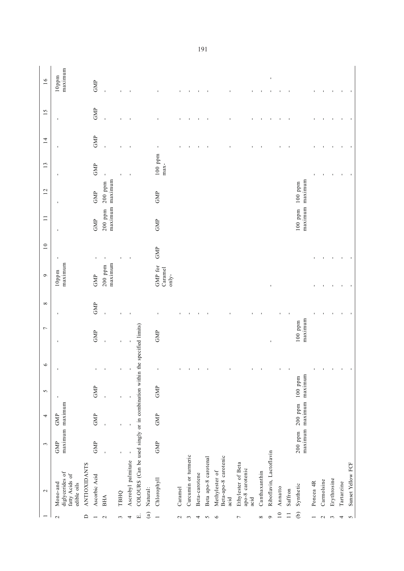|                   | $\mathbf{\sim}$                                                            | $\sim$         | 4                            | $\sim$               | $\circ$        | $\overline{ }$       | $\infty$ | $\circ$                     | $\overline{10}$ | $\Box$                             | 12                   | 13                  | $\overline{14}$ | 15             | 16                  |
|-------------------|----------------------------------------------------------------------------|----------------|------------------------------|----------------------|----------------|----------------------|----------|-----------------------------|-----------------|------------------------------------|----------------------|---------------------|-----------------|----------------|---------------------|
| $\mathbf{\Omega}$ | diglycerides of<br>fatty Acids of<br>Mono-and<br>edible oils               | GMP            | maximum maximum<br>GMP       |                      | ı              | J.                   | J.       | maximum<br>10ppm            | J,              | D                                  | J.                   | J.                  | J,              | J.             | maximum<br>$10$ ppm |
| $\Box$            | <b>ANTIOXIDANTS</b>                                                        |                |                              |                      |                |                      |          |                             |                 |                                    |                      |                     |                 |                |                     |
|                   | Ascorbic Acid                                                              | GMP            | <b>GMP</b>                   | GMP                  | f,             | GMP                  | GMP      | GMP                         |                 | GMP                                | GMP                  | GMP                 | GMP             | GMP            | GMP                 |
| $\sim$            | <b>BHA</b>                                                                 |                |                              |                      | $\blacksquare$ |                      |          | maximum<br>$200$ ppm        |                 | maximum<br>$200$ ppm               | maximum<br>$200$ ppm |                     | $\mathbf{I}$    | $\blacksquare$ | $\mathbf{I}$        |
| 3                 | ТВНО                                                                       |                |                              |                      | $\mathbf{I}$   |                      |          |                             |                 |                                    |                      |                     |                 |                |                     |
| 4                 | Ascrobyl palmitate                                                         | $\blacksquare$ |                              |                      | $\mathbf{I}$   | $\blacksquare$       |          |                             | J,              |                                    |                      |                     |                 |                |                     |
| ЕÍ                | COLOURS (Can be used singly or in combination within the specified limits) |                |                              |                      |                |                      |          |                             |                 |                                    |                      |                     |                 |                |                     |
| $\binom{a}{b}$    | Natural:                                                                   |                |                              |                      |                |                      |          |                             |                 |                                    |                      |                     |                 |                |                     |
|                   | Chlorophyll                                                                | GMP            | <b>GMP</b>                   | GMP                  | $\blacksquare$ | GMP                  |          | GMP for<br>Caramel<br>only- | GMP             | GMP                                | GMP                  | $100$ ppm<br>$max-$ | f,              |                |                     |
| $\sim$            | Caramel                                                                    |                |                              |                      | f,             |                      |          |                             |                 |                                    |                      |                     |                 |                |                     |
| 3                 | Curcumin or turmeric                                                       |                |                              |                      | $\blacksquare$ |                      |          |                             |                 |                                    |                      |                     |                 |                |                     |
| 4                 | Beta-carotene                                                              |                |                              |                      | $\blacksquare$ |                      |          |                             |                 |                                    |                      |                     |                 |                |                     |
| $\sim$            | Beta apo-8 carotenal                                                       |                |                              |                      | $\mathcal{A}$  |                      |          |                             |                 |                                    |                      |                     |                 |                |                     |
| $\circ$           | Beta-apo-8 carotenic<br>Methylester of<br>acid                             |                |                              |                      | $\blacksquare$ |                      |          |                             |                 |                                    |                      |                     |                 |                |                     |
| $\overline{ }$    | Ethylester of Beta<br>apo-8 carotenic<br>acid                              |                |                              |                      | $\blacksquare$ |                      |          |                             |                 |                                    |                      |                     |                 |                |                     |
| $\infty$          | Canthaxanthin                                                              |                |                              |                      | $\blacksquare$ |                      |          |                             |                 |                                    |                      |                     |                 |                |                     |
| $\circ$           | Riboflavin, Lactoflavin                                                    |                |                              |                      |                | I.                   |          | $\mathbf{I}$                |                 |                                    |                      |                     |                 |                | $\blacksquare$      |
| $\overline{10}$   | Annatto                                                                    |                |                              |                      | ı              |                      |          |                             |                 |                                    |                      |                     |                 |                |                     |
| $\overline{1}$    | Saffron                                                                    |                |                              |                      |                |                      |          |                             |                 |                                    |                      |                     |                 |                |                     |
| $\widehat{e}$     | Synthetic                                                                  | $200$ ppm      | maximum maximum<br>$200$ ppm | maximum<br>$100$ ppm |                | maximum<br>$100$ ppm |          |                             |                 | maximum maximum<br>100 ppm 100 ppm |                      |                     |                 |                |                     |
|                   | Poncea 4R                                                                  |                |                              |                      |                |                      |          |                             |                 |                                    |                      |                     |                 |                |                     |
| $\mathbf{c}$      | Carmolsine                                                                 |                |                              |                      |                |                      |          |                             |                 |                                    |                      |                     |                 |                |                     |
| $\epsilon$        | Erythrosine                                                                |                |                              |                      |                |                      |          |                             |                 |                                    |                      | ٠                   |                 |                |                     |
| 4                 | Tartarzine                                                                 |                |                              |                      | $\blacksquare$ |                      |          |                             |                 |                                    |                      | $\blacksquare$      |                 |                |                     |
| 5                 | Sunset Yellow FCF                                                          |                |                              |                      |                |                      |          |                             |                 |                                    |                      |                     |                 |                |                     |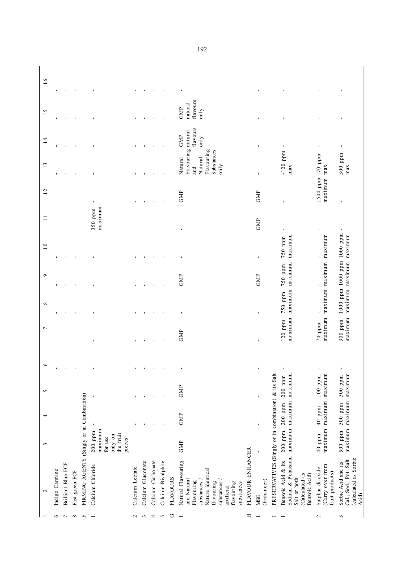| 16              | п              |                           | J.             |                                           |                                                                   | $\blacksquare$  |                   | f,                | $\blacksquare$     |                 | $\blacksquare$                                                                                                                                          |                  | $\blacksquare$    |                                                     |                                                                                                                     | f,                                                     | $\blacksquare$                                                                 |
|-----------------|----------------|---------------------------|----------------|-------------------------------------------|-------------------------------------------------------------------|-----------------|-------------------|-------------------|--------------------|-----------------|---------------------------------------------------------------------------------------------------------------------------------------------------------|------------------|-------------------|-----------------------------------------------------|---------------------------------------------------------------------------------------------------------------------|--------------------------------------------------------|--------------------------------------------------------------------------------|
| 15              |                |                           |                |                                           |                                                                   |                 |                   |                   |                    |                 | flavours<br>natural<br><b>GMP</b><br>only                                                                                                               |                  |                   |                                                     |                                                                                                                     |                                                        | ı                                                                              |
| $\overline{1}$  | I,             | ×.                        | J.             |                                           |                                                                   |                 |                   | ٠                 | $\mathbf{I}$       |                 | flavours<br>Flavouring natural<br>GMP<br>only                                                                                                           |                  |                   |                                                     | $\blacksquare$                                                                                                      | $\blacksquare$                                         | $\blacksquare$                                                                 |
| 13              | п              |                           | J.             |                                           |                                                                   |                 |                   | ٠                 |                    |                 | Flavouring<br>Substances<br>Natural<br>Natural<br>only<br>and                                                                                           |                  | f,                |                                                     | $-120$ ppm<br>max                                                                                                   | 1500 ppm -70 ppm                                       | $300$ ppm<br>max                                                               |
| 12              |                |                           |                |                                           | $\blacksquare$                                                    |                 |                   | $\blacksquare$    | $\blacksquare$     |                 | GMP                                                                                                                                                     |                  | GMP               |                                                     |                                                                                                                     | maximum max                                            | ı                                                                              |
| $\Box$          |                |                           |                |                                           | maximum<br>350 ppm                                                |                 |                   |                   |                    |                 | $\blacksquare$                                                                                                                                          |                  | GMP               |                                                     |                                                                                                                     | ı                                                      | $\blacksquare$                                                                 |
| $\overline{10}$ |                |                           |                |                                           |                                                                   |                 |                   |                   |                    |                 | $\blacksquare$                                                                                                                                          |                  | $\blacksquare$    |                                                     | maximum maximum maximum maximum<br>750 ppm                                                                          | maximum maximum maximum maximum<br>ı                   | 1000 ppm 1000 ppm 1000 ppm<br>maximum maximum maximum maximum                  |
| $\circ$         |                |                           | J.             |                                           |                                                                   |                 |                   |                   |                    |                 | GMP                                                                                                                                                     |                  | GMP               |                                                     | 750 ppm                                                                                                             | ï                                                      |                                                                                |
| $\infty$        | п              |                           | J.             |                                           |                                                                   |                 |                   |                   |                    |                 | $\blacksquare$                                                                                                                                          |                  | $\blacksquare$    |                                                     | 750 ppm                                                                                                             | ï                                                      |                                                                                |
| $\overline{ }$  |                |                           |                |                                           | ı                                                                 | ٠               | ٠                 | $\blacksquare$    | $\blacksquare$     |                 | GMP                                                                                                                                                     |                  | $\blacksquare$    |                                                     | $120$ ppm                                                                                                           | $70\,$ ppm                                             | $300$ ppm                                                                      |
| $\circ$         | $\mathbf{I}$   | $\blacksquare$            | $\mathbf{r}$   |                                           | $\blacksquare$                                                    | $\mathbf{r}$    | $\mathbf{r}$      | $\mathbf{r}$      | $\blacksquare$     |                 | $\blacksquare$                                                                                                                                          |                  | $\bar{1}$         |                                                     |                                                                                                                     | $\blacksquare$                                         | $\mathbf{r}$                                                                   |
| 5               |                |                           |                |                                           | $\blacksquare$                                                    |                 |                   |                   |                    |                 | GMP                                                                                                                                                     |                  | $\blacksquare$    |                                                     | $200$ ppm                                                                                                           | maximum<br>$100$ ppm                                   | $500$ ppm                                                                      |
| 4               |                |                           |                |                                           |                                                                   |                 |                   |                   |                    |                 | GMP                                                                                                                                                     |                  | $\blacksquare$    |                                                     | $200~\mathrm{ppm}$                                                                                                  | maximum maximum<br>40 ppm                              | maximum maximum maximum<br>500 ppm 500 ppm                                     |
| $\epsilon$      |                |                           |                |                                           | maximum<br>$200$ ppm<br>the fruit<br>only on<br>for use<br>pieces |                 |                   |                   |                    |                 | GMP                                                                                                                                                     |                  | $\mathbf{I}$      |                                                     | $200$ ppm                                                                                                           | $40$ ppm                                               |                                                                                |
| $\mathbf{\sim}$ | Indigo Carmine | <b>Brilliant Blue FCF</b> | Fast green FCF | FIRMING AGENTS (Singly or in Combination) | Calcium Chloride                                                  | Calcium Lectate | Calcium Gluconate | Calcium Carbonate | Calcium Bisulphite | <b>FLAVOURS</b> | Natural Flavouring<br>Nature identical<br>and Natural<br>substances<br>Flavouring<br>substances<br>flavouring<br>flavouring<br>substances<br>artificial | FLAVOUR ENHANCER | (Enhancer)<br>MSG | PRESERVATIVES (Singly or in combination) & its Salt | Sodium & Potassium maximum maximum maximum<br>Benzoic Acid & its<br>Benzoic Acid)<br>(Calculated as<br>Salt or both | Carry over from<br>Sulphur di-oxide<br>fruit products) | (calculated as Sorbic<br>Cal., Sod., Pot. Salt<br>Sorbic Acid and its<br>Acid) |
|                 | $\circ$        | $\overline{r}$            | $\infty$       | Щ                                         |                                                                   | $\sim$          | $\sim$            | 4                 | $\sim$             | $\circ$         | $\overline{ }$                                                                                                                                          | $\equiv$         |                   |                                                     |                                                                                                                     | $\mathcal{L}$                                          | 3                                                                              |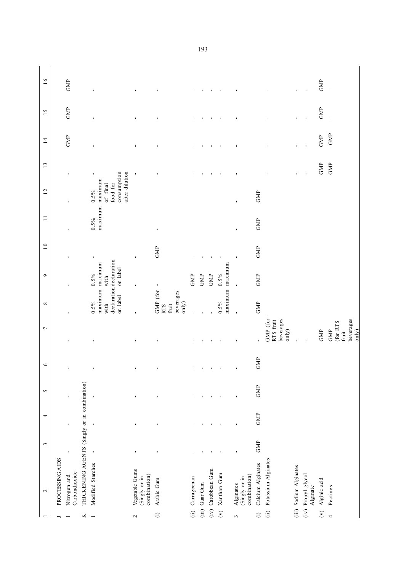|                      | $\sim$                                          | $\tilde{3}$    | 4            | $\sim$         | $\circ$        | $\overline{ }$                                 | $\infty$                                              | $\sigma$                                                                  | $\overline{10}$ | $\Box$         | 12                                                                               | 13             | $\overline{1}$ | 15                       | 16                       |
|----------------------|-------------------------------------------------|----------------|--------------|----------------|----------------|------------------------------------------------|-------------------------------------------------------|---------------------------------------------------------------------------|-----------------|----------------|----------------------------------------------------------------------------------|----------------|----------------|--------------------------|--------------------------|
|                      | PROCESSING AIDS                                 |                |              |                |                |                                                |                                                       |                                                                           |                 |                |                                                                                  |                |                |                          |                          |
|                      | Carbondioxide<br>Nitrogen and                   | $\blacksquare$ | $\mathbf{I}$ | $\blacksquare$ | $\blacksquare$ | $\blacksquare$                                 | $\blacksquare$                                        | $\blacksquare$                                                            | $\blacksquare$  | $\blacksquare$ | $\mathbf{I}$                                                                     | $\mathbf{I}$   | GMP            | GMP                      | GMP                      |
| ×                    | THICKENING AGENTS (Singly or in combination)    |                |              |                |                |                                                |                                                       |                                                                           |                 |                |                                                                                  |                |                |                          |                          |
|                      | Modified Starches                               | $\blacksquare$ | $\mathbf{I}$ | $\blacksquare$ | $\blacksquare$ | f,                                             | on label<br>0.5%<br>with                              | declaration declaration<br>maximum maximum<br>on label<br>$0.5\%$<br>with | $\blacksquare$  | $0.5\%$        | consumption<br>after dilution<br>maximum maximum<br>food for<br>of final<br>0.5% | $\blacksquare$ | ı              | ı                        | $\blacksquare$           |
| $\sim$               | Vegetable Gums<br>combination)<br>(Singly or in |                |              |                | $\blacksquare$ |                                                |                                                       | $\blacksquare$                                                            | $\blacksquare$  |                |                                                                                  | $\blacksquare$ | $\blacksquare$ | $\blacksquare$           |                          |
| $\widehat{\Xi}$      | Arabic Gum                                      |                |              |                | ı              |                                                | GMP (for<br>beverages<br>only)<br>fruit<br><b>RTS</b> | $\blacksquare$                                                            | GMP             | ı              |                                                                                  | ı              | $\blacksquare$ | ı                        | ı                        |
| (i)                  | Carrageenan                                     |                |              |                | $\blacksquare$ |                                                | $\mathbf{I}$                                          | GMP                                                                       |                 |                |                                                                                  |                | ı              | ı                        | ı                        |
| (iii)                | Guar Gum                                        |                |              |                | $\blacksquare$ |                                                |                                                       | GMP                                                                       |                 |                |                                                                                  |                | $\blacksquare$ | $\blacksquare$           |                          |
| (iv)                 | Carobbean Gum                                   | I.             |              |                | Ŧ,             | ٠                                              |                                                       | GMP                                                                       | f,              |                |                                                                                  | $\blacksquare$ | $\blacksquare$ | $\blacksquare$           | $\blacksquare$           |
| $\widehat{\epsilon}$ | Xanthan Gum                                     |                |              |                | $\mathbf{I}$   | $\blacksquare$                                 | 0.5%                                                  | maximum maximum<br>0.5%                                                   | $\blacksquare$  |                |                                                                                  | $\blacksquare$ | $\blacksquare$ | $\blacksquare$           | $\blacksquare$           |
| 3                    | combination)<br>(Singly or in<br>Alginates      |                | J.           |                | $\blacksquare$ | J.                                             | $\blacksquare$                                        | $\blacksquare$                                                            | $\mathbf{I}$    | $\blacksquare$ | $\mathbf{I}$                                                                     |                |                |                          |                          |
| $\odot$              | Calcium Alginates                               | GMP            | GMP          | GMP            | GMP            | ï                                              | <b>GMP</b>                                            | GMP                                                                       | GMP             | GMP            | GMP                                                                              |                |                |                          |                          |
| (i)                  | Potassium Alginates                             |                |              |                |                | GMP (for<br>beverages<br>RTS fruit<br>only)    |                                                       |                                                                           |                 |                |                                                                                  |                |                |                          |                          |
|                      | (iii) Sodium Alginates                          |                |              |                |                |                                                |                                                       |                                                                           |                 |                |                                                                                  | $\blacksquare$ | $\blacksquare$ | $\blacksquare$           | $\blacksquare$           |
|                      | (iv) Propyl glycol<br>Alginate                  |                |              |                |                |                                                |                                                       |                                                                           |                 |                |                                                                                  | $\blacksquare$ | $\mathbf{I}$   | $\blacksquare$           | $\mathbf{I}$             |
| $\hat{\epsilon}$     | Alginic acid                                    |                |              |                |                | GMP                                            |                                                       |                                                                           |                 |                |                                                                                  | GMP            | GMP            | GMP                      | GMP                      |
| 4                    | Pectines                                        |                |              |                |                | beverages<br>(for RTS<br>only)<br>fruit<br>GMP |                                                       |                                                                           |                 |                |                                                                                  | GMP            | -GMP           | $\overline{\phantom{a}}$ | $\overline{\phantom{a}}$ |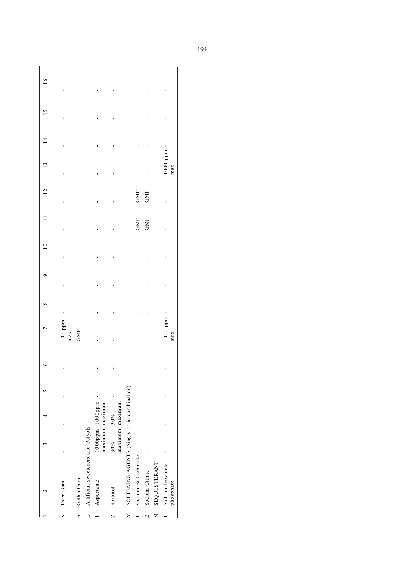|                 |                                               | 4                                | 6 |                              | $\infty$ | $\circ$ | $\overline{10}$ |     | 12  | 13                           | $\overline{4}$ | 15 | $\frac{6}{1}$ |
|-----------------|-----------------------------------------------|----------------------------------|---|------------------------------|----------|---------|-----------------|-----|-----|------------------------------|----------------|----|---------------|
|                 |                                               |                                  |   | $100$ ppm<br>max             |          |         |                 |     |     |                              |                |    |               |
|                 |                                               |                                  |   | GMP                          |          |         |                 |     |     |                              |                |    |               |
|                 | Artificial sweeteners and Polyols             |                                  |   |                              |          |         |                 |     |     |                              |                |    |               |
|                 |                                               | 1000pm 1000pm<br>maximum maximum | ı |                              |          |         |                 |     |     |                              |                |    |               |
|                 | 30%                                           | maximum maximum<br>30%           | , |                              |          |         |                 |     |     |                              |                |    |               |
|                 | M SOFTENING AGENTS (Singly or in combination) |                                  |   |                              |          |         |                 |     |     |                              |                |    |               |
|                 | Sodium Bi-Carbonate -                         |                                  |   |                              |          |         |                 | GMP | GMP |                              |                |    |               |
|                 |                                               |                                  |   |                              |          |         |                 | GMP | GMP |                              |                |    |               |
| SEQUESTERANT    |                                               |                                  |   |                              |          |         |                 |     |     |                              |                |    |               |
| Sodium hexameta |                                               |                                  |   | $1000~{\rm ppm}$ - $\rm max$ |          |         |                 |     |     | $1000~{\rm ppm}$ - $\rm max$ |                |    |               |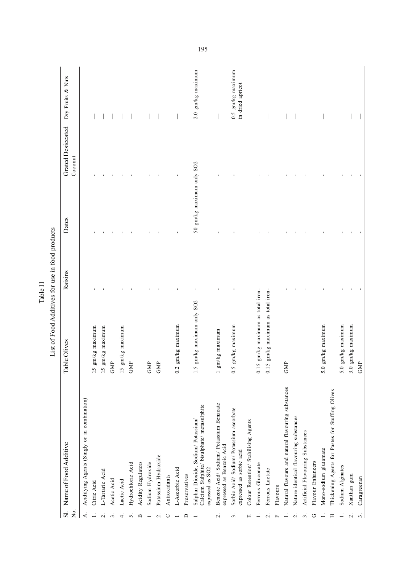|                         |                                                                                                      | List of Food Additives for use in food products                        |         |                           |                                     |                                         |
|-------------------------|------------------------------------------------------------------------------------------------------|------------------------------------------------------------------------|---------|---------------------------|-------------------------------------|-----------------------------------------|
| Σó.<br>S.               | Name of Food Additive                                                                                | Table Olives                                                           | Raisins | Dates                     | <b>Grated Desiccated</b><br>Coconut | Dry Fruits & Nuts                       |
| 4.                      | Acidifying Agents (Singly or in combination)                                                         |                                                                        |         |                           |                                     |                                         |
|                         | Citric Acid                                                                                          | gm/kg maximum<br>15                                                    |         |                           |                                     |                                         |
| $\overline{\mathbf{C}}$ | L-Tartaric Acid                                                                                      | gm/kg maximum<br>15                                                    |         |                           |                                     |                                         |
| 3                       | Acetic Acid                                                                                          | GMP                                                                    |         |                           |                                     |                                         |
| 4                       | Lactic Acid                                                                                          | gm/kg maximum<br>15                                                    |         |                           |                                     |                                         |
| 5.                      | Hydrochloric Acid                                                                                    | GMP                                                                    |         |                           |                                     |                                         |
| $\mathbf{u}$            | Acidity Regulators                                                                                   |                                                                        |         |                           |                                     |                                         |
|                         | Sodium Hydroxide                                                                                     | $\mathcal{S}^{\mathbb{N}}$                                             |         |                           |                                     |                                         |
| $\mathbf{\sim}$         | Potassium Hydroxide                                                                                  | GMP                                                                    |         |                           |                                     |                                         |
| O                       | Antioxidants                                                                                         |                                                                        |         |                           |                                     |                                         |
|                         | L-Ascorbic Acid                                                                                      | gm/kg maximum<br>0.2                                                   |         |                           |                                     |                                         |
| ≏                       | Preservatives                                                                                        |                                                                        |         |                           |                                     |                                         |
|                         | Calcium Sulphite/ bisulphate/ metasulphite<br>Sulphur Dioxide, Sodium/ Potassium/<br>expessed as SO2 | gm/kg maximum only SO2<br>1.5                                          |         | 50 gm/kg maximum only SO2 |                                     | $2.0$ gm/kg maximum                     |
| $\sim$                  | Benzoic Acid/ Sodium/ Potassium Benzoate<br>expressed as Benzoic Acid                                | gm/kg maximum                                                          |         |                           |                                     |                                         |
| $\ddot{\mathcal{E}}$    | Sorbic Acid/Sodium/Potassium ascorbate<br>expressed as sorbic acid                                   | gm/kg maximum<br>0.5                                                   |         |                           |                                     | $0.5$ gm/kg maximum<br>in dried apricot |
| $\Xi$                   | Colour Retention/ Stabilising Agents                                                                 |                                                                        |         |                           |                                     |                                         |
|                         | Ferrous Gluconate                                                                                    | 5 gm/kg maximum as total iron-<br>$\overline{\text{o}}$                |         |                           |                                     |                                         |
| $\overline{\mathbf{C}}$ | Ferrous Lactate                                                                                      | gm/kg maximum as total iron-<br>$\mathbf{\hat{z}}$<br>$\overline{0}$ . |         |                           |                                     |                                         |
| $\mathbf{L}$            | Flavours                                                                                             |                                                                        |         |                           |                                     |                                         |
|                         | Natural flavours and natural flavouring substances                                                   | GMP                                                                    |         |                           |                                     |                                         |
| $\overline{\alpha}$     | Nature identical flavouring substances                                                               |                                                                        |         |                           |                                     |                                         |
| $\epsilon$              | Artificial Flavouring Substances                                                                     |                                                                        |         |                           |                                     |                                         |
| ゥ                       | Flavour Enhancers                                                                                    |                                                                        |         |                           |                                     |                                         |
|                         | Mono-sodium glutamate                                                                                | gm/kg maximum<br>5.0                                                   |         |                           |                                     |                                         |
| Ξ                       | Thickening Agents for Pastes for Stuffing Olives                                                     |                                                                        |         |                           |                                     |                                         |
|                         | Sodium Alginates                                                                                     | gm/kg maximum<br>5.0                                                   |         |                           |                                     |                                         |
| $\sim$                  | Xanthan gum                                                                                          | gm/kg maximum<br>3.0                                                   |         |                           |                                     |                                         |
| $\ddot{\mathcal{S}}$    | Caragreenan                                                                                          | GMP                                                                    |         |                           |                                     |                                         |

Table 11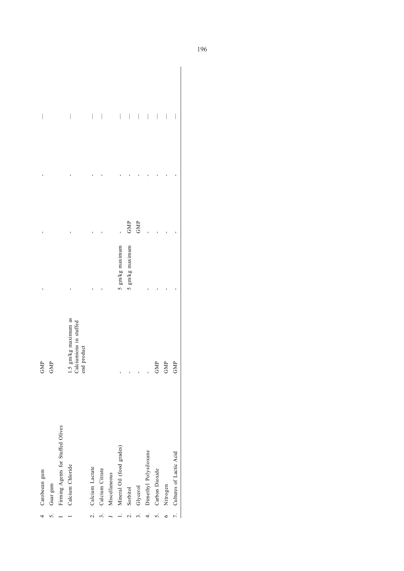| $\frac{4}{1}$    | Carobeean gum                     | GMP                                                           |                 |     |                                                                                                                                                                                                                                                                                                                                                                                  |
|------------------|-----------------------------------|---------------------------------------------------------------|-----------------|-----|----------------------------------------------------------------------------------------------------------------------------------------------------------------------------------------------------------------------------------------------------------------------------------------------------------------------------------------------------------------------------------|
| $\overline{5}$ . | Guar gum                          | GMP                                                           |                 |     |                                                                                                                                                                                                                                                                                                                                                                                  |
|                  | Firming Agents for Stuffed Olives |                                                               |                 |     |                                                                                                                                                                                                                                                                                                                                                                                  |
|                  | Calcium Chloride                  | 1.5 gm/kg maximum as<br>Calciumions in stuffed<br>end product |                 |     | $\overline{\phantom{a}}$                                                                                                                                                                                                                                                                                                                                                         |
| $\overline{c}$ . | Calcium Lactate                   |                                                               |                 |     | $\bigg $                                                                                                                                                                                                                                                                                                                                                                         |
| $\ddot{\cdot}$   | Calcium Citrate                   |                                                               |                 |     | $\overline{\phantom{a}}$                                                                                                                                                                                                                                                                                                                                                         |
|                  | Miscellaneous                     |                                                               |                 |     |                                                                                                                                                                                                                                                                                                                                                                                  |
| $\overline{a}$   | Mineral Oil (food grades)         |                                                               | 5 gm/kg maximum |     | $\begin{array}{c} \rule{0pt}{2.5ex} \rule{0pt}{2.5ex} \rule{0pt}{2.5ex} \rule{0pt}{2.5ex} \rule{0pt}{2.5ex} \rule{0pt}{2.5ex} \rule{0pt}{2.5ex} \rule{0pt}{2.5ex} \rule{0pt}{2.5ex} \rule{0pt}{2.5ex} \rule{0pt}{2.5ex} \rule{0pt}{2.5ex} \rule{0pt}{2.5ex} \rule{0pt}{2.5ex} \rule{0pt}{2.5ex} \rule{0pt}{2.5ex} \rule{0pt}{2.5ex} \rule{0pt}{2.5ex} \rule{0pt}{2.5ex} \rule{0$ |
| $\overline{c}$   | Sorbitol                          |                                                               | 5 gm/kg maximum | GMP | $\vert$                                                                                                                                                                                                                                                                                                                                                                          |
| $\ddot{3}$       | Glycerol                          |                                                               |                 | GMP | $\begin{array}{c} \begin{array}{c} \end{array} \end{array}$                                                                                                                                                                                                                                                                                                                      |
| $\ddot{ }$       | Dimethyl Polysiloxane             |                                                               |                 |     | $\bigg $                                                                                                                                                                                                                                                                                                                                                                         |
| 5.               | Carbon Dioxide                    | GMP                                                           |                 |     | $\bigg $                                                                                                                                                                                                                                                                                                                                                                         |
| $\circ$          | Nitrogen                          | GMP                                                           |                 |     | $\overline{\phantom{a}}$                                                                                                                                                                                                                                                                                                                                                         |
| $\overline{7}$ . | Cultures of Lactic Acid           | GMP                                                           |                 |     | $\overline{\phantom{a}}$                                                                                                                                                                                                                                                                                                                                                         |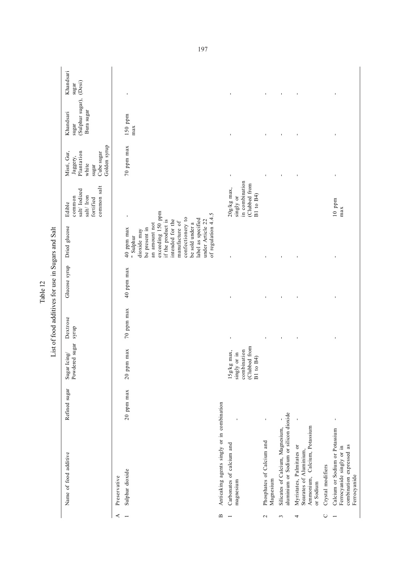|                                           | Name of food additive                                                                                   | Refined sugar   | Sugar Icing/<br>Powdered sugar                                           | Dextrose<br>syrup | Glucose syrup  | Dried glucose                                                                                                                                                                                                                                                    | common salt<br>salt/Iodized<br>salt/Iron<br>common<br>fortified<br>Edible  | Golden syrup<br>Cube sugar<br>Plantation<br>Misri, Gur,<br>Jaggery,<br>white<br>sugar | (Sulphur sugar),<br>Bura sugar<br>Khandsari<br>sugar | Khandsari<br>(Desi)<br>sugar |
|-------------------------------------------|---------------------------------------------------------------------------------------------------------|-----------------|--------------------------------------------------------------------------|-------------------|----------------|------------------------------------------------------------------------------------------------------------------------------------------------------------------------------------------------------------------------------------------------------------------|----------------------------------------------------------------------------|---------------------------------------------------------------------------------------|------------------------------------------------------|------------------------------|
| ≺                                         | Preservative                                                                                            |                 |                                                                          |                   |                |                                                                                                                                                                                                                                                                  |                                                                            |                                                                                       |                                                      |                              |
|                                           | Sulphur dioxide                                                                                         | $20$ ppm $\max$ | $20$ ppm max                                                             | $70$ ppm $\max$   | 40 ppm max     | exceeding 150 ppm<br>of regulation 4.4.5<br>confectionery to<br>label as specified<br>if the product is<br>intended for the<br>under Article 22<br>manufacture of<br>an amount not<br>be sold under a<br>be present in<br>40 ppm max<br>dioxide may<br>" Sulphur |                                                                            | $70$ ppm max                                                                          | $150$ ppm<br>max                                     | $\blacksquare$               |
| $\mathbf{\underline{\underline{\alpha}}}$ | Anticaking agents singly or in combination                                                              |                 |                                                                          |                   |                |                                                                                                                                                                                                                                                                  |                                                                            |                                                                                       |                                                      |                              |
|                                           | Carbonates of calcium and<br>magnesium                                                                  |                 | (Clubbed from<br>combination<br>15g/kg max,<br>singly or in<br>B1 to B4) | ı                 | ı              | ı                                                                                                                                                                                                                                                                | in combination<br>(Clubbed from<br>$20g/kg$ max,<br>B1 to B4)<br>singly or | $\blacksquare$                                                                        | $\blacksquare$                                       | $\mathbf{I}$                 |
| $\sim$                                    | Phosphates of Calcium and<br>Magnesium                                                                  |                 |                                                                          |                   |                |                                                                                                                                                                                                                                                                  |                                                                            |                                                                                       | $\blacksquare$                                       | $\blacksquare$               |
| $\mathfrak{c}$                            | aluminium or Sodium or silicon dioxide<br>Silicates of Calcium, Magnesium,                              |                 |                                                                          | $\blacksquare$    | $\blacksquare$ | J,                                                                                                                                                                                                                                                               |                                                                            | $\blacksquare$                                                                        | $\blacksquare$                                       | $\blacksquare$               |
| 4                                         | Calcium, Potassium<br>Myristates, Palmitates or<br>Stearates of Aluminium,<br>Ammonium,<br>or Sodium    | $\blacksquare$  |                                                                          | ı                 | ı              | J,                                                                                                                                                                                                                                                               |                                                                            | $\blacksquare$                                                                        | $\blacksquare$                                       | $\blacksquare$               |
| $\cup$                                    | Crystal modifiers                                                                                       |                 |                                                                          |                   |                |                                                                                                                                                                                                                                                                  |                                                                            |                                                                                       |                                                      |                              |
|                                           | Calcium or Sodium or Potassium<br>combination expressed as<br>Ferrocyanide singly or in<br>Ferrocyanide | J,              |                                                                          |                   |                |                                                                                                                                                                                                                                                                  | $10$ ppm<br>max                                                            |                                                                                       |                                                      |                              |

List of food additives for use in Sugars and Salt List of food additives for use in Sugars and Salt Table 12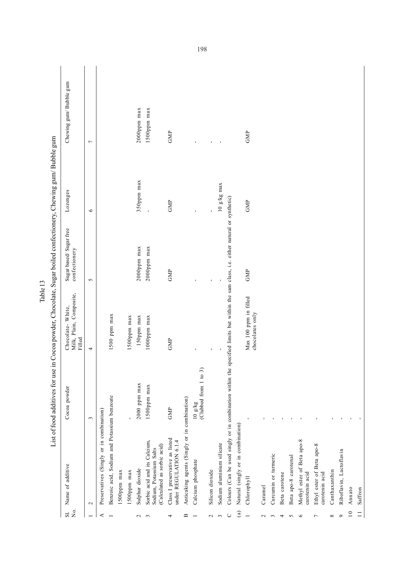|                         |                                                                                        |                                    | List of food additives for use in Cocoa powder, Chocolate, Sugar boiled confectionery, Chewing gum/ Bubble gum |                                         |                       |                        |
|-------------------------|----------------------------------------------------------------------------------------|------------------------------------|----------------------------------------------------------------------------------------------------------------|-----------------------------------------|-----------------------|------------------------|
| $\overline{R}$<br>$\Xi$ | Name of additive                                                                       | Cocoa powder                       | Milk, Plain, Composite,<br>Chocolate-White,<br>Filled                                                          | Sugar based/Sugar free<br>confectionery | Lozenges              | Chewing gum/Bubble gum |
|                         | $\mathbf{\sim}$                                                                        | $\mathfrak{g}$                     | 4                                                                                                              | $\sim$                                  | $\bullet$             | $\overline{ }$         |
| ⋖                       | Preservatives (Singly or in combination)                                               |                                    |                                                                                                                |                                         |                       |                        |
|                         | Benzoic acid, Sodium and Potassium benzoate                                            |                                    | 1500 ppm max                                                                                                   |                                         |                       |                        |
|                         | 1500ppm max                                                                            |                                    |                                                                                                                |                                         |                       |                        |
|                         | 1500ppm max                                                                            |                                    | 1500ppm max                                                                                                    |                                         |                       |                        |
| $\mathbf{c}$            | Sulphur dioxide                                                                        | $2000$ ppm max                     | 150ppm max                                                                                                     | $2000$ ppm max                          | 350ppm max            | $2000$ ppm max         |
| 3                       | Sorbic acid and its Calcium,<br>(Calculated as sorbic acid)<br>Sodium, Potassium Salts | 1500ppm max                        | $1000$ ppm max                                                                                                 | $2000$ ppm max                          |                       | 1500ppm max            |
| 4                       | Class I preservative as listed<br>under REGULATION 6.1.4                               | GMP                                | GMP                                                                                                            | GMP                                     | GMP                   | GMP                    |
| ≃                       | Anticaking agents (Singly or in combination)                                           |                                    |                                                                                                                |                                         |                       |                        |
|                         | Calcium phosphate                                                                      | 10 $g/kg$<br>(Clubbed from 1 to 3) | ı                                                                                                              |                                         | J,                    | f,                     |
| $\sim$                  | Silicon dioxide                                                                        |                                    | $\blacksquare$                                                                                                 | J,                                      | $\blacksquare$        | $\blacksquare$         |
| 3                       | Sodium aluminium silicate                                                              |                                    |                                                                                                                |                                         | $10 \text{ g/kg}$ max | $\blacksquare$         |
| $\cup$                  | Colours (Can be used singly or in combination within the                               |                                    | specified limits but within the sam class, i.e. either natural or synthetic)                                   |                                         |                       |                        |
| $\binom{a}{b}$          | Natural (singly or in combination)                                                     |                                    |                                                                                                                |                                         |                       |                        |
|                         | Chlorophyll                                                                            |                                    | Max 100 ppm in filled<br>chocolates only                                                                       | GMP                                     | GMP                   | GMP                    |
| $\mathbf 2$             | Caramel                                                                                |                                    |                                                                                                                |                                         |                       |                        |
| $\epsilon$              | Curcumin or turmeric                                                                   |                                    |                                                                                                                |                                         |                       |                        |
| 4                       | Beta carotene                                                                          |                                    |                                                                                                                |                                         |                       |                        |
| S                       | Beta apo-8 carotenal                                                                   |                                    |                                                                                                                |                                         |                       |                        |
| $\circ$                 | Methyl ester of Beta apo-8<br>carotenin acid                                           |                                    |                                                                                                                |                                         |                       |                        |
| $\overline{ }$          | Ethyl ester of Beta apo-8<br>carotenin acid                                            |                                    |                                                                                                                |                                         |                       |                        |
| $\infty$                | Canthaxanthin                                                                          |                                    |                                                                                                                |                                         |                       |                        |
| $\circ$                 | Riboflavin, Lactoflavin                                                                |                                    |                                                                                                                |                                         |                       |                        |
| $\overline{a}$          | Annato                                                                                 |                                    |                                                                                                                |                                         |                       |                        |
|                         | Saffron                                                                                |                                    |                                                                                                                |                                         |                       |                        |

Table 13  $\frac{1}{2}$  $\ddot{\phantom{a}}$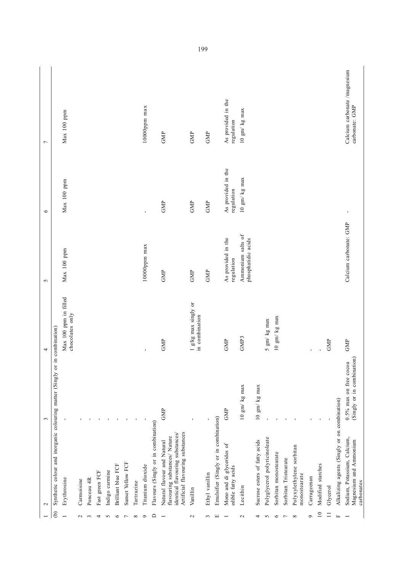|                 | $\mathbf 2$                                                                                                                          | 3                                                       | 4                                        | $\sigma$                                | $\circ$                          | $\overline{ }$                                 |
|-----------------|--------------------------------------------------------------------------------------------------------------------------------------|---------------------------------------------------------|------------------------------------------|-----------------------------------------|----------------------------------|------------------------------------------------|
| $\widehat{e}$   | Synthetic colour and inorganic colouring matter (Singly or in combination)                                                           |                                                         |                                          |                                         |                                  |                                                |
|                 | Erythrosine                                                                                                                          |                                                         | Max 100 ppm in filled<br>chocolates only | Max 100 ppm                             | Max 100 ppm                      | Max 100 ppm                                    |
| $\mathbf{\sim}$ | Carmoisine                                                                                                                           |                                                         |                                          |                                         |                                  |                                                |
| $\sim$          | Ponceau 4R                                                                                                                           |                                                         |                                          |                                         |                                  |                                                |
| 4               | Fast green FCF                                                                                                                       |                                                         |                                          |                                         |                                  |                                                |
| $\sim$          | Indigo carmine                                                                                                                       |                                                         |                                          |                                         |                                  |                                                |
| $\circ$         | Brilliant blue FCF                                                                                                                   |                                                         |                                          |                                         |                                  |                                                |
| ∼               | Sunset Yellow FCF                                                                                                                    |                                                         |                                          |                                         |                                  |                                                |
| ${}^{\circ}$    | Tartrazine                                                                                                                           |                                                         |                                          |                                         |                                  |                                                |
| Ó               | Titanium dioxide                                                                                                                     |                                                         | $\blacksquare$                           | 10000ppm max                            | $\blacksquare$                   | $10000$ ppm max                                |
| $\Box$          | Flavours (Singly or in combination)                                                                                                  |                                                         |                                          |                                         |                                  |                                                |
|                 | Artificial flavouring substances<br>identical flavouring substances/<br>flavouring substances/ Nature<br>Natural flavour and Natural | GMP                                                     | GMP                                      | GMP                                     | GMP                              | GMP                                            |
| $\mathbf{c}$    | Vanillin                                                                                                                             |                                                         | 1 g/kg max singly or<br>in combination   | GMP                                     | GMP                              | GMP                                            |
| 3               | Ethyl vanillin                                                                                                                       |                                                         |                                          | GMP                                     | GMP                              | GMP                                            |
| Щ               | Emulsifier (Singly or in combination)                                                                                                |                                                         |                                          |                                         |                                  |                                                |
|                 | Mono and di glycerides of<br>edible fatty acids                                                                                      | GMP                                                     | GMP                                      | As provided in the<br>regulation        | As provided in the<br>regulation | As provided in the<br>regulation               |
| $\mathbf 2$     | Lecithin                                                                                                                             | 10 gm/kg max                                            | GMP3                                     | Ammonium salts of<br>phosphatidic acids | 10 gm/kg max                     | 10 gm/kg max                                   |
| 4               | Sucrose esters of fatty acids                                                                                                        | 10 gm/ kg max                                           |                                          |                                         |                                  |                                                |
| S               | Polyglycerol polyricinoleate                                                                                                         |                                                         | 5 gm/kg max                              |                                         |                                  |                                                |
| ৩               | Sorbitan monostearate                                                                                                                |                                                         | 10 gm/kg max                             |                                         |                                  |                                                |
|                 | Sorbitan Tristearate                                                                                                                 |                                                         |                                          |                                         |                                  |                                                |
| ${}^{\circ}$    | Polyxylethylene sorbitan<br>monostearate                                                                                             |                                                         |                                          |                                         |                                  |                                                |
| ó               | Carrageenan                                                                                                                          |                                                         | $\mathbf{r}$                             |                                         |                                  |                                                |
| $\overline{10}$ | Modified starches                                                                                                                    |                                                         |                                          |                                         |                                  |                                                |
|                 | Glycerol                                                                                                                             |                                                         | GMP                                      |                                         |                                  |                                                |
|                 | Alkalizing agents (Singly or on combination)                                                                                         |                                                         |                                          |                                         |                                  |                                                |
|                 | Sodium, Potassium, Calcium,<br>Magnesium and Ammonium<br>carbonates                                                                  | (Singly or in combination)<br>$0.5\%$ max on free cocoa | GMP                                      | Calcium carbonate: GMP                  | $\blacksquare$                   | Calcium carbonate /magnesium<br>carbonate: GMP |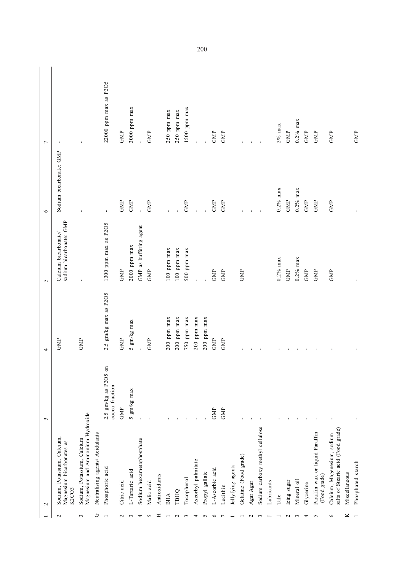|                 | $\mathbf{\sim}$                                                   | $\mathfrak{g}$                         | 4                     | $\sim$                                          | $\circ$                 | $\overline{ }$        |
|-----------------|-------------------------------------------------------------------|----------------------------------------|-----------------------|-------------------------------------------------|-------------------------|-----------------------|
| $\mathbf{\sim}$ | Sodium, Potassium, Calcium,<br>Magnesium bicarbonates as<br>K2CO3 |                                        | GMP                   | sodium bicarbonate: GMP<br>Calcium bicarbonate/ | Sodium bicarbonate: GMP | $\blacksquare$        |
| 3               | Magnesium and Ammonium Hydroxide<br>Sodium, Potassium, Calcium    |                                        | GMP                   |                                                 |                         |                       |
| ن               | Neutralising agents/ Acidulants                                   |                                        |                       |                                                 |                         |                       |
|                 | Phosphoric acid                                                   | 2.5 gm/kg as P2O5 on<br>cocoa fraction | 2.5 gm/kg max as P2O5 | 1300 ppm max as P2O5                            | $\mathbf{I}$            | 22000 ppm max as P2O5 |
| $\sim$          | Citric acid                                                       | GMP                                    | GMP                   | GMP                                             | GMP                     | GMP                   |
| 3               | L-Tartaric acid                                                   | 5 gm/kg max                            | 5 gm/kg max           | $2000$ ppm max                                  | GMP                     | $3000$ ppm max        |
| 4               | Sodium hexametaphosphate                                          | $\mathbf{I}$                           |                       | GMP as buffering agent                          |                         |                       |
| 5               | Malic acid                                                        |                                        | GMP                   | GMP                                             | GMP                     | GMP                   |
| Ξ               | Antioxidants                                                      |                                        |                       |                                                 |                         |                       |
|                 | BHA                                                               |                                        | $200$ ppm max         | $100$ ppm max                                   |                         | 250 ppm max           |
| $\mathbf{\sim}$ | ТВНО                                                              |                                        | $200$ ppm max         | $100$ ppm max                                   |                         | $250$ ppm max         |
|                 | Tocopherol                                                        |                                        | 750 ppm $max$         | 500 ppm max                                     | GMP                     | $1500$ ppm max        |
| 4               | Ascorbyl palmitate                                                | $\mathbf{I}$                           | $200$ ppm max         |                                                 |                         |                       |
| 5               | Propyl gallate                                                    |                                        | $200$ ppm max         |                                                 |                         |                       |
| ∘               | L-Ascorbic acid                                                   | GMP                                    | GMP                   | GMP                                             | ${\rm GMP}$             | GMP                   |
|                 | Lecithin                                                          | GMP                                    | GMP                   | GMP                                             | GMP                     | GMP                   |
|                 | Jellyfying agents                                                 |                                        |                       |                                                 |                         |                       |
|                 | Gelatine (Food grade)                                             |                                        | f,                    | GMP                                             |                         |                       |
| $\sim$          | Agar Agar                                                         |                                        | $\mathbf{I}$          |                                                 |                         |                       |
| $\sim$          | Sodium carboxy methyl cellulose                                   |                                        | $\blacksquare$        |                                                 | $\mathbf{I}$            |                       |
|                 | Lubricants                                                        |                                        |                       |                                                 |                         |                       |
|                 | Talc                                                              |                                        | $\blacksquare$        | $0.2\%$ max                                     | $0.2\%$ max             | $2\%$ max             |
| $\sim$          | Icing sugar                                                       |                                        | $\mathbf{I}$          | GMP                                             | GMP                     | ${\rm GMP}$           |
| 3               | Mineral oil                                                       |                                        | $\blacksquare$        | $0.2\%$ max                                     | $0.2\%$ max             | $0.2\%$ max           |
| 4               | Glycerine                                                         |                                        | $\blacksquare$        | GMP                                             | GMP                     | GMP                   |
| 5               | Paraffin wax or liquid Paraffin<br>(Food grade)                   |                                        | $\blacksquare$        | GMP                                             | GMP                     | GMP                   |
| 6               | salts of Stearic acid (Food grade)<br>Calcium, Magenesium, sodium |                                        |                       | GMP                                             | GMP                     | GMP                   |
| ⊻               | Miscellaneous                                                     |                                        |                       |                                                 |                         |                       |
|                 | Phosphated starch                                                 |                                        |                       | $\mathbf{r}$                                    |                         | GMP                   |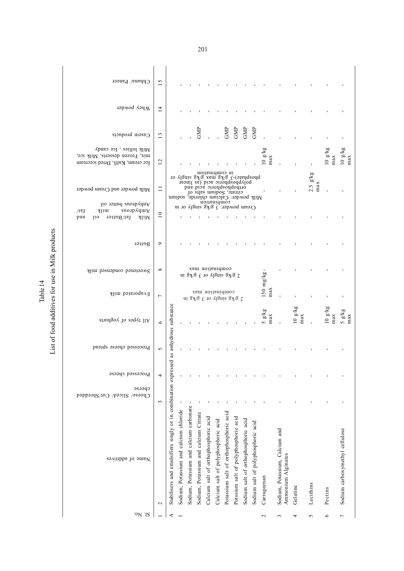| able 14 | product<br>t of food additives for use in Milk |
|---------|------------------------------------------------|
|---------|------------------------------------------------|

| Chhana/ Paneer                                                                                 | 15              |                                                                |                                        |                                         |                                       |                                                                                                                                                                                                                                                      |                                     |                                        |                                      |                                     |                                    |                |                                                      |                |                   |                |                                |
|------------------------------------------------------------------------------------------------|-----------------|----------------------------------------------------------------|----------------------------------------|-----------------------------------------|---------------------------------------|------------------------------------------------------------------------------------------------------------------------------------------------------------------------------------------------------------------------------------------------------|-------------------------------------|----------------------------------------|--------------------------------------|-------------------------------------|------------------------------------|----------------|------------------------------------------------------|----------------|-------------------|----------------|--------------------------------|
| Whey powder                                                                                    | $\overline{1}$  |                                                                |                                        |                                         |                                       |                                                                                                                                                                                                                                                      |                                     |                                        |                                      |                                     |                                    |                |                                                      |                |                   |                |                                |
| Casein products                                                                                | 13              |                                                                |                                        |                                         | GMP                                   |                                                                                                                                                                                                                                                      |                                     | GMP                                    | GMP                                  | GMP                                 | GMP                                |                |                                                      |                |                   |                |                                |
| Milk lollies, Ice candy<br>mix, Frozen desserts, Milk ice,<br>lce cream, Kulfi, Dried icecream | 12              |                                                                |                                        |                                         |                                       |                                                                                                                                                                                                                                                      |                                     |                                        |                                      |                                     |                                    | 10 g/kg<br>max |                                                      |                |                   | 10 g/kg<br>max | $10~{\rm g/kg}$ max            |
| Milk powder and Cream powder<br>Anhydrous butter oil                                           | $\Box$          |                                                                |                                        |                                         |                                       | noithnidmoo ni<br>phosphafe)-3 g/kg nax g/kg sugly or<br>polyphosphoric acid (as linear<br>orthophosphoric acid and<br>citrate, Sodium salts of<br>Milk powder: Calcium chloride, sodium<br>compination<br>Cream powder: $3.8 \times 10^{-10}$ or in |                                     |                                        |                                      |                                     |                                    |                |                                                      |                | $2.5$ g/kg<br>max |                |                                |
| snoipAquuy<br><b>N</b> lim<br>/1ej<br>pue<br>fat/Butter<br>110<br>Milk                         | $\overline{10}$ |                                                                |                                        |                                         |                                       |                                                                                                                                                                                                                                                      |                                     |                                        |                                      |                                     |                                    |                |                                                      |                |                   |                |                                |
| Butter                                                                                         | $\circ$         |                                                                |                                        |                                         |                                       |                                                                                                                                                                                                                                                      |                                     |                                        |                                      |                                     |                                    |                |                                                      |                |                   |                |                                |
| Sweetened condensed milk                                                                       | $^{\circ}$      |                                                                |                                        |                                         |                                       | compination max<br>2 g/kg singly or 3 g/kg in                                                                                                                                                                                                        |                                     |                                        |                                      |                                     |                                    | 150 mg/kg-     |                                                      |                |                   |                |                                |
| Evaporated milk                                                                                | $\overline{ }$  |                                                                |                                        |                                         |                                       | combination max<br>2 g/kg singly or 3 g/kg in                                                                                                                                                                                                        |                                     |                                        |                                      |                                     |                                    | max            |                                                      |                |                   |                |                                |
| All types of youghnits                                                                         | $\circ$         | as anhydrous substance                                         |                                        |                                         |                                       |                                                                                                                                                                                                                                                      |                                     |                                        |                                      |                                     |                                    | 5 g/kg<br>max  |                                                      | 10 g/kg<br>max |                   | 10 g/kg<br>max | $\frac{5 \text{ g/kg}}{max}$   |
| Processeq cheese spread                                                                        | $\sigma$        |                                                                |                                        |                                         |                                       |                                                                                                                                                                                                                                                      |                                     |                                        |                                      |                                     |                                    |                |                                                      |                |                   |                |                                |
| Processeq cheese                                                                               | 4               |                                                                |                                        |                                         |                                       |                                                                                                                                                                                                                                                      |                                     |                                        |                                      |                                     |                                    |                |                                                      |                |                   |                |                                |
| cpeese<br>Cheese/ Sliced/ Cut/Shredded                                                         | 3               |                                                                |                                        |                                         |                                       |                                                                                                                                                                                                                                                      |                                     |                                        |                                      |                                     |                                    |                |                                                      |                |                   |                |                                |
| Name of additives                                                                              | $\mathbf{\sim}$ | Stabilisers and emulsifiers singly or in combination expressed | Sodium, Potassium and calcium chloride | Sodium, Potassium and calcium carbonate | Sodium, Potassium and calcium Citrate | Calcium salt of orthophosphoric acid                                                                                                                                                                                                                 | Calcium salt of polyphosphoric acid | Potassium salt of orthophosphoric acid | Potssium salt of polyphosphoric acid | Sodium salt of orthophosphoric acid | Sodium salt of polyphosphoric acid | Carrageenan    | Sodium, Potassium, Calcium and<br>Ammonium Alginates | Gelatine       | Lecithins         | Pectins        | Sodium carboxymethyl cellulose |
| ON IS                                                                                          |                 |                                                                |                                        |                                         |                                       |                                                                                                                                                                                                                                                      |                                     |                                        |                                      |                                     |                                    |                | $\sim$                                               |                |                   | ৩              |                                |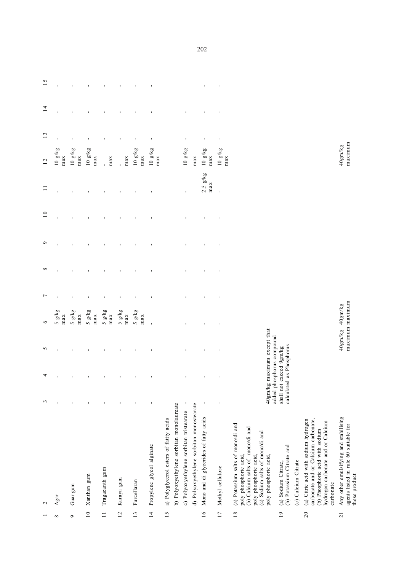| Agar<br>$\mathbf{\sim}$<br>${}^{\circ}$ |                                                                                                                                                                                                                                                                                                                                                                                                                                     |                                                                                                          |        |                |                            |                |              |         |                 |                     |                        |                |                |                |
|-----------------------------------------|-------------------------------------------------------------------------------------------------------------------------------------------------------------------------------------------------------------------------------------------------------------------------------------------------------------------------------------------------------------------------------------------------------------------------------------|----------------------------------------------------------------------------------------------------------|--------|----------------|----------------------------|----------------|--------------|---------|-----------------|---------------------|------------------------|----------------|----------------|----------------|
|                                         |                                                                                                                                                                                                                                                                                                                                                                                                                                     | $\mathfrak{c}$                                                                                           | 4      | $\sim$         | $\circ$                    | $\overline{ }$ | ${}^{\circ}$ | $\circ$ | $\overline{10}$ | $\equiv$            | 12                     | 13             | $\overline{1}$ | 15             |
|                                         |                                                                                                                                                                                                                                                                                                                                                                                                                                     | J.                                                                                                       |        |                | 5 g/kg<br>max              |                |              |         |                 |                     | $10\,$ g/kg<br>max     |                |                |                |
| $\sigma$                                | Guar gum                                                                                                                                                                                                                                                                                                                                                                                                                            |                                                                                                          |        |                | 5 g/kg<br>max              |                |              |         |                 |                     | 10g/kg<br>max          |                |                |                |
| $\overline{10}$                         | Xanthan gum                                                                                                                                                                                                                                                                                                                                                                                                                         |                                                                                                          |        |                | 5 g/kg<br>max              |                |              |         |                 |                     | $10~{\rm g/kg}$<br>max |                |                |                |
| $\equiv$                                | Tragacanth gum                                                                                                                                                                                                                                                                                                                                                                                                                      |                                                                                                          |        | $\blacksquare$ | 5 g/kg<br>max              | ı              |              |         |                 |                     | max                    |                |                |                |
| 12                                      | Karaya gum                                                                                                                                                                                                                                                                                                                                                                                                                          |                                                                                                          |        | $\blacksquare$ | 5 g/kg<br>max              | $\blacksquare$ |              |         |                 |                     | max                    |                |                |                |
| 13                                      | Furcellaran                                                                                                                                                                                                                                                                                                                                                                                                                         |                                                                                                          |        | J,             | 5 g/kg<br>max              |                |              |         |                 |                     | $10~{\rm g/kg}$<br>max | $\blacksquare$ |                |                |
| $\frac{4}{3}$                           | Propylene glycol alginate                                                                                                                                                                                                                                                                                                                                                                                                           |                                                                                                          |        | J,             | $\mathbf{I}$               |                |              |         |                 |                     | $10~{\rm g/kg}$<br>max | $\blacksquare$ |                |                |
| 15                                      | b) Polyoxyethylene sorbitan monolaureate<br>a) Polyglycerol esters of fattty acids                                                                                                                                                                                                                                                                                                                                                  |                                                                                                          |        |                |                            |                |              |         |                 |                     |                        |                |                |                |
|                                         | c) Polyoxyethylene sorbitan tristearate                                                                                                                                                                                                                                                                                                                                                                                             | $\blacksquare$                                                                                           |        | $\blacksquare$ |                            |                |              |         |                 | $\blacksquare$      | 10 g/kg                | $\blacksquare$ |                |                |
|                                         | d) Polyoxyethylene sorbitan monostearate                                                                                                                                                                                                                                                                                                                                                                                            |                                                                                                          |        |                |                            |                |              |         |                 |                     | $_{max}$               |                |                |                |
| 16                                      | Mono and di glycerides of fatty acids                                                                                                                                                                                                                                                                                                                                                                                               | $\mathbf I$                                                                                              |        | $\blacksquare$ |                            |                |              |         |                 | $2.5$ $g/kg$<br>max | 10 g/kg<br>max         | $\mathbf I$    |                |                |
| 17                                      | Methyl cellulose                                                                                                                                                                                                                                                                                                                                                                                                                    |                                                                                                          |        | $\blacksquare$ |                            |                |              |         |                 | ı                   | 10 g/kg<br>max         | $\blacksquare$ |                | $\blacksquare$ |
| 20<br>18<br>$\overline{19}$             | (a) Citric acid with sodium hydrogen<br>carbonate and or Calcium carbonate,<br>hydrogen carbonate and or Calcium<br>(a) Potassium salts of mono/di and<br>(b) Calcium salts of mono/di and<br>(b) Phosphoric acid with sodium<br>(c) Sodium salts of mono/di and<br>(b) Potassium Citrate and<br>poly phosphoric acid,<br>poly phosphoric acid,<br>poly phosphoric acid,<br>(c) Calcium Citrate<br>(a) Sodium Citrate,<br>carbonate | 40gm/kg maximum except that<br>added phosphorus compound<br>calculated as Phosphorus<br>shall not exceed | 9gm/kg |                |                            |                |              |         |                 |                     |                        |                |                |                |
| $\overline{21}$                         | Any other emulsifying and stabilising<br>agents listed in rule 60 suitable for<br>these product                                                                                                                                                                                                                                                                                                                                     |                                                                                                          |        | 40gm/kg        | maximum maximum<br>40gm/kg |                |              |         |                 |                     | maximum<br>40gm/kg     |                |                |                |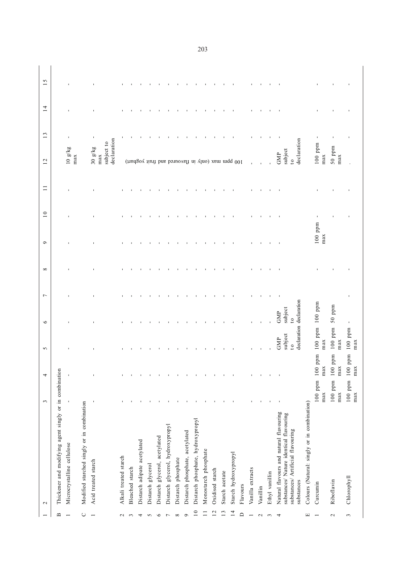| declaration declaration<br>GMP<br>$\overline{c}$<br>$100$ ppm<br>$100$ ppm<br>subject<br>GMP<br>max<br>max<br>$\overline{c}$<br>ppm<br>ppm<br>max<br>max<br>Thickener and modifying agent singly or in combination<br>100<br>100<br>$\blacksquare$<br>$\blacksquare$<br>$100~{\rm ppm}$<br>$100$ ppm<br>max<br>max<br>$\blacksquare$<br>Modified starched singly or in combination<br>Colours (Natural: singly or in combination)<br>Natural flavours and natural flavouring<br>substances/ Nature identical flavouring<br>Distarch phosphate, hydroxypropyl<br>Distarch glycerol, hydroxypropyl<br>substances/ Artificial flavouring<br>Distarch phosphate, acetylated<br>Distarch glycerol, acetylated<br>Distarch adipate acetylated<br>Microcrystalline cellulose<br>Monostarch phosphate<br>Starch hydroxypropyl<br>Alkali treated starch<br>Distarch phosphate<br>Acid treated starch<br>Distarch glycerol<br>Bleached starch<br>Vanilla extracts<br>Oxidised starch<br>Starch acetate<br>Ethyl vanillin<br>substances<br>Riboflavin<br>Curcumin<br>Flavours<br>Vanillin<br>$\mathbf{C}$<br>$\overline{14}$<br>$\overline{10}$<br>12<br>13<br>$\Xi$<br>$\Box$<br>$\cup$<br>$\mathbf{\Omega}$<br>щ<br>$\circ$<br>$\infty$<br>$\circ$<br>$\sim$<br>4<br>5<br>$\overline{ }$<br>$\overline{ }$<br>$\sim$<br>4<br>$\mathbf{\sim}$<br>$\overline{\phantom{0}}$<br>3<br>$\sim$<br>$\overline{\phantom{0}}$ | $\mathfrak{c}$ | $\overline{4}$ | $\sim$    | $\circ$   | $\infty$<br>$\overline{ }$ | $\circ$ | $\overline{10}$ | $\Box$ | 12                                                                                      |                | 14 | $\sim$<br>$\overline{\phantom{0}}$ |
|------------------------------------------------------------------------------------------------------------------------------------------------------------------------------------------------------------------------------------------------------------------------------------------------------------------------------------------------------------------------------------------------------------------------------------------------------------------------------------------------------------------------------------------------------------------------------------------------------------------------------------------------------------------------------------------------------------------------------------------------------------------------------------------------------------------------------------------------------------------------------------------------------------------------------------------------------------------------------------------------------------------------------------------------------------------------------------------------------------------------------------------------------------------------------------------------------------------------------------------------------------------------------------------------------------------------------------------------------------------------------------------------------------|----------------|----------------|-----------|-----------|----------------------------|---------|-----------------|--------|-----------------------------------------------------------------------------------------|----------------|----|------------------------------------|
|                                                                                                                                                                                                                                                                                                                                                                                                                                                                                                                                                                                                                                                                                                                                                                                                                                                                                                                                                                                                                                                                                                                                                                                                                                                                                                                                                                                                            |                |                |           |           |                            |         |                 |        |                                                                                         | $\mathfrak{c}$ |    |                                    |
|                                                                                                                                                                                                                                                                                                                                                                                                                                                                                                                                                                                                                                                                                                                                                                                                                                                                                                                                                                                                                                                                                                                                                                                                                                                                                                                                                                                                            |                |                |           |           |                            |         |                 |        |                                                                                         |                |    |                                    |
|                                                                                                                                                                                                                                                                                                                                                                                                                                                                                                                                                                                                                                                                                                                                                                                                                                                                                                                                                                                                                                                                                                                                                                                                                                                                                                                                                                                                            |                |                |           |           |                            |         |                 |        | 10 g/kg<br>max                                                                          | $\blacksquare$ |    |                                    |
|                                                                                                                                                                                                                                                                                                                                                                                                                                                                                                                                                                                                                                                                                                                                                                                                                                                                                                                                                                                                                                                                                                                                                                                                                                                                                                                                                                                                            |                |                |           |           |                            |         |                 |        |                                                                                         |                |    |                                    |
|                                                                                                                                                                                                                                                                                                                                                                                                                                                                                                                                                                                                                                                                                                                                                                                                                                                                                                                                                                                                                                                                                                                                                                                                                                                                                                                                                                                                            |                |                |           |           |                            |         |                 |        | 30 g/kg                                                                                 |                |    |                                    |
|                                                                                                                                                                                                                                                                                                                                                                                                                                                                                                                                                                                                                                                                                                                                                                                                                                                                                                                                                                                                                                                                                                                                                                                                                                                                                                                                                                                                            |                |                |           |           |                            |         |                 |        | declaration<br>subject to<br>max                                                        |                |    |                                    |
|                                                                                                                                                                                                                                                                                                                                                                                                                                                                                                                                                                                                                                                                                                                                                                                                                                                                                                                                                                                                                                                                                                                                                                                                                                                                                                                                                                                                            |                |                |           |           |                            |         |                 |        |                                                                                         |                |    |                                    |
|                                                                                                                                                                                                                                                                                                                                                                                                                                                                                                                                                                                                                                                                                                                                                                                                                                                                                                                                                                                                                                                                                                                                                                                                                                                                                                                                                                                                            |                |                |           |           |                            |         |                 |        |                                                                                         |                |    |                                    |
|                                                                                                                                                                                                                                                                                                                                                                                                                                                                                                                                                                                                                                                                                                                                                                                                                                                                                                                                                                                                                                                                                                                                                                                                                                                                                                                                                                                                            |                |                |           |           |                            |         |                 |        |                                                                                         |                |    |                                    |
|                                                                                                                                                                                                                                                                                                                                                                                                                                                                                                                                                                                                                                                                                                                                                                                                                                                                                                                                                                                                                                                                                                                                                                                                                                                                                                                                                                                                            |                |                |           |           |                            |         |                 |        |                                                                                         |                |    |                                    |
|                                                                                                                                                                                                                                                                                                                                                                                                                                                                                                                                                                                                                                                                                                                                                                                                                                                                                                                                                                                                                                                                                                                                                                                                                                                                                                                                                                                                            |                |                |           |           |                            |         |                 |        |                                                                                         |                |    |                                    |
|                                                                                                                                                                                                                                                                                                                                                                                                                                                                                                                                                                                                                                                                                                                                                                                                                                                                                                                                                                                                                                                                                                                                                                                                                                                                                                                                                                                                            |                |                |           |           |                            |         |                 |        |                                                                                         |                |    |                                    |
|                                                                                                                                                                                                                                                                                                                                                                                                                                                                                                                                                                                                                                                                                                                                                                                                                                                                                                                                                                                                                                                                                                                                                                                                                                                                                                                                                                                                            |                |                |           |           |                            |         |                 |        |                                                                                         |                |    |                                    |
|                                                                                                                                                                                                                                                                                                                                                                                                                                                                                                                                                                                                                                                                                                                                                                                                                                                                                                                                                                                                                                                                                                                                                                                                                                                                                                                                                                                                            |                |                |           |           |                            |         |                 |        |                                                                                         |                |    |                                    |
|                                                                                                                                                                                                                                                                                                                                                                                                                                                                                                                                                                                                                                                                                                                                                                                                                                                                                                                                                                                                                                                                                                                                                                                                                                                                                                                                                                                                            |                |                |           |           |                            |         |                 |        |                                                                                         |                |    |                                    |
|                                                                                                                                                                                                                                                                                                                                                                                                                                                                                                                                                                                                                                                                                                                                                                                                                                                                                                                                                                                                                                                                                                                                                                                                                                                                                                                                                                                                            |                |                |           |           |                            |         |                 |        |                                                                                         |                |    |                                    |
|                                                                                                                                                                                                                                                                                                                                                                                                                                                                                                                                                                                                                                                                                                                                                                                                                                                                                                                                                                                                                                                                                                                                                                                                                                                                                                                                                                                                            |                |                |           |           |                            |         |                 |        | (unusoo unut based barrows) (unut do the position of the set of the set of the $\alpha$ |                |    |                                    |
|                                                                                                                                                                                                                                                                                                                                                                                                                                                                                                                                                                                                                                                                                                                                                                                                                                                                                                                                                                                                                                                                                                                                                                                                                                                                                                                                                                                                            |                |                |           |           |                            |         |                 |        |                                                                                         |                |    |                                    |
|                                                                                                                                                                                                                                                                                                                                                                                                                                                                                                                                                                                                                                                                                                                                                                                                                                                                                                                                                                                                                                                                                                                                                                                                                                                                                                                                                                                                            |                |                |           |           |                            |         |                 |        |                                                                                         |                |    |                                    |
|                                                                                                                                                                                                                                                                                                                                                                                                                                                                                                                                                                                                                                                                                                                                                                                                                                                                                                                                                                                                                                                                                                                                                                                                                                                                                                                                                                                                            |                |                |           |           |                            |         |                 |        |                                                                                         |                |    |                                    |
|                                                                                                                                                                                                                                                                                                                                                                                                                                                                                                                                                                                                                                                                                                                                                                                                                                                                                                                                                                                                                                                                                                                                                                                                                                                                                                                                                                                                            |                |                |           |           |                            |         |                 |        |                                                                                         |                |    |                                    |
|                                                                                                                                                                                                                                                                                                                                                                                                                                                                                                                                                                                                                                                                                                                                                                                                                                                                                                                                                                                                                                                                                                                                                                                                                                                                                                                                                                                                            |                |                |           |           |                            |         |                 |        |                                                                                         |                |    |                                    |
|                                                                                                                                                                                                                                                                                                                                                                                                                                                                                                                                                                                                                                                                                                                                                                                                                                                                                                                                                                                                                                                                                                                                                                                                                                                                                                                                                                                                            |                |                |           |           |                            |         |                 |        |                                                                                         |                |    |                                    |
|                                                                                                                                                                                                                                                                                                                                                                                                                                                                                                                                                                                                                                                                                                                                                                                                                                                                                                                                                                                                                                                                                                                                                                                                                                                                                                                                                                                                            |                |                |           | subject   |                            |         |                 |        | declaration<br>subject<br>GMP<br>$\overline{c}$                                         |                |    |                                    |
|                                                                                                                                                                                                                                                                                                                                                                                                                                                                                                                                                                                                                                                                                                                                                                                                                                                                                                                                                                                                                                                                                                                                                                                                                                                                                                                                                                                                            |                |                |           |           |                            |         |                 |        |                                                                                         |                |    |                                    |
|                                                                                                                                                                                                                                                                                                                                                                                                                                                                                                                                                                                                                                                                                                                                                                                                                                                                                                                                                                                                                                                                                                                                                                                                                                                                                                                                                                                                            |                |                |           | $100$ ppm |                            | max     | $100$ ppm       |        | $100$ ppm<br>max                                                                        |                |    |                                    |
|                                                                                                                                                                                                                                                                                                                                                                                                                                                                                                                                                                                                                                                                                                                                                                                                                                                                                                                                                                                                                                                                                                                                                                                                                                                                                                                                                                                                            |                |                |           | $50$ ppm  |                            |         |                 |        | $50$ ppm<br>max                                                                         |                |    |                                    |
| max<br>ma<br>max<br>Chlorophyll<br>$\tilde{\phantom{a}}$                                                                                                                                                                                                                                                                                                                                                                                                                                                                                                                                                                                                                                                                                                                                                                                                                                                                                                                                                                                                                                                                                                                                                                                                                                                                                                                                                   | $100$ ppm      | ppm<br>100     | $100$ ppm |           |                            |         |                 |        |                                                                                         |                |    |                                    |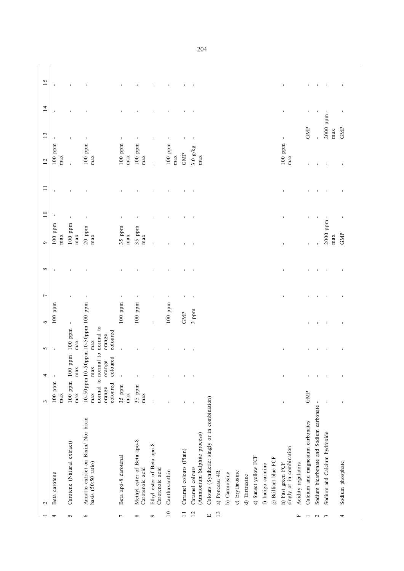|                 | $\mathbf{\sim}$                                            | 3                         | 4                                                                                                | $\sim$                    | $\circ$        | $\overline{ }$ | $\infty$       | $\circ$          | 10             | Ξ | 12               | 13             | $\overline{1}$ | 15 |
|-----------------|------------------------------------------------------------|---------------------------|--------------------------------------------------------------------------------------------------|---------------------------|----------------|----------------|----------------|------------------|----------------|---|------------------|----------------|----------------|----|
| 4               | Beta carotene                                              | $100$ ppm<br>max          |                                                                                                  | $\mathbf{I}$              | $100$ ppm      |                |                | $100$ ppm<br>max |                |   | $100$ ppm<br>max |                |                |    |
| 5               | Carotene (Natural extract)                                 | $100$ ppm<br>max          | max<br>100                                                                                       | ppm 100 ppm<br>max        |                |                |                | $100$ ppm<br>max |                |   | l,               | $\blacksquare$ |                |    |
| $\circ$         | Annatto extract on Bixin/ Nor bixin<br>basis (50:50 ratio) | coloured<br>orange<br>max | 10-50ppm 10-50ppm 10-50ppm 100 ppm<br>normal to normal to normal to<br>coloured<br>orange<br>max | coloured<br>orange<br>max |                |                |                | $20$ ppm<br>max  | $\blacksquare$ |   | $100$ ppm<br>max | $\blacksquare$ |                |    |
| $\overline{ }$  | Beta apo-8 carotenal                                       | 35 ppm<br>max             | $\blacksquare$                                                                                   | ı                         | $100$ ppm      |                |                | 35 ppm<br>max    |                |   | $100$ ppm<br>max | $\blacksquare$ |                |    |
| $\infty$        | Methyl ester of Beta apo-8<br>Carotenoic acid              | 35 ppm<br>max             |                                                                                                  |                           | $100$ ppm      |                |                | 35 ppm<br>max    |                |   | $100$ ppm<br>max |                |                |    |
| ç               | Ethyl ester of Beta apo-8<br>Carotenoic acid               |                           |                                                                                                  |                           | ï              | f,             |                | f,               |                |   | ï                | f,             |                |    |
| $\overline{10}$ | Canthaxanthin                                              |                           |                                                                                                  | f,                        | $100$ ppm      |                |                |                  |                |   | $100$ ppm<br>max | $\blacksquare$ |                |    |
| $\Box$          | Caramel colours (Plain)                                    |                           |                                                                                                  |                           | <b>GMP</b>     | $\blacksquare$ |                |                  |                |   | <b>GMP</b>       | $\blacksquare$ |                |    |
| 12              | (Ammonium Sulphite process)<br>Caramel colours             |                           |                                                                                                  |                           | 3 ppm          |                |                |                  |                |   | 3.0 g/kg<br>max  |                |                |    |
| $\Xi$           | Colours (Synthetic: singly or in combination)              |                           |                                                                                                  |                           |                |                |                |                  |                |   |                  |                |                |    |
| 13              | a) Ponceau 4R                                              |                           |                                                                                                  |                           |                |                |                |                  |                |   |                  |                |                |    |
|                 | b) Carmoisine                                              |                           |                                                                                                  |                           |                |                |                |                  |                |   |                  |                |                |    |
|                 | c) Erythrosine                                             |                           |                                                                                                  |                           |                |                |                |                  |                |   |                  |                |                |    |
|                 | d) Tartrazine                                              |                           |                                                                                                  |                           |                |                |                |                  |                |   |                  |                |                |    |
|                 | e) Sunset yellow FCF                                       |                           |                                                                                                  |                           |                |                |                |                  |                |   |                  |                |                |    |
|                 | f) Indigo carmine                                          |                           |                                                                                                  |                           |                |                |                |                  |                |   |                  |                |                |    |
|                 | g) Brilliant blue FCF                                      |                           |                                                                                                  |                           |                |                |                |                  |                |   |                  |                |                |    |
|                 | singly or in combination<br>h) Fast green FCF              | ı                         |                                                                                                  | f,                        |                |                | f,             |                  |                |   | $100$ ppm<br>max | $\blacksquare$ | ı              | f, |
| Щ               | Acidity regulators                                         |                           |                                                                                                  |                           |                |                |                |                  |                |   |                  |                |                |    |
|                 | Calcium and magnesium carbonates                           | GMP                       |                                                                                                  |                           |                |                |                |                  |                |   |                  | GMP            |                |    |
| $\mathbf{C}$    | Sodium bicarbonate and Sodium carbonate                    | $\blacksquare$            |                                                                                                  |                           |                |                |                |                  |                |   |                  |                |                |    |
| 3               | Sodium and Calcium hydroxide                               |                           |                                                                                                  | $\blacksquare$            | $\blacksquare$ |                | $\blacksquare$ | 2000 ppm -       |                |   | $\blacksquare$   | 2000 ppm -     |                |    |
| 4               | Sodium phosphate                                           |                           |                                                                                                  |                           |                |                |                | GMP<br>max       |                |   |                  | GMP<br>max     |                |    |
|                 |                                                            |                           |                                                                                                  |                           |                |                |                |                  |                |   |                  |                |                |    |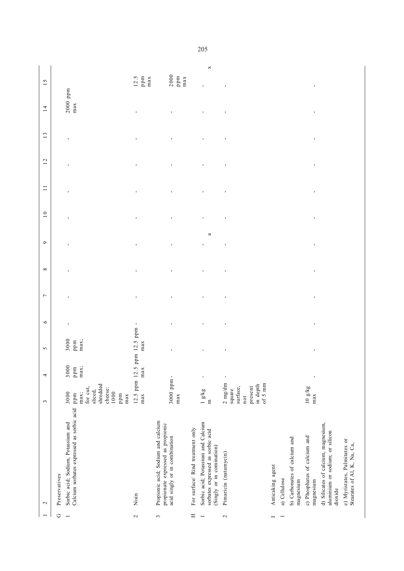|                     | $\sim$                                                                                                   | $\mathfrak{g}$                                                                          | 4                            | $\sim$                                                                   | $\bullet$      | $\overline{\phantom{0}}$ | $\infty$       | $\bullet$           | $10$           | $\Box$         | 12             | 13             | 14                               | 15                                                                         |
|---------------------|----------------------------------------------------------------------------------------------------------|-----------------------------------------------------------------------------------------|------------------------------|--------------------------------------------------------------------------|----------------|--------------------------|----------------|---------------------|----------------|----------------|----------------|----------------|----------------------------------|----------------------------------------------------------------------------|
| ゥ<br>$\overline{ }$ | Calcium sorbates expressed as sorbic acid<br>Sorbic acid; Sodium, Potassium and<br>Preservatives         | shredded<br>for cut,<br>cheese:<br>sliced,<br>1000<br>3000<br>max;<br>ppm<br>ppm<br>max | 3000<br>$_{\rm ppm}$<br>max; | $\begin{array}{c} 3000 \\ \text{PP} \text{m} \\ \text{max}; \end{array}$ | $\blacksquare$ | f,                       | f,             | ï                   | f,             | f,             | ï              | ı              | $2000$ ppm<br>max                |                                                                            |
| $\sim$              | Nisin                                                                                                    | 12.5 ppm 12.<br>max                                                                     | .5 ppm<br>max                | ppm<br>12.5<br>max                                                       | $\mathbf{I}$   | f,                       | $\mathbf{I}$   |                     |                | f,             | $\mathbf{I}$   | ï              |                                  | $12.5$<br>ppm<br>max                                                       |
| $\sim$              | Propionic acid; Sodium and calcium<br>propionate expressed as propionic<br>acid singly or in combination | 3000 ppm-<br>max                                                                        |                              | $\blacksquare$                                                           | ı              | $\blacksquare$           | ı              | ï                   | $\blacksquare$ | $\blacksquare$ | $\blacksquare$ | ı              | ı                                | $\begin{array}{c} 2\,000 \\ \text{pp}\,\text{m} \\ \text{max} \end{array}$ |
| Ξ                   | For surface/ Rind treatment only                                                                         |                                                                                         |                              |                                                                          |                |                          |                |                     |                |                |                |                |                                  |                                                                            |
|                     | Sorbic acid; Potassium and Calcium<br>sorbates expressed as sorbic acid<br>(Singly or in comination)     | 1 g/kg<br>$\Xi$                                                                         | $\blacksquare$               | $\mathbf{I}$                                                             | $\blacksquare$ | $\mathbf{I}$             | $\blacksquare$ | a<br>$\blacksquare$ | $\blacksquare$ | $\mathbf{I}$   | $\blacksquare$ | $\blacksquare$ | $\blacksquare$                   | $\Join$<br>$\mathbf{I}$                                                    |
| $\mathbf{\sim}$     | Pimaricin (natamycin)                                                                                    | $2 \text{ mg/dm}$<br>of 5 mm<br>in depth<br>surface,<br>present<br>square<br>not        | $\blacksquare$               | $\blacksquare$                                                           | $\blacksquare$ | $\blacksquare$           | $\blacksquare$ | ı                   | $\blacksquare$ | $\blacksquare$ | $\blacksquare$ | $\blacksquare$ | $\blacksquare$                   | $\blacksquare$                                                             |
|                     | Anticaking agent                                                                                         |                                                                                         |                              |                                                                          |                |                          |                |                     |                |                |                |                |                                  |                                                                            |
|                     | a) Cellulose                                                                                             |                                                                                         |                              |                                                                          |                |                          |                |                     |                |                |                |                |                                  |                                                                            |
|                     | b) Carbonates of calcium and<br>magnesium                                                                |                                                                                         |                              |                                                                          |                |                          |                |                     |                |                |                |                |                                  |                                                                            |
|                     | c) Phosphates of calcium and<br>magnesium                                                                | 10 g/kg<br>max                                                                          | ı                            | $\mathbf{r}$                                                             | ı              | $\mathbf{I}$             | $\blacksquare$ | $\blacksquare$      | $\blacksquare$ | $\blacksquare$ | $\blacksquare$ | $\blacksquare$ | $\blacksquare$<br>$\blacksquare$ |                                                                            |
|                     | d) Silicates of calcium, magnesium,<br>aluminium or sodium; or silicon<br>dioxide                        |                                                                                         |                              |                                                                          |                |                          |                |                     |                |                |                |                |                                  |                                                                            |
|                     | e) Myristates, Palmitates or<br>Stearates of Al, K, Na, Ca,                                              |                                                                                         |                              |                                                                          |                |                          |                |                     |                |                |                |                |                                  |                                                                            |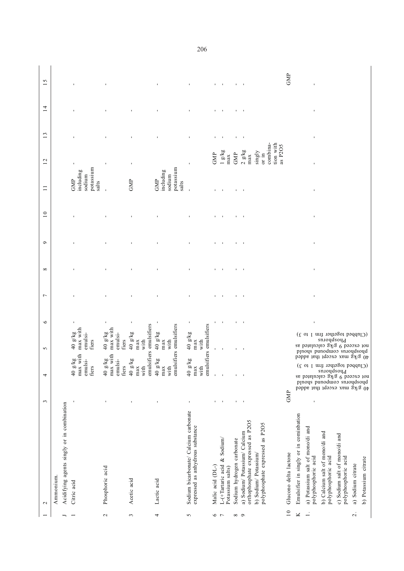|                          | $\mathbf 2$                                                               | 3              | 4                                                                                                                                                                                                                                                               | 5                                                                                                                          | $\circ$        | $\overline{ }$ | ${}^{\circ}$   | $\sigma$       | $\overline{10}$ | $\Box$                                           | 12                                                  | 13             | $\overline{4}$ | 15             |
|--------------------------|---------------------------------------------------------------------------|----------------|-----------------------------------------------------------------------------------------------------------------------------------------------------------------------------------------------------------------------------------------------------------------|----------------------------------------------------------------------------------------------------------------------------|----------------|----------------|----------------|----------------|-----------------|--------------------------------------------------|-----------------------------------------------------|----------------|----------------|----------------|
|                          | Ammonium.                                                                 |                |                                                                                                                                                                                                                                                                 |                                                                                                                            |                |                |                |                |                 |                                                  |                                                     |                |                |                |
|                          | Acidifying agents singly or in combination                                |                |                                                                                                                                                                                                                                                                 |                                                                                                                            |                |                |                |                |                 |                                                  |                                                     |                |                |                |
|                          | Citric acid                                                               | J              | with<br>$\overline{\mathbf{g}}$<br>$\frac{1}{2}$<br>40g<br>max<br>emul<br>fiers                                                                                                                                                                                 | max with<br>40 g/kg<br>emulsi-<br>fiers                                                                                    |                |                |                | I.             |                 | potassium<br>including<br>sodium<br>GMP<br>salts |                                                     | $\blacksquare$ |                | I.             |
| $\sim$                   | Phosphoric acid                                                           | $\blacksquare$ | with<br>kg<br>Y<br>s <sub>1</sub><br>40g<br>max<br>emul<br>fiers                                                                                                                                                                                                | max with<br>40 g/kg<br>emulsi<br>fiers                                                                                     | $\blacksquare$ |                |                |                |                 |                                                  |                                                     |                |                |                |
| 3                        | Acetic acid                                                               | $\blacksquare$ | 40 g/kg<br>max<br>with<br>emul                                                                                                                                                                                                                                  | sifiers emulsifiers<br>40 g/kg<br>with<br>max                                                                              | $\blacksquare$ |                |                |                |                 | GMP                                              | $\blacksquare$                                      |                |                |                |
| 4                        | Lactic acid                                                               | J.             | 40 g/kg<br>max<br>with<br>emul                                                                                                                                                                                                                                  | sifiers emulsifiers<br>$40~{\rm g/kg}$<br>max<br>with                                                                      |                |                |                |                |                 | potassium<br>including<br>sodium<br>GMP<br>salts |                                                     | J.             |                | f,             |
| 5                        | Sodium bicarbonate/ Calcium carbonate<br>expressed as anhydrous substance | $\blacksquare$ | 40 g/kg<br>max<br>with                                                                                                                                                                                                                                          | emulsifiers emulsifiers<br>$40~{\rm g/kg}$ max<br>with                                                                     | $\mathbf{I}$   |                |                | $\blacksquare$ |                 | $\overline{1}$                                   | $\blacksquare$                                      | $\blacksquare$ |                | $\mathbf{I}$   |
| $\frac{1}{2}$            | Malic acid (DL-)                                                          | $\blacksquare$ | $\mathbf{r}$                                                                                                                                                                                                                                                    | $\mathbf{r}$                                                                                                               | 1              |                |                |                |                 |                                                  | GMP                                                 | ٠              |                | $\mathbf{I}$   |
|                          | L-(+Tartaric acid & Sodium/<br>Potassium salts)                           | $\blacksquare$ |                                                                                                                                                                                                                                                                 | $\mathbf{I}$                                                                                                               |                |                |                |                |                 |                                                  | $1~{\rm g/kg}$ max                                  | $\mathbf{I}$   |                | $\mathcal{A}$  |
| $\infty$ $\infty$        | Sodium hydrogen carbonate                                                 | $\blacksquare$ | 1                                                                                                                                                                                                                                                               | $\mathbf{I}$                                                                                                               | 1              | ٠              |                | $\mathbf{I}$   |                 |                                                  | GMP                                                 | $\blacksquare$ |                | $\mathbf{I}$   |
|                          | orthophosphate expressed as P2O5<br>a) Sodium/ Potassium/ Calcium         | $\blacksquare$ | $\blacksquare$                                                                                                                                                                                                                                                  | $\blacksquare$                                                                                                             | $\blacksquare$ |                |                |                |                 |                                                  | $2 \text{ g/kg}$<br>max                             | $\blacksquare$ |                | $\blacksquare$ |
|                          | polyphosphate expressed as P2O5<br>b) Sodium/Potassium/                   |                |                                                                                                                                                                                                                                                                 |                                                                                                                            |                |                |                |                |                 |                                                  | tion with<br>combina-<br>as P2O5<br>singly<br>or in |                |                |                |
| $10$                     | Glucono delta lactone                                                     | <b>GMP</b>     |                                                                                                                                                                                                                                                                 |                                                                                                                            |                |                |                |                |                 |                                                  |                                                     |                |                | GMP            |
| Κ                        | Emulsifier in singly or in cominbation                                    |                |                                                                                                                                                                                                                                                                 |                                                                                                                            |                |                |                |                |                 |                                                  |                                                     |                |                |                |
| $\overline{\phantom{a}}$ | a) Potassium salt of mono/di and<br>polyphosphoric acid                   | ı              |                                                                                                                                                                                                                                                                 |                                                                                                                            | $\blacksquare$ | $\blacksquare$ | $\blacksquare$ | $\blacksquare$ | $\blacksquare$  | $\blacksquare$                                   |                                                     | $\blacksquare$ | ı              | $\mathbf{I}$   |
|                          | b) Calcium salt of mono/di and<br>polyphosphoric acid                     |                |                                                                                                                                                                                                                                                                 | sn.ioudsoud                                                                                                                |                |                |                |                |                 |                                                  |                                                     |                |                |                |
|                          | c) Sodium salt of mono/di and<br>polyphosphoric acid                      |                | 40 g/kg max except that added<br>$(200, 200)$ and $(60, 60)$ and $(60, 60)$ and $(60, 60)$ and $(60, 60)$ and $(60, 60)$ and $(60, 60)$ and $(60, 60)$ and $(60, 60)$ and $(60, 60)$ and $(60, 60)$ and $(60, 60)$ and $(60, 60)$ and $(60, 60)$ and $(60, 60)$ | (Clubbed together frm 1 to 3)<br>$\label{eq:20}$ se posteced $\frac{1}{9}$ g/kg calculated as a<br>bluods bluods and hould |                |                |                |                |                 |                                                  |                                                     |                |                |                |
| $\overline{\mathcal{N}}$ | a) Sodium citrate                                                         |                |                                                                                                                                                                                                                                                                 |                                                                                                                            |                |                |                |                |                 |                                                  |                                                     |                |                |                |
|                          | b) Potassium citrate                                                      |                |                                                                                                                                                                                                                                                                 |                                                                                                                            |                |                |                |                |                 |                                                  |                                                     |                |                |                |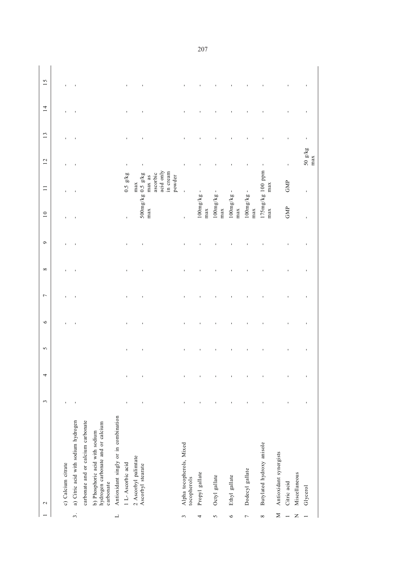|                          | $\mathcal{L}$                                                                    | $\mathfrak{c}$ | 4              | $\sigma$       | $\circ$ | $\overline{ }$ | $\infty$       | $\bullet$ | $\overline{10}$                   | $\Box$                                 | 12                  | 13 | $\frac{4}{3}$ | 15 |
|--------------------------|----------------------------------------------------------------------------------|----------------|----------------|----------------|---------|----------------|----------------|-----------|-----------------------------------|----------------------------------------|---------------------|----|---------------|----|
|                          | c) Calcium citrate                                                               | $\blacksquare$ |                |                |         |                |                |           |                                   |                                        |                     |    |               |    |
| $\ddot{\mathcal{S}}$     | a) Citric acid with sodium hydrogen                                              | J,             |                |                |         | f,             |                |           |                                   |                                        |                     |    |               |    |
|                          | carbonate and or calcium carbonate                                               |                |                |                |         |                |                |           |                                   |                                        |                     |    |               |    |
|                          | hydrogen carbonate and or calcium<br>b) Phosphoric acid with sodium<br>carbonate |                |                |                |         |                |                |           |                                   |                                        |                     |    |               |    |
| $\overline{\phantom{0}}$ | Antioxidant singly or in combination                                             |                |                |                |         |                |                |           |                                   |                                        |                     |    |               |    |
|                          | 1 L- Ascorbic acid                                                               | $\blacksquare$ | $\blacksquare$ | $\blacksquare$ |         | $\blacksquare$ | $\blacksquare$ |           | $\mathbf{I}$                      | $0.5 \text{ g/kg}$                     | $\mathbf{I}$        |    |               |    |
|                          | 2 Ascorbyl palimtate<br>Ascorbyl stearate                                        | ı              | ı              | $\blacksquare$ |         |                |                |           | $500mg/kg$ 0.5 $g/kg$<br>max      | acid only<br>ascorbic<br>max as<br>max | ı                   |    |               |    |
|                          |                                                                                  |                |                |                |         |                |                |           |                                   | in cream<br>powder                     |                     |    |               |    |
| 3                        | Alpha tocopherols, Mixed<br>tocopherols                                          | $\blacksquare$ |                |                |         |                |                |           | $\blacksquare$                    |                                        |                     |    |               |    |
| 4                        | Propyl gallate                                                                   | $\blacksquare$ | ı              |                |         |                |                |           | $100mg/kg -$<br>max               |                                        |                     |    |               |    |
| 5                        | Octyl gallate                                                                    | $\blacksquare$ |                |                |         |                |                |           | $\blacksquare$<br>100mg/kg<br>max |                                        |                     |    |               |    |
| $\circ$                  | Ethyl gallate                                                                    |                |                |                |         |                |                |           | 100mg/kg<br>$_{max}$              |                                        |                     |    |               |    |
| $\overline{ }$           | Dodecyl gallate                                                                  |                |                |                |         |                |                |           | 100mg/kg<br>max                   |                                        |                     |    |               |    |
| ${}^{\infty}$            | Butylated hydroxy anisole                                                        |                |                |                |         |                |                |           | $175mg/kg$ 100 ppm<br>max         | max                                    |                     |    |               |    |
| Σ<br>$\overline{ }$      | Antioxidant synergists<br>Citric acid                                            |                |                |                |         |                |                |           | GMP                               | GMP                                    | $\blacksquare$      |    |               |    |
| $\mathsf{z}$             | Miscellaneous<br>Glycerol                                                        |                | ı              |                |         |                |                |           |                                   |                                        | $50~{\rm g/kg}$ max |    |               |    |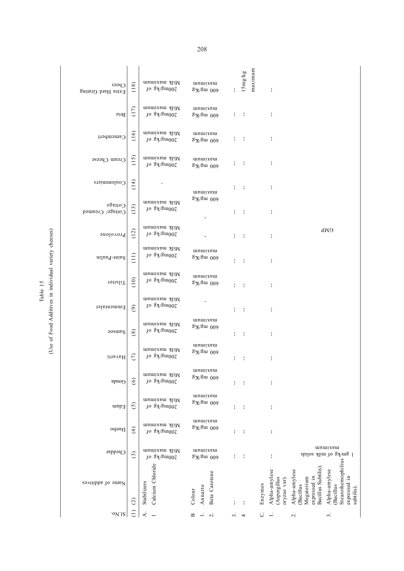|      | n cheese<br>variety                                |
|------|----------------------------------------------------|
| able | individua<br>ן<br>נוב<br>f Food Additives<br>se of |

| $C$ pees<br>Extra Hard Grating | (18)                 | Milk maximum<br>$10 g\lambda/gm002$                | unuixem<br>$\frac{3}{2}$ % august                | ł. | 15mg/kg | maximum | ł                                            |                                                                               |                                                                               |
|--------------------------------|----------------------|----------------------------------------------------|--------------------------------------------------|----|---------|---------|----------------------------------------------|-------------------------------------------------------------------------------|-------------------------------------------------------------------------------|
| Brie                           | (17)                 | Milk maximum<br>$10 g\lambda/gm002$                | unuixem<br>$8X$ $\mu$ 009                        | ł, | ÷       |         | ŧ                                            |                                                                               |                                                                               |
| Camembert                      | (16)                 | Milk maximum<br>$\rm 10~g\bar{A}/g\bar{m}00\Omega$ | unuixem<br>$\frac{3N}{2m}$ 009                   | ł, | ÷       |         | f,                                           |                                                                               |                                                                               |
| Cream Cheese                   | (15)                 | Milk maximum<br>$\log 20000$                       | unuixeu<br>$\frac{3}{2}$ % august                |    | ÷       |         | ŧ                                            |                                                                               |                                                                               |
| Coulommiers                    | $\frac{4}{14}$       |                                                    | unuixeu<br>$\frac{3}{2}$ % august                |    | ÷       |         | f,                                           |                                                                               |                                                                               |
| 0.01195<br>Cottage/ Creamed    | (13)                 | Milk maximum<br>$10 g\lambda/gm002$                |                                                  | ł. | ÷       |         | ÷                                            |                                                                               |                                                                               |
| Provolone                      | (12)                 | Milk maximum<br>$10 g\lambda/gm002$                |                                                  | ł. | ÷       |         | ł,                                           |                                                                               | GMP                                                                           |
| Saint-Paulin                   | Ξ                    | Milk maximum<br>$\rm 10~g$ M/gm002                 | unuixem<br>$8N\$ mg/Kg                           | I  | ÷       |         | ł,                                           |                                                                               |                                                                               |
| rilslig                        | (10)                 | Milk maximum<br>$\rm 10~g$ kg $\rm 000$            | unuixeu<br>$\sqrt[3]{8}$ mg/Kg                   | ł. | ÷       |         | ł                                            |                                                                               |                                                                               |
| Emmentaler                     | $\odot$              | Milk maximum<br>$10 g\lambda/gm002$                |                                                  | ł. | ÷       |         | f,                                           |                                                                               |                                                                               |
| <b>aosurg</b>                  | $\circledast$        | Milk maximum<br>$10 g\lambda/gm002$                | unuixem<br>$gN\$ mg/Kg                           | ł. | ÷       |         | ł,                                           |                                                                               |                                                                               |
| Havarti                        | $\widetilde{C}$      | Milk maximum<br>$10 g\$ /gm002                     | unuixem<br>$\frac{3}{2}$ % august                | ł. |         |         | ł                                            |                                                                               |                                                                               |
| Gouda                          | $\odot$              | Milk maximum<br>10 gx\gm002                        | unuixeui<br>$\frac{3}{2}$ X $\frac{3}{2}$ uu 009 | ł. | ÷       |         | ł                                            |                                                                               |                                                                               |
| Edam                           | $\widetilde{\Omega}$ | Milk maximum<br>$10 g\lambda/gm002$                | unuixem<br>$\sqrt[3]{8}$ u 009                   | I  | ÷       |         | ł                                            |                                                                               |                                                                               |
| Danbo                          | $\widehat{f}$        | Milk maximum<br>$10 g\lambda/gm002$                | mnuixem<br>$8N$ gm 009                           | I  | ł       |         | ł                                            |                                                                               |                                                                               |
| Cheddar                        | $\widehat{c}$        | Milk maximum<br>$10 g\lambda/gm002$                | mnuixem<br>$8X$ $\mu$ 009                        | I, | ł       |         | ŧ                                            |                                                                               | unuixem<br>l gm/kg of nilk solids                                             |
| Name of additives              | $\widetilde{\omega}$ | Calcium Chloride<br>Stabilizers                    | Beta Carotene<br>Annatto<br>Colour               |    |         | Enzymes | Alpha-amylese<br>(Aspergillus<br>oryzae var) | Bacillus Subtilis)<br>Alpha-amylese<br>expressed in<br>Megaterium<br>Bacillus | Stearothemophilius<br>Alpha-amylese<br>expressed in<br>Bacillus<br>subtilis). |
| .0118                          |                      |                                                    |                                                  |    |         |         |                                              | $\overline{\mathbf{C}}$                                                       | 3                                                                             |

 $\overline{1}$  $\overline{1}$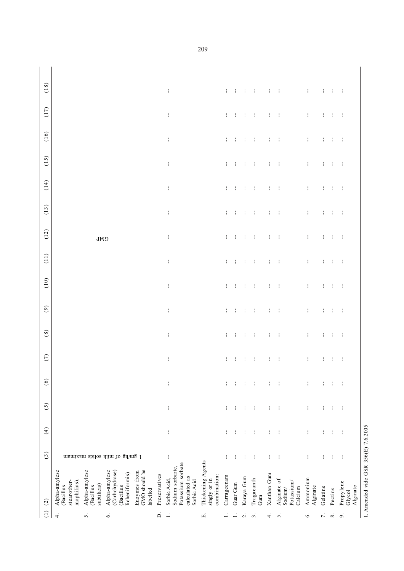| Ξ<br>4                   | Alpha-amylese<br>$\widetilde{c}$                                                      | $\odot$                        | $\widehat{f}$ | $\odot$ | $\circledcirc$ | $\epsilon$                                                   | $^{(8)}$                                                       | $\odot$                                                              | (10)                                                             | $\overline{1}$                                                                                                       | (12)                                                                | $(13)$                                                                                    | (14)                                                             | (15)                                                                                                                                                                                                                           | (16)                                                                  | (17)                                                                                                             | (18)                                                            |
|--------------------------|---------------------------------------------------------------------------------------|--------------------------------|---------------|---------|----------------|--------------------------------------------------------------|----------------------------------------------------------------|----------------------------------------------------------------------|------------------------------------------------------------------|----------------------------------------------------------------------------------------------------------------------|---------------------------------------------------------------------|-------------------------------------------------------------------------------------------|------------------------------------------------------------------|--------------------------------------------------------------------------------------------------------------------------------------------------------------------------------------------------------------------------------|-----------------------------------------------------------------------|------------------------------------------------------------------------------------------------------------------|-----------------------------------------------------------------|
|                          | stearother-<br>mophilius)<br>(Bacillus                                                |                                |               |         |                |                                                              |                                                                |                                                                      |                                                                  |                                                                                                                      |                                                                     |                                                                                           |                                                                  |                                                                                                                                                                                                                                |                                                                       |                                                                                                                  |                                                                 |
| 5                        | Alpha-amylese<br>subtilieis)<br><b>Bacillus</b>                                       |                                |               |         |                |                                                              |                                                                |                                                                      |                                                                  |                                                                                                                      | GMP                                                                 |                                                                                           |                                                                  |                                                                                                                                                                                                                                |                                                                       |                                                                                                                  |                                                                 |
| Ö                        | Alpha-amylese<br>(Carbohydrase)<br>icheniformis)<br>Bacillus                          | l gm/kg of niilk solida hammin |               |         |                |                                                              |                                                                |                                                                      |                                                                  |                                                                                                                      |                                                                     |                                                                                           |                                                                  |                                                                                                                                                                                                                                |                                                                       |                                                                                                                  |                                                                 |
|                          | GMO should be<br>Enzymes from<br>labelled                                             |                                |               |         |                |                                                              |                                                                |                                                                      |                                                                  |                                                                                                                      |                                                                     |                                                                                           |                                                                  |                                                                                                                                                                                                                                |                                                                       |                                                                                                                  |                                                                 |
| $\Box$                   | Preservatives                                                                         |                                |               |         |                |                                                              |                                                                |                                                                      |                                                                  |                                                                                                                      |                                                                     |                                                                                           |                                                                  |                                                                                                                                                                                                                                |                                                                       |                                                                                                                  |                                                                 |
|                          | Potassium sorbate<br>Sodium sorbarte,<br>calculated as<br>Sorbic Acid,<br>Sorbic Acid |                                | ł             | ł       | ł              | $\mathcal{L}$                                                | and the control of the first state of the control of the first | and the first product of the first state of the control of the first | design and contributed to the first contribution of the state of | design and contributed to the first contribution of the first of the state of the state of the state of the state of | the control of the control of the field of the control of the field | design and control of the distribution of the control of the distribution of the state of | design and contributed to the first contribution of the state of | design and control of the distribution of the control of the distribution of the second second second second second second second second second second second second second second second second second second second second s | design and control of the dealership of the control of the dealership | contracts and contracts are the contracts of the contracts of the contracts of the contracts of the contracts of | the contract of the contract of the contract of the contract of |
| Е,                       | Thickening Agents<br>combination:<br>singly or in                                     |                                |               |         |                |                                                              |                                                                |                                                                      |                                                                  |                                                                                                                      |                                                                     |                                                                                           |                                                                  |                                                                                                                                                                                                                                |                                                                       |                                                                                                                  |                                                                 |
|                          | Carrageenam                                                                           |                                | ÷             | ÷       |                |                                                              |                                                                |                                                                      |                                                                  |                                                                                                                      |                                                                     |                                                                                           |                                                                  |                                                                                                                                                                                                                                |                                                                       |                                                                                                                  |                                                                 |
|                          | Guar Gum                                                                              |                                |               |         |                |                                                              |                                                                |                                                                      |                                                                  |                                                                                                                      |                                                                     |                                                                                           |                                                                  |                                                                                                                                                                                                                                |                                                                       |                                                                                                                  |                                                                 |
| $\mathbf{\sim}$          | Karaya Gum                                                                            |                                |               |         |                |                                                              |                                                                |                                                                      |                                                                  |                                                                                                                      |                                                                     |                                                                                           |                                                                  |                                                                                                                                                                                                                                |                                                                       |                                                                                                                  |                                                                 |
| $\mathfrak{g}$           | Tragacanth<br>Gum                                                                     |                                |               |         |                |                                                              |                                                                |                                                                      |                                                                  |                                                                                                                      |                                                                     |                                                                                           |                                                                  |                                                                                                                                                                                                                                |                                                                       |                                                                                                                  |                                                                 |
| 4                        | Xanthan Gum                                                                           |                                |               |         |                |                                                              |                                                                |                                                                      |                                                                  |                                                                                                                      |                                                                     |                                                                                           |                                                                  |                                                                                                                                                                                                                                |                                                                       |                                                                                                                  |                                                                 |
| $\sim$                   | Alginate of<br>Potassium/<br>Calcium<br>Sodium/                                       |                                |               |         |                | contracts to the design of the contracts of the contracts of |                                                                |                                                                      |                                                                  |                                                                                                                      |                                                                     |                                                                                           |                                                                  |                                                                                                                                                                                                                                |                                                                       |                                                                                                                  |                                                                 |
| $\circ$                  | Ammonium<br>Alginate                                                                  |                                | ÷             | ÷       |                |                                                              |                                                                |                                                                      |                                                                  |                                                                                                                      |                                                                     |                                                                                           |                                                                  |                                                                                                                                                                                                                                |                                                                       |                                                                                                                  |                                                                 |
| $\overline{\phantom{a}}$ | Gelatine                                                                              |                                |               |         |                |                                                              |                                                                |                                                                      |                                                                  |                                                                                                                      |                                                                     |                                                                                           |                                                                  |                                                                                                                                                                                                                                |                                                                       |                                                                                                                  |                                                                 |
| $\infty$                 | Pectins                                                                               | ÷                              | ÷             | ÷       |                |                                                              |                                                                |                                                                      |                                                                  |                                                                                                                      |                                                                     |                                                                                           |                                                                  |                                                                                                                                                                                                                                |                                                                       |                                                                                                                  |                                                                 |
| $\circ$                  | Propylene<br>Alginate<br>Glycol                                                       | ÷                              |               | ÷       |                |                                                              |                                                                |                                                                      |                                                                  |                                                                                                                      |                                                                     |                                                                                           |                                                                  |                                                                                                                                                                                                                                |                                                                       |                                                                                                                  |                                                                 |

1. Amended vide GSR 356(E)  $7.6.2005$ 1. Amended vide GSR 356(E) 7.6.2005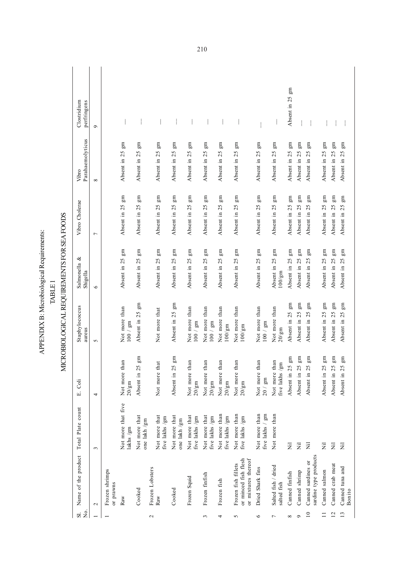| $\overline{N}$ .<br>$\overline{\mathbf{S}}$ | Name of the product                                                | Total Plate count                | E. Coli                               | Staphylococcus<br>aureus               | Salmonella &<br>Shigella                             | Vibro Cholerae               | Parahaemolyticus<br>Vibro       | Clostridium<br>perfringens |  |
|---------------------------------------------|--------------------------------------------------------------------|----------------------------------|---------------------------------------|----------------------------------------|------------------------------------------------------|------------------------------|---------------------------------|----------------------------|--|
|                                             | $\mathbf{\sim}$                                                    | 3                                | 4                                     | 5                                      | $\circ$                                              | $\overline{ }$               | $\infty$                        | $\circ$                    |  |
|                                             | Frozen shrimps<br>or prawns                                        |                                  |                                       |                                        |                                                      |                              |                                 |                            |  |
|                                             | Raw                                                                | Not more that five<br>lakhs /gm  | Not more than<br>$20/\mathrm{gm}$     | Not more than<br>$100$ / $\mathrm{gm}$ | Absent in 25 gm                                      | $\rm gm$<br>Absent in 25     | m<br>Absent in 25               |                            |  |
|                                             | Cooked                                                             | Not more that<br>one lakh /gm    | $\Xi$<br>Absent in 25                 | Em<br>Absent in 25                     | $\rm gm$<br>Absent in 25                             | $\rm gm$<br>Absent in 25     | Ξ<br>Absent in 25               |                            |  |
| $\mathbf{\sim}$                             | Frozen Lobsters                                                    |                                  |                                       |                                        |                                                      |                              |                                 |                            |  |
|                                             | Raw                                                                | Not more that<br>five lakhs /gm  | Not more that                         | Not more that                          | gm<br>Absent in 25                                   | gm<br>Absent in 25           | $\rm gm$<br>25<br>Absent in     |                            |  |
|                                             | Cooked                                                             | Not more that<br>one lakh /gm    | $\rm gm$<br>Absent in 25              | gm<br>Absent in 25                     | $\rm gm$<br>Absent in 25                             | $\rm gm$<br>Absent in 25     | Ξ<br>25<br>Absent in            |                            |  |
|                                             | Frozen Squid                                                       | Not more that<br>five lakhs /gm  | Not more than<br>$20/\mathrm{gm}$     | Not more than<br>$100$ / $\mathrm{gm}$ | gm<br>Absent in 25                                   | $\rm{gm}$<br>Absent in 25    | gm<br>25<br>Absent in           |                            |  |
| $\sim$                                      | Frozen finfish                                                     | Not more that<br>five lakhs /gm  | Not more than<br>$20/\mathrm{gm}$     | Not more than<br>$100$ / $\mathrm{gm}$ | gm<br>Absent in 25                                   | gm<br>Absent in 25           | Ξ<br>25<br>Absent in            |                            |  |
| 4                                           | Frozen fish                                                        | Not more than<br>five lakhs /gm  | Not more than<br>$20/\mathrm{gm}$     | Not more than<br>$100/\mathrm{gm}$     | m<br>Absent in 25                                    | $\mathbb{E}$<br>Absent in 25 | Ξ<br>25<br>Absent in            |                            |  |
| 5                                           | or minced fish flesh<br>or mixtures thereof<br>Frozen fish fillets | Not more than<br>five lakhs /gm  | Not more than<br>$20/\mathrm{gm}$     | Not more than<br>$100/\mathrm{gm}$     | $\mathbb{E}$<br>Absent in 25                         | $\mathbb{E}$<br>Absent in 25 | m<br>Absent in 25               |                            |  |
| $\circ$                                     | Dried Shark fins                                                   | Not more than<br>five lakhs / gm | Not more than<br>$20$ / $\mathrm{gm}$ | Not more than<br>$100$ / $\mathrm{gm}$ | $\rm{gm}$<br>Absent in 25                            | $\mathbb{E}$<br>Absent in 25 | $\rm gm$<br>Absent in 25        |                            |  |
| $\overline{ }$                              | Salted fish / dried<br>salted fish                                 | Not more than                    | Not more than<br>five lakhs /gm       | Not more than<br>$20/\mathrm{gm}$      | $\,\mathrm{gm}$<br>Absent in 25<br>$100/\mathrm{gm}$ | m<br>Absent in 25            | $\mathbb{E}$<br>25<br>Absent in |                            |  |
| ${}^{\circ}$                                | Canned finfish                                                     | $\overline{z}$                   | gm<br>Absent in 25                    | $\mathbb{E}$<br>Absent in 25           | gm<br>Absent in 25                                   | $\mathbb{E}$<br>Absent in 25 | $\Xi$<br>Absent in 25           | m<br>Absent in 25          |  |
| $\sigma$                                    | Canned shrimp                                                      | $\overline{\overline{z}}$        | gm<br>Absent in 25                    | gm<br>Absent in 25                     | gm<br>Absent in 25                                   | gm<br>Absent in 25           | $\Xi$<br>Absent in 25           |                            |  |
| $\overline{10}$                             | sardine type products<br>Canned sardines or                        | $\overline{z}$                   | gm<br>Absent in 25                    | Ξ<br>25<br>Absent in                   | gm<br>Absent in 25                                   | $\rm{gm}$<br>Absent in 25    | gm<br>25<br>Absent in           |                            |  |
| $\Box$                                      | Canned salmon                                                      | $\overline{z}$                   | $\rm{gm}$<br>Absent in 25             | m<br>Absent in 25                      | $\rm gm$<br>Absent in 25                             | $\mathbb{E}$<br>Absent in 25 | $\rm gm$<br>Absent in 25        |                            |  |
| 12                                          | Canned crab meat                                                   | $\overline{\overline{z}}$        | gm<br>Absent in 25                    | $\mathbb{E}$<br>Absent in 25           | gm<br>Absent in 25                                   | gm<br>Absent in 25           | gm<br>Absent in 25              |                            |  |
| 13                                          | Canned tuna and<br>Bonito                                          | $\overline{z}$                   | $\mathbb{g}$ m<br>Absent in 25        | $\mathbb{E}$<br>Absent in 25           | $\rm gm$<br>Absent in 25                             | $\rm gm$<br>Absent in 25     | $\Xi$<br>Absent in 25           |                            |  |

TABLE 1

APPENDIX B: Microbiological Requirements:

APPENDIX B: Microbiological Requirements: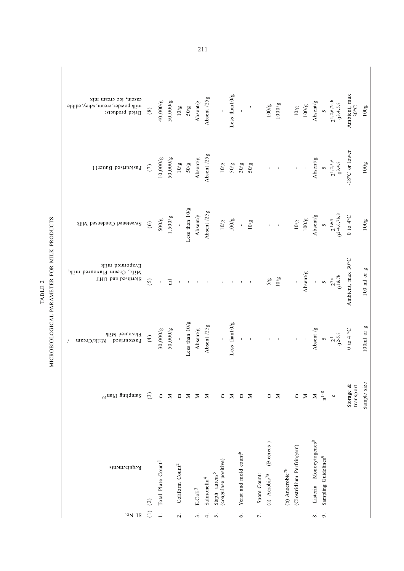| casein, ice cream mix<br>milk powder, cream, whey, edible<br>Dried products: | $\circledast$     | 40,000/g                       | 50,000/g    | 10/g                        | 50/g             | Absent/g                               | Absent /25g             |                                                   | Less than 10/g   | $\blacksquare$                    |        |                     | $100/g$                       | 1000/g |                  | 10/g                      | 100/g    | Absent/g                            | $\triangledown$                  | $21,2,6,7a,b$<br>0 <sup>3</sup> ,4,5,8 | Ambient, max<br>30°C         | 100g            |
|------------------------------------------------------------------------------|-------------------|--------------------------------|-------------|-----------------------------|------------------|----------------------------------------|-------------------------|---------------------------------------------------|------------------|-----------------------------------|--------|---------------------|-------------------------------|--------|------------------|---------------------------|----------|-------------------------------------|----------------------------------|----------------------------------------|------------------------------|-----------------|
| Pasteurised Butter11                                                         | $\circ$           | 10,000/g                       | 50,000/g    | 10/g                        | $50/g$           | Absent/g                               | Absent /25g             | $10/g$                                            |                  | $50/g$<br>$20/g$                  | $50/g$ |                     |                               |        |                  | $\blacksquare$            |          | Absent/g                            |                                  | $5$<br>21,2,5,6<br>03,4,8              | -18°C or lower               | 100g            |
| Sweetened Condensed Milk                                                     | $\widehat{6}$     | 500/g                          | 1,500/g     |                             | Less than $10/g$ | ${\bf A} {\bf b} {\bf sent} / {\bf g}$ | Absent /25g             | $10/\mathrm g$                                    | 100/g            |                                   | 10/g   |                     |                               |        |                  | 10/g                      | 100/g    | Absent/g                            |                                  | 5<br>21&5<br>0 <sup>2-4,6,7b,8</sup>   | $0$ to $4^{\circ}{\rm C}$    | 100g            |
| Evaporated milk<br>Milk, Cream Flavoured milk,<br>Sterilised and UHT         | <u>ි</u>          |                                | 급           |                             |                  |                                        |                         |                                                   |                  |                                   |        |                     | $5/\mathrm{g}$                | 10/g   |                  |                           | Absent/g | I,                                  |                                  | $\frac{5}{2^{7a}}$                     | Ambient, max 30°C            | $100$ ml or $g$ |
| Flavoured Milk<br>Pastrurised<br>Milk/Cream                                  | $\left( 4\right)$ | 30,000/g                       | 50,000/g    |                             | Less than $10/g$ | Absent/g                               | Absent /25g             | p                                                 | Less than $10/g$ | $\blacksquare$                    |        |                     |                               |        |                  |                           |          | Absent                              | $\sim$                           | $2^{1}$<br>0 <sup>2-5,8</sup>          | $0$ to 4 $^{\circ} \text{C}$ | $100ml$ or $g$  |
| $_{01}$ ueld gnilqme $_{\rm S}$                                              | $\widehat{c}$     | Ξ                              | $\mathbf z$ | $\boldsymbol{\Xi}$          | $\geq$           | $\geq$                                 | $\geq$                  | $\Xi$                                             | $\geq$           | $\mathbf{E}% _{0}$                | Σ      |                     | $\Xi$                         | $\geq$ |                  | $\Xi$                     | $\geq$   | $\geq$                              | $\rm n^{1-8}$                    | $\circ$                                | Storage &<br>transport       | Sample size     |
| Requirements                                                                 | $\widehat{c}$     | Total Plate Count <sup>1</sup> |             | Coliform Count <sup>2</sup> |                  | $E.\operatorname{Coli}^3$              | Salmonella <sup>4</sup> | (coagulase positive)<br>Staph aureus <sup>5</sup> |                  | Yeast and mold count <sup>6</sup> |        | Spore Count:        | (B.cereus)<br>(a) $Aerobic7a$ |        | (b) $Anarobic7b$ | (Clostridium Perfringern) |          | Listeria Monocytogenes <sup>8</sup> | Sampling Guidelines <sup>9</sup> |                                        |                              |                 |
| ON IS                                                                        | Э                 |                                |             | $\overline{\mathcal{L}}$    |                  | $\dot{\tilde{z}}$                      | $\overline{4}$          | s,                                                |                  | $\dot{\circ}$                     |        | $\overline{\tau}$ . |                               |        |                  |                           |          | $\dot{\mathbf{8}}$ .                | $\sigma$                         |                                        |                              |                 |

MICROBIOLOGICAL PARAMETER FOR MILK PRODUCTS MICROBIOLOGICAL PARAMETER FOR MILK PRODUCTS TABLE 2 TABLE 2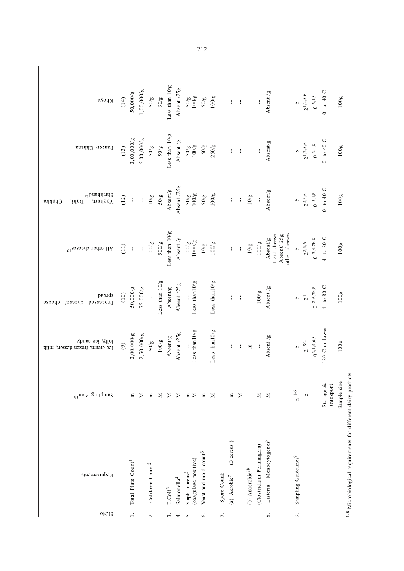| кроуа                                                       | (14)              | 50,000/g                       | 1,00,000/g    | $50/\mathrm{g}$             | $\sqrt{6/6}$     | Less than $10/g$ | Absent /25g             |                           | $\frac{2008}{1000}$  | 50/g                              | 100/g            |              |                               | $\frac{1}{4}$         | $\mathbf{I}$       | J,                        | Absent /g                                              | $\tilde{6}$                      | $2^{1,2,5,6}$  | $0^{3,4,8}$              | $0$ to 40 C               | 100g                                                                     |
|-------------------------------------------------------------|-------------------|--------------------------------|---------------|-----------------------------|------------------|------------------|-------------------------|---------------------------|----------------------|-----------------------------------|------------------|--------------|-------------------------------|-----------------------|--------------------|---------------------------|--------------------------------------------------------|----------------------------------|----------------|--------------------------|---------------------------|--------------------------------------------------------------------------|
| Paneer/ Chhana                                              | (13)              | 3,00,000/g                     | 5,00,000/g    | $50/\sqrt{g}$               | $\sqrt{606}$     | Less than $10/g$ | Absent /g               |                           | $\frac{20001}{300}$  | 150/g                             | 250/g            |              |                               | $\mathbf{I}$          | $\mathbf{I}$       | $\mathbf{I}$              | Absent/g                                               | $\sim$                           |                | $2^{1,2,5,6}$<br>0 3,4,8 | $0$ to 40 C               | 100g                                                                     |
| $\epsilon_1$ pueqyinqS<br>JunugoY<br>Dahi,<br><b>Chakka</b> | (12)              | $\mathbf{I}$                   | $\frac{1}{4}$ | $10/\mathrm g$              | $50/\mathrm{g}$  | Absent/g         | Absent /25g             |                           | $\frac{2008}{300}$   | 50/g                              | 100/g            |              | ł                             | $\frac{1}{4}$         | 10/g               | $\mathbf{I}$              | Absent/g                                               | $\overline{6}$                   | $2^{2,5,6}$    | $0^{3,4,8}$              | 0 to 40 C                 | 100g                                                                     |
| All other cheeses <sup>12</sup>                             | $\left(11\right)$ | ł                              | $\frac{1}{4}$ | 100/g                       | 500/g            | Less than $10/g$ | Absent /g               |                           | $\frac{3}{8}$ (001   | 10/g                              | 100/g            |              |                               | $\mathop{!}\nolimits$ | $10/\mathrm{g}$    | 100/g                     | other cheeses<br>Hard cheese<br>Absent/25g<br>Absent/g | $\sim$                           | $2^{2,5,6}$    | $0^{3,4,7b,8}$           | $4\text{ to }80\text{ C}$ | 100g                                                                     |
| proids<br>passaooid<br>cpeeae <sub>/</sub><br>cpese         | (10)              | 50,000/g                       | 75,000/g      |                             | Less than $10/g$ | Absent/g         | Absent /25g             |                           | Less than $10/g$     |                                   | Less than $10/g$ |              |                               | $\frac{1}{2}$         | $\mathbf{I}$       | 100/g                     | Absent /g                                              | S                                | $\overline{c}$ | $0^{2-6,7b,8}$           | 4 to 80 C                 | 100g                                                                     |
| lolly, ice candy<br>Ice cream, frozen dessert, milk         | $\circ$           | 2,00,000/g                     | 2,50,000/g    | 50/g                        | $100/g$          | Absent/g         | Absent /25g             |                           | Less than10/g        |                                   | Less than10/g    |              |                               | $\mathbf{I}$          | $\mathbf{E}$       |                           | Absent $/g$                                            | $\overline{6}$                   | $2^{182}$      | $0^{3,4,5,6,8}$          | -180 C or lower           | 100g                                                                     |
| <sup>01</sup> ns <sup>19</sup> gnilqms2                     |                   | 日                              | Σ             | Ε                           | Σ                | $\geq$           | Σ                       |                           | $E \ge$              | $\Xi$                             | Σ                |              | E                             | $\geq$                |                    | Σ                         | Σ                                                      | $n^{-1-8}$                       | $\circ$        |                          | Storage &<br>transport    | Sample size                                                              |
| Requirements                                                |                   | Total Plate Count <sup>1</sup> |               | Coliform Count <sup>2</sup> |                  | $E.Coli3$        | Salmonella <sup>4</sup> | Staph aureus <sup>5</sup> | (coagulase positive) | Yeast and mold count <sup>6</sup> |                  | Spore Count: | (B.cereus)<br>(a) $Aerobic7a$ |                       | (b) Anaerobic $7b$ | (Clostridium Perfringern) | Listeria Monocytogenes <sup>8</sup>                    | Sampling Guidelines <sup>9</sup> |                |                          |                           | <sup>1-8</sup> Microbiological requirements for different dairy products |
| ' <sup>o</sup> N'IS                                         |                   | $\overline{a}$                 |               | $\overline{\mathcal{L}}$    |                  | $\dot{5}$        | $\overline{4}$          | $\overline{5}$            |                      | $\dot{\circ}$                     |                  | $\vec{r}$ .  |                               |                       |                    |                           | $\infty$                                               | o.                               |                |                          |                           |                                                                          |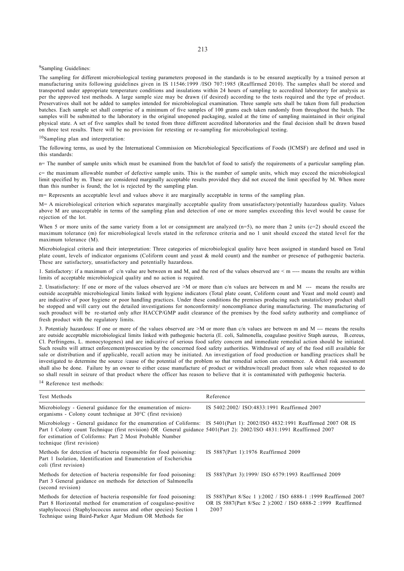## 9Sampling Guidelines:

The sampling for different microbiological testing parameters proposed in the standards is to be ensured aseptically by a trained person at manufacturing units following guidelines given in IS 11546:1999 /ISO 707:1985 (Reaffirmed 2010). The samples shall be stored and transported under appropriate temperature conditions and insulations within 24 hours of sampling to accredited laboratory for analysis as per the approved test methods. A large sample size may be drawn (if desired) according to the tests required and the type of product. Preservatives shall not be added to samples intended for microbiological examination. Three sample sets shall be taken from full production batches. Each sample set shall comprise of a minimum of five samples of 100 grams each taken randomly from throughout the batch. The samples will be submitted to the laboratory in the original unopened packaging, sealed at the time of sampling maintained in their original physical state. A set of five samples shall be tested from three different accredited laboratories and the final decision shall be drawn based on three test results. There will be no provision for retesting or re-sampling for microbiological testing.

10Sampling plan and interpretation:

The following terms, as used by the International Commission on Microbiological Specifications of Foods (ICMSF) are defined and used in this standards:

n= The number of sample units which must be examined from the batch/lot of food to satisfy the requirements of a particular sampling plan.

c= the maximum allowable number of defective sample units. This is the number of sample units, which may exceed the microbiological limit specified by m. These are considered marginally acceptable results provided they did not exceed the limit specified by M. When more than this number is found; the lot is rejected by the sampling plan.

m= Represents an acceptable level and values above it are marginally acceptable in terms of the sampling plan.

M= A microbiological criterion which separates marginally acceptable quality from unsatisfactory/potentially hazardous quality. Values above M are unacceptable in terms of the sampling plan and detection of one or more samples exceeding this level would be cause for rejection of the lot.

When 5 or more units of the same variety from a lot or consignment are analyzed  $(n=5)$ , no more than 2 units  $(c=2)$  should exceed the maximum tolerance (m) for microbiological levels stated in the reference criteria and no 1 unit should exceed the stated level for the maximum tolerance (M).

Microbiological criteria and their interpretation: Three categories of microbiological quality have been assigned in standard based on Total plate count, levels of indicator organisms (Coliform count and yeast & mold count) and the number or presence of pathogenic bacteria. These are satisfactory, unsatisfactory and potentially hazardous.

1. Satisfactory: if a maximum of  $c/n$  value are between m and M, and the rest of the values observed are  $\leq m$  ---- means the results are within limits of acceptable microbiological quality and no action is required.

2. Unsatisfactory: If one or more of the values observed are >M or more than c/n values are between m and M --- means the results are outside acceptable microbiological limits linked with hygiene indicators (Total plate count, Coliform count and Yeast and mold count) and are indicative of poor hygiene or poor handling practices. Under these conditions the premises producing such unstatisfctory product shall be stopped and will carry out the detailed investigations for nonconformity/ noncompliance during manufacturing. The manufacturing of such prouduct will be re-started only after HACCP/GMP audit clearance of the premises by the food safety authority and compliance of fresh product with the regulatory limits.

3. Potentialy hazardous: If one or more of the values observed are >M or more than c/n values are between m and M --- means the results are outside acceptable microbiological limits linked with pathogenic bacteria (E. coli, Salmonella, coagulase positive Staph aureus, B.cereus, Cl. Perfringens, L. monocytogenes) and are indicative of serious food safety concern and immediate remedial action should be initiated. Such results will attract enforcement/prosecution by the concerned food safety authorities. Withdrawal of any of the food still available for sale or distribution and if applicable, recall action may be initiated. An investigation of food production or handling practices shall be investigated to determine the source /cause of the potential of the problem so that remedial action can commence. A detail risk assessment shall also be done. Failure by an owner to either cease manufacture of product or withdraw/recall product from sale when requested to do so shall result in seizure of that product where the officer has reason to believe that it is contaminated with pathogenic bacteria.

14 Reference test methods:

| Test Methods                                                                                                                                                                                                                                                                                                                                 | Reference                                                                                                                            |
|----------------------------------------------------------------------------------------------------------------------------------------------------------------------------------------------------------------------------------------------------------------------------------------------------------------------------------------------|--------------------------------------------------------------------------------------------------------------------------------------|
| Microbiology - General guidance for the enumeration of micro-<br>organisms - Colony count technique at $30^{\circ}$ C (first revision)                                                                                                                                                                                                       | IS 5402:2002/ ISO:4833:1991 Reaffirmed 2007                                                                                          |
| Microbiology - General guidance for the enumeration of Coliforms: IS 5401(Part 1): 2002/ISO 4832:1991 Reaffirmed 2007 OR IS<br>Part 1 Colony count Technique (first revision) OR General guidance 5401(Part 2): 2002/ISO 4831:1991 Reaffirmed 2007<br>for estimation of Coliforms: Part 2 Most Probable Number<br>technique (first revision) |                                                                                                                                      |
| Methods for detection of bacteria responsible for food poisoning:<br>Part 1 Isolation, Identification and Enumeration of Escherichia<br>coli (first revision)                                                                                                                                                                                | IS 5887(Part 1):1976 Reaffirmed 2009                                                                                                 |
| Methods for detection of bacteria responsible for food poisoning:<br>Part 3 General guidance on methods for detection of Salmonella<br>(second revision)                                                                                                                                                                                     | IS 5887(Part 3):1999/ ISO 6579:1993 Reaffirmed 2009                                                                                  |
| Methods for detection of bacteria responsible for food poisoning:<br>Part 8 Horizontal method for enumeration of coagulase-positive<br>staphylococci (Staphylococcus aureus and other species) Section 1<br>Technique using Baird-Parker Agar Medium OR Methods for                                                                          | IS 5887(Part 8/Sec 1):2002 / ISO 6888-1 :1999 Reaffirmed 2007<br>OR IS 5887(Part 8/Sec 2):2002 / ISO 6888-2 :1999 Reaffirmed<br>2007 |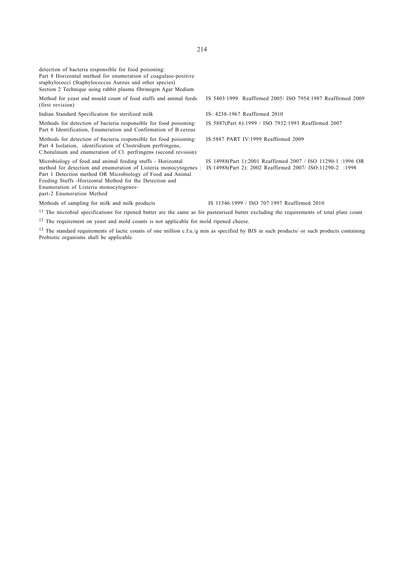| detection of bacteria responsible for food poisoning:<br>Part 8 Horizontal method for enumeration of coagulase-positive<br>staphylococci (Staphylococcus Aureus and other species)<br>Section 2 Technique using rabbit plasma fibrinogen Agar Medium                                                                             |                                                                                                                           |
|----------------------------------------------------------------------------------------------------------------------------------------------------------------------------------------------------------------------------------------------------------------------------------------------------------------------------------|---------------------------------------------------------------------------------------------------------------------------|
| Method for yeast and mould count of food stuffs and animal feeds<br>(first revision)                                                                                                                                                                                                                                             | IS 5403:1999 Reaffirmed 2005/ ISO 7954:1987 Reaffirmed 2009                                                               |
| Indian Standard Specification for sterilized milk                                                                                                                                                                                                                                                                                | IS: 4238-1967 Reaffirmed 2010                                                                                             |
| Methods for detection of bacteria responsible for food poisoning:<br>Part 6 Identification, Enumeration and Confirmation of B cereus                                                                                                                                                                                             | IS 5887(Part 6):1999 / ISO 7932:1993 Reaffirmed 2007                                                                      |
| Methods for detection of bacteria responsible for food poisoning:<br>Part 4 Isolation, identification of Clostridium perfringens,<br>C.botulinum and enumeration of Cl. perfringens (second revision)                                                                                                                            | IS:5887 PART IV:1999 Reaffirmed 2009                                                                                      |
| Microbiology of food and animal feeding stuffs - Horizontal<br>method for detection and enumeration of Listeria monocytogenes :<br>Part 1 Detection method OR Microbiology of Food and Animal<br>Feeding Stuffs - Horizontal Method for the Detection and<br>Enumeration of Listeria monocytogenes-<br>part-2 Enumeration Method | IS 14988(Part 1):2001 Reaffirmed 2007 / ISO 11290-1 :1996 OR<br>IS:14988(Part 2): 2002 Reaffirmed 2007/ ISO:11290-2 :1998 |
| Methods of sampling for milk and milk products                                                                                                                                                                                                                                                                                   | IS 11546:1999 / ISO 707:1997 Reaffirmed 2010                                                                              |
| <sup>11</sup> The microbial specifications for ripened butter are the same as for pasteurised butter excluding the requirements of total plate count                                                                                                                                                                             |                                                                                                                           |

<sup>12</sup> The requirement on yeast and mold counts is not applicable for mold ripened cheese.

<sup>13</sup> The standard requirements of lactic counts of one million c.f.u./g min as specified by BIS in such products/ or such products containing Probiotic organisms shall be applicable.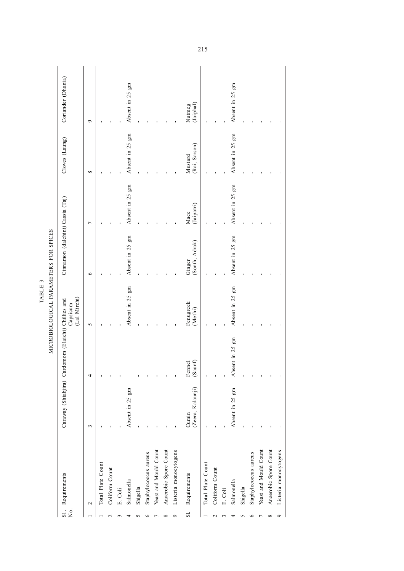| Coriander (Dhania)<br>Absent in 25 gm<br>Absent in 25 gm<br>(Jaiphal)<br>Nutmeg<br>$\sigma$<br>Absent in 25 gm<br>Absent in 25 gm<br>Cloves (Laung)<br>(Rai, Sarson)<br>Mustard<br>$\infty$<br>Absent in 25 gm<br>Absent in 25 gm<br>Cinnamon (dalchini) Cassia (Taj)<br>(Jaipatri)<br>Mace<br>$\overline{ }$<br>MICROBIOLOGICAL PARAMETERS FOR SPICES<br>Absent in 25 gm<br>Absent in 25 gm<br>(Sonth, Adrak)<br>Ginger<br>$\bullet$<br>Absent in 25 gm<br>Absent in 25 gm<br>(Lal Mirchi)<br>Caraway (Shiahjira) Cardomom (Elaichi) Chillies and<br>Fenugreek<br>Capsicum<br>(Methi)<br>5<br>Absent in 25 gm<br>(Saunf)<br>Fennel<br>4<br>(Zeera, Kalaunji)<br>Absent in 25 gm<br>Absent in 25 gm<br>Cumin<br>3<br>Anaerobic Spore Count<br>Anaerobic Spore Count<br>Yeast and Mould Count<br>Listeria monocytogens<br>Yeast and Mould Count<br>Listeria monocytogens<br>Staphylococcus aureus<br>Staphylococcus aureus<br>Total Plate Count<br>Total Plate Count<br>Coliform Count<br>Coliform Count<br>Requirements<br>Requirements<br>Salmonella<br>Salmonella<br>Shigella<br>Shigella<br>E. Coli<br>E. Coli<br>$\mathbf{\sim}$<br>$\overline{\mathbf{S}}$ .<br>$\frac{1}{2}$<br>$\mathbf{S}$<br>$\sigma$<br>${}^{\circ}$<br>٩<br>∞<br>$\sim$ |  |  | TABLE 3 |  |  |
|----------------------------------------------------------------------------------------------------------------------------------------------------------------------------------------------------------------------------------------------------------------------------------------------------------------------------------------------------------------------------------------------------------------------------------------------------------------------------------------------------------------------------------------------------------------------------------------------------------------------------------------------------------------------------------------------------------------------------------------------------------------------------------------------------------------------------------------------------------------------------------------------------------------------------------------------------------------------------------------------------------------------------------------------------------------------------------------------------------------------------------------------------------------------------------------------------------------------------------------------------|--|--|---------|--|--|
|                                                                                                                                                                                                                                                                                                                                                                                                                                                                                                                                                                                                                                                                                                                                                                                                                                                                                                                                                                                                                                                                                                                                                                                                                                                    |  |  |         |  |  |
|                                                                                                                                                                                                                                                                                                                                                                                                                                                                                                                                                                                                                                                                                                                                                                                                                                                                                                                                                                                                                                                                                                                                                                                                                                                    |  |  |         |  |  |
|                                                                                                                                                                                                                                                                                                                                                                                                                                                                                                                                                                                                                                                                                                                                                                                                                                                                                                                                                                                                                                                                                                                                                                                                                                                    |  |  |         |  |  |
|                                                                                                                                                                                                                                                                                                                                                                                                                                                                                                                                                                                                                                                                                                                                                                                                                                                                                                                                                                                                                                                                                                                                                                                                                                                    |  |  |         |  |  |
|                                                                                                                                                                                                                                                                                                                                                                                                                                                                                                                                                                                                                                                                                                                                                                                                                                                                                                                                                                                                                                                                                                                                                                                                                                                    |  |  |         |  |  |
|                                                                                                                                                                                                                                                                                                                                                                                                                                                                                                                                                                                                                                                                                                                                                                                                                                                                                                                                                                                                                                                                                                                                                                                                                                                    |  |  |         |  |  |
|                                                                                                                                                                                                                                                                                                                                                                                                                                                                                                                                                                                                                                                                                                                                                                                                                                                                                                                                                                                                                                                                                                                                                                                                                                                    |  |  |         |  |  |
|                                                                                                                                                                                                                                                                                                                                                                                                                                                                                                                                                                                                                                                                                                                                                                                                                                                                                                                                                                                                                                                                                                                                                                                                                                                    |  |  |         |  |  |
|                                                                                                                                                                                                                                                                                                                                                                                                                                                                                                                                                                                                                                                                                                                                                                                                                                                                                                                                                                                                                                                                                                                                                                                                                                                    |  |  |         |  |  |
|                                                                                                                                                                                                                                                                                                                                                                                                                                                                                                                                                                                                                                                                                                                                                                                                                                                                                                                                                                                                                                                                                                                                                                                                                                                    |  |  |         |  |  |
|                                                                                                                                                                                                                                                                                                                                                                                                                                                                                                                                                                                                                                                                                                                                                                                                                                                                                                                                                                                                                                                                                                                                                                                                                                                    |  |  |         |  |  |
|                                                                                                                                                                                                                                                                                                                                                                                                                                                                                                                                                                                                                                                                                                                                                                                                                                                                                                                                                                                                                                                                                                                                                                                                                                                    |  |  |         |  |  |
|                                                                                                                                                                                                                                                                                                                                                                                                                                                                                                                                                                                                                                                                                                                                                                                                                                                                                                                                                                                                                                                                                                                                                                                                                                                    |  |  |         |  |  |
|                                                                                                                                                                                                                                                                                                                                                                                                                                                                                                                                                                                                                                                                                                                                                                                                                                                                                                                                                                                                                                                                                                                                                                                                                                                    |  |  |         |  |  |
|                                                                                                                                                                                                                                                                                                                                                                                                                                                                                                                                                                                                                                                                                                                                                                                                                                                                                                                                                                                                                                                                                                                                                                                                                                                    |  |  |         |  |  |
|                                                                                                                                                                                                                                                                                                                                                                                                                                                                                                                                                                                                                                                                                                                                                                                                                                                                                                                                                                                                                                                                                                                                                                                                                                                    |  |  |         |  |  |
|                                                                                                                                                                                                                                                                                                                                                                                                                                                                                                                                                                                                                                                                                                                                                                                                                                                                                                                                                                                                                                                                                                                                                                                                                                                    |  |  |         |  |  |
|                                                                                                                                                                                                                                                                                                                                                                                                                                                                                                                                                                                                                                                                                                                                                                                                                                                                                                                                                                                                                                                                                                                                                                                                                                                    |  |  |         |  |  |
|                                                                                                                                                                                                                                                                                                                                                                                                                                                                                                                                                                                                                                                                                                                                                                                                                                                                                                                                                                                                                                                                                                                                                                                                                                                    |  |  |         |  |  |
|                                                                                                                                                                                                                                                                                                                                                                                                                                                                                                                                                                                                                                                                                                                                                                                                                                                                                                                                                                                                                                                                                                                                                                                                                                                    |  |  |         |  |  |
|                                                                                                                                                                                                                                                                                                                                                                                                                                                                                                                                                                                                                                                                                                                                                                                                                                                                                                                                                                                                                                                                                                                                                                                                                                                    |  |  |         |  |  |
|                                                                                                                                                                                                                                                                                                                                                                                                                                                                                                                                                                                                                                                                                                                                                                                                                                                                                                                                                                                                                                                                                                                                                                                                                                                    |  |  |         |  |  |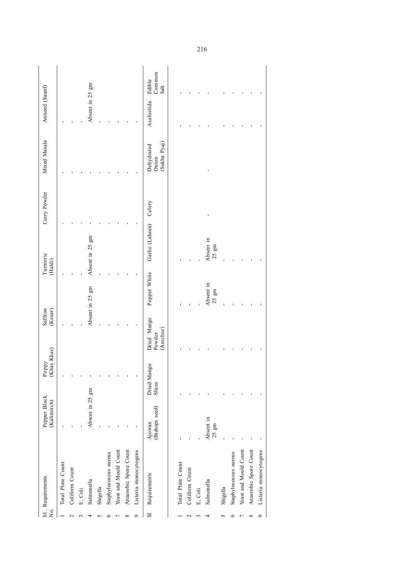| $\overline{\mathsf{X}}$ | SI. Requirements      | Pepper Black<br>(Kalimirch)  | (Khas Khas)<br>Poppy  | Saffron<br>(Kesar)                |                               | Turmeric<br>(Haldi)           | Curry Powder | Mixed Masala                        | Aniseed (Saunf) |                          |
|-------------------------|-----------------------|------------------------------|-----------------------|-----------------------------------|-------------------------------|-------------------------------|--------------|-------------------------------------|-----------------|--------------------------|
|                         | Total Plate Count     |                              |                       |                                   |                               |                               |              |                                     |                 |                          |
|                         | Coliform Count        |                              |                       |                                   |                               |                               |              |                                     |                 |                          |
|                         | E. Coli               |                              |                       |                                   |                               |                               |              |                                     |                 |                          |
|                         | Salmonella            | Absent in 25 gm              |                       |                                   | Absent in 25 gm               | Absent in 25 gm               |              |                                     | Absent in 25 gm |                          |
|                         | Shigella              |                              |                       |                                   |                               |                               |              |                                     |                 |                          |
|                         | Staphylococcus aureus |                              |                       |                                   |                               |                               |              |                                     |                 |                          |
|                         | Yeast and Mould Count |                              |                       |                                   |                               |                               |              |                                     |                 |                          |
| ${}^{\circ}$            | Anaerobic Spore Count |                              |                       |                                   |                               |                               |              |                                     |                 |                          |
| ç                       | Listeria monocytogens |                              |                       |                                   |                               |                               |              |                                     |                 |                          |
| S                       | Requirements          | (Bishops seed)<br>Ajowan     | Dried Mango<br>Slices | Dried Mango<br>(Amchur)<br>Powder | Pepper White                  | Garlic (Lahsun)               | Celery       | (Sukha Pyaj)<br>Dehydrated<br>Onion | Asafoetida      | Common<br>Edible<br>Salt |
|                         | Total Plate Count     |                              |                       |                                   |                               |                               |              |                                     |                 |                          |
| $\scriptstyle\sim$      | Coliform Count        |                              |                       |                                   |                               |                               |              |                                     |                 |                          |
|                         | E. Coli               |                              |                       |                                   |                               |                               |              |                                     |                 |                          |
|                         | Salmonella            | Absent in<br>$25 \text{ gm}$ |                       |                                   | Absent in<br>$25~\mathrm{gm}$ | Absent in<br>$25~\mathrm{gm}$ |              |                                     |                 |                          |
| v                       | Shigella              |                              |                       |                                   |                               |                               |              |                                     |                 |                          |
| ≏                       | Staphylococcus aureus |                              |                       |                                   |                               |                               |              |                                     |                 |                          |
|                         | Yeast and Mould Count |                              |                       |                                   |                               |                               |              |                                     |                 |                          |
| $\infty$                | Anaerobic Spore Count |                              |                       |                                   |                               |                               |              |                                     |                 |                          |
| $\circ$                 | Listeria monocytogens |                              |                       |                                   |                               |                               |              |                                     |                 |                          |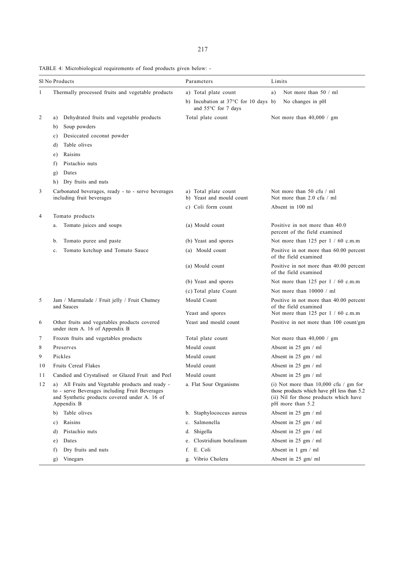TABLE 4: Microbiological requirements of food products given below: -

|                | Sl No Products       |                                                                                                                                                     | Parameters                                                  | Limits |                                                                                                                                                     |
|----------------|----------------------|-----------------------------------------------------------------------------------------------------------------------------------------------------|-------------------------------------------------------------|--------|-----------------------------------------------------------------------------------------------------------------------------------------------------|
| 1              |                      | Thermally processed fruits and vegetable products                                                                                                   | a) Total plate count                                        | a)     | Not more than $50 / ml$                                                                                                                             |
|                |                      |                                                                                                                                                     | b) Incubation at 37°C for 10 days b)<br>and 55°C for 7 days |        | No changes in pH                                                                                                                                    |
| $\overline{c}$ | a)                   | Dehydrated fruits and vegetable products                                                                                                            | Total plate count                                           |        | Not more than $40,000 / gm$                                                                                                                         |
|                | b)                   | Soup powders                                                                                                                                        |                                                             |        |                                                                                                                                                     |
|                | c)                   | Desiccated coconut powder                                                                                                                           |                                                             |        |                                                                                                                                                     |
|                | d)                   | Table olives                                                                                                                                        |                                                             |        |                                                                                                                                                     |
|                | Raisins<br>e)        |                                                                                                                                                     |                                                             |        |                                                                                                                                                     |
|                | f)                   | Pistachio nuts                                                                                                                                      |                                                             |        |                                                                                                                                                     |
|                | Dates<br>g)          |                                                                                                                                                     |                                                             |        |                                                                                                                                                     |
|                | h)                   | Dry fruits and nuts                                                                                                                                 |                                                             |        |                                                                                                                                                     |
| 3              |                      | Carbonated beverages, ready - to - serve beverages<br>including fruit beverages                                                                     | a) Total plate count<br>b) Yeast and mould count            |        | Not more than 50 cfu / ml<br>Not more than 2.0 cfu / ml                                                                                             |
|                |                      |                                                                                                                                                     | c) Coli form count                                          |        | Absent in 100 ml                                                                                                                                    |
| 4              | Tomato products      |                                                                                                                                                     |                                                             |        |                                                                                                                                                     |
|                | a.                   | Tomato juices and soups                                                                                                                             | (a) Mould count                                             |        | Positive in not more than 40.0<br>percent of the field examined                                                                                     |
|                | b.                   | Tomato puree and paste                                                                                                                              | (b) Yeast and spores                                        |        | Not more than 125 per $1/60$ c.m.m                                                                                                                  |
|                | c.                   | Tomato ketchup and Tomato Sauce                                                                                                                     | (a) Mould count                                             |        | Positive in not more than 60.00 percent<br>of the field examined                                                                                    |
|                |                      |                                                                                                                                                     | (a) Mould count                                             |        | Positive in not more than 40.00 percent<br>of the field examined                                                                                    |
|                |                      |                                                                                                                                                     | (b) Yeast and spores                                        |        | Not more than $125$ per $1 / 60$ c.m.m                                                                                                              |
|                |                      |                                                                                                                                                     | (c) Total plate Count                                       |        | Not more than 10000 / ml                                                                                                                            |
| 5              | and Sauces           | Jam / Marmalade / Fruit jelly / Fruit Chutney                                                                                                       | Mould Count                                                 |        | Positive in not more than 40.00 percent<br>of the field examined                                                                                    |
|                |                      |                                                                                                                                                     | Yeast and spores                                            |        | Not more than 125 per 1 / 60 c.m.m                                                                                                                  |
| 6              |                      | Other fruits and vegetables products covered<br>under item A. 16 of Appendix B                                                                      | Yeast and mould count                                       |        | Positive in not more than 100 count/gm                                                                                                              |
| 7              |                      | Frozen fruits and vegetables products                                                                                                               | Total plate count                                           |        | Not more than 40,000 / gm                                                                                                                           |
| 8              | Preserves            |                                                                                                                                                     | Mould count                                                 |        | Absent in 25 gm / ml                                                                                                                                |
| 9              | Pickles              |                                                                                                                                                     | Mould count                                                 |        | Absent in 25 gm / ml                                                                                                                                |
| 10             | Fruits Cereal Flakes |                                                                                                                                                     | Mould count                                                 |        | Absent in 25 gm / ml                                                                                                                                |
| 11             |                      | Candied and Crystalised or Glazed Fruit and Peel                                                                                                    | Mould count                                                 |        | Absent in 25 gm / ml                                                                                                                                |
| 12             | Appendix B           | a) All Fruits and Vegetable products and ready -<br>to - serve Beverages including Fruit Beverages<br>and Synthetic products covered under A. 16 of | a. Flat Sour Organisms                                      |        | (i) Not more than $10,000$ cfu / gm for<br>those products which have pH less than 5.2<br>(ii) Nil for those products which have<br>pH more than 5.2 |
|                | b)                   | Table olives                                                                                                                                        | b. Staphylococcus aureus                                    |        | Absent in 25 gm / ml                                                                                                                                |
|                | Raisins<br>c)        |                                                                                                                                                     | c. Salmonella                                               |        | Absent in $25 \text{ gm} / \text{ml}$                                                                                                               |
|                | d)                   | Pistachio nuts                                                                                                                                      | d. Shigella                                                 |        | Absent in 25 gm / ml                                                                                                                                |
|                | Dates<br>e)          |                                                                                                                                                     | e. Clostridium botulinum                                    |        | Absent in $25 \text{ gm} / \text{ml}$                                                                                                               |
|                | f)                   | Dry fruits and nuts                                                                                                                                 | f. E. Coli                                                  |        | Absent in $1 \text{ gm} / \text{ml}$                                                                                                                |
|                | Vinegars<br>g)       |                                                                                                                                                     | Vibrio Cholera<br>g.                                        |        | Absent in 25 gm/ ml                                                                                                                                 |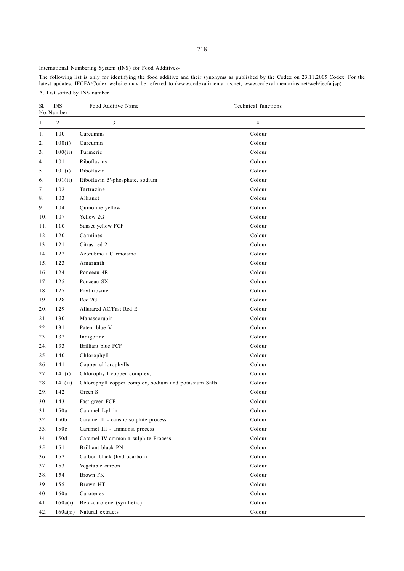International Numbering System (INS) for Food Additives-

The following list is only for identifying the food additive and their synonyms as published by the Codex on 23.11.2005 Codex. For the latest updates, JECFA/Codex website may be referred to (www.codexalimentarius.net, www.codexalimentarius.net/web/jecfa.jsp) A. List sorted by INS number

| Sl.            | <b>INS</b><br>No. Number | Food Additive Name                                     | Technical functions     |
|----------------|--------------------------|--------------------------------------------------------|-------------------------|
| $\mathbf{1}$   | $\overline{c}$           | 3                                                      | $\overline{\mathbf{4}}$ |
| 1.             | 100                      | Curcumins                                              | Colour                  |
| 2.             | 100(i)                   | Curcumin                                               | Colour                  |
| 3 <sub>1</sub> | 100(ii)                  | Turmeric                                               | Colour                  |
| 4.             | 101                      | Riboflavins                                            | Colour                  |
| 5.             | 101(i)                   | Riboflavin                                             | Colour                  |
| 6.             | 101(ii)                  | Riboflavin 5'-phosphate, sodium                        | Colour                  |
| 7.             | 102                      | Tartrazine                                             | Colour                  |
| 8.             | 103                      | Alkanet                                                | Colour                  |
| 9.             | 104                      | Quinoline yellow                                       | Colour                  |
| 10.            | 107                      | Yellow 2G                                              | Colour                  |
| 11.            | 110                      | Sunset yellow FCF                                      | Colour                  |
| 12.            | 120                      | Carmines                                               | Colour                  |
| 13.            | 121                      | Citrus red 2                                           | Colour                  |
| 14.            | 122                      | Azorubine / Carmoisine                                 | Colour                  |
| 15.            | 123                      | Amaranth                                               | Colour                  |
| 16.            | 124                      | Ponceau 4R                                             | Colour                  |
| 17.            | 125                      | Ponceau SX                                             | Colour                  |
| 18.            | 127                      | Erythrosine                                            | Colour                  |
| 19.            | 128                      | Red 2G                                                 | Colour                  |
| 20.            | 129                      | Allurared AC/Fast Red E                                | Colour                  |
| 21.            | 130                      | Manascorubin                                           | Colour                  |
| 22.            | 131                      | Patent blue V                                          | Colour                  |
| 23.            | 132                      | Indigotine                                             | Colour                  |
| 24.            | 133                      | Brilliant blue FCF                                     | Colour                  |
| 25.            | 140                      | Chlorophyll                                            | Colour                  |
| 26.            | 141                      | Copper chlorophylls                                    | Colour                  |
| 27.            | 141(i)                   | Chlorophyll copper complex,                            | Colour                  |
| 28.            | 141(ii)                  | Chlorophyll copper complex, sodium and potassium Salts | Colour                  |
| 29.            | 142                      | Green S                                                | Colour                  |
| 30.            | 143                      | Fast green FCF                                         | Colour                  |
| 31.            | 150a                     | Caramel I-plain                                        | Colour                  |
| 32.            | 150b                     | Caramel II - caustic sulphite process                  | Colour                  |
| 33.            | 150c                     | Caramel III - ammonia process                          | Colour                  |
| 34.            | 150d                     | Caramel IV-ammonia sulphite Process                    | Colour                  |
| 35.            | 151                      | Brilliant black PN                                     | Colour                  |
| 36.            | 152                      | Carbon black (hydrocarbon)                             | Colour                  |
| 37.            | 153                      | Vegetable carbon                                       | Colour                  |
| 38.            | 154                      | Brown FK                                               | Colour                  |
| 39.            | 155                      | Brown HT                                               | Colour                  |
| 40.            | 160a                     | Carotenes                                              | Colour                  |
| 41.            | 160a(i)                  | Beta-carotene (synthetic)                              | Colour                  |
| 42.            | 160a(ii)                 | Natural extracts                                       | Colour                  |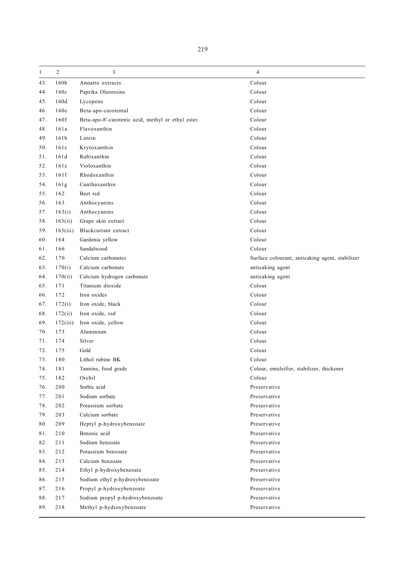| $\mathbf{1}$ | $\overline{c}$   | 3                                                 | 4                                               |
|--------------|------------------|---------------------------------------------------|-------------------------------------------------|
| 43.          | 160b             | Annatto extracts                                  | Colour                                          |
| 44.          | 160c             | Paprika Oleoresins                                | Colour                                          |
| 45.          | 160d             | Lycopene                                          | Colour                                          |
| 46.          | 160e             | Beta-apo-carotental                               | Colour                                          |
| 47.          | 160f             | Beta-apo-8'-carotenic acid, methyl or ethyl ester | Colour                                          |
| 48.          | 161a             | Flavoxanthin                                      | Colour                                          |
| 49.          | 161 <sub>b</sub> | Lutein                                            | Colour                                          |
| 50.          | 161c             | Krytoxanthin                                      | Colour                                          |
| 51.          | 161d             | Rubixanthin                                       | Colour                                          |
| 52.          | 161e             | Violoxanthin                                      | Colour                                          |
| 53.          | 161f             | Rhodoxanthin                                      | Colour                                          |
| 54.          | 161g             | Canthaxanthin                                     | Colour                                          |
| 55.          | 162              | Beet red                                          | Colour                                          |
| 56.          | 163              | Anthocyanins                                      | Colour                                          |
| 57.          | 163(i)           | Anthocyanins                                      | Colour                                          |
| 58.          | 163(ii)          | Grape skin extract                                | Colour                                          |
| 59.          | 163(iii)         | Blackcurrant extract                              | Colour                                          |
| 60.          | 164              | Gardenia yellow                                   | Colour                                          |
| 61.          | 166              | Sandalwood                                        | Colour                                          |
| 62.          | 170              | Calcium carbonates                                | Surface colourant, anticaking agent, stabilizer |
| 63.          | 170(i)           | Calcium carbonate                                 | anticaking agent                                |
| 64.          | 170(ii)          | Calcium hydrogen carbonate                        | anticaking agent                                |
| 65.          | 171              | Titanium dioxide                                  | Colour                                          |
| 66.          | 172              | Iron oxides                                       | Colour                                          |
| 67.          | 172(i)           | Iron oxide, black                                 | Colour                                          |
| 68.          | 172(ii)          | Iron oxide, red                                   | Colour                                          |
| 69.          | 172(iii)         | Iron oxide, yellow                                | Colour                                          |
| 70.          | 173              | Aluminium                                         | Colour                                          |
| 71.          | 174              | Silver                                            | Colour                                          |
| 72.          | 175              | Gold                                              | Colour                                          |
| 73.          | 180              | Lithol rubine BK                                  | Colour                                          |
| 74.          | 181              | Tannins, food grade                               | Colour, emulsifier, stabilizer, thickener       |
| 75.          | 182              | Orchil                                            | Colour                                          |
| 76.          | 200              | Sorbic acid                                       | Preservative                                    |
| 77.          | 201              | Sodium sorbate                                    | Preservative                                    |
| 78.          | 202              | Potassium sorbate                                 | Preservative                                    |
| 79.          | 203              | Calcium sorbate                                   | Preservative                                    |
| 80.          | 209              | Heptyl p-hydroxybenzoate                          | Preservative                                    |
| 81.          | 210              | Benzoic acid                                      | Preservative                                    |
| 82.          | 211              | Sodium benzoate                                   | Preservative                                    |
| 83.          | 212              | Potassium benzoate                                | Preservative                                    |
| 84.          | 213              | Calcium benzoate                                  | Preservative                                    |
| 85.          | 214              | Ethyl p-hydroxybenzoate                           | Preservative                                    |
| 86.          | 215              | Sodium ethyl p-hydroxybenzoate                    | Preservative                                    |
| 87.          | 216              | Propyl p-hydroxybenzoate                          | Preservative                                    |
| 88.          | 217              | Sodium propyl p-hydroxybenzoate                   | Preservative                                    |
| 89.          | 218              | Methyl p-hydroxybenzoate                          | Preservative                                    |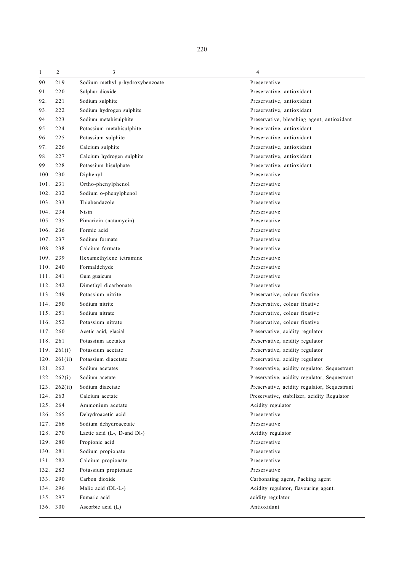| $\mathbf{1}$ | 2               | 3                               | 4                                            |
|--------------|-----------------|---------------------------------|----------------------------------------------|
| 90.          | 219             | Sodium methyl p-hydroxybenzoate | Preservative                                 |
| 91.          | 220             | Sulphur dioxide                 | Preservative, antioxidant                    |
| 92.          | 221             | Sodium sulphite                 | Preservative, antioxidant                    |
| 93.          | 222             | Sodium hydrogen sulphite        | Preservative, antioxidant                    |
| 94.          | 223             | Sodium metabisulphite           | Preservative, bleaching agent, antioxidant   |
| 95.          | 224             | Potassium metabisulphite        | Preservative, antioxidant                    |
| 96.          | 225             | Potassium sulphite              | Preservative, antioxidant                    |
| 97.          | 226             | Calcium sulphite                | Preservative, antioxidant                    |
| 98.          | 227             | Calcium hydrogen sulphite       | Preservative, antioxidant                    |
| 99.          | 228             | Potassium bisulphate            | Preservative, antioxidant                    |
| 100.         | 230             | Diphenyl                        | Preservative                                 |
| 101.         | 231             | Ortho-phenylphenol              | Preservative                                 |
| 102.         | 232             | Sodium o-phenylphenol           | Preservative                                 |
| 103. 233     |                 | Thiabendazole                   | Preservative                                 |
| 104. 234     |                 | Nisin                           | Preservative                                 |
| 105.         | 235             | Pimaricin (natamycin)           | Preservative                                 |
| 106.         | 236             | Formic acid                     | Preservative                                 |
| 107. 237     |                 | Sodium formate                  | Preservative                                 |
| 108.         | 238             | Calcium formate                 | Preservative                                 |
| 109.         | 239             | Hexamethylene tetramine         | Preservative                                 |
| 110.         | 240             | Formaldehyde                    | Preservative                                 |
| 111.         | 241             | Gum guaicum                     | Preservative                                 |
| 112.         | 242             | Dimethyl dicarbonate            | Preservative                                 |
| 113.         | 249             | Potassium nitrite               | Preservative, colour fixative                |
| 114.         | 250             | Sodium nitrite                  | Preservative, colour fixative                |
| 115. 251     |                 | Sodium nitrate                  | Preservative, colour fixative                |
| 116.         | 252             | Potassium nitrate               | Preservative, colour fixative                |
| 117.         | 260             | Acetic acid, glacial            | Preservative, acidity regulator              |
| 118.         | 261             | Potassium acetates              | Preservative, acidity regulator              |
|              | 119. $261(i)$   | Potassium acetate               | Preservative, acidity regulator              |
| 120.         | 261(ii)         | Potassium diacetate             | Preservative, acidity regulator              |
| 121.         | 262             | Sodium acetates                 | Preservative, acidity regulator, Sequestrant |
|              | $122. \t262(i)$ | Sodium acetate                  | Preservative, acidity regulator, Sequestrant |
| 123.         | 262(ii)         | Sodium diacetate                | Preservative, acidity regulator, Sequestrant |
| 124.         | 263             | Calcium acetate                 | Preservative, stabilizer, acidity Regulator  |
| 125.         | 264             | Ammonium acetate                | Acidity regulator                            |
| 126.         | 265             | Dehydroacetic acid              | Preservative                                 |
| 127.         | 266             | Sodium dehydroacetate           | Preservative                                 |
| 128.         | 270             | Lactic acid $(L-, D-)$ .        | Acidity regulator                            |
| 129. 280     |                 | Propionic acid                  | Preservative                                 |
| 130. 281     |                 | Sodium propionate               | Preservative                                 |
| 131.         | 282             | Calcium propionate              | Preservative                                 |
| 132.         | 283             | Potassium propionate            | Preservative                                 |
| 133. 290     |                 | Carbon dioxide                  | Carbonating agent, Packing agent             |
| 134. 296     |                 | Malic acid (DL-L-)              | Acidity regulator, flavouring agent.         |
| 135.         | 297             | Fumaric acid                    | acidity regulator                            |
| 136. 300     |                 | Ascorbic acid (L)               | Antioxidant                                  |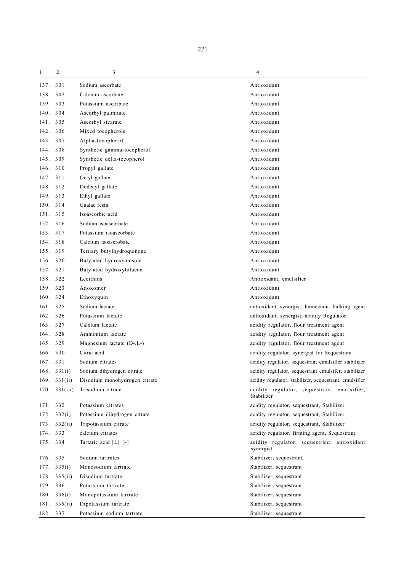| 1        | 2                    | 3                             | 4                                                         |
|----------|----------------------|-------------------------------|-----------------------------------------------------------|
| 137.     | 301                  | Sodium ascorbate              | Antioxidant                                               |
| 138.     | 302                  | Calcium ascorbate             | Antioxidant                                               |
| 139.     | 303                  | Potassium ascorbate           | Antioxidant                                               |
| 140.     | 304                  | Ascorbyl palmitate            | Antioxidant                                               |
| 141.     | 305                  | Ascorbyl stearate             | Antioxidant                                               |
| 142.     | 306                  | Mixed tocopherols             | Antioxidant                                               |
| 143.     | 307                  | Alpha-tocopherol              | Antioxidant                                               |
| 144.     | 308                  | Synthetic gamma-tocopherol    | Antioxidant                                               |
| 145.     | 309                  | Synthetic delta-tocopherol    | Antioxidant                                               |
| 146.     | 310                  | Propyl gallate                | Antioxidant                                               |
| 147.     | 311                  | Octyl gallate                 | Antioxidant                                               |
|          | 148. 312             | Dodecyl gallate               | Antioxidant                                               |
| 149.     | 313                  | Ethyl gallate                 | Antioxidant                                               |
| 150.     | 314                  | Guaiac resin                  | Antioxidant                                               |
| 151. 315 |                      | Isoascorbic acid              | Antioxidant                                               |
| 152.     | 316                  | Sodium isoascorbate           | Antioxidant                                               |
| 153.     | 317                  | Potassium isoascorbate        | Antioxidant                                               |
| 154.     | 318                  | Calcium isoascrobate          | Antioxidant                                               |
|          | 155. 319             | Tertiary butylhydroquinone    | Antioxidant                                               |
| 156.     | 320                  | Butylated hydroxyanisole      | Antioxidant                                               |
| 157.     | 321                  | Butylated hydroxytoluene      | Antioxidant                                               |
| 158.     | 322                  | Lecithins                     | Antioxidant, emulsifier                                   |
| 159. 323 |                      | Anoxomer                      | Antioxidant                                               |
|          | 160. 324             | Ethoxyquin                    | Antioxidant                                               |
| 161.     | 325                  | Sodium lactate                | antioxidant, synergist, humectant, bulking agent          |
| 162.     | 326                  | Potassium lactate             | antioxidant, synergist, acidity Regulator                 |
| 163.     | 327                  | Calcium lactate               | acidity regulator, flour treatment agent                  |
| 164.     | 328                  | Ammonium lactate              | acidity regulator, flour treatment agent                  |
| 165.     | 329                  | Magnesium lactate (D-,L-)     | acidity regulator, flour treatment agent                  |
| 166.     | 330                  | Citric acid                   | acidity regulator, synergist for Sequestrant              |
| 167. 331 |                      | Sodium citrates               | acidity regulator, sequestrant emulsifier stabilizer      |
|          | 168. $331(i)$        | Sodium dihydrogen citrate     | acidity regulator, sequestrant emulsifer, stabilizer      |
|          | 169. $331(ii)$       | Disodium monohydrogen citrate | acidity regulator, stabilizer, sequestrant, emulsifier    |
|          | $170.$ $331(iii)$    | Trisodium citrate             | acidity regulator, sequestrant, emulsifier,<br>Stabilizer |
|          | 171. 332             | Potassium citrates            | acidity regulator, sequestrant, Stabilizer                |
|          | $172. \quad 332(i)$  | Potassium dihydrogen citrate  | acidity regulator, sequestrant, Stabilizer                |
|          | 173. 332(ii)         | Tripotassium citrate          | acidity regulator, sequestrant, Stabilizer                |
| 174. 333 |                      | calcium citrates              | acidity regulator, firming agent, Sequestrant             |
|          | 175. 334             | Tartaric acid $[L(+)-]$       | acidity regulator, sequestrant, antioxidant<br>synergist  |
| 176. 335 |                      | Sodium tartrates              | Stabilizer, sequestrant,                                  |
|          | $177. \quad 335(i)$  | Monosodium tartrate           | Stabilizer, sequestrant                                   |
|          | $178. \quad 335(ii)$ | Disodium tartrate             | Stabilizer, sequestrant                                   |
|          | 179. 336             | Potassium tartrate            | Stabilizer, sequestrant                                   |
|          | 180. 336(i)          | Monopotassium tartrate        | Stabilizer, sequestrant                                   |
|          | 181. 336(ii)         | Dipotassium tartrate          | Stabilizer, sequestrant                                   |
|          | 182. 337             | Potassium sodium tartrate     | Stabilizer, sequestrant                                   |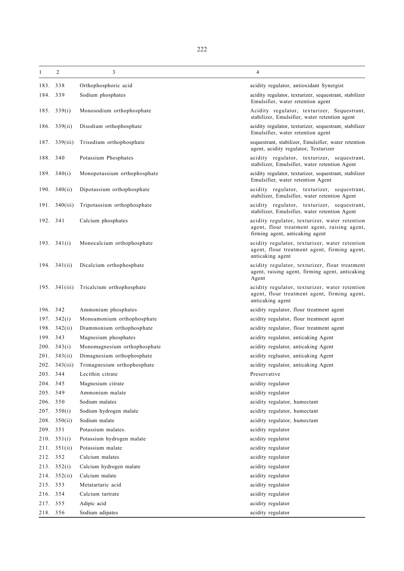| 1        | $\overline{c}$      | 3                            | 4                                                                                                                                 |
|----------|---------------------|------------------------------|-----------------------------------------------------------------------------------------------------------------------------------|
| 183.     | 338                 | Orthophosphoric acid         | acidity regulator, antioxidant Synergist                                                                                          |
| 184.     | 339                 | Sodium phosphates            | acidity regulator, texturizer, sequestrant, stabilizer<br>Emulsifier, water retention agent                                       |
| 185.     | 339(i)              | Monosodium orthophosphate    | Acidity regulator, texturizer, Sequestrant,<br>stabilizer, Emulsifier, water retention agent                                      |
| 186.     | 339(ii)             | Disodium orthophosphate      | acidity regulator, texturizer, sequestrant, stabilizer<br>Emulsifier, water retention agent                                       |
| 187.     | 339(iii)            | Trisodium orthophosphate     | sequestrant, stabilizer, Emulsifier, water retention<br>agent, acidity regulator, Texturizer                                      |
| 188. 340 |                     | Potassium Phosphates         | acidity regulator, texturizer, sequestrant,<br>stabilizer, Emulsifier, water retention Agent                                      |
|          | 189. $340(i)$       | Monopotassium orthophosphate | acidity regulator, texturizer, sequestrant, stabilizer<br>Emulsifier, water retention Agent                                       |
| 190.     | 340(ii)             | Dipotassium orthophosphate   | acidity regulator, texturizer, sequestrant,<br>stabilizer, Emulsifier, water retention Agent                                      |
|          | 191. $340(iii)$     | Tripotassium orthophosphate  | acidity regulator, texturizer, sequestrant,<br>stabilizer, Emulsifier, water retention Agent                                      |
| 192. 341 |                     | Calcium phosphates           | acidity regulator, texturizer, water retention<br>agent, flour treatment agent, raising agent,<br>firming agent, anticaking agent |
|          | 193. $341(i)$       | Monocalcium orthophosphate   | acidity regulator, texturizer, water retention<br>agent, flour treatment agent, firming agent,<br>anticaking agent                |
|          | 194. $341(ii)$      | Dicalcium orthophosphate     | acidity regulator, texturizer, flour treatment<br>agent, raising agent, firming agent, anticaking<br>Agent                        |
|          | 195. $341(iii)$     | Tricalcium orthophosphate    | acidity regulator, texturizer, water retention<br>agent, flour treatment agent, firming agent,<br>anticaking agent                |
| 196.     | 342                 | Ammonium phosphates          | acidity regulator, flour treatment agent                                                                                          |
| 197.     | 342(i)              | Monoamonium orthophosphate   | acidity regulator, flour treatment agent                                                                                          |
| 198.     | 342(ii)             | Diammonium orthophosphate    | acidity regulator, flour treatment agent                                                                                          |
| 199.     | 343                 | Magnesium phosphates         | acidity regulator, anticaking Agent                                                                                               |
| 200.     | 343(i)              | Monomagnesium orthophosphate | acidity regulator, anticaking Agent                                                                                               |
| 201.     | 343(ii)             | Dimagnesium orthophosphate   | acidity regluator, anticaking Agent                                                                                               |
|          | 202. 343(iii)       | Trimagnesium orthophosphate  | acidity regulator, anticaking Agent                                                                                               |
| 203.     | 344                 | Lecithin citrate             | Preservative                                                                                                                      |
| 204.     | 345                 | Magnesium citrate            | acidity regulator                                                                                                                 |
| 205.     | 349                 | Ammonium malate              | acidity regulator                                                                                                                 |
| 206.     | 350                 | Sodium malates               | acidity regulator, humectant                                                                                                      |
| 207.     | 350(i)              | Sodium hydrogen malate       | acidity regulator, humectant                                                                                                      |
| 208.     | 350(ii)             | Sodium malate                | acidity regulator, humectant                                                                                                      |
| 209.     | 351                 | Potassium malates.           | acidity regulator                                                                                                                 |
|          | $210. \quad 351(i)$ | Potassium hydrogen malate    | acidity regulator                                                                                                                 |
| 211.     | 351(ii)             | Potassium malate             | acidity regulator                                                                                                                 |
| 212.     | 352                 | Calcium malates              | acidity regulator                                                                                                                 |
| 213.     | 352(i)              | Calcium hydrogen malate      | acidity regulator                                                                                                                 |
| 214.     | 352(ii)             | Calcium malate               | acidity regulator                                                                                                                 |
| 215.     | 353                 | Metatartaric acid            | acidity regulator                                                                                                                 |
| 216.     | 354                 | Calcium tartrate             | acidity regulator                                                                                                                 |
| 217.     | 355                 | Adipic acid                  | acidity regulator                                                                                                                 |
| 218. 356 |                     | Sodium adipates              | acidity regulator                                                                                                                 |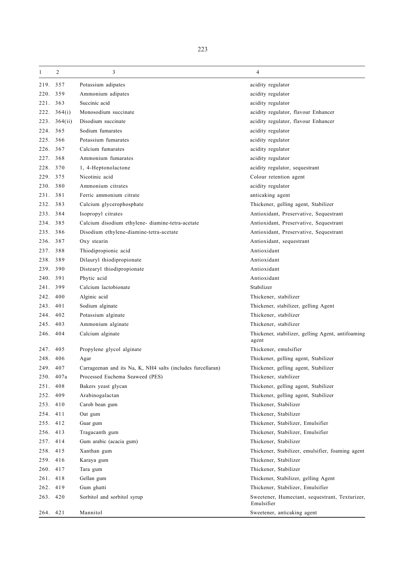| 1        | $\overline{2}$      | 3                                                           | $\overline{4}$                                               |
|----------|---------------------|-------------------------------------------------------------|--------------------------------------------------------------|
| 219.     | 357                 | Potassium adipates                                          | acidity regulator                                            |
| 220.     | 359                 | Ammonium adipates                                           | acidity regulator                                            |
| 221.     | 363                 | Succinic acid                                               | acidity regulator                                            |
|          | $222. \quad 364(i)$ | Monosodium succinate                                        | acidity regulator, flavour Enhancer                          |
| 223.     | 364(ii)             | Disodium succinate                                          | acidity regulator, flavour Enhancer                          |
| 224. 365 |                     | Sodium fumarates                                            | acidity regulator                                            |
| 225.     | 366                 | Potassium fumarates                                         | acidity regulator                                            |
| 226.     | 367                 | Calcium fumarates                                           | acidity regulator                                            |
| 227.     | 368                 | Ammonium fumarates                                          | acidity regulator                                            |
| 228.     | 370                 | 1, 4-Heptonolactone                                         | acidity regulator, sequestrant                               |
| 229.     | 375                 | Nicotinic acid                                              | Colour retention agent                                       |
| 230. 380 |                     | Ammonium citrates                                           | acidity regulator                                            |
| 231. 381 |                     | Ferric ammonium citrate                                     | anticaking agent                                             |
| 232.     | 383                 | Calcium glycerophosphate                                    | Thickener, gelling agent, Stabilizer                         |
| 233.     | 384                 | Isopropyl citrates                                          | Antioxidant, Preservative, Sequestrant                       |
| 234. 385 |                     | Calcium disodium ethylene-diamine-tetra-acetate             | Antioxidant, Preservative, Sequestrant                       |
| 235.     | 386                 | Disodium ethylene-diamine-tetra-acetate                     | Antioxidant, Preservative, Sequestrant                       |
| 236.     | 387                 | Oxy stearin                                                 | Antioxidant, sequestrant                                     |
| 237. 388 |                     | Thiodipropionic acid                                        | Antioxidant                                                  |
| 238. 389 |                     | Dilauryl thiodipropionate                                   | Antioxidant                                                  |
| 239. 390 |                     | Distearyl thiodipropionate                                  | Antioxidant                                                  |
| 240.     | 391                 | Phytic acid                                                 | Antioxidant                                                  |
| 241.     | 399                 | Calcium lactobionate                                        | Stabilizer                                                   |
| 242.     | 400                 | Alginic acid                                                | Thickener, stabilizer                                        |
| 243.     | 401                 | Sodium alginate                                             | Thickener, stabilizer, gelling Agent                         |
| 244.     | 402                 | Potassium alginate                                          | Thickener, stabilizer                                        |
| 245.     | 403                 | Ammonium alginate                                           | Thickener, stabilizer                                        |
| 246. 404 |                     | Calcium alginate                                            | Thickener, stabilizer, gelling Agent, antifoaming<br>agent   |
| 247.     | 405                 | Propylene glycol alginate                                   | Thickener, emulsifier                                        |
| 248.     | 406                 | Agar                                                        | Thickener, gelling agent, Stabilizer                         |
| 249.     | 407                 | Carrageenan and its Na, K, NH4 salts (includes furcellaran) | Thickener, gelling agent, Stabilizer                         |
|          | 250. 407a           | Processed Euchema Seaweed (PES)                             | Thickener, stabilizer                                        |
| 251. 408 |                     | Bakers yeast glycan                                         | Thickener, gelling agent, Stabilizer                         |
| 252.     | 409                 | Arabinogalactan                                             | Thickener, gelling agent, Stabilizer                         |
| 253. 410 |                     | Carob bean gum                                              | Thickener, Stabilizer                                        |
| 254. 411 |                     | Oat gum                                                     | Thickener, Stabilizer                                        |
| 255. 412 |                     | Guar gum                                                    | Thickener, Stabilizer, Emulsifier                            |
| 256. 413 |                     | Tragacanth gum                                              | Thickener, Stabilizer, Emulsifier                            |
| 257. 414 |                     | Gum arabic (acacia gum)                                     | Thickener, Stabilizer                                        |
| 258. 415 |                     | Xanthan gum                                                 | Thickener, Stabilizer, emulsifier, foaming agent             |
| 259. 416 |                     | Karaya gum                                                  | Thickener, Stabilizer                                        |
| 260. 417 |                     | Tara gum                                                    | Thickener, Stabilizer                                        |
| 261. 418 |                     | Gellan gum                                                  | Thickener, Stabilizer, gelling Agent                         |
| 262. 419 |                     | Gum ghatti                                                  | Thickener, Stabilizer, Emulsifier                            |
| 263. 420 |                     | Sorbitol and sorbitol syrup                                 | Sweetener, Humectant, sequestrant, Texturizer,<br>Emulsifier |
| 264. 421 |                     | Mannitol                                                    | Sweetener, anticaking agent                                  |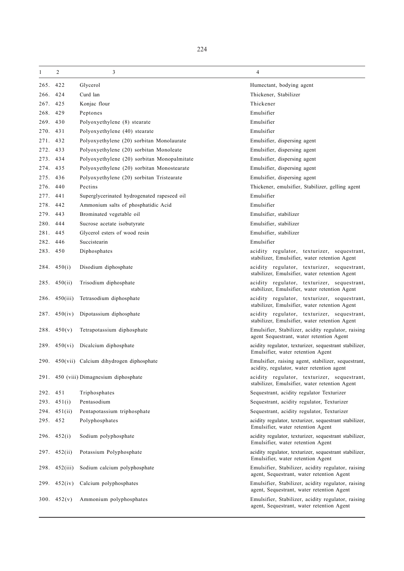| 1        | $\overline{c}$ | 3                                            | 4                                                                                                |
|----------|----------------|----------------------------------------------|--------------------------------------------------------------------------------------------------|
| 265.     | 422            | Glycerol                                     | Humectant, bodying agent                                                                         |
| 266.     | 424            | Curd lan                                     | Thickener, Stabilizer                                                                            |
| 267.     | 425            | Konjac flour                                 | Thickener                                                                                        |
| 268. 429 |                | Peptones                                     | Emulsifier                                                                                       |
| 269. 430 |                | Polyoxyethylene (8) stearate                 | Emulsifier                                                                                       |
| 270.     | 431            | Polyoxyethylene (40) stearate                | Emulsifier                                                                                       |
| 271. 432 |                | Polyoxyethylene (20) sorbitan Monolaurate    | Emulsifier, dispersing agent                                                                     |
| 272. 433 |                | Polyoxyethylene (20) sorbitan Monoleate      | Emulsifier, dispersing agent                                                                     |
| 273. 434 |                | Polyoxyethylene (20) sorbitan Monopalmitate  | Emulsifier, dispersing agent                                                                     |
| 274. 435 |                | Polyoxyethylene (20) sorbitan Monostearate   | Emulsifier, dispersing agent                                                                     |
| 275. 436 |                | Polyoxyethylene (20) sorbitan Tristearate    | Emulsifier, dispersing agent                                                                     |
| 276. 440 |                | Pectins                                      | Thickener, emulsifier, Stabilizer, gelling agent                                                 |
| 277.     | 441            | Superglycerinated hydrogenated rapeseed oil  | Emulsifier                                                                                       |
| 278.     | 442            | Ammonium salts of phosphatidic Acid          | Emulsifier                                                                                       |
| 279. 443 |                | Brominated vegetable oil                     | Emulsifier, stabilizer                                                                           |
| 280.     | 444            | Sucrose acetate isobutyrate                  | Emulsifier, stabilizer                                                                           |
| 281.     | 445            | Glycerol esters of wood resin                | Emulsifier, stabilizer                                                                           |
| 282. 446 |                | Succistearin                                 | Emulsifier                                                                                       |
| 283. 450 |                | Diphosphates                                 | acidity regulator, texturizer, sequestrant,                                                      |
|          |                |                                              | stabilizer, Emulsifier, water retention Agent                                                    |
|          | 284. $450(i)$  | Disodium diphosphate                         | acidity regulator, texturizer, sequestrant,<br>stabilizer, Emulsifier, water retention Agent     |
|          | 285. $450(ii)$ | Trisodium diphosphate                        | acidity regulator, texturizer, sequestrant,<br>stabilizer, Emulsifier, water retention Agent     |
| 286.     | 450(iii)       | Tetrasodium diphosphate                      | acidity regulator, texturizer, sequestrant,<br>stabilizer, Emulsifier, water retention Agent     |
| 287.     | 450(iv)        | Dipotassium diphosphate                      | acidity regulator, texturizer, sequestrant,<br>stabilizer, Emulsifier, water retention Agent     |
| 288.     | 450(v)         | Tetrapotassium diphosphate                   | Emulsifier, Stabilizer, acidity regulator, raising<br>agent Sequestrant, water retention Agent   |
| 289.     | 450(vi)        | Dicalcium diphosphate                        | acidity regulator, texturizer, sequestrant stabilizer,<br>Emulsifier, water retention Agent      |
|          |                | 290. 450(vii) Calcium dihydrogen diphosphate | Emulsifier, raising agent, stabilizer, sequestrant,<br>acidity, regulator, water retention agent |
|          |                | 291. 450 (viii) Dimagnesium diphosphate      | acidity regulator, texturizer, sequestrant,<br>stabilizer, Emulsifier, water retention Agent     |
| 292. 451 |                | Triphosphates                                | Sequestrant, acidity regulator Texturizer                                                        |
| 293.     | 451(i)         | Pentasodium                                  | Sequestrant, acidity regulator, Texturizer                                                       |
|          | 294. 451(ii)   | Pentapotassium triphosphate                  | Sequestrant, acidity regulator, Texturizer                                                       |
| 295. 452 |                | Polyphosphates                               | acidity regulator, texturizer, sequestrant stabilizer,<br>Emulsifier, water retention Agent      |
|          | $296.$ 452(i)  | Sodium polyphosphate                         | acidity regulator, texturizer, sequestrant stabilizer,<br>Emulsifier, water retention Agent      |
| 297.     | 452(ii)        | Potassium Polyphosphate                      | acidity regulator, texturizer, sequestrant stabilizer,<br>Emulsifier, water retention Agent      |
| 298.     | 452(iii)       | Sodium calcium polyphosphate                 | Emulsifier, Stabilizer, acidity regulator, raising<br>agent, Sequestrant, water retention Agent  |
| 299.     | 452(iv)        | Calcium polyphosphates                       | Emulsifier, Stabilizer, acidity regulator, raising<br>agent, Sequestrant, water retention Agent  |
|          | 300. $452(v)$  | Ammonium polyphosphates                      | Emulsifier, Stabilizer, acidity regulator, raising<br>agent, Sequestrant, water retention Agent  |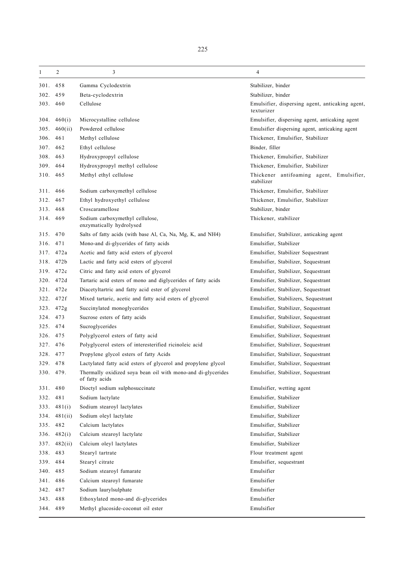| 1        | 2             | 3                                                                              | 4                                                             |
|----------|---------------|--------------------------------------------------------------------------------|---------------------------------------------------------------|
| 301. 458 |               | Gamma Cyclodextrin                                                             | Stabilizer, binder                                            |
| 302. 459 |               | Beta-cyclodextrin                                                              | Stabilizer, binder                                            |
| 303. 460 |               | Cellulose                                                                      | Emulsifier, dispersing agent, anticaking agent,<br>texturizer |
|          | 304. $460(i)$ | Microcystalline cellulose                                                      | Emulsifier, dispersing agent, anticaking agent                |
| 305.     | 460(ii)       | Powdered cellulose                                                             | Emulsifier dispersing agent, anticaking agent                 |
| 306.     | 461           | Methyl cellulose                                                               | Thickener, Emulsifier, Stabilizer                             |
| 307.     | 462           | Ethyl cellulose                                                                | Binder, filler                                                |
| 308. 463 |               | Hydroxypropyl cellulose                                                        | Thickener, Emulsifier, Stabilizer                             |
|          | 309. 464      | Hydroxypropyl methyl cellulose                                                 | Thickener, Emulsifier, Stabilizer                             |
| 310. 465 |               | Methyl ethyl cellulose                                                         | Thickener antifoaming agent, Emulsifier,<br>stabilizer        |
| 311. 466 |               | Sodium carboxymethyl cellulose                                                 | Thickener, Emulsifier, Stabilizer                             |
| 312.     | 467           | Ethyl hydroxyethyl cellulose                                                   | Thickener, Emulsifier, Stabilizer                             |
| 313. 468 |               | Croscaramellose                                                                | Stabilizer, binder                                            |
| 314. 469 |               | Sodium carboxymethyl cellulose,<br>enzymatically hydrolysed                    | Thickener, stabilizer                                         |
| 315. 470 |               | Salts of fatty acids (with base Al, Ca, Na, Mg, K, and NH4)                    | Emulsifier, Stabilizer, anticaking agent                      |
| 316. 471 |               | Mono-and di-glycerides of fatty acids                                          | Emulsifier, Stabilizer                                        |
|          | 317. 472a     | Acetic and fatty acid esters of glycerol                                       | Emulsifier, Stabilizer Sequestrant                            |
|          | 318. 472b     | Lactic and fatty acid esters of glycerol                                       | Emulsifier, Stabilizer, Sequestrant                           |
|          | 319. 472c     | Citric and fatty acid esters of glycerol                                       | Emulsifier, Stabilizer, Sequestrant                           |
|          | 320. 472d     | Tartaric acid esters of mono and diglycerides of fatty acids                   | Emulsifier, Stabilizer, Sequestrant                           |
|          | 321. 472e     | Diacetyltartric and fatty acid ester of glycerol                               | Emulsifier, Stabilizer, Sequestrant                           |
|          | 322. 472f     | Mixed tartaric, acetic and fatty acid esters of glycerol                       | Emulsifier, Stabilizers, Sequestrant                          |
|          | 323. 472g     | Succinylated monoglycerides                                                    | Emulsifier, Stabilizer, Sequestrant                           |
| 324. 473 |               | Sucrose esters of fatty acids                                                  | Emulsifier, Stabilizer, Sequestrant                           |
| 325. 474 |               | Sucroglycerides                                                                | Emulsifier, Stabilizer, Sequestrant                           |
| 326. 475 |               | Polyglycerol esters of fatty acid                                              | Emulsifier, Stabilizer, Sequestrant                           |
| 327. 476 |               | Polyglycerol esters of interesterified ricinoleic acid                         | Emulsifier, Stabilizer, Sequestrant                           |
| 328. 477 |               | Propylene glycol esters of fatty Acids                                         | Emulsifier, Stabilizer, Sequestrant                           |
| 329. 478 |               | Lactylated fatty acid esters of glycerol and propylene glycol                  | Emulsifier, Stabilizer, Sequestrant                           |
| 330. 479 |               | Thermally oxidized soya bean oil with mono-and di-glycerides<br>of fatty acids | Emulsifier, Stabilizer, Sequestrant                           |
| 331.     | 480           | Dioctyl sodium sulphosuccinate                                                 | Emulsifier, wetting agent                                     |
| 332.     | 481           | Sodium lactylate                                                               | Emulsifier, Stabilizer                                        |
|          | 333.481(i)    | Sodium stearoyl lactylates                                                     | Emulsifier, Stabilizer                                        |
| 334.     | 481(ii)       | Sodium oleyl lactylate                                                         | Emulsifier, Stabilizer                                        |
| 335.     | 482           | Calcium lactylates                                                             | Emulsifier, Stabilizer                                        |
| 336.     | 482(i)        | Calcium stearoyl lactylate                                                     | Emulsifier, Stabilizer                                        |
| 337.     | 482(ii)       | Calcium oleyl lactylates                                                       | Emulsifier, Stabilizer                                        |
| 338.     | 483           | Stearyl tartrate                                                               | Flour treatment agent                                         |
| 339. 484 |               | Stearyl citrate                                                                | Emulsifier, sequestrant                                       |
| 340.     | 485           | Sodium stearoyl fumarate                                                       | Emulsifier                                                    |
| 341.     | 486           | Calcium stearoyl fumarate                                                      | Emulsifier                                                    |
| 342.     | 487           | Sodium laurylsulphate                                                          | Emulsifier                                                    |
| 343. 488 |               | Ethoxylated mono-and di-glycerides                                             | Emulsifier                                                    |
| 344.     | 489           | Methyl glucoside-coconut oil ester                                             | Emulsifier                                                    |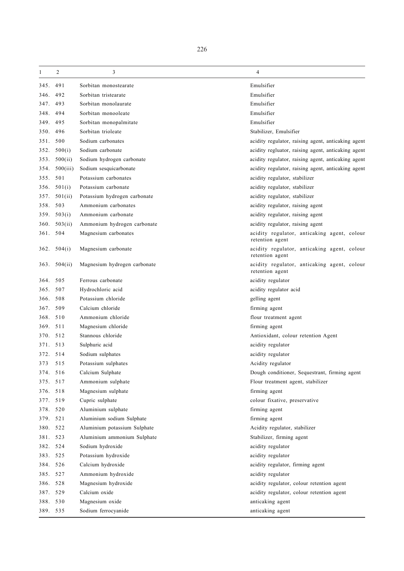| 1        | $\overline{2}$ | 3                            | $\overline{4}$                                                 |
|----------|----------------|------------------------------|----------------------------------------------------------------|
| 345.     | 491            | Sorbitan monostearate        | Emulsifier                                                     |
| 346.     | 492            | Sorbitan tristearate         | Emulsifier                                                     |
| 347.     | 493            | Sorbitan monolaurate         | Emulsifier                                                     |
| 348.     | 494            | Sorbitan monooleate          | Emulsifier                                                     |
| 349.     | 495            | Sorbitan monopalmitate       | Emulsifier                                                     |
| 350.     | 496            | Sorbitan trioleate           | Stabilizer, Emulsifier                                         |
| 351.     | 500            | Sodium carbonates            | acidity regulator, raising agent, anticaking agent             |
| 352.     | 500(i)         | Sodium carbonate             | acidity regluator, raising agent, anticaking agent             |
| 353.     | 500(ii)        | Sodium hydrogen carbonate    | acidity regulator, raising agent, anticaking agent             |
| 354.     | 500(iii)       | Sodium sesquicarbonate       | acidity regulator, raising agent, anticaking agent             |
| 355.     | 501            | Potassium carbonates         | acidity regulator, stabilizer                                  |
| 356.     | 501(i)         | Potassium carbonate          | acidity regulator, stabilizer                                  |
| 357.     | 501(ii)        | Potassium hydrogen carbonate | acidity regulator, stabilizer                                  |
| 358.     | 503            | Ammonium carbonates          | acidity regulator, raising agent                               |
| 359.     | 503(i)         | Ammonium carbonate           | acidity regulator, raising agent                               |
| 360.     | 503(ii)        | Ammonium hydrogen carbonate  | acidity regulator, raising agent                               |
| 361. 504 |                | Magnesium carbonates         | acidity regulator, anticaking agent, colour<br>retention agent |
|          | 362. $504(i)$  | Magnesium carbonate          | acidity regulator, anticaking agent, colour<br>retention agent |
| 363.     | 504(ii)        | Magnesium hydrogen carbonate | acidity regulator, anticaking agent, colour<br>retention agent |
| 364.     | 505            | Ferrous carbonate            | acidity regulator                                              |
| 365.     | 507            | Hydrochloric acid            | acidity regulator acid                                         |
| 366.     | 508            | Potassium chloride           | gelling agent                                                  |
| 367.     | 509            | Calcium chloride             | firming agent                                                  |
| 368.     | 510            | Ammonium chloride            | flour treatment agent                                          |
| 369.     | 511            | Magnesium chloride           | firming agent                                                  |
| 370. 512 |                | Stannous chloride            | Antioxidant, colour retention Agent                            |
| 371.     | 513            | Sulphuric acid               | acidity regulator                                              |
| 372.     | 514            | Sodium sulphates             | acidity regulator                                              |
| 373      | 515            | Potassium sulphates          | Acidity regulator                                              |
| 374. 516 |                | Calcium Sulphate             | Dough conditioner, Sequestrant, firming agent                  |
| 375.     | 517            | Ammonium sulphate            | Flour treatment agent, stabilizer                              |
| 376.     | 518            | Magnesium sulphate           | firming agent                                                  |
| 377. 519 |                | Cupric sulphate              | colour fixative, preservative                                  |
| 378.     | 520            | Aluminium sulphate           | firming agent                                                  |
| 379.     | 521            | Aluminium sodium Sulphate    | firming agent                                                  |
| 380. 522 |                | Aluminium potassium Sulphate | Acidity regulator, stabilizer                                  |
| 381. 523 |                | Aluminium ammonium Sulphate  | Stabilizer, firming agent                                      |
| 382.     | 524            | Sodium hydroxide             | acidity regulator                                              |
| 383.     | 525            | Potassium hydroxide          | acidity regulator                                              |
| 384. 526 |                | Calcium hydroxide            | acidity regulator, firming agent                               |
| 385. 527 |                | Ammonium hydroxide           | acidity regulator                                              |
| 386.     | 528            | Magnesium hydroxide          | acidity regulator, colour retention agent                      |
| 387.     | 529            | Calcium oxide                | acidity regulator, colour retention agent                      |
| 388. 530 |                | Magnesium oxide              | anticaking agent                                               |
| 389. 535 |                | Sodium ferrocyanide          | anticaking agent                                               |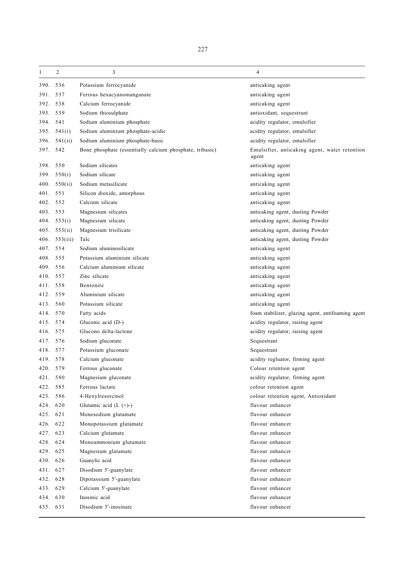| 1        | $\overline{c}$ | 3                                                        | 4                                                      |
|----------|----------------|----------------------------------------------------------|--------------------------------------------------------|
| 390.     | 536            | Potassium ferrocyanide                                   | anticaking agent                                       |
| 391.     | 537            | Ferrous hexacyanomanganate                               | anticaking agent                                       |
| 392.     | 538            | Calcium ferrocyanide                                     | anticaking agent                                       |
| 393.     | 539            | Sodium thiosulphate                                      | antioxidant, sequestrant                               |
| 394.     | 541            | Sodium aluminium phosphate                               | acidity regulator, emulsifier                          |
| 395.     | 541(i)         | Sodium aluminium phosphate-acidic                        | acidity regulator, emulsifier                          |
| 396.     | 541(ii)        | Sodium aluminium phosphate-basic                         | acidity regulator, emulsifier                          |
| 397.     | 542            | Bone phosphate (essentially calcium phosphate, tribasic) | Emulsifier, anticaking agent, water retention<br>agent |
| 398.     | 550            | Sodium silicates                                         | anticaking agent                                       |
| 399.     | 550(i)         | Sodium silicate                                          | anticaking agent                                       |
| 400.     | 550(ii)        | Sodium metasilicate                                      | anticaking agent                                       |
| 401.     | 551            | Silicon dioxide, amorphous                               | anticaking agent                                       |
| 402.     | 552            | Calcium silicate                                         | anticaking agent                                       |
| 403.     | 553            | Magnesium silicates                                      | anticaking agent, dusting Powder                       |
|          | 404. $553(i)$  | Magnesium silicate                                       | anticaking agent, dusting Powder                       |
| 405.     | 553(ii)        | Magnesium trisilicate                                    | anticaking agent, dusting Powder                       |
| 406.     | 553(iii)       | Talc                                                     | anticaking agent, dusting Powder                       |
| 407.     | 554            | Sodium aluminosilicate                                   | anticaking agent                                       |
| 408.     | 555            | Potassium aluminium silicate                             | anticaking agent                                       |
| 409.     | 556            | Calcium aluminium silicate                               | anticaking agent                                       |
| 410.     | 557            | Zinc silicate                                            | anticaking agent                                       |
| 411.     | 558            | Bentonite                                                | anticaking agent                                       |
| 412.     | 559            | Aluminium silicate                                       | anticaking agent                                       |
| 413.     | 560            | Potassium silicate                                       | anticaking agent                                       |
| 414.     | 570            | Fatty acids                                              | foam stabilizer, glazing agent, antifoaming agent      |
| 415.     | 574            | Gluconic acid (D-)                                       | acidity regulator, raising agent                       |
| 416.     | 575            | Glucono delta-lactone                                    | acidity regulator, raising agent                       |
| 417.     | 576            | Sodium gluconate                                         | Sequestrant                                            |
| 418.     | 577            | Potassium gluconate                                      | Sequestrant                                            |
| 419.     | 578            | Calcium gluconate                                        | acidity regluator, firming agent                       |
| 420. 579 |                | Ferrous gluconate                                        | Colour retention agent                                 |
| 421. 580 |                | Magnesium gluconate                                      | acidity regulator, firming agent                       |
| 422.     | 585            | Ferrous lactate                                          | colour retention agent                                 |
| 423. 586 |                | 4-Hexylresorcinol                                        | colour retention agent, Antioxidant                    |
| 424. 620 |                | Glutamic acid $(L (+)-)$                                 | flavour enhancer                                       |
| 425.     | 621            | Monosodium glutamate                                     | flavour enhancer                                       |
| 426.     | 622            | Monopotassium glutamate                                  | flavour enhancer                                       |
| 427. 623 |                | Calcium glutamate                                        | flavour enhancer                                       |
| 428. 624 |                | Monoammonium glutamate                                   | flavour enhancer                                       |
| 429. 625 |                | Magnesium glutamate                                      | flavour enhancer                                       |
| 430. 626 |                | Guanylic acid                                            | flavour enhancer                                       |
| 431. 627 |                | Disodium 5'-guanylate                                    | flavour enhancer                                       |
| 432. 628 |                | Dipotassium 5'-guanylate                                 | flavour enhancer                                       |
| 433. 629 |                | Calcium 5'-guanylate                                     | flavour enhancer                                       |
|          | 434. 630       | Inosinic acid                                            | flavour enhancer                                       |
| 435. 631 |                | Disodium 5'-inosinate                                    | flavour enhancer                                       |
|          |                |                                                          |                                                        |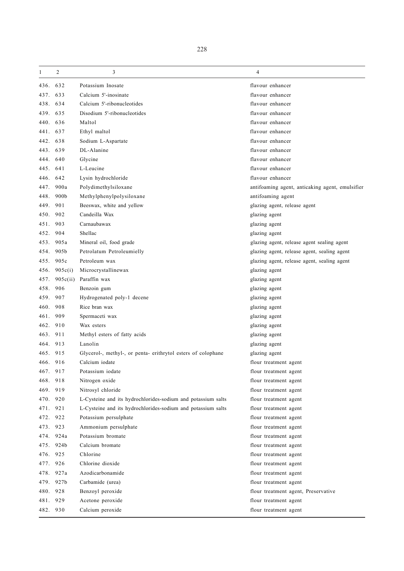| 1        | $\overline{c}$   | 3                                                            | 4                                               |
|----------|------------------|--------------------------------------------------------------|-------------------------------------------------|
| 436.     | 632              | Potassium Inosate                                            | flavour enhancer                                |
| 437.     | 633              | Calcium 5'-inosinate                                         | flavour enhancer                                |
| 438.     | 634              | Calcium 5'-ribonucleotides                                   | flavour enhancer                                |
| 439.     | 635              | Disodium 5'-ribonucleotides                                  | flavour enhancer                                |
| 440.     | 636              | Maltol                                                       | flavour enhancer                                |
| 441.     | 637              | Ethyl maltol                                                 | flavour enhancer                                |
| 442.     | 638              | Sodium L-Aspartate                                           | flavour enhancer                                |
| 443.     | 639              | DL-Alanine                                                   | flavour enhancer                                |
| 444.     | 640              | Glycine                                                      | flavour enhancer                                |
| 445.     | 641              | L-Leucine                                                    | flavour enhancer                                |
| 446.     | 642              | Lysin hydrochloride                                          | flavour enhancer                                |
| 447.     | 900a             | Polydimethylsiloxane                                         | antifoaming agent, anticaking agent, emulsifier |
| 448.     | 900 <sub>b</sub> | Methylphenylpolysiloxane                                     | antifoaming agent                               |
| 449.     | 901              | Beeswax, white and yellow                                    | glazing agent, release agent                    |
| 450.     | 902              | Candeilla Wax                                                | glazing agent                                   |
| 451.     | 903              | Carnaubawax                                                  | glazing agent                                   |
| 452.     | 904              | Shellac                                                      | glazing agent                                   |
| 453.     | 905a             | Mineral oil, food grade                                      | glazing agent, release agent sealing agent      |
| 454.     | 905b             | Petrolatum Petroleumielly                                    | glazing agent, release agent, sealing agent     |
| 455.     | 905c             | Petroleum wax                                                | glazing agent, release agent, sealing agent     |
| 456.     | 905c(i)          | Microcrystallinewax                                          | glazing agent                                   |
| 457.     | 905c(ii)         | Paraffin wax                                                 | glazing agent                                   |
| 458.     | 906              | Benzoin gum                                                  | glazing agent                                   |
| 459.     | 907              | Hydrogenated poly-1 decene                                   | glazing agent                                   |
| 460.     | 908              | Rice bran wax                                                | glazing agent                                   |
| 461.     | 909              | Spermaceti wax                                               | glazing agent                                   |
| 462.     | 910              | Wax esters                                                   | glazing agent                                   |
| 463.     | 911              | Methyl esters of fatty acids                                 | glazing agent                                   |
| 464.     | 913              | Lanolin                                                      | glazing agent                                   |
| 465.     | 915              | Glycerol-, methyl-, or penta- erithrytol esters of colophane | glazing agent                                   |
| 466. 916 |                  | Calcium iodate                                               | flour treatment agent                           |
| 467.     | 917              | Potassium iodate                                             | flour treatment agent                           |
| 468. 918 |                  | Nitrogen oxide                                               | flour treatment agent                           |
| 469. 919 |                  | Nitrosyl chloride                                            | flour treatment agent                           |
| 470. 920 |                  | L-Cysteine and its hydrochlorides-sodium and potassium salts | flour treatment agent                           |
| 471.921  |                  | L-Cysteine and its hydrochlorides-sodium and potassium salts | flour treatment agent                           |
| 472. 922 |                  | Potassium persulphate                                        | flour treatment agent                           |
| 473. 923 |                  | Ammonium persulphate                                         | flour treatment agent                           |
|          | 474. 924a        | Potassium bromate                                            | flour treatment agent                           |
|          | 475. 924b        | Calcium bromate                                              | flour treatment agent                           |
| 476. 925 |                  | Chlorine                                                     | flour treatment agent                           |
| 477.     | 926              | Chlorine dioxide                                             | flour treatment agent                           |
|          | 478. 927a        | Azodicarbonamide                                             | flour treatment agent                           |
|          | 479. 927b        | Carbamide (urea)                                             | flour treatment agent                           |
| 480. 928 |                  | Benzoyl peroxide                                             | flour treatment agent, Preservative             |
| 481.     | 929              | Acetone peroxide                                             | flour treatment agent                           |
| 482. 930 |                  | Calcium peroxide                                             | flour treatment agent                           |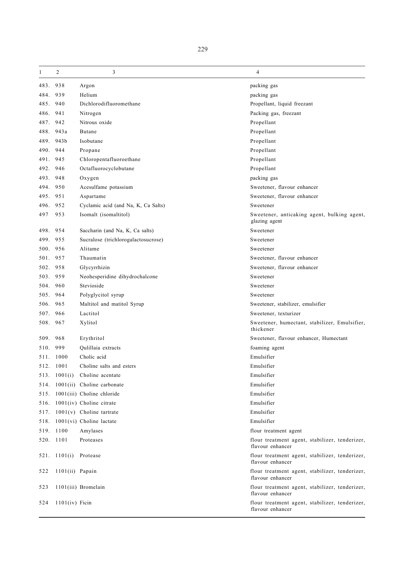| 1    | $\overline{2}$          | 3                                   | 4                                                                  |
|------|-------------------------|-------------------------------------|--------------------------------------------------------------------|
| 483. | 938                     | Argon                               | packing gas                                                        |
| 484. | 939                     | Helium                              | packing gas                                                        |
| 485. | 940                     | Dichlorodifluoromethane             | Propellant, liquid freezant                                        |
| 486. | 941                     | Nitrogen                            | Packing gas, freezant                                              |
| 487. | 942                     | Nitrous oxide                       | Propellant                                                         |
| 488. | 943a                    | <b>Butane</b>                       | Propellant                                                         |
| 489. | 943b                    | Isobutane                           | Propellant                                                         |
| 490. | 944                     | Propane                             | Propellant                                                         |
| 491. | 945                     | Chloropentafluoroethane             | Propellant                                                         |
| 492. | 946                     | Octafluorocyclobutane               | Propellant                                                         |
| 493. | 948                     | Oxygen                              | packing gas                                                        |
| 494. | 950                     | Acesulfame potassium                | Sweetener, flavour enhancer                                        |
| 495. | 951                     | Aspartame                           | Sweetener, flavour enhancer                                        |
| 496. | 952                     | Cyclamic acid (and Na, K, Ca Salts) | Sweetener                                                          |
| 497  | 953                     | Isomalt (isomaltitol)               | Sweetener, anticaking agent, bulking agent,<br>glazing agent       |
| 498. | 954                     | Saccharin (and Na, K, Ca salts)     | Sweetener                                                          |
| 499. | 955                     | Sucralose (trichlorogalactosucrose) | Sweetener                                                          |
| 500. | 956                     | Alitame                             | Sweetener                                                          |
| 501. | 957                     | Thaumatin                           | Sweetener, flavour enhancer                                        |
| 502. | 958                     | Glycyrrhizin                        | Sweetener, flavour enhancer                                        |
| 503. | 959                     | Neohesperidine dihydrochalcone      | Sweetener                                                          |
| 504. | 960                     | Stevioside                          | Sweetener                                                          |
| 505. | 964                     | Polyglycitol syrup                  | Sweetener                                                          |
| 506. | 965                     | Maltitol and matitol Syrup          | Sweetener, stabilizer, emulsifier                                  |
| 507. | 966                     | Lactitol                            | Sweetener, texturizer                                              |
| 508. | 967                     | Xylitol                             | Sweetener, humectant, stabilizer, Emulsifier,<br>thickener         |
| 509. | 968                     | Erythritol                          | Sweetener, flavour enhancer, Humectant                             |
| 510. | 999                     | Qulillaia extracts                  | foaming agent                                                      |
| 511. | 1000                    | Cholic acid                         | Emulsifier                                                         |
|      | 512. 1001               | Choline salts and esters            | Emulsifier                                                         |
|      |                         | 513. 1001(i) Choline acentate       | Emulsifier                                                         |
| 514. |                         | $1001(ii)$ Choline carbonate        | Emulsifier                                                         |
| 515. |                         | 1001(iii) Choline chloride          | Emulsifier                                                         |
| 516. |                         | $1001(iv)$ Choline citrate          | Emulsifier                                                         |
| 517. |                         | $1001(v)$ Choline tartrate          | Emulsifier                                                         |
|      |                         | 518. 1001(vi) Choline lactate       | Emulsifier                                                         |
|      | 519. 1100               | Amylases                            | flour treatment agent                                              |
|      | 520. 1101               | Proteases                           | flour treatment agent, stabilizer, tenderizer,<br>flavour enhancer |
|      | 521. $1101(i)$ Protease |                                     | flour treatment agent, stabilizer, tenderizer,<br>flavour enhancer |
| 522  | 1101(ii) Papain         |                                     | flour treatment agent, stabilizer, tenderizer,<br>flavour enhancer |
| 523  |                         | 1101(iii) Bromelain                 | flour treatment agent, stabilizer, tenderizer,<br>flavour enhancer |
| 524  | $1101(iv)$ Ficin        |                                     | flour treatment agent, stabilizer, tenderizer,<br>flavour enhancer |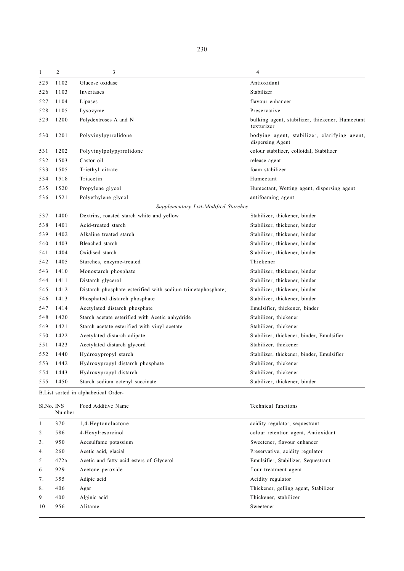| $\mathbf{1}$ | $\overline{2}$ | 3                                                           | $\overline{4}$                                                   |
|--------------|----------------|-------------------------------------------------------------|------------------------------------------------------------------|
| 525          | 1102           | Glucose oxidase                                             | Antioxidant                                                      |
| 526          | 1103           | Invertases                                                  | Stabilizer                                                       |
| 527          | 1104           | Lipases                                                     | flavour enhancer                                                 |
| 528          | 1105           | Lysozyme                                                    | Preservative                                                     |
| 529          | 1200           | Polydextroses A and N                                       | bulking agent, stabilizer, thickener, Humectant<br>texturizer    |
| 530          | 1201           | Polyvinylpyrrolidone                                        | bodying agent, stabilizer, clarifying agent,<br>dispersing Agent |
| 531          | 1202           | Polyvinylpolypyrrolidone                                    | colour stabilizer, colloidal, Stabilizer                         |
| 532          | 1503           | Castor oil                                                  | release agent                                                    |
| 533          | 1505           | Triethyl citrate                                            | foam stabilizer                                                  |
| 534          | 1518           | Triacetin                                                   | Humectant                                                        |
| 535          | 1520           | Propylene glycol                                            | Humectant, Wetting agent, dispersing agent                       |
| 536          | 1521           | Polyethylene glycol                                         | antifoaming agent                                                |
|              |                | Supplementary List-Modified Starches                        |                                                                  |
| 537          | 1400           | Dextrins, roasted starch white and yellow                   | Stabilizer, thickener, binder                                    |
| 538          | 1401           | Acid-treated starch                                         | Stabilizer, thickener, binder                                    |
| 539          | 1402           | Alkaline treated starch                                     | Stabilizer, thickener, binder                                    |
| 540          | 1403           | Bleached starch                                             | Stabilizer, thickener, binder                                    |
| 541          | 1404           | Oxidised starch                                             | Stabilizer, thickener, binder                                    |
| 542          | 1405           | Starches, enzyme-treated                                    | Thickener                                                        |
| 543          | 1410           | Monostarch phosphate                                        | Stabilizer, thickener, binder                                    |
| 544          | 1411           | Distarch glycerol                                           | Stabilizer, thickener, binder                                    |
| 545          | 1412           | Distarch phosphate esterified with sodium trimetaphosphate; | Stabilizer, thickener, binder                                    |
| 546          | 1413           | Phosphated distarch phosphate                               | Stabilizer, thickener, binder                                    |
| 547          | 1414           | Acetylated distarch phosphate                               | Emulsifier, thickener, binder                                    |
| 548          | 1420           | Starch acetate esterified with Acetic anhydride             | Stabilizer, thickener                                            |
| 549          | 1421           | Starch acetate esterified with vinyl acetate                | Stabilizer, thickener                                            |
| 550          | 1422           | Acetylated distarch adipate                                 | Stabilizer, thickener, binder, Emulsifier                        |
| 551          | 1423           | Acetylated distarch glycord                                 | Stabilizer, thickener                                            |
| 552          | 1440           | Hydroxypropyl starch                                        | Stabilizer, thickener, binder, Emulsifier                        |
| 553          | 1442           | Hydroxypropyl distarch phosphate                            | Stabilizer, thickener                                            |
| 554          | 1443           | Hydroxypropyl distarch                                      | Stabilizer, thickener                                            |
| 555          | 1450           | Starch sodium octenyl succinate                             | Stabilizer, thickener, binder                                    |
|              |                | B.List sorted in alphabetical Order-                        |                                                                  |
| Sl.No. INS   | Number         | Food Additive Name                                          | Technical functions                                              |

|                | Number |                                          |                                      |
|----------------|--------|------------------------------------------|--------------------------------------|
| 1.             | 370    | 1,4-Heptonolactone                       | acidity regulator, sequestrant       |
| 2.             | 586    | 4-Hexylresorcinol                        | colour retention agent, Antioxidant  |
| 3 <sub>1</sub> | 950    | Acesulfame potassium                     | Sweetener, flavour enhancer          |
| 4.             | 260    | Acetic acid, glacial                     | Preservative, acidity regulator      |
| 5.             | 472a   | Acetic and fatty acid esters of Glycerol | Emulsifier, Stabilizer, Sequestrant  |
| 6.             | 929    | Acetone peroxide                         | flour treatment agent                |
| 7 <sub>1</sub> | 355    | Adipic acid                              | Acidity regulator                    |
| 8.             | 406    | Agar                                     | Thickener, gelling agent, Stabilizer |
| 9.             | 400    | Alginic acid                             | Thickener, stabilizer                |
| 10.            | 956    | Alitame                                  | Sweetener                            |
|                |        |                                          |                                      |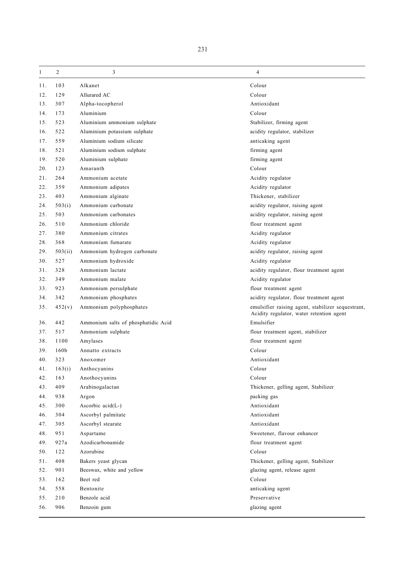| 1   | $\overline{2}$   | 3                                   | 4                                                                                             |
|-----|------------------|-------------------------------------|-----------------------------------------------------------------------------------------------|
| 11. | 103              | Alkanet                             | Colour                                                                                        |
| 12. | 129              | Allurared AC                        | Colour                                                                                        |
| 13. | 307              | Alpha-tocopherol                    | Antioxidant                                                                                   |
| 14. | 173              | Aluminium                           | Colour                                                                                        |
| 15. | 523              | Aluminium ammonium sulphate         | Stabilizer, firming agent                                                                     |
| 16. | 522              | Aluminium potassium sulphate        | acidity regulator, stabilizer                                                                 |
| 17. | 559              | Aluminium sodium silicate           | anticaking agent                                                                              |
| 18. | 521              | Aluminium sodium sulphate           | firming agent                                                                                 |
| 19. | 520              | Aluminium sulphate                  | firming agent                                                                                 |
| 20. | 123              | Amaranth                            | Colour                                                                                        |
| 21. | 264              | Ammonium acetate                    | Acidity regulator                                                                             |
| 22. | 359              | Ammonium adipates                   | Acidity regulator                                                                             |
| 23. | 403              | Ammonium alginate                   | Thickener, stabilizer                                                                         |
| 24. | 503(i)           | Ammonium carbonate                  | acidity regulator, raising agent                                                              |
| 25. | 503              | Ammonium carbonates                 | acidity regulator, raising agent                                                              |
| 26. | 510              | Ammonium chloride                   | flour treatment agent                                                                         |
| 27. | 380              | Ammonium citrates                   | Acidity regulator                                                                             |
| 28. | 368              | Ammonium fumarate                   | Acidity regulator                                                                             |
| 29. | 503(ii)          | Ammonium hydrogen carbonate         | acidity regulator, raising agent                                                              |
| 30. | 527              | Ammonium hydroxide                  | Acidity regulator                                                                             |
| 31. | 328              | Ammonium lactate                    | acidity regulator, flour treatment agent                                                      |
| 32. | 349              | Ammonium malate                     | Acidity regulator                                                                             |
| 33. | 923              | Ammonium persulphate                | flour treatment agent                                                                         |
| 34. | 342              | Ammonium phosphates                 | acidity regulator, flour treatment agent                                                      |
| 35. | 452(v)           | Ammonium polyphosphates             | emulsifier raising agent, stabilizer sequestrant,<br>Acidity regulator, water retention agent |
| 36. | 442              | Ammonium salts of phosphatidic Acid | Emulsifier                                                                                    |
| 37. | 517              | Ammonium sulphate                   | flour treatment agent, stabilizer                                                             |
| 38. | 1100             | Amylases                            | flour treatment agent                                                                         |
| 39. | 160 <sub>b</sub> | Annatto extracts                    | Colour                                                                                        |
| 40. | 323              | Anoxomer                            | Antioxidant                                                                                   |
| 41. | 163(i)           | Anthocyanins                        | Colour                                                                                        |
| 42. | 163              | Anothocyanins                       | Colour                                                                                        |
| 43. | 409              | Arabinogalactan                     | Thickener, gelling agent, Stabilizer                                                          |
| 44. | 938              | Argon                               | packing gas                                                                                   |
| 45. | 300              | Ascorbic $acid(L-)$                 | Antioxidant                                                                                   |
| 46. | 304              | Ascorbyl palmitate                  | Antioxidant                                                                                   |
| 47. | 305              | Ascorbyl stearate                   | Antioxidant                                                                                   |
| 48. | 951              | Aspartame                           | Sweetener, flavour enhancer                                                                   |
| 49. | 927a             | Azodicarbonamide                    | flour treatment agent                                                                         |
| 50. | 122              | Azorubine                           | Colour                                                                                        |
| 51. | 408              | Bakers yeast glycan                 | Thickener, gelling agent, Stabilizer                                                          |
| 52. | 901              | Beeswax, white and yellow           | glazing agent, release agent                                                                  |
| 53. | 162              | Beet red                            | Colour                                                                                        |
| 54. | 558              | Bentonite                           | anticaking agent                                                                              |
| 55. | 210              | Benzole acid                        | Preservative                                                                                  |
| 56. | 906              | Benzoin gum                         | glazing agent                                                                                 |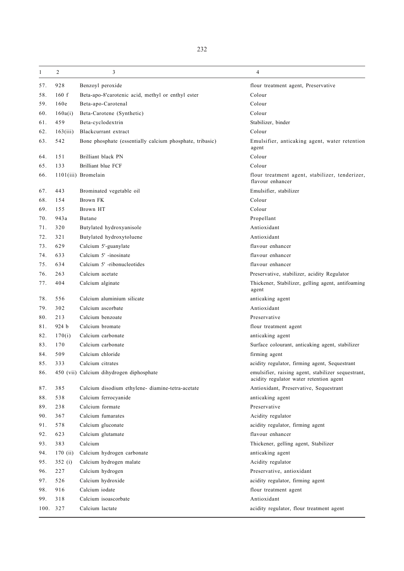| 1        | $\overline{c}$ | 3                                                        | 4                                                                                             |
|----------|----------------|----------------------------------------------------------|-----------------------------------------------------------------------------------------------|
| 57.      | 928            | Benzoyl peroxide                                         | flour treatment agent, Preservative                                                           |
| 58.      | 160 f          | Beta-apo-8'carotenic acid, methyl or enthyl ester        | Colour                                                                                        |
| 59.      | 160e           | Beta-apo-Carotenal                                       | Colour                                                                                        |
| 60.      | 160a(i)        | Beta-Carotene (Synthetic)                                | Colour                                                                                        |
| 61.      | 459            | Beta-cyclodextrin                                        | Stabilizer, binder                                                                            |
| 62.      | 163(iii)       | Blackcurrant extract                                     | Colour                                                                                        |
| 63.      | 542            | Bone phosphate (essentially calcium phosphate, tribasic) | Emulsifier, anticaking agent, water retention<br>agent                                        |
| 64.      | 151            | Brilliant black PN                                       | Colour                                                                                        |
| 65.      | 133            | Brilliant blue FCF                                       | Colour                                                                                        |
| 66.      |                | 1101(iii) Bromelain                                      | flour treatment agent, stabilizer, tenderizer,<br>flavour enhancer                            |
| 67.      | 443            | Brominated vegetable oil                                 | Emulsifier, stabilizer                                                                        |
| 68.      | 154            | Brown FK                                                 | Colour                                                                                        |
| 69.      | 155            | Brown HT                                                 | Colour                                                                                        |
| 70.      | 943a           | Butane                                                   | Propellant                                                                                    |
| 71.      | 320            | Butylated hydroxyanisole                                 | Antioxidant                                                                                   |
| 72.      | 321            | Butylated hydroxytoluene                                 | Antioxidant                                                                                   |
| 73.      | 629            | Calcium 5'-guanylate                                     | flavour enhancer                                                                              |
| 74.      | 633            | Calcium 5' -inosinate                                    | flavour enhancer                                                                              |
| 75.      | 634            | Calcium 5' -ribonucleotides                              | flavour enhancer                                                                              |
| 76.      | 263            | Calcium acetate                                          | Preservative, stabilizer, acidity Regulator                                                   |
| 77.      | 404            | Calcium alginate                                         | Thickener, Stabilizer, gelling agent, antifoaming<br>agent                                    |
| 78.      | 556            | Calcium aluminium silicate                               | anticaking agent                                                                              |
| 79.      | 302            | Calcium ascorbate                                        | Antioxidant                                                                                   |
| 80.      | 213            | Calcium benzoate                                         | Preservative                                                                                  |
| 81.      | 924 b          | Calcium bromate                                          | flour treatment agent                                                                         |
| 82.      | 170(i)         | Calcium carbonate                                        | anticaking agent                                                                              |
| 83.      | 170            | Calcium carbonate                                        | Surface colourant, anticaking agent, stabilizer                                               |
| 84.      | 509            | Calcium chloride                                         | firming agent                                                                                 |
| 85.      | 333            | Calcium citrates                                         | acidity regulator, firming agent, Sequestrant                                                 |
| 86.      |                | 450 (vii) Calcium dihydrogen diphosphate                 | emulsifier, raising agent, stabilizer sequestrant,<br>acidity regulator water retention agent |
| 87.      | 385            | Calcium disodium ethylene-diamine-tetra-acetate          | Antioxidant, Preservative, Sequestrant                                                        |
| 88.      | 538            | Calcium ferrocyanide                                     | anticaking agent                                                                              |
| 89.      | 238            | Calcium formate                                          | Preservative                                                                                  |
| 90.      | 367            | Calcium fumarates                                        | Acidity regulator                                                                             |
| 91.      | 578            | Calcium gluconate                                        | acidity regulator, firming agent                                                              |
| 92.      | 623            | Calcium glutamate                                        | flavour enhancer                                                                              |
| 93.      | 383            | Calcium                                                  | Thickener, gelling agent, Stabilizer                                                          |
| 94.      | 170(i)         | Calcium hydrogen carbonate                               | anticaking agent                                                                              |
| 95.      | 352(i)         | Calcium hydrogen malate                                  | Acidity regulator                                                                             |
| 96.      | 227            | Calcium hydrogen                                         | Preservative, antioxidant                                                                     |
| 97.      | 526            | Calcium hydroxide                                        | acidity regulator, firming agent                                                              |
| 98.      | 916            | Calcium iodate                                           | flour treatment agent                                                                         |
| 99.      | 318            | Calcium isoascorbate                                     | Antioxidant                                                                                   |
| 100. 327 |                | Calcium lactate                                          | acidity regulator, flour treatment agent                                                      |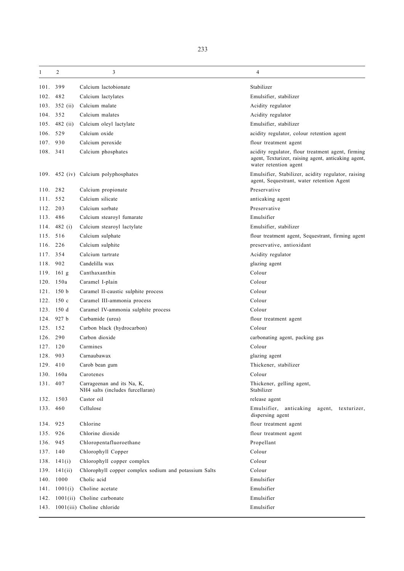| 1        | 2                | 3                                                              | 4                                                                                                                                 |
|----------|------------------|----------------------------------------------------------------|-----------------------------------------------------------------------------------------------------------------------------------|
| 101.     | 399              | Calcium lactobionate                                           | Stabilizer                                                                                                                        |
| 102.     | 482              | Calcium lactylates                                             | Emulsifier, stabilizer                                                                                                            |
| 103.     | $352$ (ii)       | Calcium malate                                                 | Acidity regulator                                                                                                                 |
| 104.     | 352              | Calcium malates                                                | Acidity regulator                                                                                                                 |
| 105.     | 482 (ii)         | Calcium oleyl lactylate                                        | Emulsifier, stabilizer                                                                                                            |
| 106. 529 |                  | Calcium oxide                                                  | acidity regulator, colour retention agent                                                                                         |
| 107.     | 930              | Calcium peroxide                                               | flour treatment agent                                                                                                             |
| 108. 341 |                  | Calcium phosphates                                             | acidity regulator, flour treatment agent, firming<br>agent, Texturizer, raising agent, anticaking agent,<br>water retention agent |
|          |                  | 109. 452 (iv) Calcium polyphosphates                           | Emulsifier, Stabilizer, acidity regulator, raising<br>agent, Sequestrant, water retention Agent                                   |
| 110.     | 282              | Calcium propionate                                             | Preservative                                                                                                                      |
| 111. 552 |                  | Calcium silicate                                               | anticaking agent                                                                                                                  |
| 112.     | 203              | Calcium sorbate                                                | Preservative                                                                                                                      |
| 113. 486 |                  | Calcium stearoyl fumarate                                      | Emulsifier                                                                                                                        |
| 114.     | 482 $(i)$        | Calcium stearoyl lactylate                                     | Emulsifier, stabilizer                                                                                                            |
| 115.     | 516              | Calcium sulphate                                               | flour treatment agent, Sequestrant, firming agent                                                                                 |
| 116.     | 226              | Calcium sulphite                                               | preservative, antioxidant                                                                                                         |
| 117. 354 |                  | Calcium tartrate                                               | Acidity regulator                                                                                                                 |
| 118. 902 |                  | Candelilla wax                                                 | glazing agent                                                                                                                     |
|          | $119.$ 161 g     | Canthaxanthin                                                  | Colour                                                                                                                            |
|          | 120. 150a        | Caramel I-plain                                                | Colour                                                                                                                            |
| 121.     | 150 <sub>b</sub> | Caramel II-caustic sulphite process                            | Colour                                                                                                                            |
| 122.     | 150c             | Caramel III-ammonia process                                    | Colour                                                                                                                            |
| 123.     | 150d             | Caramel IV-ammonia sulphite process                            | Colour                                                                                                                            |
| 124.     | 927 b            | Carbamide (urea)                                               | flour treatment agent                                                                                                             |
| 125. 152 |                  | Carbon black (hydrocarbon)                                     | Colour                                                                                                                            |
| 126.     | 290              | Carbon dioxide                                                 | carbonating agent, packing gas                                                                                                    |
| 127.     | 120              | Carmines                                                       | Colour                                                                                                                            |
| 128.     | 903              | Carnaubawax                                                    | glazing agent                                                                                                                     |
| 129. 410 |                  | Carob bean gum                                                 | Thickener, stabilizer                                                                                                             |
|          | 130. 160a        | Carotenes                                                      | Colour                                                                                                                            |
| 131.     | 407              | Carrageenan and its Na, K,<br>NH4 salts (includes furcellaran) | Thickener, gelling agent,<br>Stabilizer                                                                                           |
| 132.     | 1503             | Castor oil                                                     | release agent                                                                                                                     |
| 133. 460 |                  | Cellulose                                                      | Emulsifier, anticaking<br>agent,<br>texturizer,<br>dispersing agent                                                               |
| 134.     | 925              | Chlorine                                                       | flour treatment agent                                                                                                             |
| 135.     | 926              | Chlorine dioxide                                               | flour treatment agent                                                                                                             |
| 136.     | 945              | Chloropentafluoroethane                                        | Propellant                                                                                                                        |
| 137. 140 |                  | Chlorophyll Copper                                             | Colour                                                                                                                            |
|          | 138. 141(i)      | Chlorophyll copper complex                                     | Colour                                                                                                                            |
| 139.     | 141(ii)          | Chlorophyll copper complex sodium and potassium Salts          | Colour                                                                                                                            |
| 140.     | 1000             | Cholic acid                                                    | Emulsifier                                                                                                                        |
| 141.     | 1001(i)          | Choline acetate                                                | Emulsifier                                                                                                                        |
| 142.     |                  | 1001(ii) Choline carbonate                                     | Emulsifier                                                                                                                        |
|          |                  | 143. 1001(iii) Choline chloride                                | Emulsifier                                                                                                                        |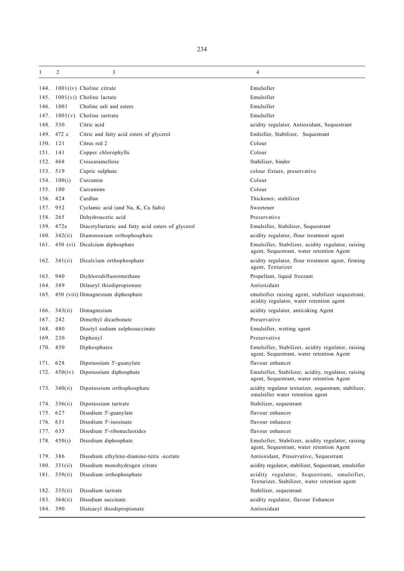| 1        | 2                    | 3                                                  | 4                                                                                                |
|----------|----------------------|----------------------------------------------------|--------------------------------------------------------------------------------------------------|
| 144.     |                      | $1001(iv)$ Choline citrate                         | Emulsifier                                                                                       |
| 145.     |                      | $1001(vi)$ Choline lactate                         | Emulsifier                                                                                       |
| 146.     | 1001                 | Choline salt and esters                            | Emulsifier                                                                                       |
| 147.     |                      | $1001(v)$ Choline tartrate                         | Emulsifier                                                                                       |
|          | 148. 330             | Citric acid                                        | acidity regulator, Antioxidant, Sequestrant                                                      |
|          | 149. 472 c           | Citric and fatty acid esters of glycerol           | Emlsifier, Stabilizer, Sequestrant                                                               |
| 150. 121 |                      | Citrus red 2                                       | Colour                                                                                           |
| 151. 141 |                      | Copper chlorophylls                                | Colour                                                                                           |
| 152.     | 468                  | Croscaramellose                                    | Stabilizer, binder                                                                               |
|          | 153. 519             | Cupric sulphate                                    | colour fixture, preservative                                                                     |
|          | 154. $100(i)$        | Curcumin                                           | Colour                                                                                           |
| 155. 100 |                      | Curcumins                                          | Colour                                                                                           |
| 156.     | 424                  | Curdlan                                            | Thickener, stabilizer                                                                            |
| 157.     | 952                  | Cyclamic acid (and Na, K, Ca Salts)                | Sweetener                                                                                        |
| 158.     | 265                  | Dehydroacetic acid                                 | Preservative                                                                                     |
| 159.     | 472e                 | Diacetyltartaric and fatty acid esters of glycerol | Emulsifier, Stabilizer, Sequestrant                                                              |
|          | 160. $342(ii)$       | Diammonium orthophosphate                          | acidity regulator, flour treatment agent                                                         |
|          |                      | 161. 450 (vi) Dicalcium diphosphate                | Emulsifier, Stabilizer, acidity regulator, raising<br>agent, Sequestrant, water retention Agent  |
|          | 162. $341(ii)$       | Dicalcium orthophosphate                           | acidity regulator, flour treatment agent, firming<br>agent, Texturizer                           |
| 163.     | 940                  | Dichlorodifluoromethane                            | Propellant, liquid freezant                                                                      |
| 164.     | 389                  | Dilauryl thiodipropionate                          | Antioxidant                                                                                      |
|          |                      | 165. 450 (viii) Dimagnesium diphosphate            | emulsifier raising agent, stabilizer sequestrant,<br>acidity regulator, water retention agent    |
| 166.     | 343(ii)              | Dimagnesium                                        | acidity regulator, anticaking Agent                                                              |
| 167.     | 242                  | Dimethyl dicarbonate                               | Preservative                                                                                     |
| 168.     | 480                  | Dioctyl sodium sulphosuccinate                     | Emulsifier, wetting agent                                                                        |
| 169.     | 230                  | Diphenyl                                           | Preservative                                                                                     |
|          | 170. 450             | Diphosphates                                       | Emulsifier, Stabilizer, acidity regulator, raising<br>agent, Sequestrant, water retention Agent  |
|          | 171. 628             | Dipotassium 5'-guanylate                           | flavour enhancer                                                                                 |
|          |                      | 172. 450(iv) Dipotassium diphosphate               | Emulsifier, Stabilizer, acidity, regulator, raising<br>agent, Sequestrant, water retention Agent |
|          | $173. \quad 340(ii)$ | Dipotassium orthophosphate                         | acidity regulator texturizer, sequestrant, stabilizer,<br>emulsifier water retention agent       |
|          | $174. \quad 336(ii)$ | Dipotassium tartrate                               | Stabilizer, sequestrant                                                                          |
| 175.     | 627                  | Disodium 5'-guanylate                              | flavour enhancer                                                                                 |
| 176. 631 |                      | Disodium 5'-inosinate                              | flavour enhancer                                                                                 |
| 177.     | 635                  | Disodium 5'-ribonucleotides                        | flavour enhancer                                                                                 |
|          | 178.450(i)           | Disodium diphosphate                               | Emulsifier, Stabilizer, acidity regulator, raising<br>agent, Sequestrant, water retention Agent  |
| 179.     | 386                  | Disodium ethylene-diamine-tetra -acetate           | Antioxidant, Preservative, Sequestrant                                                           |
| 180.     | 331(ii)              | Disodium monohydrogen citrate                      | acidity regulator, stabilizer, Sequestrant, emulsifier                                           |
|          | $181. \quad 339(ii)$ | Disodium orthophosphate                            | acidity regulator, Sequestrant, emulsifier,<br>Texturizer, Stabilizer, water retention agent     |
|          | 182. $335(ii)$       | Disodium tartrate                                  | Stabilizer, sequestrant                                                                          |
| 183.     | 364(ii)              | Disodium succinate                                 | acidity regulator, flavour Enhancer                                                              |
|          | 184. 390             | Distearyl thiodipropionate                         | Antioxidant                                                                                      |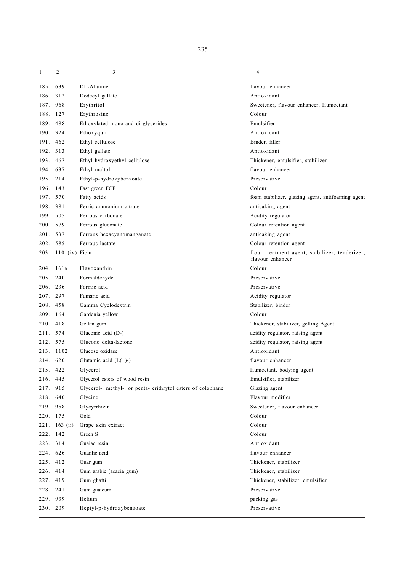| 1        | 2                   | 3                                                            | 4                                                                  |
|----------|---------------------|--------------------------------------------------------------|--------------------------------------------------------------------|
| 185.     | 639                 | DL-Alanine                                                   | flavour enhancer                                                   |
| 186. 312 |                     | Dodecyl gallate                                              | Antioxidant                                                        |
| 187.     | 968                 | Erythritol                                                   | Sweetener, flavour enhancer, Humectant                             |
| 188.     | 127                 | Erythrosine                                                  | Colour                                                             |
| 189.     | 488                 | Ethoxylated mono-and di-glycerides                           | Emulsifier                                                         |
|          | 190. 324            | Ethoxyquin                                                   | Antioxidant                                                        |
|          | 191. 462            | Ethyl cellulose                                              | Binder, filler                                                     |
| 192. 313 |                     | Ethyl gallate                                                | Antioxidant                                                        |
| 193.     | 467                 | Ethyl hydroxyethyl cellulose                                 | Thickener, emulsifier, stabilizer                                  |
|          | 194. 637            | Ethyl maltol                                                 | flavour enhancer                                                   |
| 195. 214 |                     | Ethyl-p-hydroxybenzoate                                      | Preservative                                                       |
| 196. 143 |                     | Fast green FCF                                               | Colour                                                             |
|          | 197. 570            | Fatty acids                                                  | foam stabilizer, glazing agent, antifoaming agent                  |
| 198. 381 |                     | Ferric ammonium citrate                                      | anticaking agent                                                   |
| 199. 505 |                     | Ferrous carbonate                                            | Acidity regulator                                                  |
| 200. 579 |                     | Ferrous gluconate                                            | Colour retention agent                                             |
| 201. 537 |                     | Ferrous hexacyanomanganate                                   | anticaking agent                                                   |
| 202. 585 |                     | Ferrous lactate                                              | Colour retention agent                                             |
|          | 203. 1101(iv) Ficin |                                                              | flour treatment agent, stabilizer, tenderizer,<br>flavour enhancer |
|          | 204. 161a           | Flavoxanthin                                                 | Colour                                                             |
| 205.     | 240                 | Formaldehyde                                                 | Preservative                                                       |
|          | 206. 236            | Formic acid                                                  | Preservative                                                       |
| 207. 297 |                     | Fumaric acid                                                 | Acidity regulator                                                  |
| 208. 458 |                     | Gamma Cyclodextrin                                           | Stabilizer, binder                                                 |
|          | 209. 164            | Gardenia yellow                                              | Colour                                                             |
| 210.     | 418                 | Gellan gum                                                   | Thickener, stabilizer, gelling Agent                               |
| 211. 574 |                     | Gluconic acid (D-)                                           | acidity regulator, raising agent                                   |
| 212.     | 575                 | Glucono delta-lactone                                        | acidity regulator, raising agent                                   |
|          | 213. 1102           | Glucose oxidase                                              | Antioxidant                                                        |
| 214. 620 |                     | Glutamic acid $(L(+)-)$                                      | flavour enhancer                                                   |
| 215. 422 |                     | Glycerol                                                     | Humectant, bodying agent                                           |
| 216. 445 |                     | Glycerol esters of wood resin                                | Emulsifier, stabilizer                                             |
| 217.     | 915                 | Glycerol-, methyl-, or penta- erithrytol esters of colophane | Glazing agent                                                      |
| 218. 640 |                     | Glycine                                                      | Flavour modifier                                                   |
| 219. 958 |                     | Glycyrrhizin                                                 | Sweetener, flavour enhancer                                        |
| 220. 175 |                     | Gold                                                         | Colour                                                             |
|          | 221. 163 (ii)       | Grape skin extract                                           | Colour                                                             |
| 222. 142 |                     | Green S                                                      | Colour                                                             |
| 223. 314 |                     | Guaiac resin                                                 | Antioxidant                                                        |
| 224. 626 |                     | Guanlic acid                                                 | flavour enhancer                                                   |
| 225. 412 |                     | Guar gum                                                     | Thickener, stabilizer                                              |
| 226. 414 |                     | Gum arabic (acacia gum)                                      | Thickener, stabilizer                                              |
| 227. 419 |                     | Gum ghatti                                                   | Thickener, stabilizer, emulsifier                                  |
| 228. 241 |                     | Gum guaicum                                                  | Preservative                                                       |
| 229. 939 |                     | Helium                                                       | packing gas                                                        |
| 230. 209 |                     | Heptyl-p-hydroxybenzoate                                     | Preservative                                                       |
|          |                     |                                                              |                                                                    |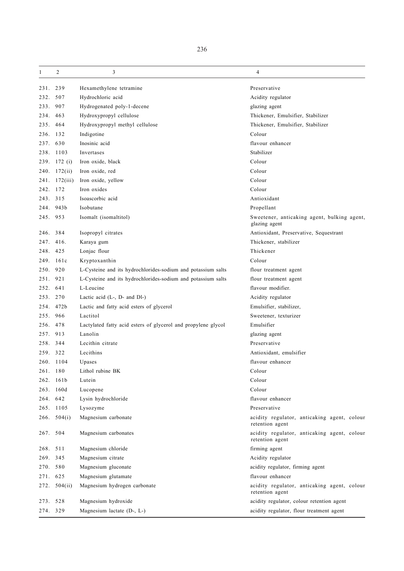| 1        | 2            | 3                                                             | 4                                                              |
|----------|--------------|---------------------------------------------------------------|----------------------------------------------------------------|
| 231. 239 |              | Hexamethylene tetramine                                       | Preservative                                                   |
| 232.     | 507          | Hydrochloric acid                                             | Acidity regulator                                              |
| 233.     | 907          | Hydrogenated poly-1-decene                                    | glazing agent                                                  |
| 234.     | 463          | Hydroxypropyl cellulose                                       | Thickener, Emulsifier, Stabilizer                              |
| 235.     | 464          | Hydroxypropyl methyl cellulose                                | Thickener, Emulsifier, Stabilizer                              |
| 236.     | 132          | Indigotine                                                    | Colour                                                         |
| 237.     | 630          | Inosinic acid                                                 | flavour enhancer                                               |
|          | 238. 1103    | Invertases                                                    | Stabilizer                                                     |
|          | 239. 172 (i) | Iron oxide, black                                             | Colour                                                         |
|          | 240. 172(ii) | Iron oxide, red                                               | Colour                                                         |
| 241.     | 172(iii)     | Iron oxide, yellow                                            | Colour                                                         |
| 242. 172 |              | Iron oxides                                                   | Colour                                                         |
| 243. 315 |              | Isoascorbic acid                                              | Antioxidant                                                    |
| 244.     | 943b         | Isobutane                                                     | Propellant                                                     |
| 245. 953 |              | Isomalt (isomaltitol)                                         | Sweetener, anticaking agent, bulking agent,<br>glazing agent   |
| 246.     | 384          | Isopropyl citrates                                            | Antioxidant, Preservative, Sequestrant                         |
| 247.     | 416.         | Karaya gum                                                    | Thickener, stabilizer                                          |
| 248.     | 425          | Lonjac flour                                                  | Thickener                                                      |
|          | 249. 161c    | Kryptoxanthin                                                 | Colour                                                         |
| 250.     | 920          | L-Cysteine and its hydrochlorides-sodium and potassium salts  | flour treatment agent                                          |
| 251.     | 921          | L-Cysteine and its hydrochlorides-sodium and potassium salts  | flour treatment agent                                          |
| 252.     | 641          | L-Leucine                                                     | flavour modifier.                                              |
| 253.     | 270          | Lactic acid (L-, D- and Dl-)                                  | Acidity regulator                                              |
| 254.     | 472b         | Lactic and fatty acid esters of glycerol                      | Emulsifier, stabilizer,                                        |
| 255.     | 966          | Lactitol                                                      | Sweetener, texturizer                                          |
| 256.     | 478          | Lactylated fatty acid esters of glycerol and propylene glycol | Emulsifier                                                     |
| 257.     | 913          | Lanolin                                                       | glazing agent                                                  |
| 258.     | 344          | Lecithin citrate                                              | Preservative                                                   |
| 259. 322 |              | Lecithins                                                     | Antioxidant, emulsifier                                        |
|          | 260. 1104    | Upases                                                        | flavour enhancer                                               |
| 261.     | 180          | Lithol rubine BK                                              | Colour                                                         |
| 262.     | 161b         | Lutein                                                        | Colour                                                         |
|          | 263. 160d    | Lucopene                                                      | Colour                                                         |
|          | 264. 642     | Lysin hydrochloride                                           | flavour enhancer                                               |
|          | 265. 1105    | Lysozyme                                                      | Preservative                                                   |
|          | 266. 504(i)  | Magnesium carbonate                                           | acidity regulator, anticaking agent, colour<br>retention agent |
|          | 267. 504     | Magnesium carbonates                                          | acidity regulator, anticaking agent, colour<br>retention agent |
| 268.     | 511          | Magnesium chloride                                            | firming agent                                                  |
| 269. 345 |              | Magnesium citrate                                             | Acidity regulator                                              |
|          | 270. 580     | Magnesium gluconate                                           | acidity regulator, firming agent                               |
| 271. 625 |              | Magnesium glutamate                                           | flavour enhancer                                               |
|          | 272. 504(ii) | Magnesium hydrogen carbonate                                  | acidity regulator, anticaking agent, colour<br>retention agent |
| 273.     | 528          | Magnesium hydroxide                                           | acidity regulator, colour retention agent                      |
|          | 274. 329     | Magnesium lactate (D-, L-)                                    | acidity regulator, flour treatment agent                       |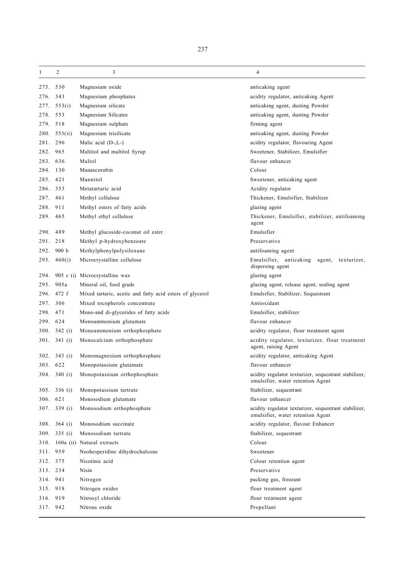| 1        | 2            | 3                                                        | 4                                                                                          |
|----------|--------------|----------------------------------------------------------|--------------------------------------------------------------------------------------------|
| 275. 530 |              | Magnesium oxide                                          | anticaking agent                                                                           |
| 276. 343 |              | Magnesium phosphates                                     | acidity regulator, anticaking Agent                                                        |
| 277.     | 553(i)       | Magnesium silicate                                       | anticaking agent, dusting Powder                                                           |
| 278.     | 553          | Magnesium Silicates                                      | anticaking agent, dusting Powder                                                           |
| 279. 518 |              | Magnesium sulphate                                       | firming agent                                                                              |
|          | 280. 553(ii) | Magnesium trisilicate                                    | anticaking agent, dusting Powder                                                           |
| 281. 296 |              | Malic acid $(D-L)$                                       | acidity regulator, flavouring Agent                                                        |
| 282. 965 |              | Maltitol and maltitol Syrup                              | Sweetener, Stabilizer, Emulsifier                                                          |
| 283. 636 |              | Maltol                                                   | flavour enhancer                                                                           |
| 284. 130 |              | Manascorubin                                             | Colour                                                                                     |
| 285.     | 421          | Mannitol                                                 | Sweetener, anticaking agent                                                                |
| 286. 353 |              | Metatartaric acid                                        | Acidity regulator                                                                          |
| 287.     | 461          | Methyl cellulose                                         | Thickener, Emulsifier, Stabilizer                                                          |
| 288.     | 911          | Methyl esters of fatty acids                             | glazing agent                                                                              |
| 289. 465 |              | Methyl ethyl cellulose                                   | Thickener, Emulsifier, stabilizer, antifoaming<br>agent                                    |
| 290.     | 489          | Methyl glucoside-coconut oil ester                       | Emulsifier                                                                                 |
| 291.     | 218          | Methyl p-hydroxybenzoate                                 | Preservative                                                                               |
| 292.     | 900 b        | Methylphenylpolysiloxane                                 | antifoaming agent                                                                          |
|          | 293.460(i)   | Microcrystalline cellulose                               | Emulsifier, anticaking agent, texturizer,<br>dispersing agent                              |
| 294.     |              | 905 c (i) Microcrystalline wax                           | glazing agent                                                                              |
| 295.     | 905a         | Mineral oil, food grade                                  | glazing agent, release agent, sealing agent                                                |
|          | 296. 472 f   | Mixed tartaric, acetic and fatty acid esters of glycerol | Emulsifier, Stabilizer, Sequestrant                                                        |
| 297.     | 306          | Mixed tocopherols concentrate                            | Antioxidant                                                                                |
| 298.     | 471          | Mono-and di-glycerides of fatty acids                    | Emulsifier, stabilizer                                                                     |
| 299.     | 624          | Monoammonium glutamate                                   | flavour enhancer                                                                           |
| 300.     | 342(i)       | Monoammonium orthophosphate                              | acidity regulator, flour treatment agent                                                   |
|          | 301. 341 (i) | Monocalcium orthophosphate                               | acidity regulator, texturizer, flour treatment<br>agent, raising Agent                     |
| 302.     | 343 $(i)$    | Monomagnesium orthophosphate                             | acidity regulator, anticaking Agent                                                        |
| 303. 622 |              | Monopotassium glutamate                                  | flavour enhancer                                                                           |
|          | 304. 340 (i) | Monopotassium orthophosphate                             | acidity regulator texturizer, sequestrant stabilizer,<br>emulsifier, water retention Agent |
|          | 305. 336 (i) | Monopotassium tartrate                                   | Stabilizer, sequestrant                                                                    |
| 306.     | 621          | Monosodium glutamate                                     | flavour enhancer                                                                           |
|          | 307. 339 (i) | Monosodium orthophosphate                                | acidity regulator texturizer, sequestrant stabilizer,<br>emulsifier, water retention Agent |
|          | 308. 364 (i) | Monosodium succinate                                     | acidity regulator, flavour Enhancer                                                        |
|          | 309. 335 (i) | Monosodium tartrate                                      | Stabilizer, sequestrant                                                                    |
|          |              | 310. 160a (ii) Natural extracts                          | Colour                                                                                     |
| 311. 959 |              | Neohesperidine dihydrochalcone                           | Sweetener                                                                                  |
| 312. 375 |              | Nicotinic acid                                           | Colour retention agent                                                                     |
| 313. 234 |              | Nisin                                                    | Preservative                                                                               |
| 314. 941 |              | Nitrogen                                                 | packing gas, freezant                                                                      |
| 315.     | 918          | Nitrogen oxides                                          | flour treatment agent                                                                      |
| 316. 919 |              | Nitrosyl chloride                                        | flour treatment agent                                                                      |
| 317. 942 |              | Nitrous oxide                                            | Propellant                                                                                 |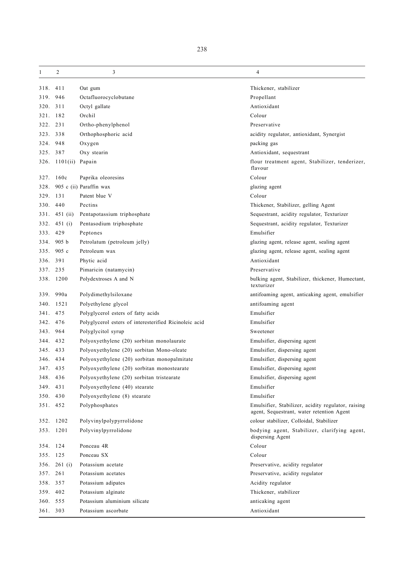| 1        | $\overline{2}$       | 3                                                      | 4                                                                                               |
|----------|----------------------|--------------------------------------------------------|-------------------------------------------------------------------------------------------------|
| 318. 411 |                      | Oat gum                                                | Thickener, stabilizer                                                                           |
| 319.     | 946                  | Octafluorocyclobutane                                  | Propellant                                                                                      |
| 320.     | 311                  | Octyl gallate                                          | Antioxidant                                                                                     |
| 321. 182 |                      | Orchil                                                 | Colour                                                                                          |
| 322.     | 231                  | Ortho-phenylphenol                                     | Preservative                                                                                    |
| 323.     | 338                  | Orthophosphoric acid                                   | acidity regulator, antioxidant, Synergist                                                       |
| 324. 948 |                      | Oxygen                                                 | packing gas                                                                                     |
| 325. 387 |                      | Oxy stearin                                            | Antioxidant, sequestrant                                                                        |
|          | 326. 1101(ii) Papain |                                                        | flour treatment agent, Stabilizer, tenderizer,<br>flavour                                       |
|          | 327. 160c            | Paprika oleoresins                                     | Colour                                                                                          |
| 328.     |                      | 905 c (ii) Paraffin wax                                | glazing agent                                                                                   |
| 329. 131 |                      | Patent blue V                                          | Colour                                                                                          |
| 330. 440 |                      | Pectins                                                | Thickener, Stabilizer, gelling Agent                                                            |
|          | 331. 451 (ii)        | Pentapotassium triphosphate                            | Sequestrant, acidity regulator, Texturizer                                                      |
|          | 332. 451 (i)         | Pentasodium triphosphate                               | Sequestrant, acidity regulator, Texturizer                                                      |
| 333. 429 |                      | Peptones                                               | Emulsifier                                                                                      |
|          | 334. 905 b           | Petrolatum (petroleum jelly)                           | glazing agent, release agent, sealing agent                                                     |
| 335.     | 905c                 | Petroleum wax                                          | glazing agent, release agent, sealing agent                                                     |
| 336.     | 391                  | Phytic acid                                            | Antioxidant                                                                                     |
| 337. 235 |                      | Pimaricin (natamycin)                                  | Preservative                                                                                    |
|          | 338. 1200            | Polydextroses A and N                                  | bulking agent, Stabilizer, thickener, Humectant,<br>texturizer                                  |
|          | 339. 990a            | Polydimethylsiloxane                                   | antifoaming agent, anticaking agent, emulsifier                                                 |
|          | 340. 1521            | Polyethylene glycol                                    | antifoaming agent                                                                               |
| 341.     | 475                  | Polyglycerol esters of fatty acids                     | Emulsifier                                                                                      |
| 342.     | 476                  | Polyglycerol esters of interesterified Ricinoleic acid | Emulsifier                                                                                      |
| 343. 964 |                      | Polyglycitol syrup                                     | Sweetener                                                                                       |
| 344. 432 |                      | Polyoxyethylene (20) sorbitan monolaurate              | Emulsifier, dispersing agent                                                                    |
| 345.     | 433                  | Polyoxyethylene (20) sorbitan Mono-oleate              | Emulsifier, dispersing agent                                                                    |
| 346. 434 |                      | Polyoxyethylene (20) sorbitan monopalmitate            | Emulsifier, dispersing agent                                                                    |
| 347. 435 |                      | Polyoxyethylene (20) sorbitan monostearate             | Emulsifier, dispersing agent                                                                    |
| 348. 436 |                      | Polyoxyethylene (20) sorbitan tristearate              | Emulsifier, dispersing agent                                                                    |
| 349. 431 |                      | Polyoxyethylene (40) stearate                          | Emulsifier                                                                                      |
| 350. 430 |                      | Polyoxyethylene (8) stearate                           | Emulsifier                                                                                      |
| 351. 452 |                      | Polyphosphates                                         | Emulsifier, Stabilizer, acidity regulator, raising<br>agent, Sequestrant, water retention Agent |
|          | 352. 1202            | Polyvinylpolypyrrolidone                               | colour stabilizer, Colloidal, Stabilizer                                                        |
|          | 353. 1201            | Polyvinylpyrrolidone                                   | bodying agent, Stabilizer, clarifying agent,<br>dispersing Agent                                |
| 354. 124 |                      | Ponceau 4R                                             | Colour                                                                                          |
| 355. 125 |                      | Ponceau SX                                             | Colour                                                                                          |
|          | 356. 261 (i)         | Potassium acetate                                      | Preservative, acidity regulator                                                                 |
| 357. 261 |                      | Potassium acetates                                     | Preservative, acidity regulator                                                                 |
| 358. 357 |                      | Potassium adipates                                     | Acidity regulator                                                                               |
| 359. 402 |                      | Potassium alginate                                     | Thickener, stabilizer                                                                           |
| 360. 555 |                      | Potassium aluminium silicate                           | anticaking agent                                                                                |
| 361. 303 |                      | Potassium ascorbate                                    | Antioxidant                                                                                     |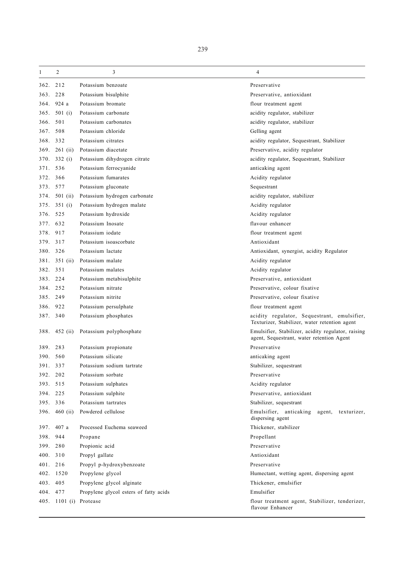| 1        | 2                      | 3                                      | 4                                                                                               |
|----------|------------------------|----------------------------------------|-------------------------------------------------------------------------------------------------|
| 362.     | 212                    | Potassium benzoate                     | Preservative                                                                                    |
| 363.     | 228                    | Potassium bisulphite                   | Preservative, antioxidant                                                                       |
| 364.     | 924 a                  | Potassium bromate                      | flour treatment agent                                                                           |
| 365.     | 501 $(i)$              | Potassium carbonate                    | acidity regulator, stabilizer                                                                   |
| 366.     | 501                    | Potassium carbonates                   | acidity regulator, stabilizer                                                                   |
| 367.     | 508                    | Potassium chloride                     | Gelling agent                                                                                   |
| 368. 332 |                        | Potassium citrates                     | acidity regulator, Sequestrant, Stabilizer                                                      |
| 369.     | $261$ (ii)             | Potassium diacetate                    | Preservative, acidity regulator                                                                 |
| 370.     | 332(i)                 | Potassium dihydrogen citrate           | acidity regulator, Sequestrant, Stabilizer                                                      |
| 371.     | 536                    | Potassium ferrocyanide                 | anticaking agent                                                                                |
| 372.     | 366                    | Potassium fumarates                    | Acidity regulator                                                                               |
| 373. 577 |                        | Potassium gluconate                    | Sequestrant                                                                                     |
| 374.     | 501 $(ii)$             | Potassium hydrogen carbonate           | acidity regulator, stabilizer                                                                   |
| 375.     | 351(i)                 | Potassium hydrogen malate              | Acidity regulator                                                                               |
| 376. 525 |                        | Potassium hydroxide                    | Acidity regulator                                                                               |
| 377.     | 632                    | Potassium Inosate                      | flavour enhancer                                                                                |
| 378.     | 917                    | Potassium iodate                       | flour treatment agent                                                                           |
| 379.     | 317                    | Potassium isoascorbate                 | Antioxidant                                                                                     |
| 380. 326 |                        | Potassium lactate                      | Antioxidant, synergist, acidity Regulator                                                       |
| 381.     | $351$ (ii)             | Potassium malate                       | Acidity regulator                                                                               |
| 382.     | 351                    | Potassium malates                      | Acidity regulator                                                                               |
| 383.     | 224                    | Potassium metabisulphite               | Preservative, antioxidant                                                                       |
| 384.     | 252                    | Potassium nitrate                      | Preservative, colour fixative                                                                   |
| 385.     | 249                    | Potassium nitrite                      | Preservative, colour fixative                                                                   |
| 386.     | 922                    | Potassium persulphate                  | flour treatment agent                                                                           |
| 387. 340 |                        | Potassium phosphates                   | acidity regulator, Sequestrant, emulsifier,<br>Texturizer, Stabilizer, water retention agent    |
| 388.     | 452 $(ii)$             | Potassium polyphosphate                | Emulsifier, Stabilizer, acidity regulator, raising<br>agent, Sequestrant, water retention Agent |
| 389.     | 283                    | Potassium propionate                   | Preservative                                                                                    |
| 390.     | 560                    | Potassium silicate                     | anticaking agent                                                                                |
| 391. 337 |                        | Potassium sodium tartrate              | Stabilizer, sequestrant                                                                         |
| 392.     | 202                    | Potassium sorbate                      | Preservative                                                                                    |
| 393.     | 515                    | Potassium sulphates                    | Acidity regulator                                                                               |
| 394. 225 |                        | Potassium sulphite                     | Preservative, antioxidant                                                                       |
| 395. 336 |                        | Potassium tartrates                    | Stabilizer, sequestrant                                                                         |
|          | 396. 460 (ii)          | Powdered cellulose                     | Emulsifier, anticaking<br>agent, texturizer,<br>dispersing agent                                |
|          | 397. 407 a             | Processed Euchema seaweed              | Thickener, stabilizer                                                                           |
| 398.     | 944                    | Propane                                | Propellant                                                                                      |
| 399. 280 |                        | Propionic acid                         | Preservative                                                                                    |
| 400. 310 |                        | Propyl gallate                         | Antioxidant                                                                                     |
| 401.     | 216                    | Propyl p-hydroxybenzoate               | Preservative                                                                                    |
|          | 402. 1520              | Propylene glycol                       | Humectant, wetting agent, dispersing agent                                                      |
| 403. 405 |                        | Propylene glycol alginate              | Thickener, emulsifier                                                                           |
| 404. 477 |                        | Propylene glycol esters of fatty acids | Emulsifier                                                                                      |
|          | 405. 1101 (i) Protease |                                        | flour treatment agent, Stabilizer, tenderizer,<br>flavour Enhancer                              |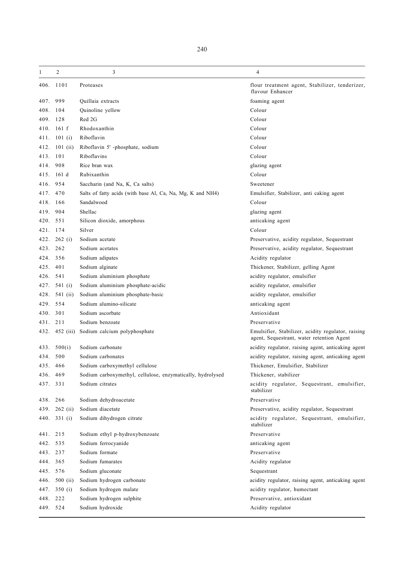|  | ۰.<br>× |
|--|---------|

| 1        | 2             | 3                                                          | 4                                                                                               |
|----------|---------------|------------------------------------------------------------|-------------------------------------------------------------------------------------------------|
|          | 406. 1101     | Proteases                                                  | flour treatment agent, Stabilizer, tenderizer,<br>flavour Enhancer                              |
| 407.     | 999           | Quillaia extracts                                          | foaming agent                                                                                   |
| 408.     | 104           | Quinoline yellow                                           | Colour                                                                                          |
| 409.     | 128           | Red 2G                                                     | Colour                                                                                          |
| 410.     | 161 f         | Rhodoxanthin                                               | Colour                                                                                          |
|          | 411. 101 (i)  | Riboflavin                                                 | Colour                                                                                          |
| 412.     | 101 $(ii)$    | Riboflavin 5' -phosphate, sodium                           | Colour                                                                                          |
| 413. 101 |               | Riboflavins                                                | Colour                                                                                          |
| 414.     | 908           | Rice bran wax                                              | glazing agent                                                                                   |
| 415.     | 161d          | Rubixanthin                                                | Colour                                                                                          |
| 416.     | 954           | Saccharin (and Na, K, Ca salts)                            | Sweetener                                                                                       |
| 417.     | 470           | Salts of fatty acids (with base Al, Ca, Na, Mg, K and NH4) | Emulsifier, Stabilizer, anti caking agent                                                       |
| 418.     | 166           | Sandalwood                                                 | Colour                                                                                          |
| 419.     | 904           | Shellac                                                    | glazing agent                                                                                   |
| 420. 551 |               | Silicon dioxide, amorphous                                 | anticaking agent                                                                                |
| 421. 174 |               | Silver                                                     | Colour                                                                                          |
| 422.     | 262(i)        | Sodium acetate                                             | Preservative, acidity regulator, Sequestrant                                                    |
| 423.     | 262           | Sodium acetates                                            | Preservative, acidity regulator, Sequestrant                                                    |
| 424. 356 |               | Sodium adipates                                            | Acidity regulator                                                                               |
| 425.     | 401           | Sodium alginate                                            | Thickener, Stabilizer, gelling Agent                                                            |
| 426.     | 541           | Sodium aluminium phosphate                                 | acidity regulator, emulsifier                                                                   |
| 427.     | 541 (i)       | Sodium aluminium phosphate-acidic                          | acidity regulator, emulsifier                                                                   |
| 428.     | 541 (ii)      | Sodium aluminium phosphate-basic                           | acidity regulator, emulsifier                                                                   |
| 429.     | 554           | Sodium alumino-silicate                                    | anticaking agent                                                                                |
| 430.     | 301           | Sodium ascorbate                                           | Antioxidant                                                                                     |
| 431.     | 211           | Sodium benzoate                                            | Preservative                                                                                    |
| 432.     | $452$ (iii)   | Sodium calcium polyphosphate                               | Emulsifier, Stabilizer, acidity regulator, raising<br>agent, Sequestrant, water retention Agent |
| 433.     | 500(i)        | Sodium carbonate                                           | acidity regulator, raising agent, anticaking agent                                              |
| 434.     | 500           | Sodium carbonates                                          | acidity regulator, raising agent, anticaking agent                                              |
| 435.     | 466           | Sodium carboxymethyl cellulose                             | Thickener, Emulsifier, Stabilizer                                                               |
| 436. 469 |               | Sodium carboxymethyl, cellulose, enzymatically, hydrolysed | Thickener, stabilizer                                                                           |
| 437. 331 |               | Sodium citrates                                            | acidity regulator, Sequestrant, emulsifier,<br>stabilizer                                       |
| 438. 266 |               | Sodium dehydroacetate                                      | Preservative                                                                                    |
| 439.     | $262$ (ii)    | Sodium diacetate                                           | Preservative, acidity regulator, Sequestrant                                                    |
|          | 440. 331 (i)  | Sodium dihydrogen citrate                                  | acidity regulator, Sequestrant, emulsifier,<br>stabilizer                                       |
| 441.     | 215           | Sodium ethyl p-hydroxybenzoate                             | Preservative                                                                                    |
| 442.     | 535           | Sodium ferrocyanide                                        | anticaking agent                                                                                |
| 443. 237 |               | Sodium formate                                             | Preservative                                                                                    |
| 444. 365 |               | Sodium fumarates                                           | Acidity regulator                                                                               |
| 445. 576 |               | Sodium gluconate                                           | Sequestrant                                                                                     |
|          | 446. 500 (ii) | Sodium hydrogen carbonate                                  | acidity regulator, raising agent, anticaking agent                                              |
|          | 447. 350 (i)  | Sodium hydrogen malate                                     | acidity regulator, humectant                                                                    |
| 448. 222 |               | Sodium hydrogen sulphite                                   | Preservative, antioxidant                                                                       |
| 449. 524 |               | Sodium hydroxide                                           | Acidity regulator                                                                               |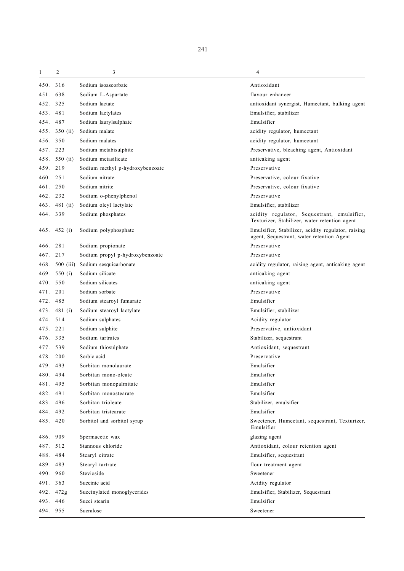$1 \quad 2 \quad 3 \quad 4$ 450. 316 Sodium isoascorbate Antioxidant 451. 638 Sodium L-Aspartate flavour enhancer 452. 325 Sodium lactate antioxidant synergist, Humectant, bulking agent 453. 481 Sodium lactylates Emulsifier, stabilizer 454. 487 Sodium laurylsulphate Emulsifier 455. 350 (ii) Sodium malate acidity regulator, humectant 456. 350 Sodium malates acidity regulator, humectant 457. 223 Sodium metabisulphite Preservative, bleaching agent, Antioxidant 458. 550 (ii) Sodium metasilicate anticaking agent 459. 219 Sodium methyl p-hydroxybenzoate Preservative 460. 251 Sodium nitrate Preservative, colour fixative 461. 250 Sodium nitrite Preservative, colour fixative 462. 232 Sodium o-phenylphenol Preservative 463. 481 (ii) Sodium oleyl lactylate Emulsifier, stabilizer 464. 339 Sodium phosphates acidity regulator, Sequestrant, emulsifier, Texturizer, Stabilizer, water retention agent 465. 452 (i) Sodium polyphosphate Emulsifier, Stabilizer, acidity regulator, raising agent, Sequestrant, water retention Agent 466. 281 Sodium propionate Preservative 467. 217 Sodium propyl p-hydroxybenzoate Preservative Preservative 468. 500 (iii) Sodium sesquicarbonate acidity regulator, raising agent, anticaking agent 469. 550 (i) Sodium silicate anticaking agent 470. 550 Sodium silicates anticaking agent 471. 201 Sodium sorbate Preservative 472. 485 Sodium stearoyl fumarate Emulsifier 473. 481 (i) Sodium stearoyl lactylate Emulsifier, stabilizer 474. 514 Sodium sulphates Acidity regulator 475. 221 Sodium sulphite Preservative, antioxidant 476. 335 Sodium tartrates Stabilizer, sequestrant 477. 539 Sodium thiosulphate Antioxidant, sequestrant 478. 200 Sorbic acid Preservative 479. 493 Sorbitan monolaurate Emulsifier 480. 494 Sorbitan mono-oleate Emulsifier 481. 495 Sorbitan monopalmitate Emulsifier 482. 491 Sorbitan monostearate Emulsifier 483. 496 Sorbitan trioleate Stabilizer, emulsifier 484. 492 Sorbitan tristearate Emulsifier 485. 420 Sorbitol and sorbitol syrup Sweetener, Humectant, sequestrant, Texturizer, Emulsifier 486. 909 Spermacetic wax glazing agent 487. 512 Stannous chloride Antioxidant, colour retention agent 488. 484 Stearyl citrate Emulsifier, sequestrant 489. 483 Stearyl tartrate flour treatment agent 490. 960 Stevioside Sweetener 491. 363 Succinic acid Acidity regulator 492. 472g Succinylated monoglycerides Emulsifier, Stabilizer, Sequestrant 493. 446 Succi stearin Emulsifier

494. 955 Sucralose Sweetener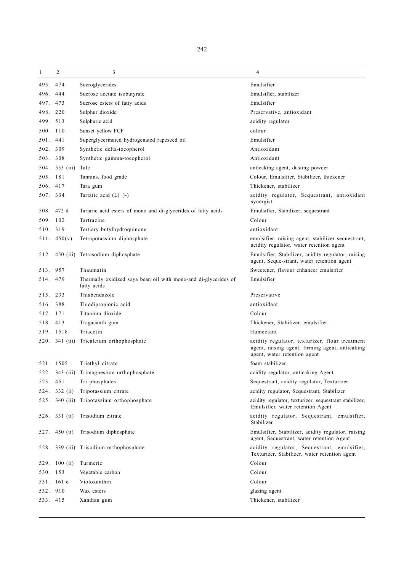| 1        | 2              | 3                                                                              | 4                                                                                                                                 |
|----------|----------------|--------------------------------------------------------------------------------|-----------------------------------------------------------------------------------------------------------------------------------|
| 495.     | 474            | Sucroglycerides                                                                | Emulsifier                                                                                                                        |
| 496.     | 444            | Sucrose acetate isobutyrate                                                    | Emulsifier, stabilizer                                                                                                            |
| 497.     | 473            | Sucrose esters of fatty acids                                                  | Emulsifier                                                                                                                        |
| 498. 220 |                | Sulphur dioxide                                                                | Preservative, antioxidant                                                                                                         |
| 499. 513 |                | Sulphuric acid                                                                 | acidity regulator                                                                                                                 |
| 500. 110 |                | Sunset yellow FCF                                                              | colour                                                                                                                            |
| 501. 441 |                | Superglycerinated hydrogenated rapeseed oil                                    | Emulsifier                                                                                                                        |
| 502. 309 |                | Synthetic delta-tocopherol                                                     | Antioxidant                                                                                                                       |
| 503. 308 |                | Synthetic gamma-tocopherol                                                     | Antioxidant                                                                                                                       |
|          | 504. 553 (iii) | Talc                                                                           | anticaking agent, dusting powder                                                                                                  |
| 505. 181 |                | Tannins, food grade                                                            | Colour, Emulsifier, Stabilizer, thickener                                                                                         |
| 506.     | 417            | Tara gum                                                                       | Thickener, stabilizer                                                                                                             |
| 507. 334 |                | Tartaric acid $(L(+)-)$                                                        | acidity regulator, Sequestrant, antioxidant<br>synergist                                                                          |
| 508.     | 472 d          | Tartaric acid esters of mono and di-glycerides of fatty acids                  | Emulsifier, Stabilizer, sequestrant                                                                                               |
| 509.     | 102            | Tartrazine                                                                     | Colour                                                                                                                            |
| 510. 319 |                | Tertiary butylhydroquinone                                                     | antioxidant                                                                                                                       |
|          | 511.450(v)     | Tetrapotassium diphosphate                                                     | emulsifier, raising agent, stabilizer sequestrant,<br>acidity regulator, water retention agent                                    |
| 512      |                | 450 (iii) Tetrasodium diphosphate                                              | Emulsifier, Stabilizer, acidity regulator, raising<br>agent, Seque-strant, water retention agent                                  |
| 513.     | 957            | Thaumatin                                                                      | Sweetener, flavour enhancer emulsifier                                                                                            |
| 514. 479 |                | Thermally oxidized soya bean oil with mono-and di-glycerides of<br>fatty acids | Emulsifier                                                                                                                        |
| 515. 233 |                | Thiabendazole                                                                  | Preservative                                                                                                                      |
| 516.     | 388            | Thiodipropionic acid                                                           | antioxidant                                                                                                                       |
| 517.     | 171            | Titanium dioxide                                                               | Colour                                                                                                                            |
| 518. 413 |                | Tragacanth gum                                                                 | Thickener, Stabilizer, emulsifier                                                                                                 |
|          | 519. 1518      | Triacetin                                                                      | Humectant                                                                                                                         |
|          | 520. 341 (iii) | Tricalcium orthophosphate                                                      | acidity regulator, texturizer, flour treatment<br>agent, raising agent, firming agent, anticaking<br>agent, water retention agent |
|          | 521. 1505      | Triethyl citrate                                                               | foam stabilizer                                                                                                                   |
| 522.     |                | 343 (iii) Trimagnesium orthophosphate                                          | acidity regulator, anticaking Agent                                                                                               |
| 523.     | 451            | Tri phosphates                                                                 | Sequestrant, acidity regulator, Texturizer                                                                                        |
| 524.     | 332 (ii)       | Tripotassium citrate                                                           | acidity regulator, Sequestrant, Stabilizer                                                                                        |
| 525.     | $340$ (iii)    | Tripotassium orthophosphate                                                    | acidity regulator, texturizer, sequestrant stabilizer,<br>Emulsifier, water retention Agent                                       |
|          | 526. 331 (ii)  | Trisodium citrate                                                              | acidity regulator, Sequestrant, emulsifier,<br>Stabilizer                                                                         |
| 527.     | 450 $(ii)$     | Trisodium diphosphate                                                          | Emulsifier, Stabilizer, acidity regulator, raising<br>agent, Sequestrant, water retention Agent                                   |
| 528.     |                | 339 (iii) Trisodium orthophosphate                                             | acidity regulator, Sequestrant, emulsifier,<br>Texturizer, Stabilizer, water retention agent                                      |
|          | 529. 100 (ii)  | Turmeric                                                                       | Colour                                                                                                                            |
| 530.     | 153            | Vegetable carbon                                                               | Colour                                                                                                                            |
| 531.     | $161$ e        | Violoxanthin                                                                   | Colour                                                                                                                            |
| 532.     | 910            | Wax esters                                                                     | glazing agent                                                                                                                     |
| 533. 415 |                | Xanthan gum                                                                    | Thickener, stabilizer                                                                                                             |